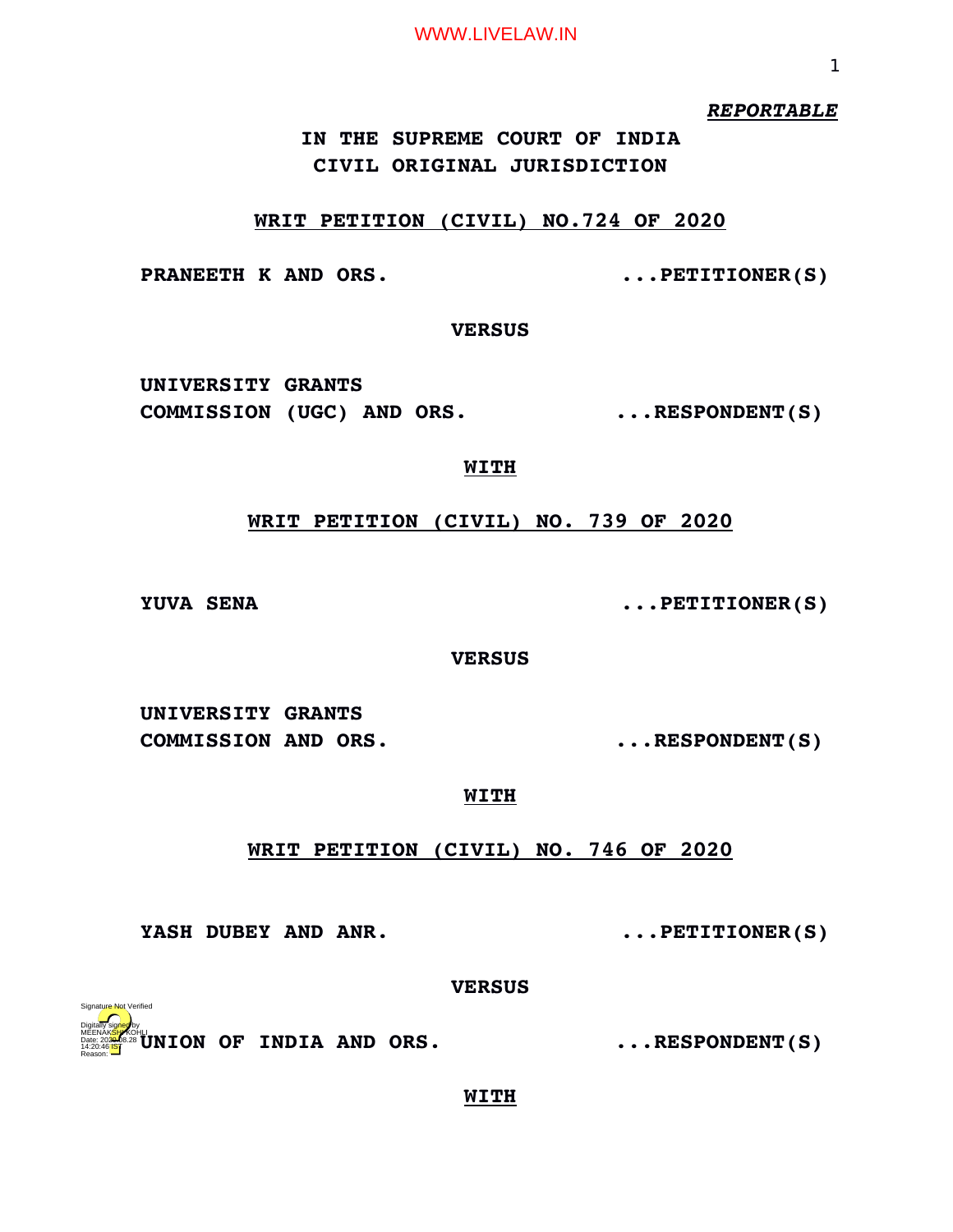*REPORTABLE*

# **IN THE SUPREME COURT OF INDIA CIVIL ORIGINAL JURISDICTION**

### **WRIT PETITION (CIVIL) NO.724 OF 2020**

**PRANEETH K AND ORS.**  $\qquad \qquad \ldots$  PETITIONER(S)

**VERSUS**

**UNIVERSITY GRANTS COMMISSION (UGC) AND ORS. ...RESPONDENT(S)**

## **WITH**

# **WRIT PETITION (CIVIL) NO. 739 OF 2020**

**YUVA SENA**  $\cdots$  PETITIONER(S)

**VERSUS**

**UNIVERSITY GRANTS COMMISSION AND ORS. ...RESPONDENT(S)**

# **WITH**

# **WRIT PETITION (CIVIL) NO. 746 OF 2020**

YASH DUBEY AND ANR.  $\qquad \qquad \ldots$ PETITIONER(S)

**VERSUS**

**UNION OF INDIA AND ORS. ...RESPONDENT(S)** Digitally signed by MEENAK<mark>SH</mark>AKOHLI Date: 2020.08.28 14:20:46<sup>1S</sup> Reason: Signature Not Verified

# **WITH**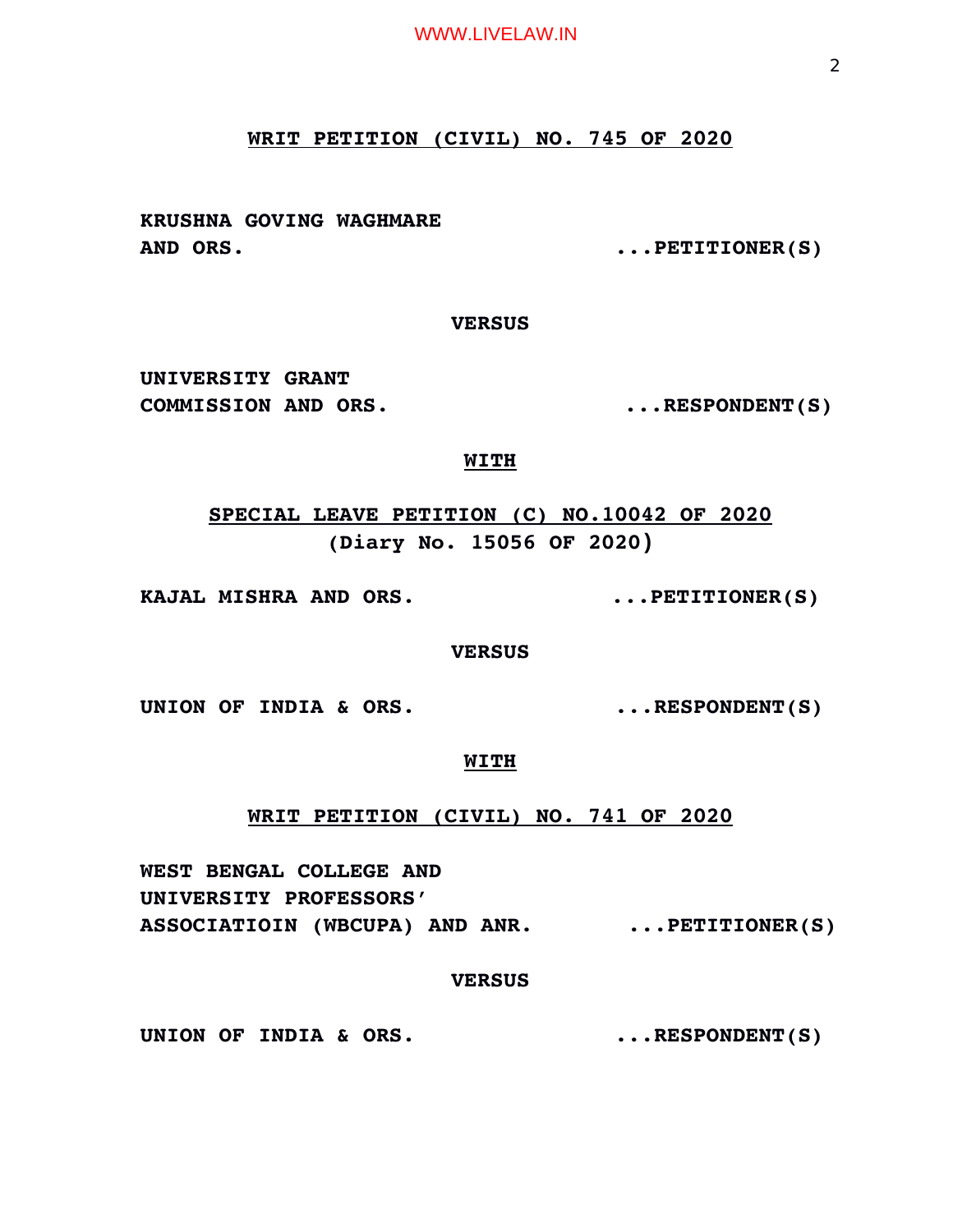# **WRIT PETITION (CIVIL) NO. 745 OF 2020**

**KRUSHNA GOVING WAGHMARE AND ORS. ...PETITIONER(S)**

#### **VERSUS**

**UNIVERSITY GRANT**  COMMISSION AND ORS.  $\qquad \qquad \ldots \text{RESPONDENT}(S)$ 

# **WITH**

**SPECIAL LEAVE PETITION (C) NO.10042 OF 2020 (Diary No. 15056 OF 2020)**

**KAJAL MISHRA AND ORS. ...PETITIONER(S)**

**VERSUS**

UNION OF INDIA & ORS.  $\qquad \qquad \ldots$ RESPONDENT(S)

# **WITH**

**WRIT PETITION (CIVIL) NO. 741 OF 2020**

**WEST BENGAL COLLEGE AND UNIVERSITY PROFESSORS' ASSOCIATIOIN (WBCUPA) AND ANR. ...PETITIONER(S)**

## **VERSUS**

UNION OF INDIA & ORS.  $\qquad \qquad \ldots$ RESPONDENT(S)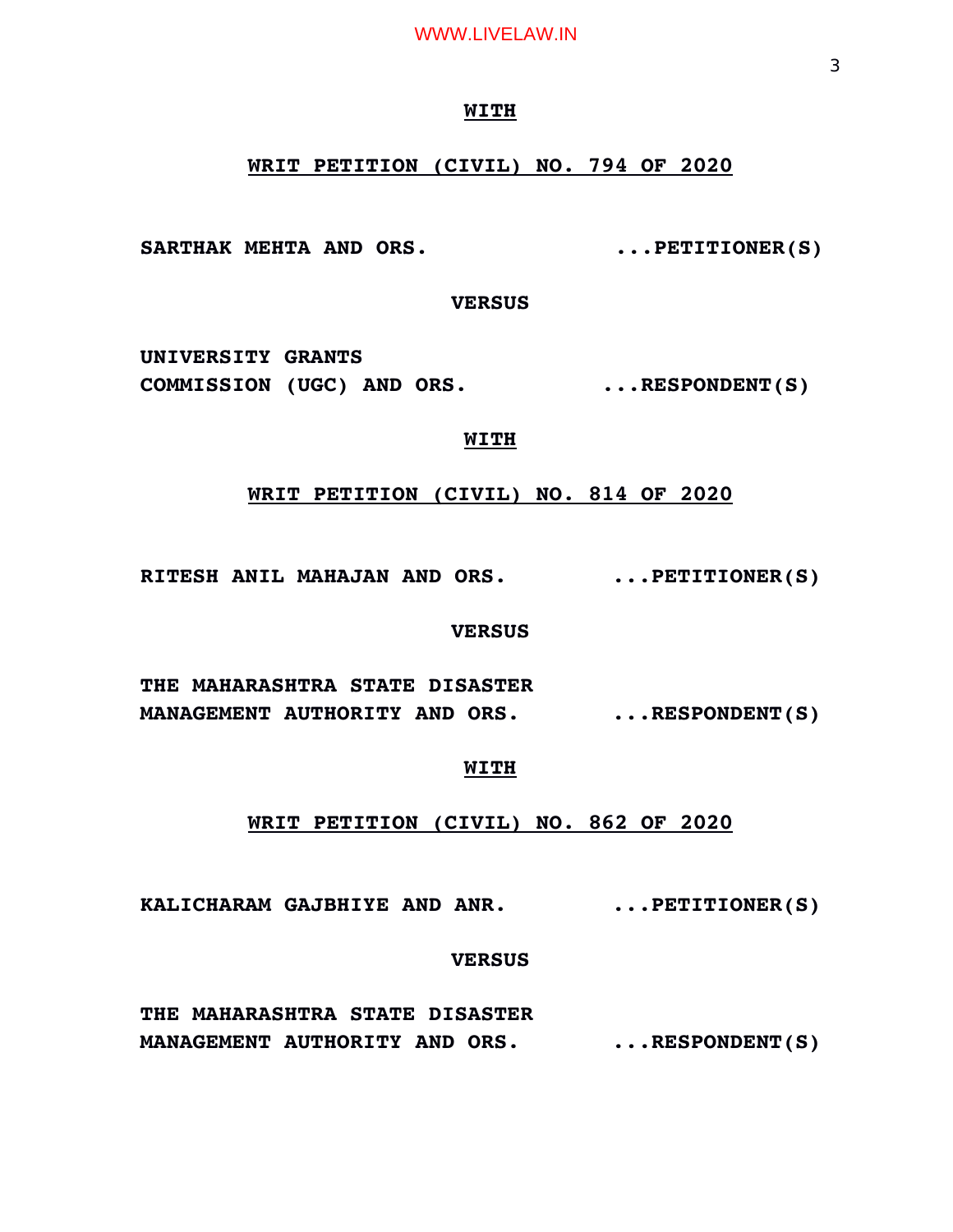#### **WITH**

# **WRIT PETITION (CIVIL) NO. 794 OF 2020**

SARTHAK MEHTA AND ORS.  $\ldots$ PETITIONER(S)

**VERSUS**

**UNIVERSITY GRANTS COMMISSION (UGC) AND ORS. ...RESPONDENT(S)**

# **WITH**

# **WRIT PETITION (CIVIL) NO. 814 OF 2020**

**RITESH ANIL MAHAJAN AND ORS. ...PETITIONER(S)**

### **VERSUS**

**THE MAHARASHTRA STATE DISASTER MANAGEMENT AUTHORITY AND ORS. ...RESPONDENT(S)**

### **WITH**

# **WRIT PETITION (CIVIL) NO. 862 OF 2020**

**KALICHARAM GAJBHIYE AND ANR. ...PETITIONER(S)**

# **VERSUS**

**THE MAHARASHTRA STATE DISASTER MANAGEMENT AUTHORITY AND ORS. ...RESPONDENT(S)**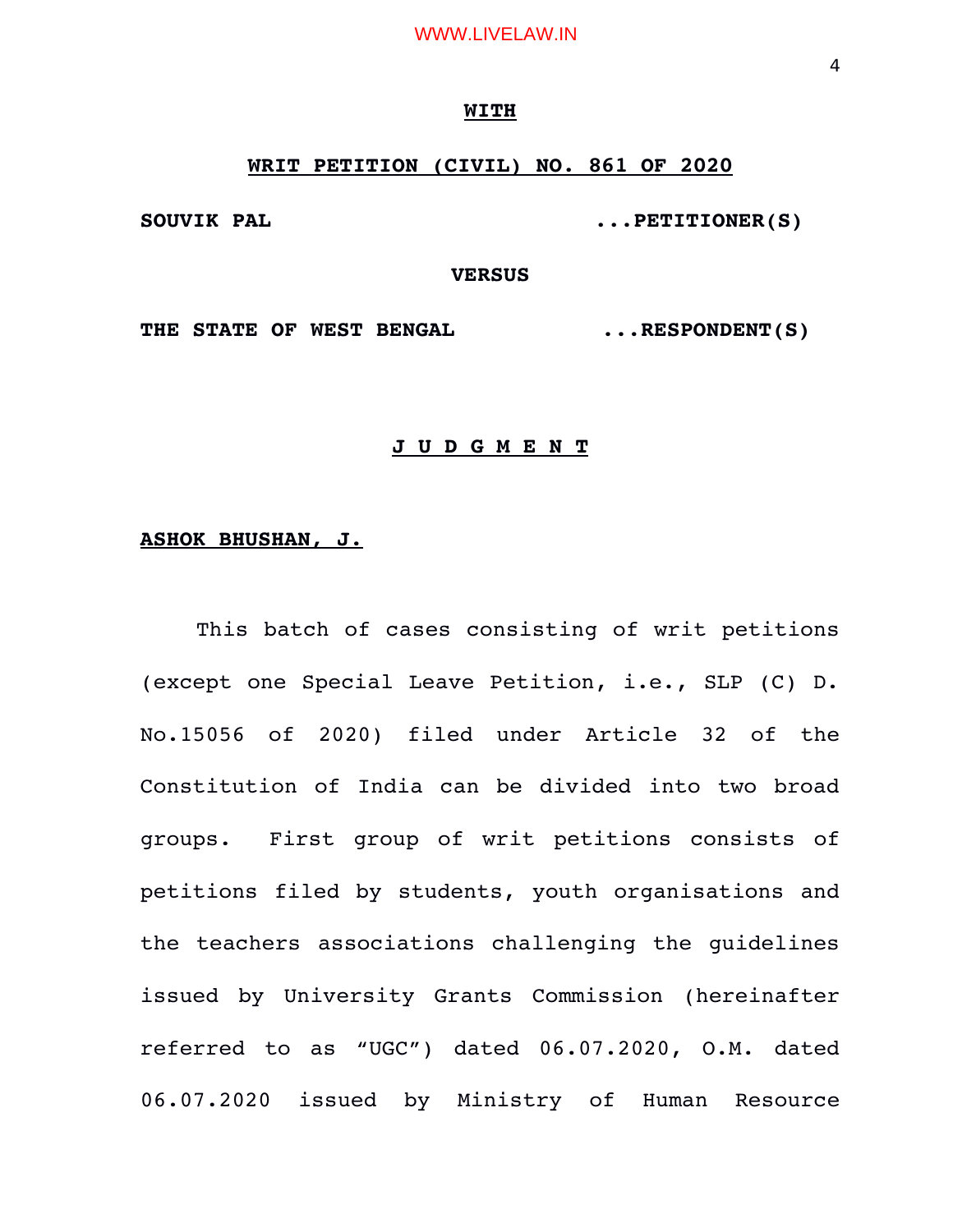### **WITH**

# **WRIT PETITION (CIVIL) NO. 861 OF 2020**

SOUVIK PAL **...PETITIONER(S)** 

### **VERSUS**

**THE STATE OF WEST BENGAL ...RESPONDENT(S)**

# **J U D G M E N T**

## **ASHOK BHUSHAN, J.**

This batch of cases consisting of writ petitions (except one Special Leave Petition, i.e., SLP (C) D. No.15056 of 2020) filed under Article 32 of the Constitution of India can be divided into two broad groups. First group of writ petitions consists of petitions filed by students, youth organisations and the teachers associations challenging the guidelines issued by University Grants Commission (hereinafter referred to as "UGC") dated 06.07.2020, O.M. dated 06.07.2020 issued by Ministry of Human Resource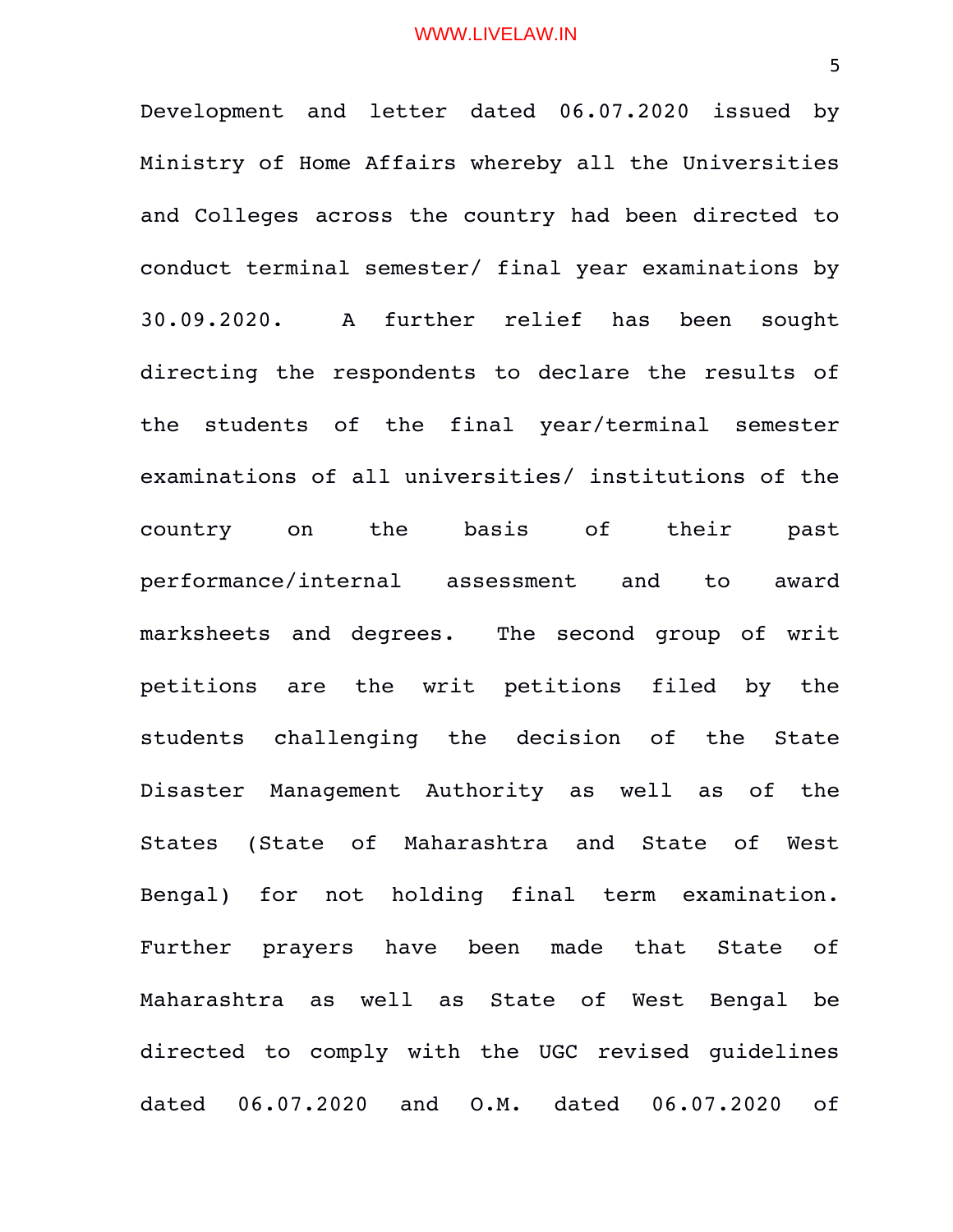Development and letter dated 06.07.2020 issued by Ministry of Home Affairs whereby all the Universities and Colleges across the country had been directed to conduct terminal semester/ final year examinations by 30.09.2020. A further relief has been sought directing the respondents to declare the results of the students of the final year/terminal semester examinations of all universities/ institutions of the country on the basis of their past performance/internal assessment and to award marksheets and degrees. The second group of writ petitions are the writ petitions filed by the students challenging the decision of the State Disaster Management Authority as well as of the States (State of Maharashtra and State of West Bengal) for not holding final term examination. Further prayers have been made that State of Maharashtra as well as State of West Bengal be directed to comply with the UGC revised quidelines dated 06.07.2020 and O.M. dated 06.07.2020 of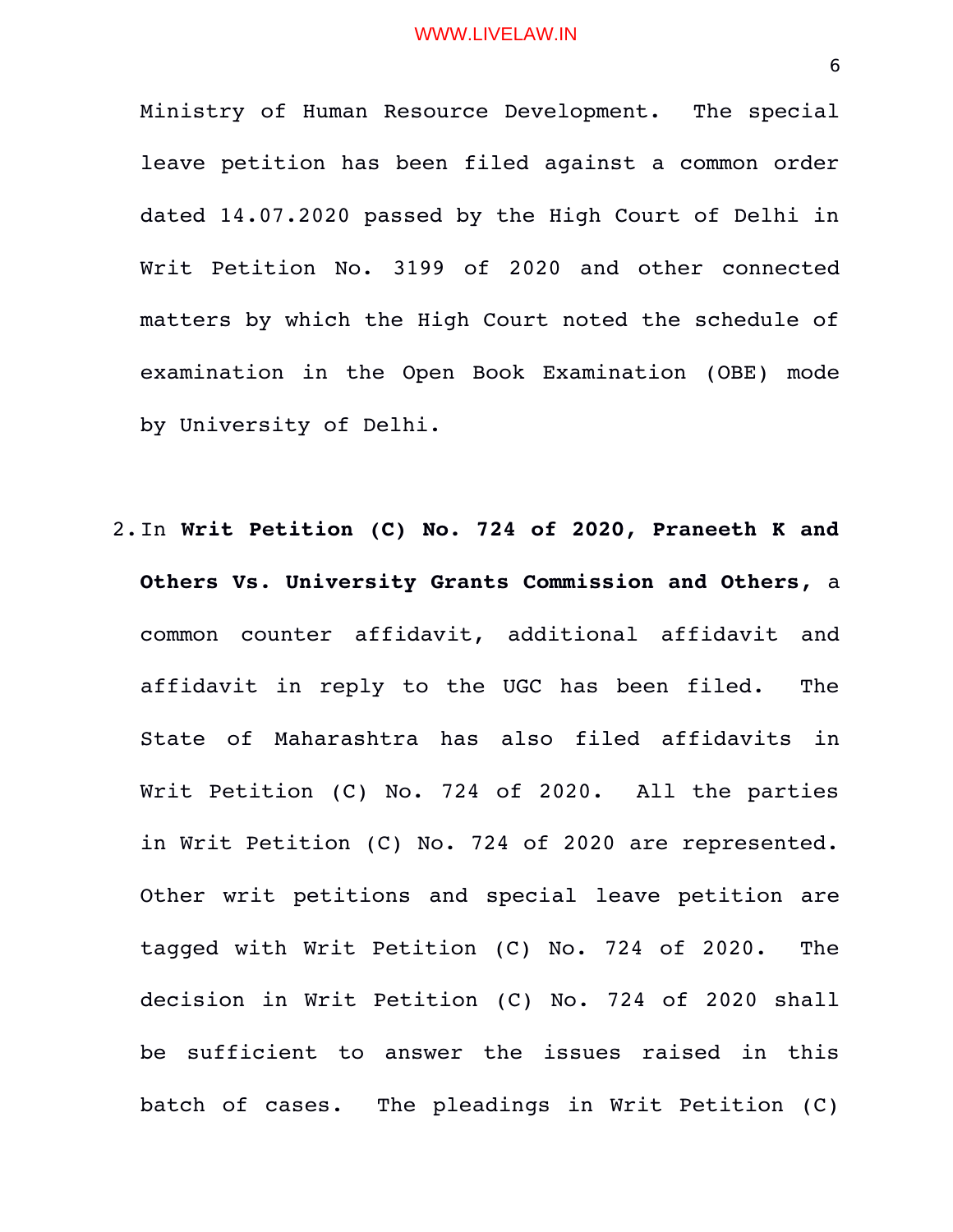Ministry of Human Resource Development. The special leave petition has been filed against a common order dated 14.07.2020 passed by the High Court of Delhi in Writ Petition No. 3199 of 2020 and other connected matters by which the High Court noted the schedule of examination in the Open Book Examination (OBE) mode by University of Delhi.

2.In **Writ Petition (C) No. 724 of 2020, Praneeth K and Others Vs. University Grants Commission and Others,** a common counter affidavit, additional affidavit and affidavit in reply to the UGC has been filed. The State of Maharashtra has also filed affidavits in Writ Petition (C) No. 724 of 2020. All the parties in Writ Petition (C) No. 724 of 2020 are represented. Other writ petitions and special leave petition are tagged with Writ Petition (C) No. 724 of 2020. The decision in Writ Petition (C) No. 724 of 2020 shall be sufficient to answer the issues raised in this batch of cases. The pleadings in Writ Petition (C)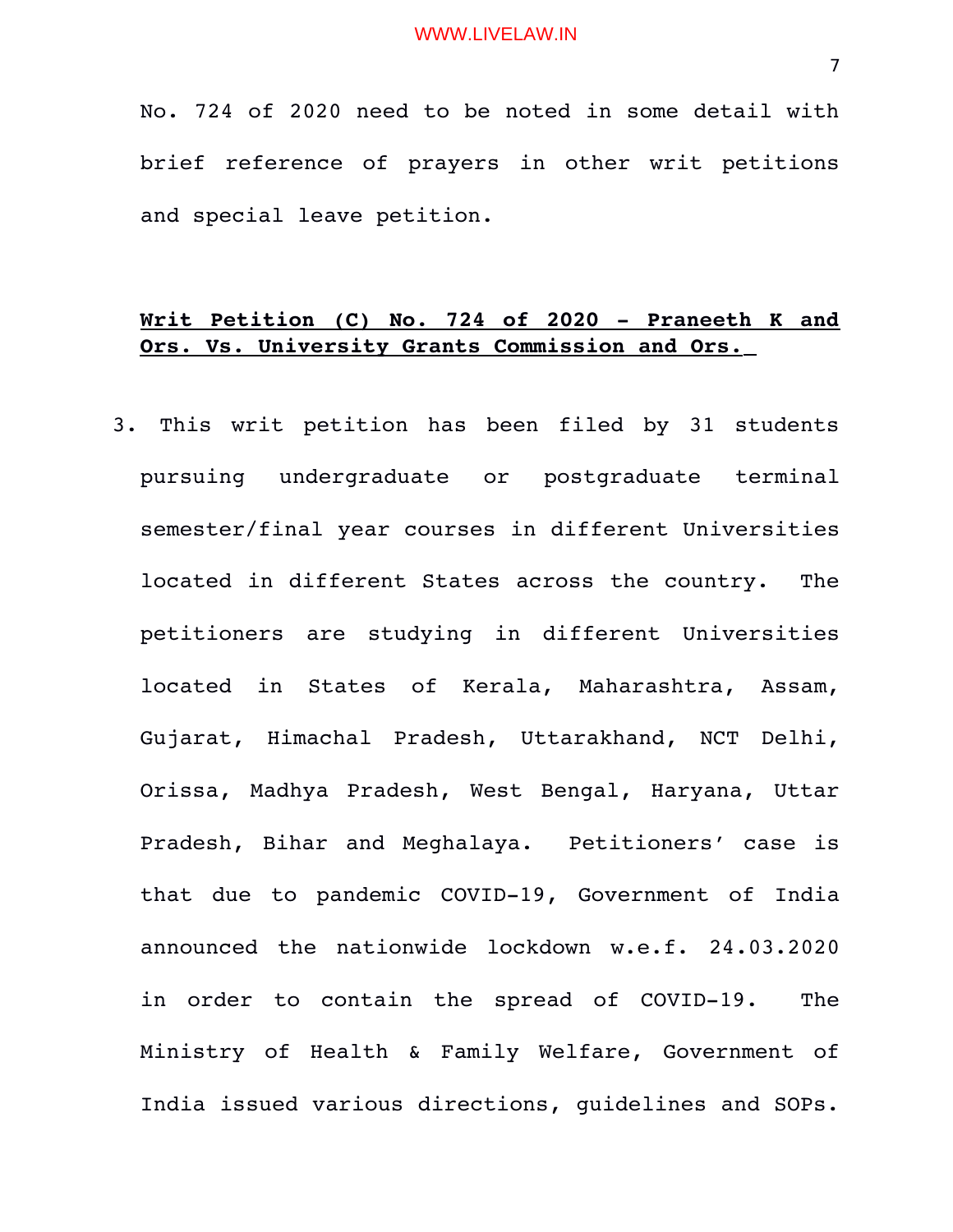No. 724 of 2020 need to be noted in some detail with brief reference of prayers in other writ petitions and special leave petition.

# **Writ Petition (C) No. 724 of 2020 Praneeth K and Ors. Vs. University Grants Commission and Ors.**

3. This writ petition has been filed by 31 students pursuing undergraduate or postgraduate terminal semester/final year courses in different Universities located in different States across the country. The petitioners are studying in different Universities located in States of Kerala, Maharashtra, Assam, Gujarat, Himachal Pradesh, Uttarakhand, NCT Delhi, Orissa, Madhya Pradesh, West Bengal, Haryana, Uttar Pradesh, Bihar and Meghalaya. Petitioners' case is that due to pandemic COVID-19, Government of India announced the nationwide lockdown w.e.f. 24.03.2020 in order to contain the spread of COVID-19. The Ministry of Health & Family Welfare, Government of India issued various directions, guidelines and SOPs.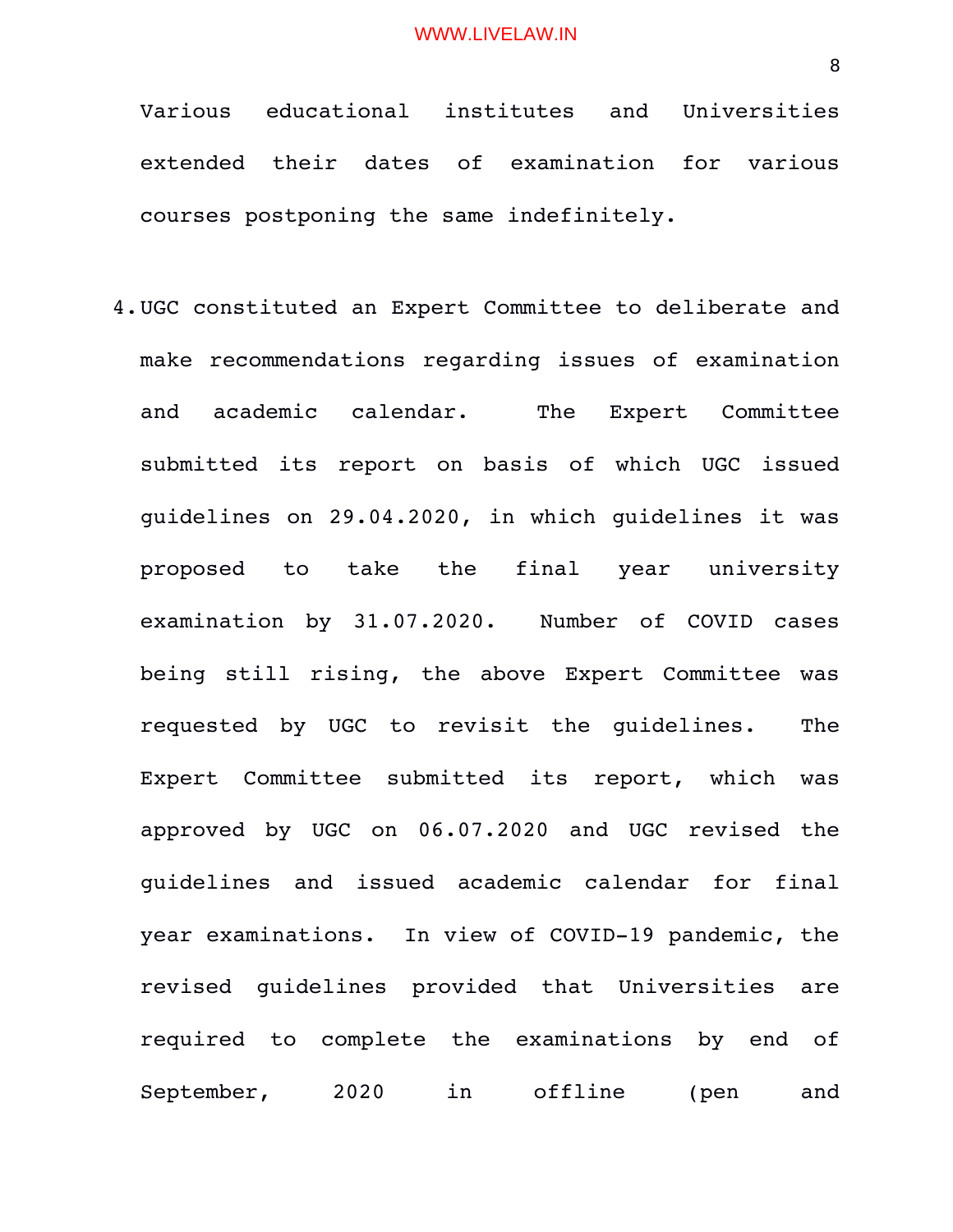Various educational institutes and Universities extended their dates of examination for various courses postponing the same indefinitely.

4.UGC constituted an Expert Committee to deliberate and make recommendations regarding issues of examination and academic calendar. The Expert Committee submitted its report on basis of which UGC issued guidelines on 29.04.2020, in which guidelines it was proposed to take the final year university examination by 31.07.2020. Number of COVID cases being still rising, the above Expert Committee was requested by UGC to revisit the guidelines. The Expert Committee submitted its report, which was approved by UGC on 06.07.2020 and UGC revised the guidelines and issued academic calendar for final year examinations. In view of COVID-19 pandemic, the revised guidelines provided that Universities are required to complete the examinations by end of September, 2020 in offline (pen and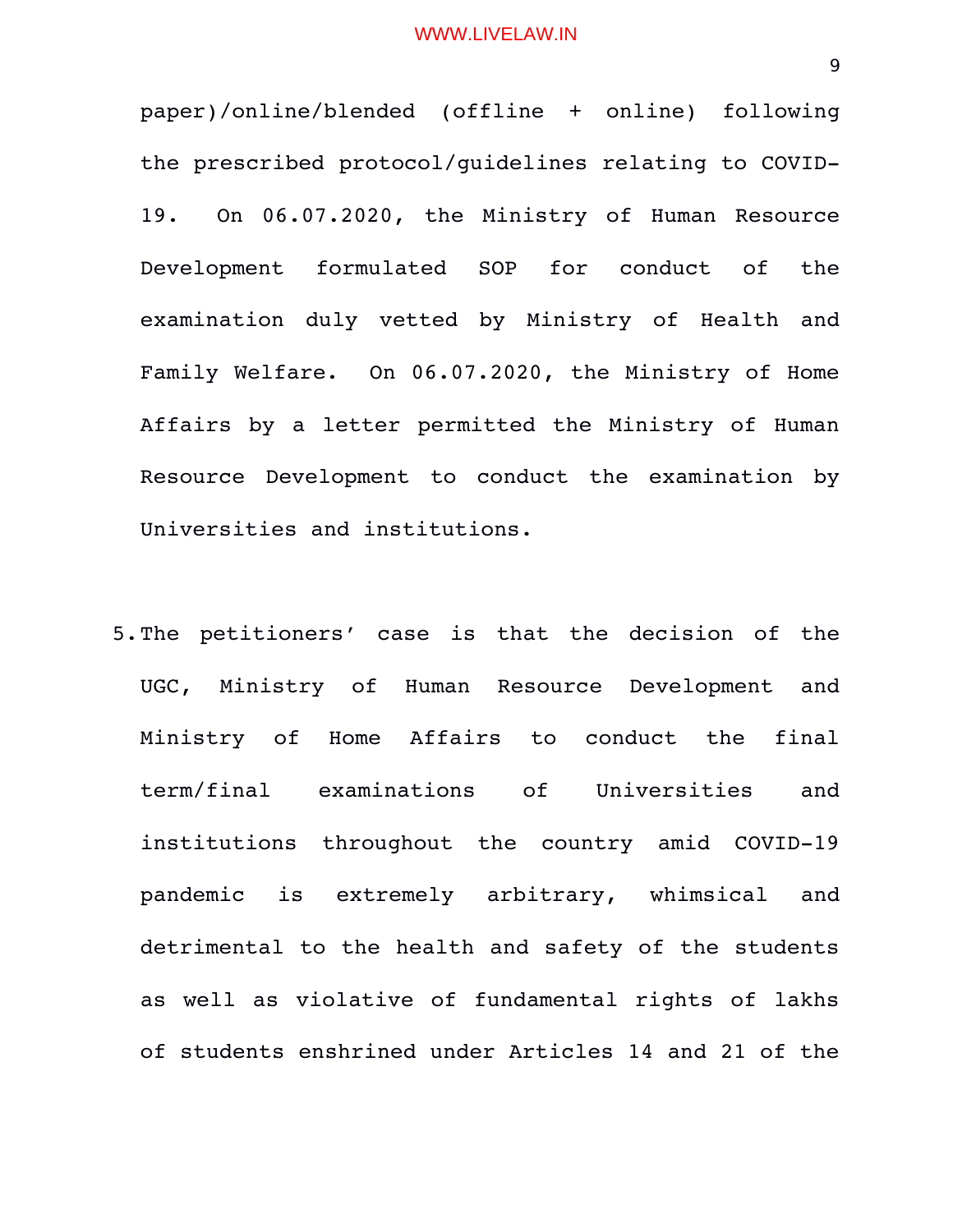paper)/online/blended (offline + online) following the prescribed protocol/guidelines relating to COVID-19. On 06.07.2020, the Ministry of Human Resource Development formulated SOP for conduct of the examination duly vetted by Ministry of Health and Family Welfare. On 06.07.2020, the Ministry of Home Affairs by a letter permitted the Ministry of Human Resource Development to conduct the examination by Universities and institutions.

5.The petitioners' case is that the decision of the UGC, Ministry of Human Resource Development and Ministry of Home Affairs to conduct the final term/final examinations of Universities and institutions throughout the country amid COVID-19 pandemic is extremely arbitrary, whimsical and detrimental to the health and safety of the students as well as violative of fundamental rights of lakhs of students enshrined under Articles 14 and 21 of the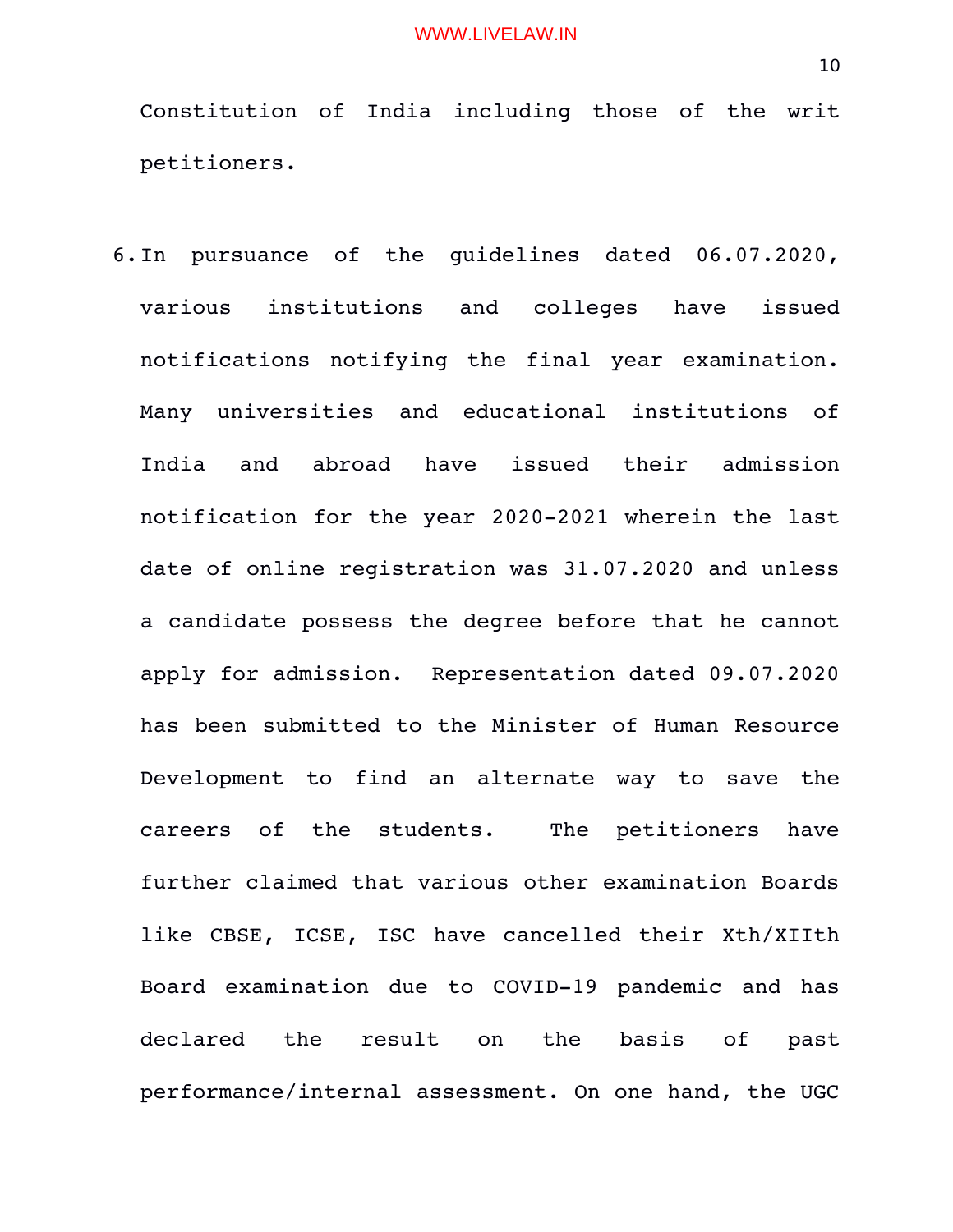Constitution of India including those of the writ petitioners.

6.In pursuance of the guidelines dated 06.07.2020, various institutions and colleges have issued notifications notifying the final year examination. Many universities and educational institutions of India and abroad have issued their admission notification for the year 2020-2021 wherein the last date of online registration was 31.07.2020 and unless a candidate possess the degree before that he cannot apply for admission. Representation dated 09.07.2020 has been submitted to the Minister of Human Resource Development to find an alternate way to save the careers of the students. The petitioners have further claimed that various other examination Boards like CBSE, ICSE, ISC have cancelled their Xth/XIIth Board examination due to COVID-19 pandemic and has declared the result on the basis of past performance/internal assessment. On one hand, the UGC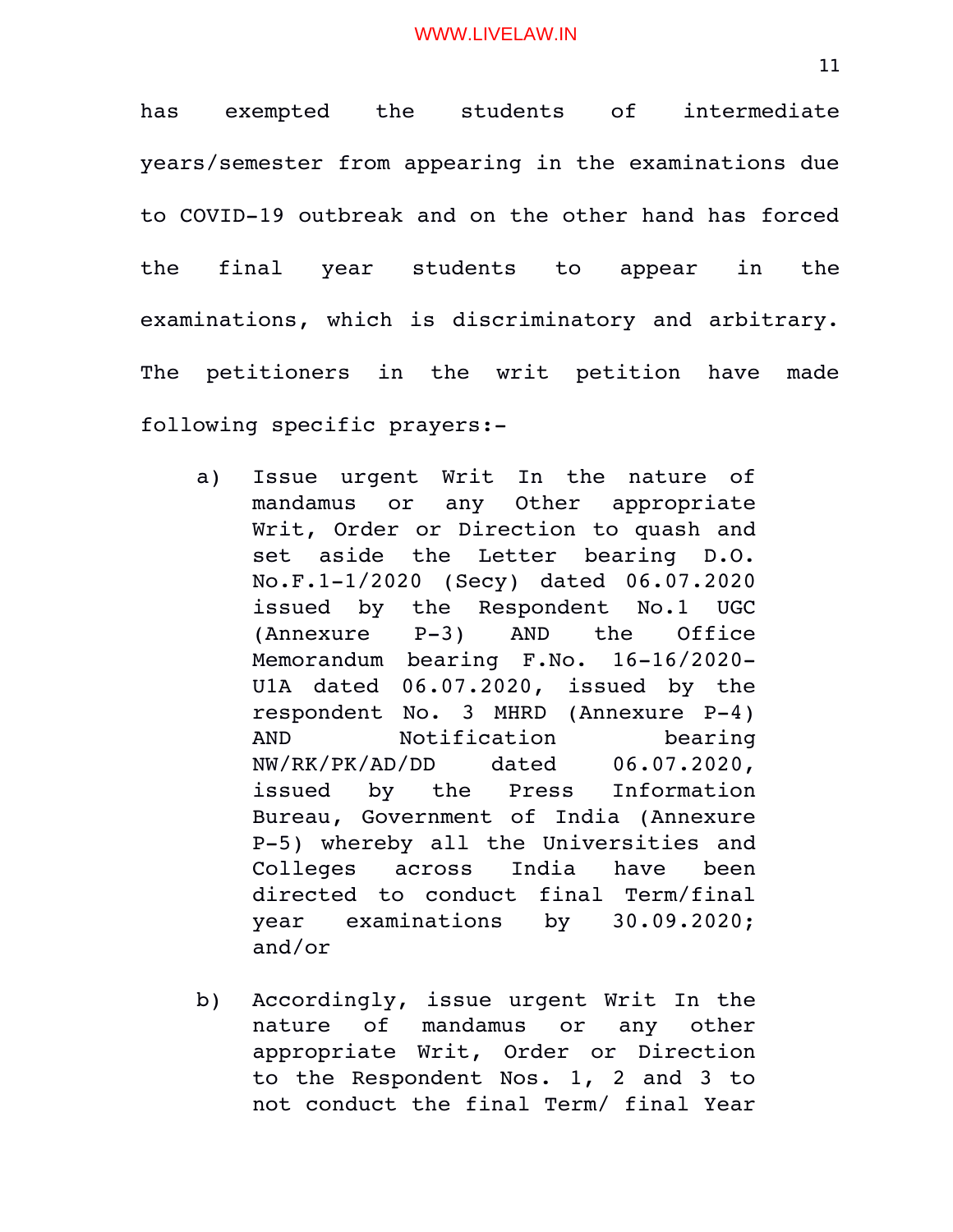has exempted the students of intermediate years/semester from appearing in the examinations due to COVID-19 outbreak and on the other hand has forced the final year students to appear in the examinations, which is discriminatory and arbitrary. The petitioners in the writ petition have made following specific prayers:

- a) Issue urgent Writ In the nature of mandamus or any Other appropriate Writ, Order or Direction to quash and set aside the Letter bearing D.O. No.F.11/2020 (Secy) dated 06.07.2020 issued by the Respondent No.1 UGC (Annexure P-3) AND the Office Memorandum bearing  $F.No.$  16-16/2020-U1A dated 06.07.2020, issued by the respondent No. 3 MHRD (Annexure P-4) AND Notification bearing NW/RK/PK/AD/DD dated 06.07.2020, issued by the Press Information Bureau, Government of India (Annexure P5) whereby all the Universities and Colleges across India have been directed to conduct final Term/final year examinations by 30.09.2020; and/or
- b) Accordingly, issue urgent Writ In the nature of mandamus or any other appropriate Writ, Order or Direction to the Respondent Nos. 1, 2 and 3 to not conduct the final Term/ final Year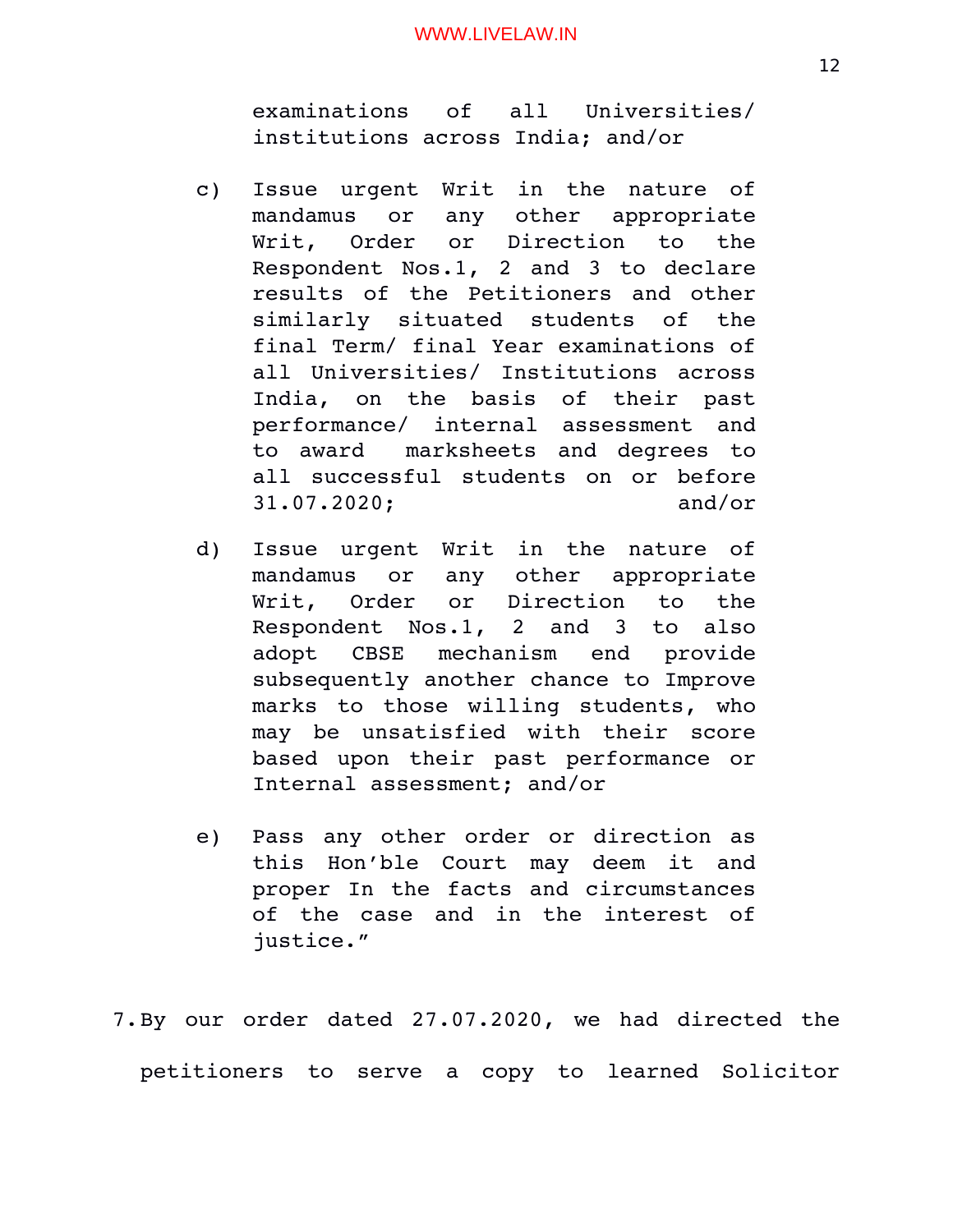examinations of all Universities/ institutions across India; and/or

- c) Issue urgent Writ in the nature of mandamus or any other appropriate Writ, Order or Direction to the Respondent Nos.1, 2 and 3 to declare results of the Petitioners and other similarly situated students of the final Term/ final Year examinations of all Universities/ Institutions across India, on the basis of their past performance/ internal assessment and to award marksheets and degrees to all successful students on or before 31.07.2020; and/or
- d) Issue urgent Writ in the nature of mandamus or any other appropriate Writ, Order or Direction to the Respondent Nos.1, 2 and 3 to also adopt CBSE mechanism end provide subsequently another chance to Improve marks to those willing students, who may be unsatisfied with their score based upon their past performance or Internal assessment; and/or
- e) Pass any other order or direction as this Hon'ble Court may deem it and proper In the facts and circumstances of the case and in the interest of justice."

7. By our order dated 27.07.2020, we had directed the petitioners to serve a copy to learned Solicitor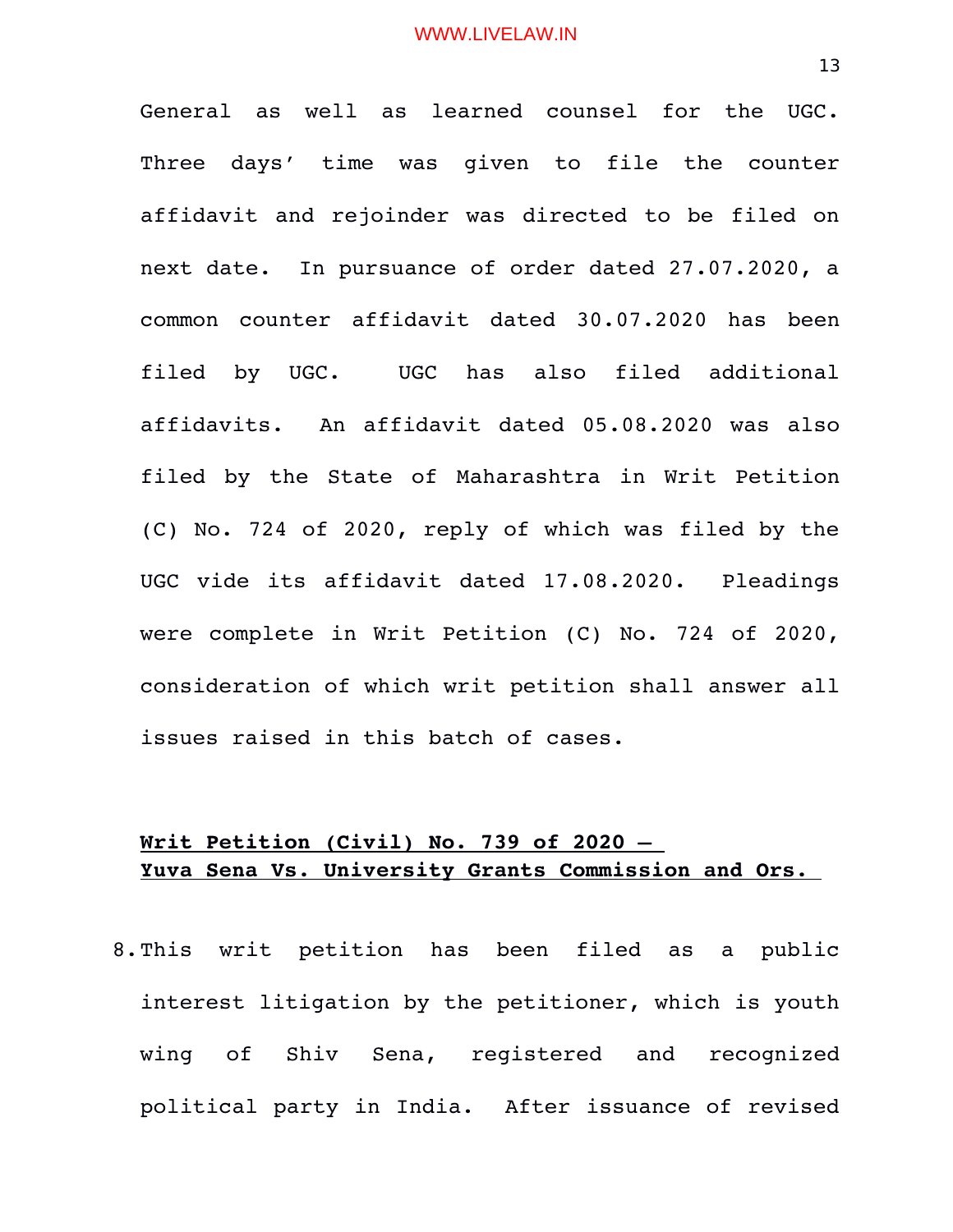General as well as learned counsel for the UGC. Three days' time was given to file the counter affidavit and rejoinder was directed to be filed on next date. In pursuance of order dated 27.07.2020, a common counter affidavit dated 30.07.2020 has been filed by UGC. UGC has also filed additional affidavits. An affidavit dated 05.08.2020 was also filed by the State of Maharashtra in Writ Petition (C) No. 724 of 2020, reply of which was filed by the UGC vide its affidavit dated 17.08.2020. Pleadings were complete in Writ Petition (C) No. 724 of 2020, consideration of which writ petition shall answer all issues raised in this batch of cases.

# **Writ Petition (Civil) No. 739 of 2020 – Yuva Sena Vs. University Grants Commission and Ors.**

8. This writ petition has been filed as a public interest litigation by the petitioner, which is youth wing of Shiv Sena, registered and recognized political party in India. After issuance of revised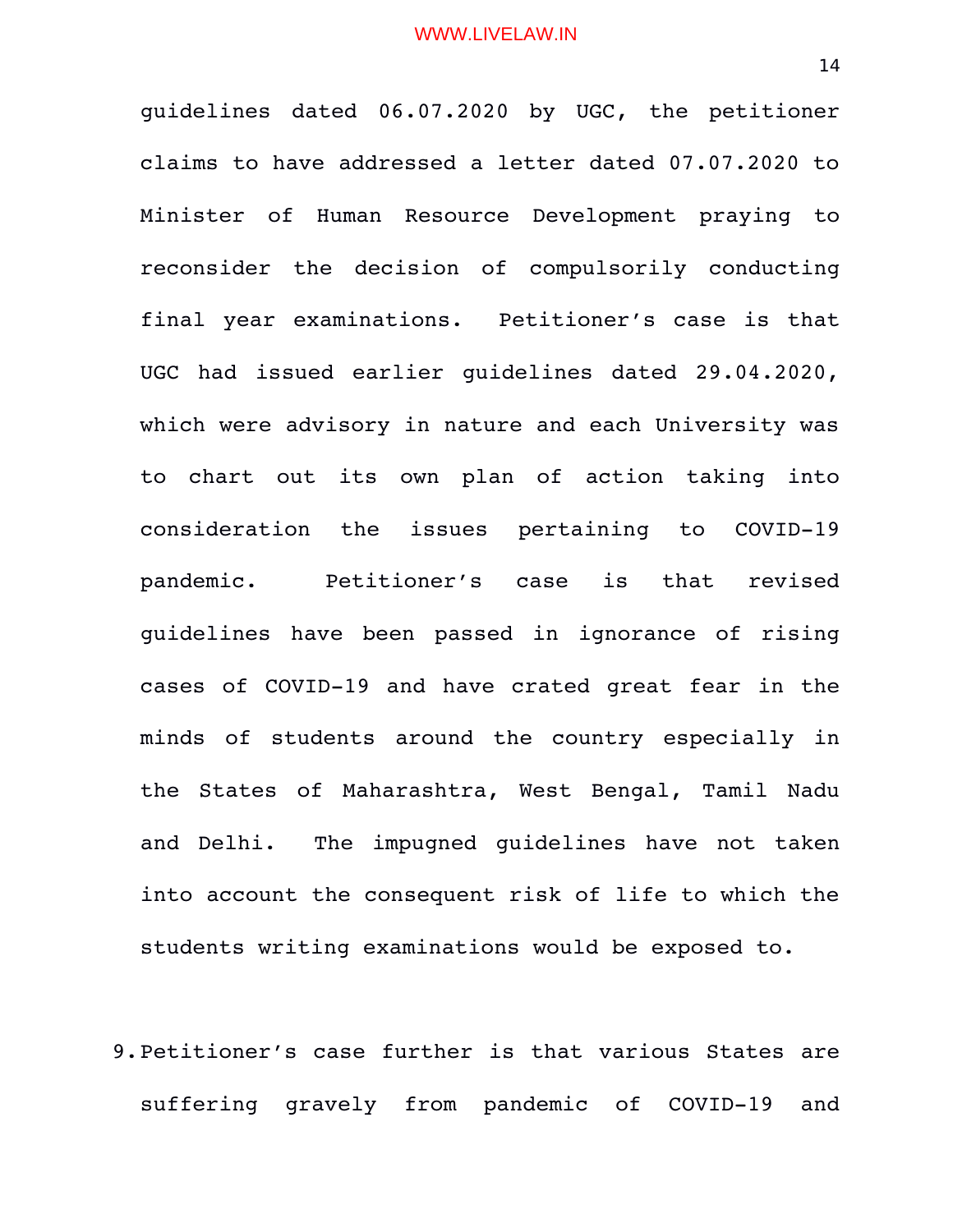guidelines dated 06.07.2020 by UGC, the petitioner claims to have addressed a letter dated 07.07.2020 to Minister of Human Resource Development praying to reconsider the decision of compulsorily conducting final year examinations. Petitioner's case is that UGC had issued earlier guidelines dated 29.04.2020, which were advisory in nature and each University was to chart out its own plan of action taking into consideration the issues pertaining to COVID-19 pandemic. Petitioner's case is that revised guidelines have been passed in ignorance of rising cases of COVID-19 and have crated great fear in the minds of students around the country especially in the States of Maharashtra, West Bengal, Tamil Nadu and Delhi. The impugned quidelines have not taken into account the consequent risk of life to which the students writing examinations would be exposed to.

9.Petitioner's case further is that various States are suffering qravely from pandemic of COVID-19 and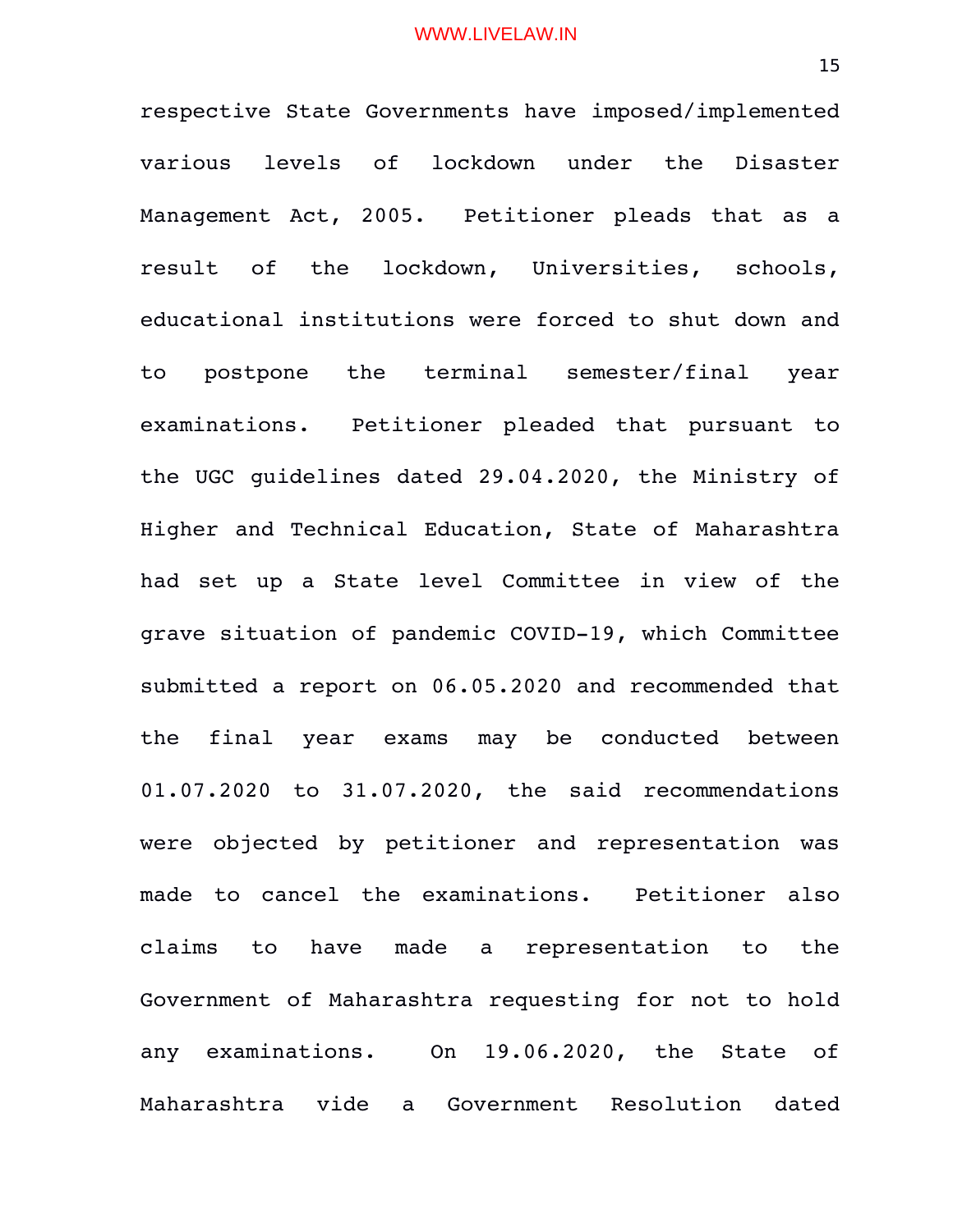respective State Governments have imposed/implemented various levels of lockdown under the Disaster Management Act, 2005. Petitioner pleads that as a result of the lockdown, Universities, schools, educational institutions were forced to shut down and to postpone the terminal semester/final year examinations. Petitioner pleaded that pursuant to the UGC guidelines dated 29.04.2020, the Ministry of Higher and Technical Education, State of Maharashtra had set up a State level Committee in view of the grave situation of pandemic COVID-19, which Committee submitted a report on 06.05.2020 and recommended that the final year exams may be conducted between 01.07.2020 to 31.07.2020, the said recommendations were objected by petitioner and representation was made to cancel the examinations. Petitioner also claims to have made a representation to the Government of Maharashtra requesting for not to hold any examinations. On 19.06.2020, the State of Maharashtra vide a Government Resolution dated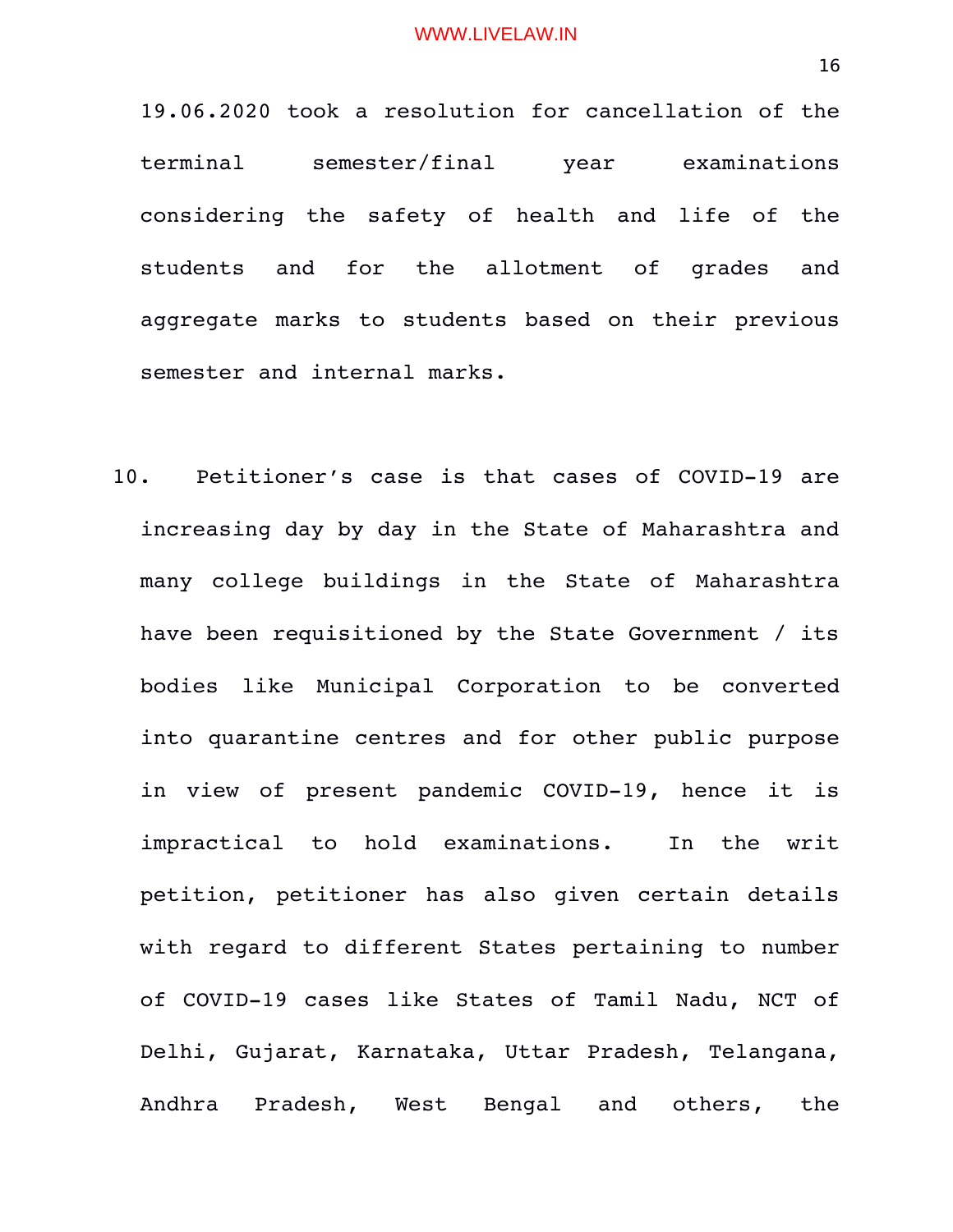19.06.2020 took a resolution for cancellation of the terminal semester/final year examinations considering the safety of health and life of the students and for the allotment of grades and aggregate marks to students based on their previous semester and internal marks.

10. Petitioner's case is that cases of COVID-19 are increasing day by day in the State of Maharashtra and many college buildings in the State of Maharashtra have been requisitioned by the State Government / its bodies like Municipal Corporation to be converted into quarantine centres and for other public purpose in view of present pandemic COVID-19, hence it is impractical to hold examinations. In the writ petition, petitioner has also given certain details with regard to different States pertaining to number of COVID-19 cases like States of Tamil Nadu, NCT of Delhi, Gujarat, Karnataka, Uttar Pradesh, Telangana, Andhra Pradesh, West Bengal and others, the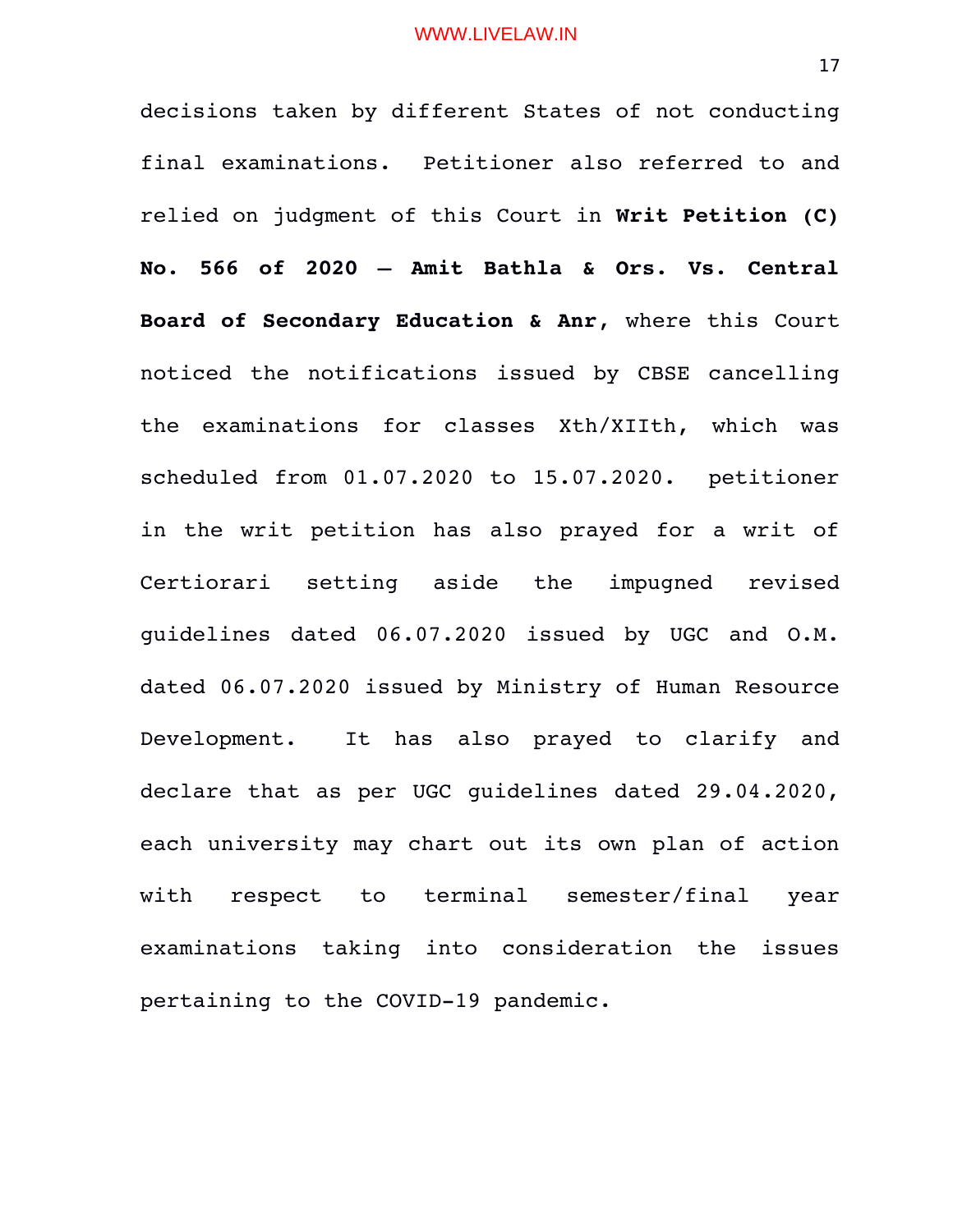decisions taken by different States of not conducting final examinations. Petitioner also referred to and relied on judgment of this Court in **Writ Petition (C) No. 566 of 2020 – Amit Bathla & Ors. Vs. Central Board of Secondary Education & Anr**, where this Court noticed the notifications issued by CBSE cancelling the examinations for classes Xth/XIIth, which was scheduled from 01.07.2020 to 15.07.2020. petitioner in the writ petition has also prayed for a writ of Certiorari setting aside the impugned revised guidelines dated 06.07.2020 issued by UGC and O.M. dated 06.07.2020 issued by Ministry of Human Resource Development. It has also prayed to clarify and declare that as per UGC guidelines dated 29.04.2020, each university may chart out its own plan of action with respect to terminal semester/final year examinations taking into consideration the issues pertaining to the COVID-19 pandemic.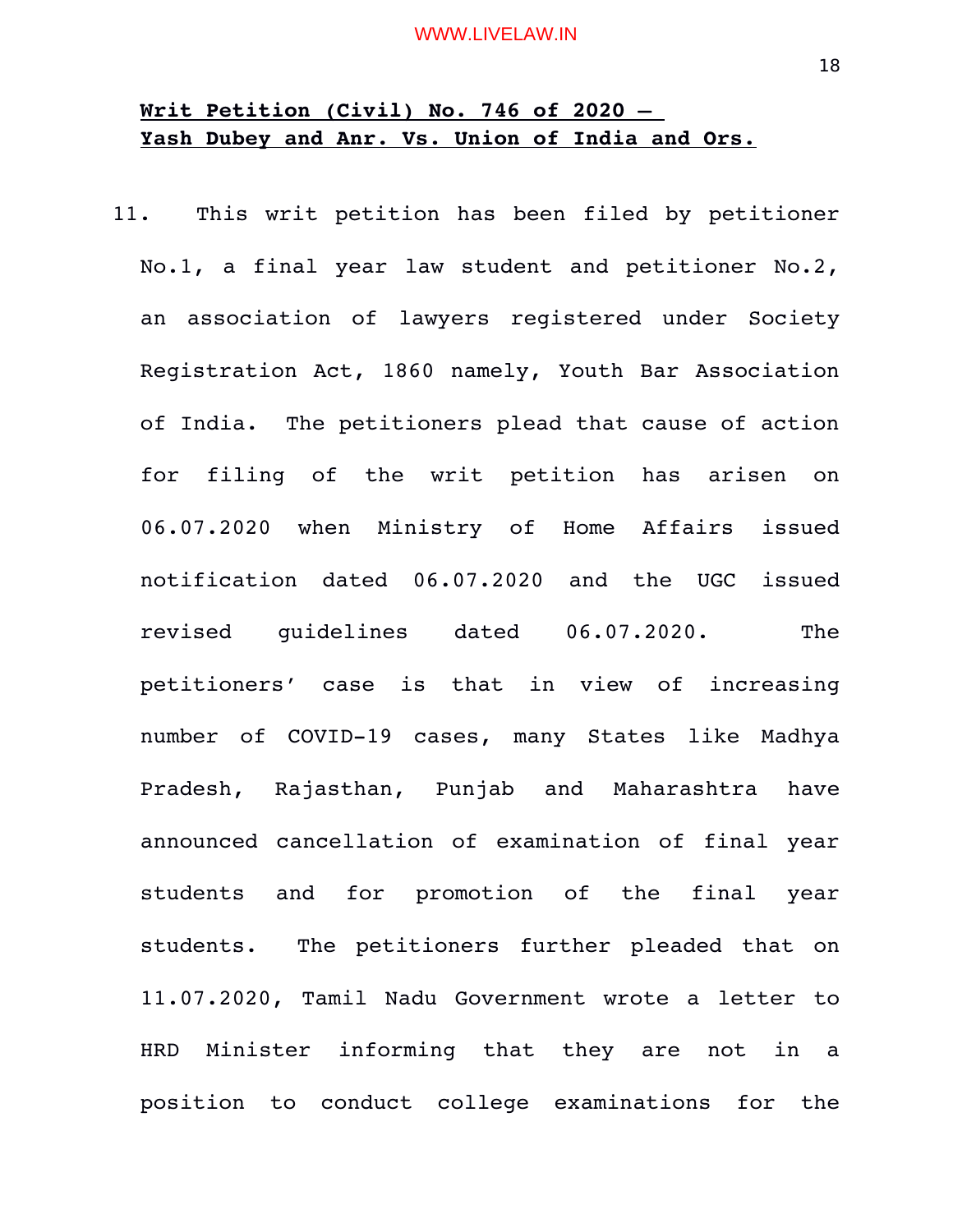# **Writ Petition (Civil) No. 746 of 2020 – Yash Dubey and Anr. Vs. Union of India and Ors.**

11. This writ petition has been filed by petitioner No.1, a final year law student and petitioner No.2, an association of lawyers registered under Society Registration Act, 1860 namely, Youth Bar Association of India. The petitioners plead that cause of action for filing of the writ petition has arisen on 06.07.2020 when Ministry of Home Affairs issued notification dated 06.07.2020 and the UGC issued revised guidelines dated 06.07.2020. The petitioners' case is that in view of increasing number of COVID-19 cases, many States like Madhya Pradesh, Rajasthan, Punjab and Maharashtra have announced cancellation of examination of final year students and for promotion of the final year students. The petitioners further pleaded that on 11.07.2020, Tamil Nadu Government wrote a letter to HRD Minister informing that they are not in a position to conduct college examinations for the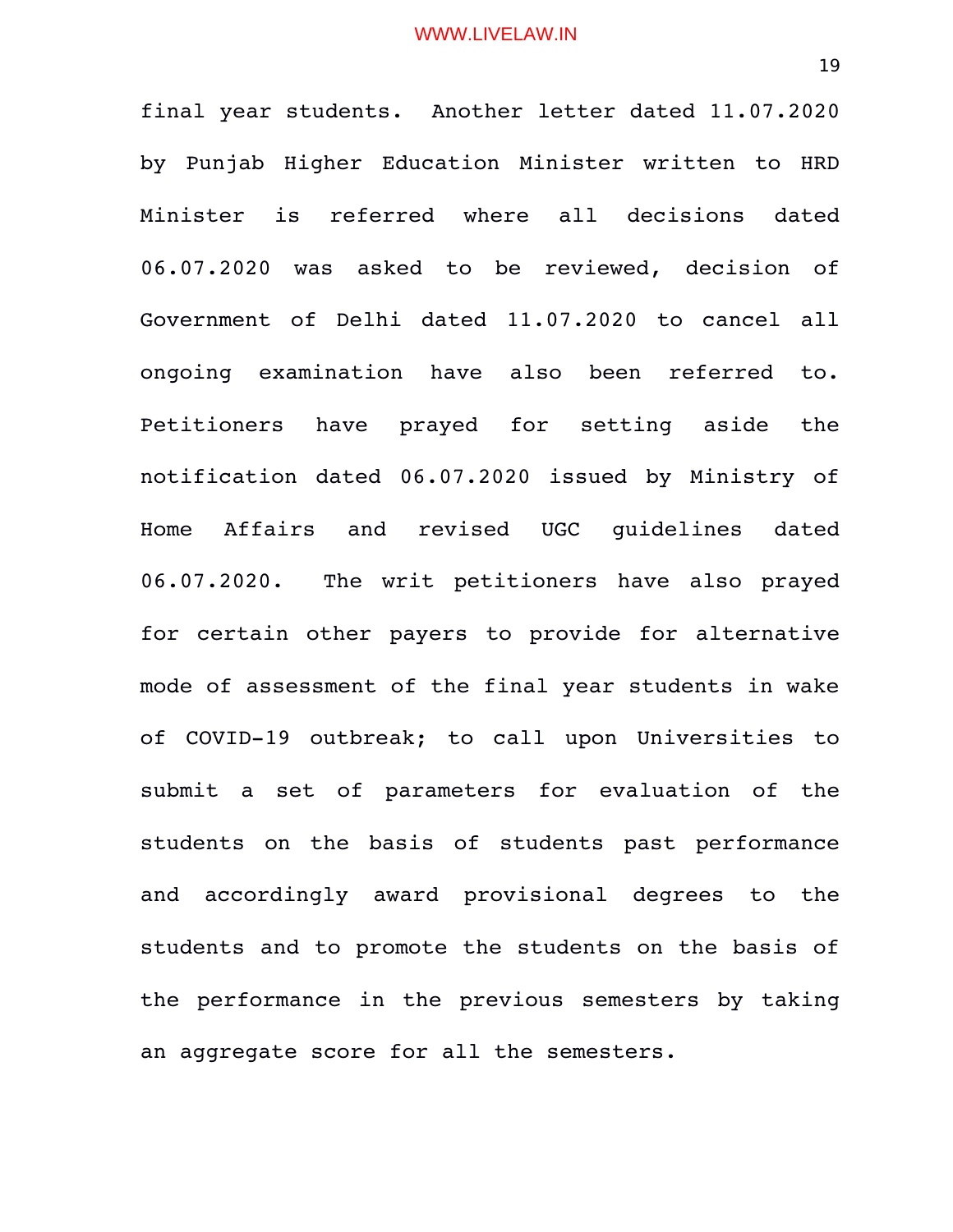final year students. Another letter dated 11.07.2020 by Punjab Higher Education Minister written to HRD Minister is referred where all decisions dated 06.07.2020 was asked to be reviewed, decision of Government of Delhi dated 11.07.2020 to cancel all ongoing examination have also been referred to. Petitioners have prayed for setting aside the notification dated 06.07.2020 issued by Ministry of Home Affairs and revised UGC guidelines dated 06.07.2020. The writ petitioners have also prayed for certain other payers to provide for alternative mode of assessment of the final year students in wake of COVID-19 outbreak; to call upon Universities to submit a set of parameters for evaluation of the students on the basis of students past performance and accordingly award provisional degrees to the students and to promote the students on the basis of the performance in the previous semesters by taking an aggregate score for all the semesters.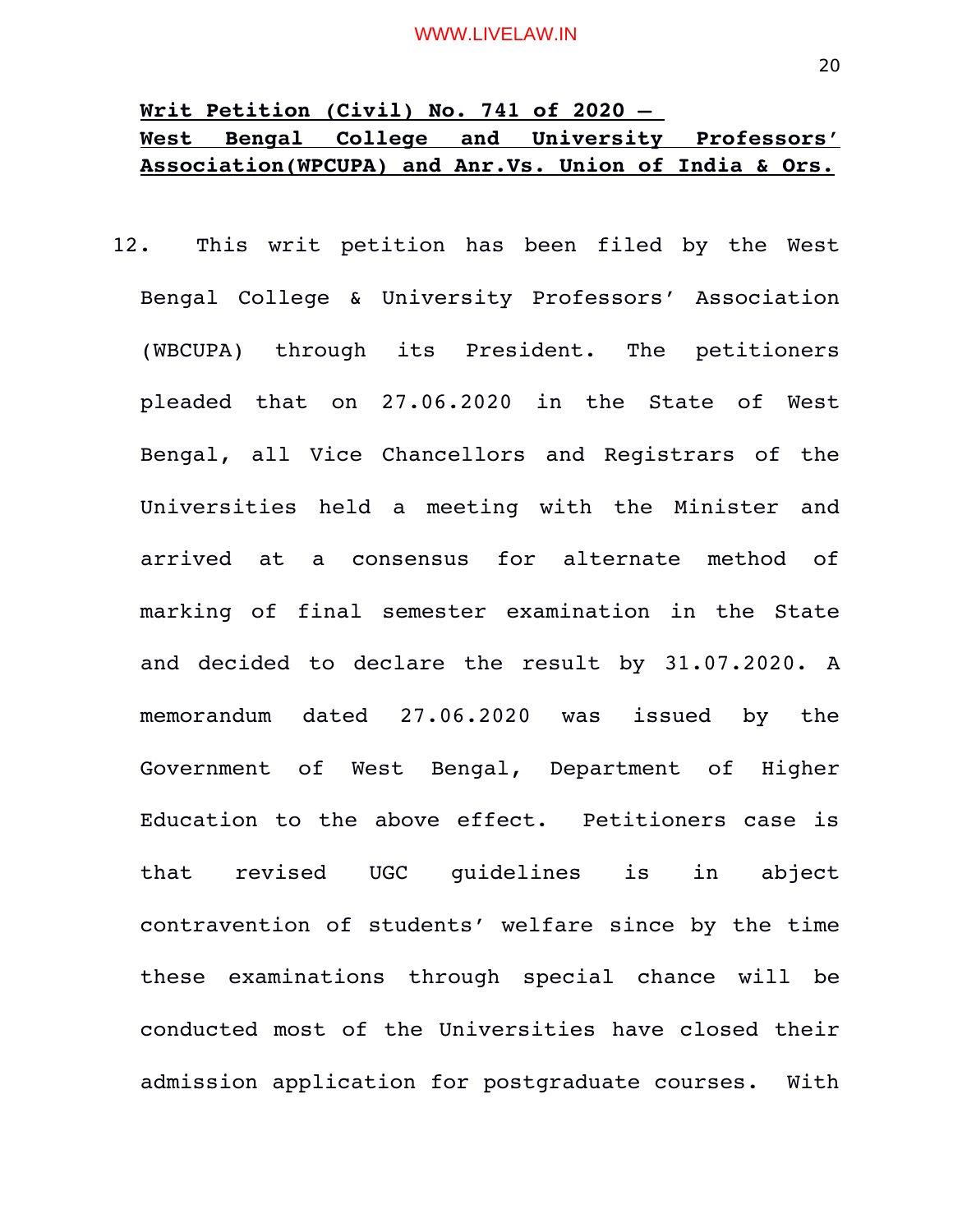# **Writ Petition (Civil) No. 741 of 2020 – West Bengal College and University Professors' Association(WPCUPA) and Anr.Vs. Union of India & Ors.**

12. This writ petition has been filed by the West Bengal College & University Professors' Association (WBCUPA) through its President. The petitioners pleaded that on 27.06.2020 in the State of West Bengal, all Vice Chancellors and Registrars of the Universities held a meeting with the Minister and arrived at a consensus for alternate method of marking of final semester examination in the State and decided to declare the result by 31.07.2020. A memorandum dated 27.06.2020 was issued by the Government of West Bengal, Department of Higher Education to the above effect. Petitioners case is that revised UGC guidelines is in abject contravention of students' welfare since by the time these examinations through special chance will be conducted most of the Universities have closed their admission application for postgraduate courses. With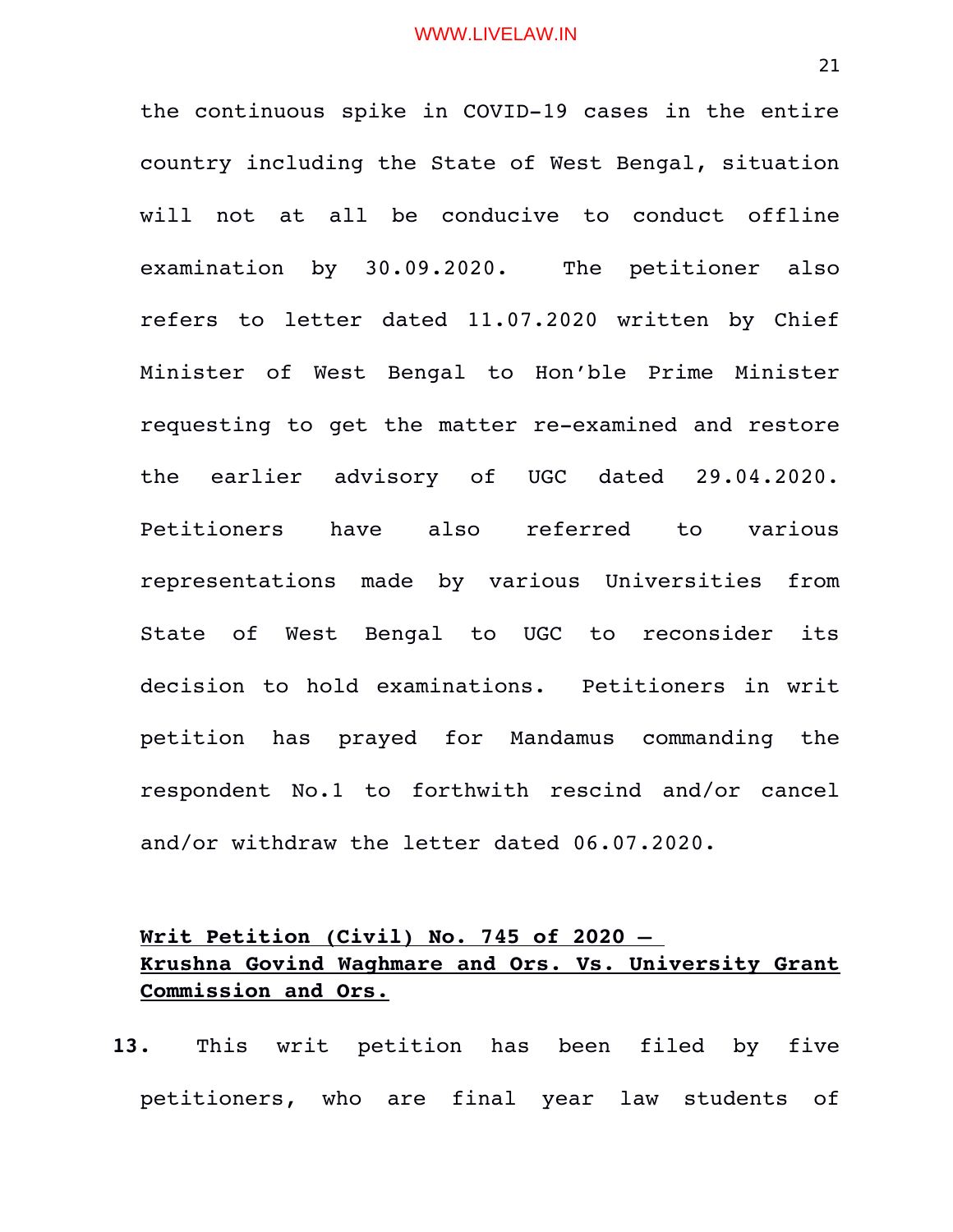the continuous spike in COVID-19 cases in the entire country including the State of West Bengal, situation will not at all be conducive to conduct offline examination by 30.09.2020. The petitioner also refers to letter dated 11.07.2020 written by Chief Minister of West Bengal to Hon'ble Prime Minister requesting to get the matter re-examined and restore the earlier advisory of UGC dated 29.04.2020. Petitioners have also referred to various representations made by various Universities from State of West Bengal to UGC to reconsider its decision to hold examinations. Petitioners in writ petition has prayed for Mandamus commanding the respondent No.1 to forthwith rescind and/or cancel and/or withdraw the letter dated 06.07.2020.

# **Writ Petition (Civil) No. 745 of 2020 – Krushna Govind Waghmare and Ors. Vs. University Grant Commission and Ors.**

**13.** This writ petition has been filed by five petitioners, who are final year law students of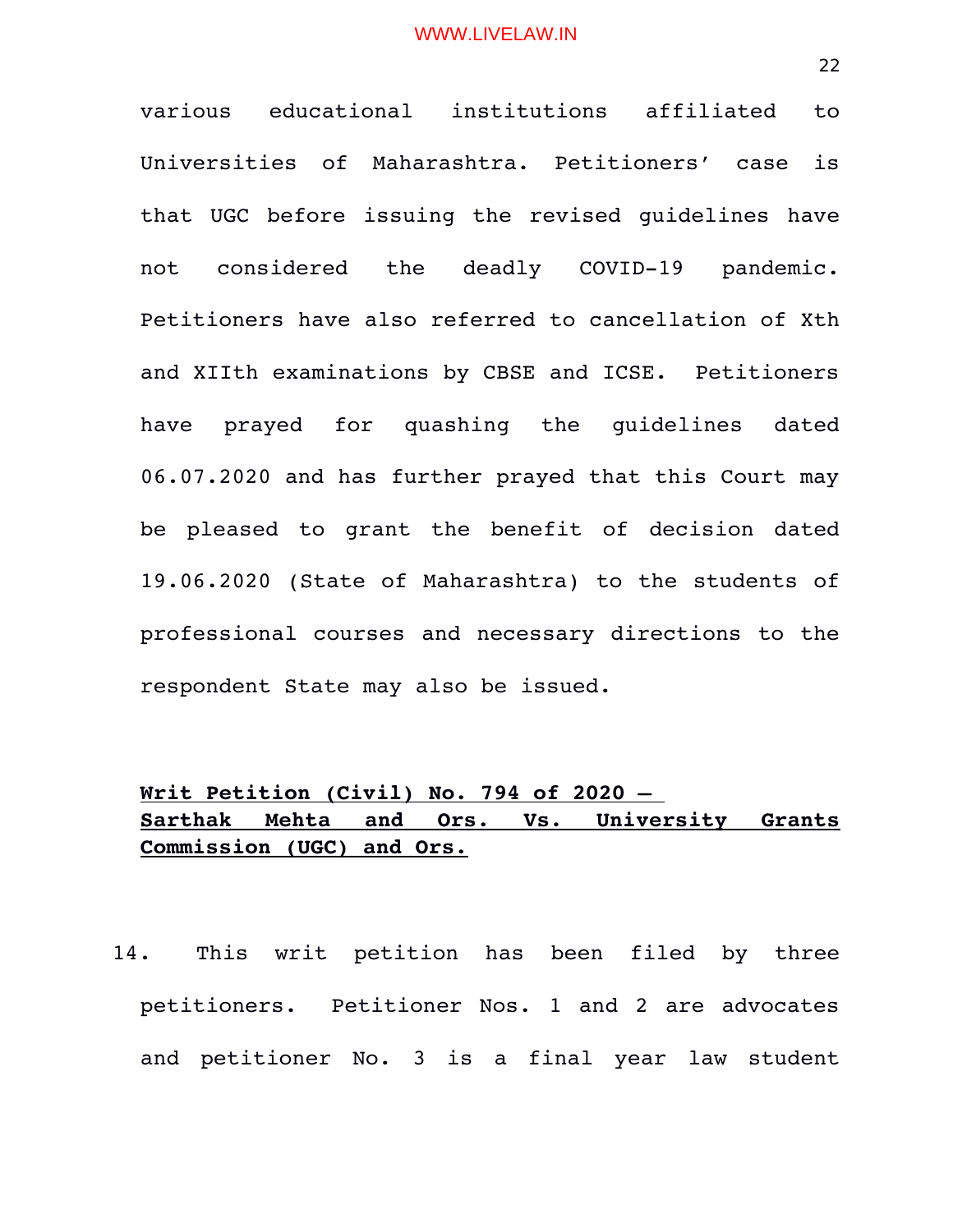various educational institutions affiliated to Universities of Maharashtra. Petitioners' case is that UGC before issuing the revised guidelines have not considered the deadly COVID-19 pandemic. Petitioners have also referred to cancellation of Xth and XIIth examinations by CBSE and ICSE. Petitioners have prayed for quashing the quidelines dated 06.07.2020 and has further prayed that this Court may be pleased to grant the benefit of decision dated 19.06.2020 (State of Maharashtra) to the students of professional courses and necessary directions to the respondent State may also be issued.

# **Writ Petition (Civil) No. 794 of 2020 – Sarthak Mehta and Ors. Vs. University Grants Commission (UGC) and Ors.**

14. This writ petition has been filed by three petitioners. Petitioner Nos. 1 and 2 are advocates and petitioner No. 3 is a final year law student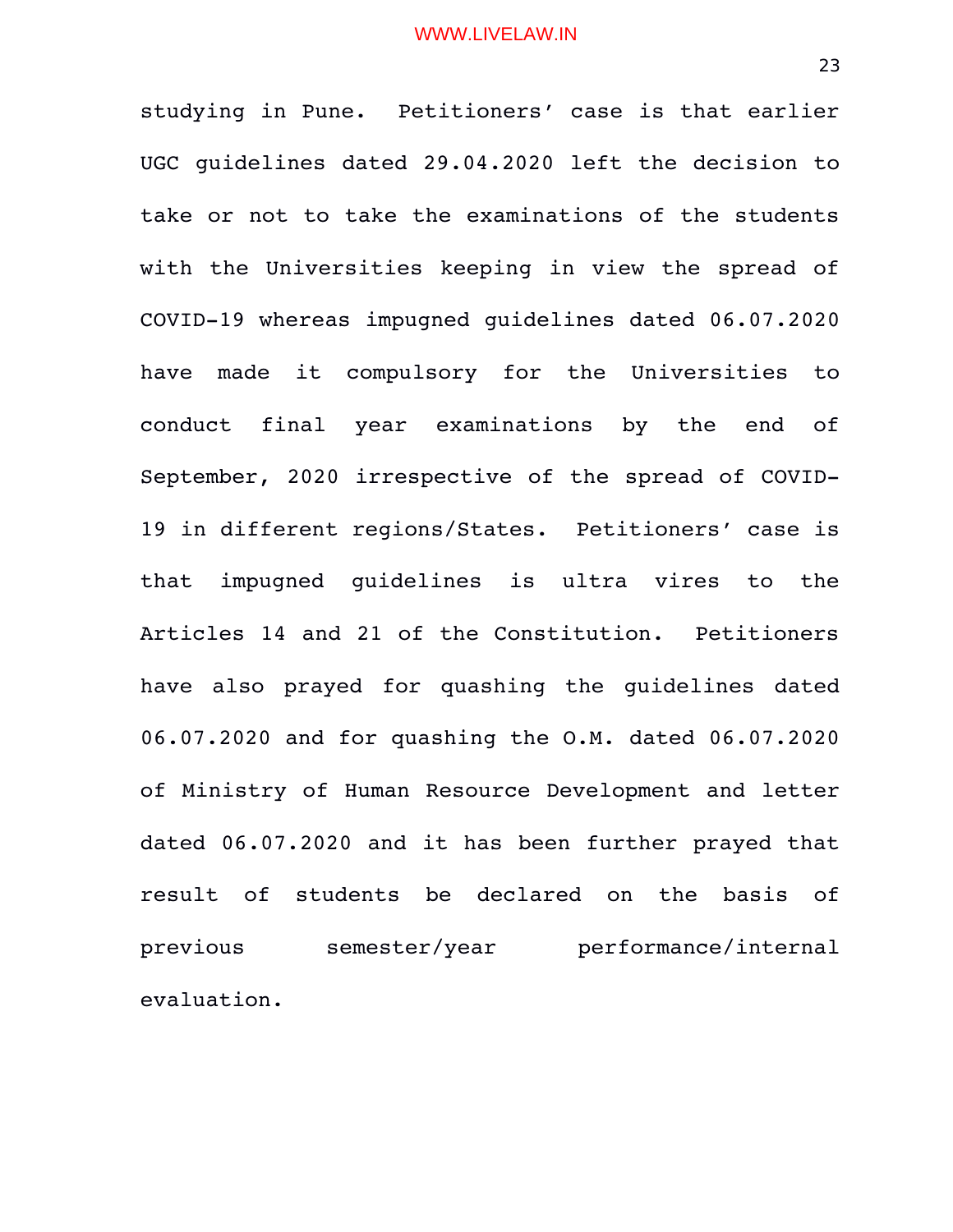studying in Pune. Petitioners' case is that earlier UGC guidelines dated 29.04.2020 left the decision to take or not to take the examinations of the students with the Universities keeping in view the spread of COVID-19 whereas impugned guidelines dated 06.07.2020 have made it compulsory for the Universities to conduct final year examinations by the end of September, 2020 irrespective of the spread of COVID-19 in different regions/States. Petitioners' case is that impugned quidelines is ultra vires to the Articles 14 and 21 of the Constitution. Petitioners have also prayed for quashing the guidelines dated 06.07.2020 and for quashing the O.M. dated 06.07.2020 of Ministry of Human Resource Development and letter dated 06.07.2020 and it has been further prayed that result of students be declared on the basis of previous semester/year performance/internal evaluation.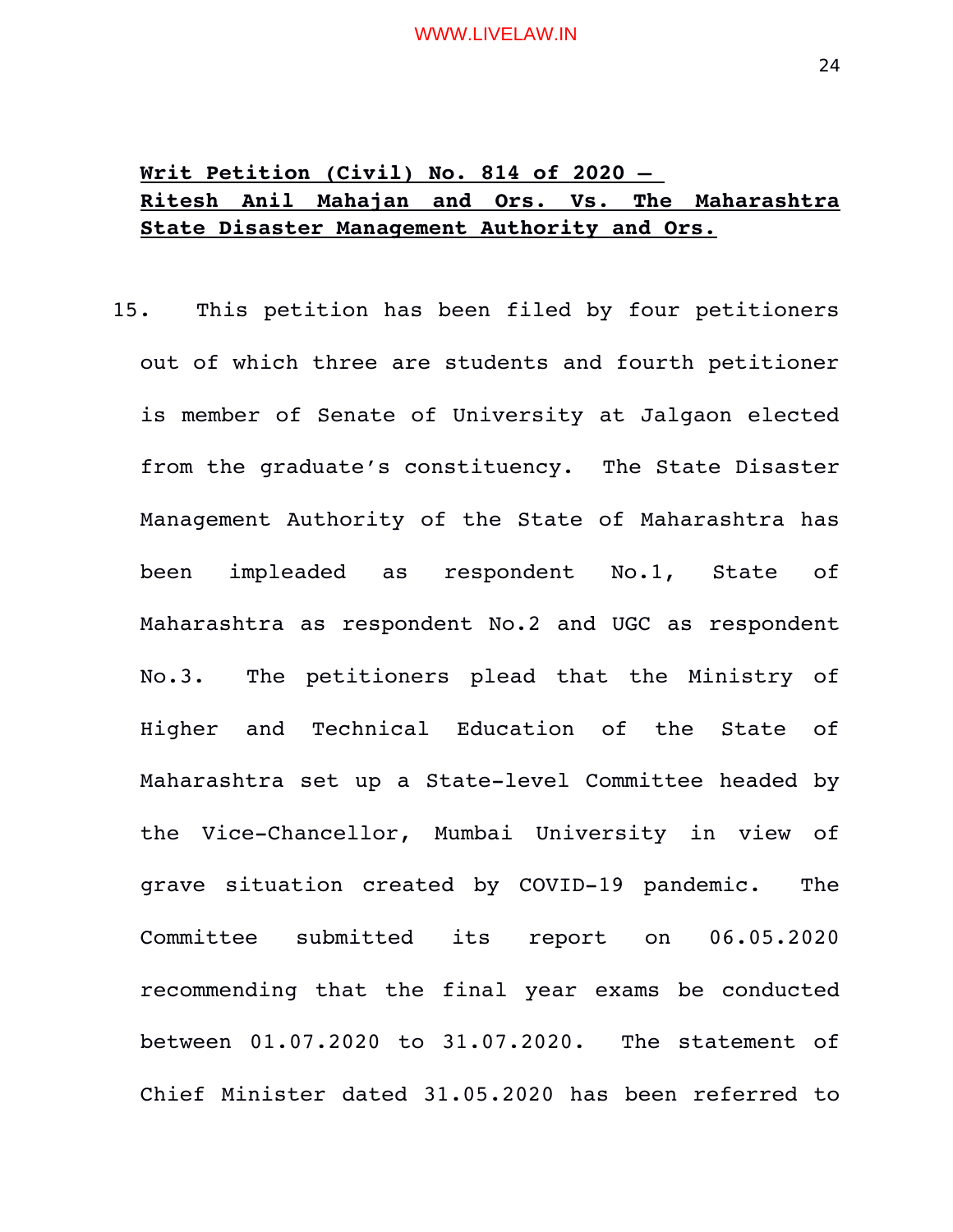# **Writ Petition (Civil) No. 814 of 2020 – Ritesh Anil Mahajan and Ors. Vs. The Maharashtra State Disaster Management Authority and Ors.**

15. This petition has been filed by four petitioners out of which three are students and fourth petitioner is member of Senate of University at Jalgaon elected from the graduate's constituency. The State Disaster Management Authority of the State of Maharashtra has been impleaded as respondent No.1, State of Maharashtra as respondent No.2 and UGC as respondent No.3. The petitioners plead that the Ministry of Higher and Technical Education of the State of Maharashtra set up a State-level Committee headed by the Vice-Chancellor, Mumbai University in view of grave situation created by COVID-19 pandemic. The Committee submitted its report on 06.05.2020 recommending that the final year exams be conducted between 01.07.2020 to 31.07.2020. The statement of Chief Minister dated 31.05.2020 has been referred to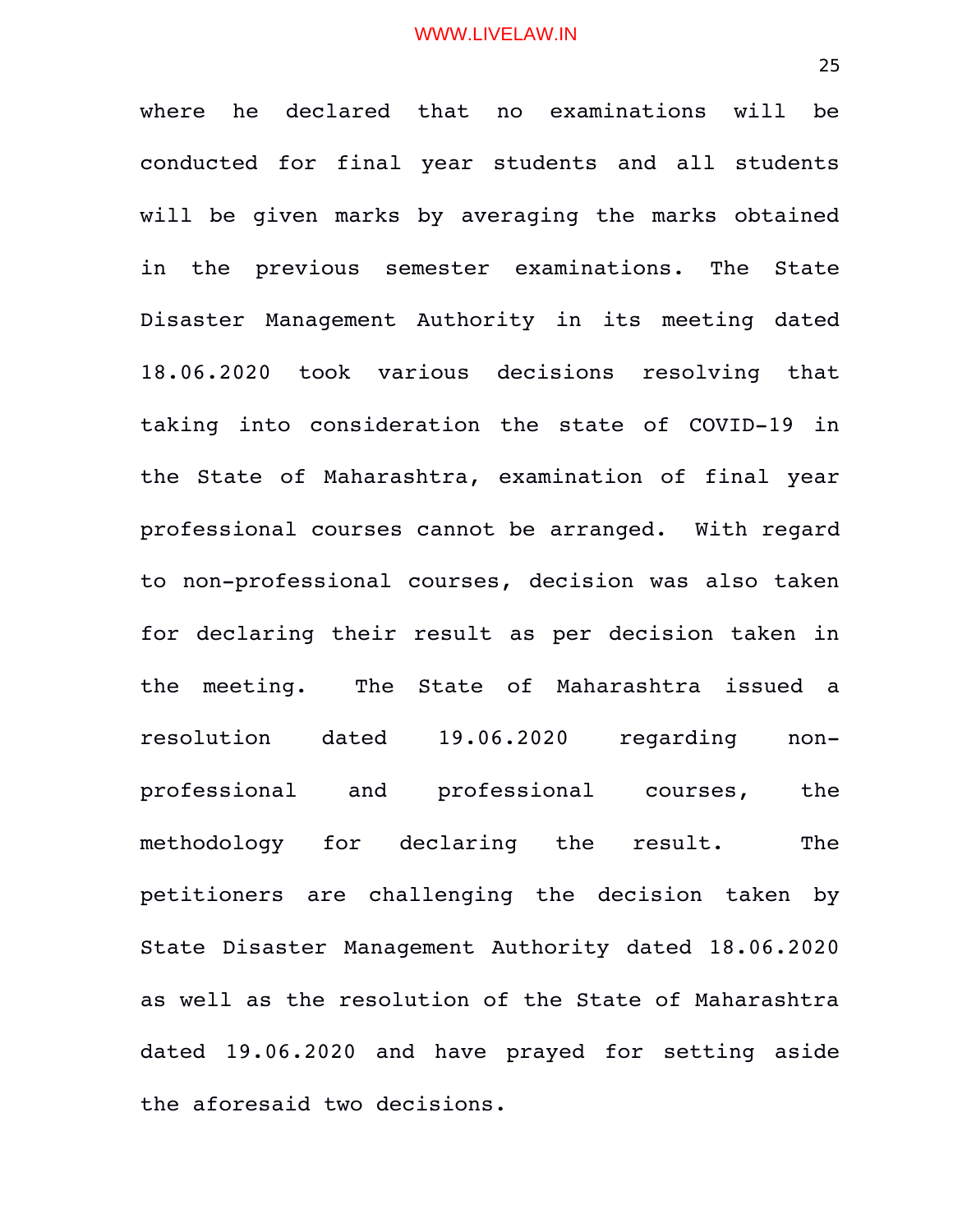where he declared that no examinations will be conducted for final year students and all students will be given marks by averaging the marks obtained in the previous semester examinations. The State Disaster Management Authority in its meeting dated 18.06.2020 took various decisions resolving that taking into consideration the state of COVID-19 in the State of Maharashtra, examination of final year professional courses cannot be arranged. With regard to non-professional courses, decision was also taken for declaring their result as per decision taken in the meeting. The State of Maharashtra issued a resolution dated 19.06.2020 regarding nonprofessional and professional courses, the methodology for declaring the result. The petitioners are challenging the decision taken by State Disaster Management Authority dated 18.06.2020 as well as the resolution of the State of Maharashtra dated 19.06.2020 and have prayed for setting aside the aforesaid two decisions.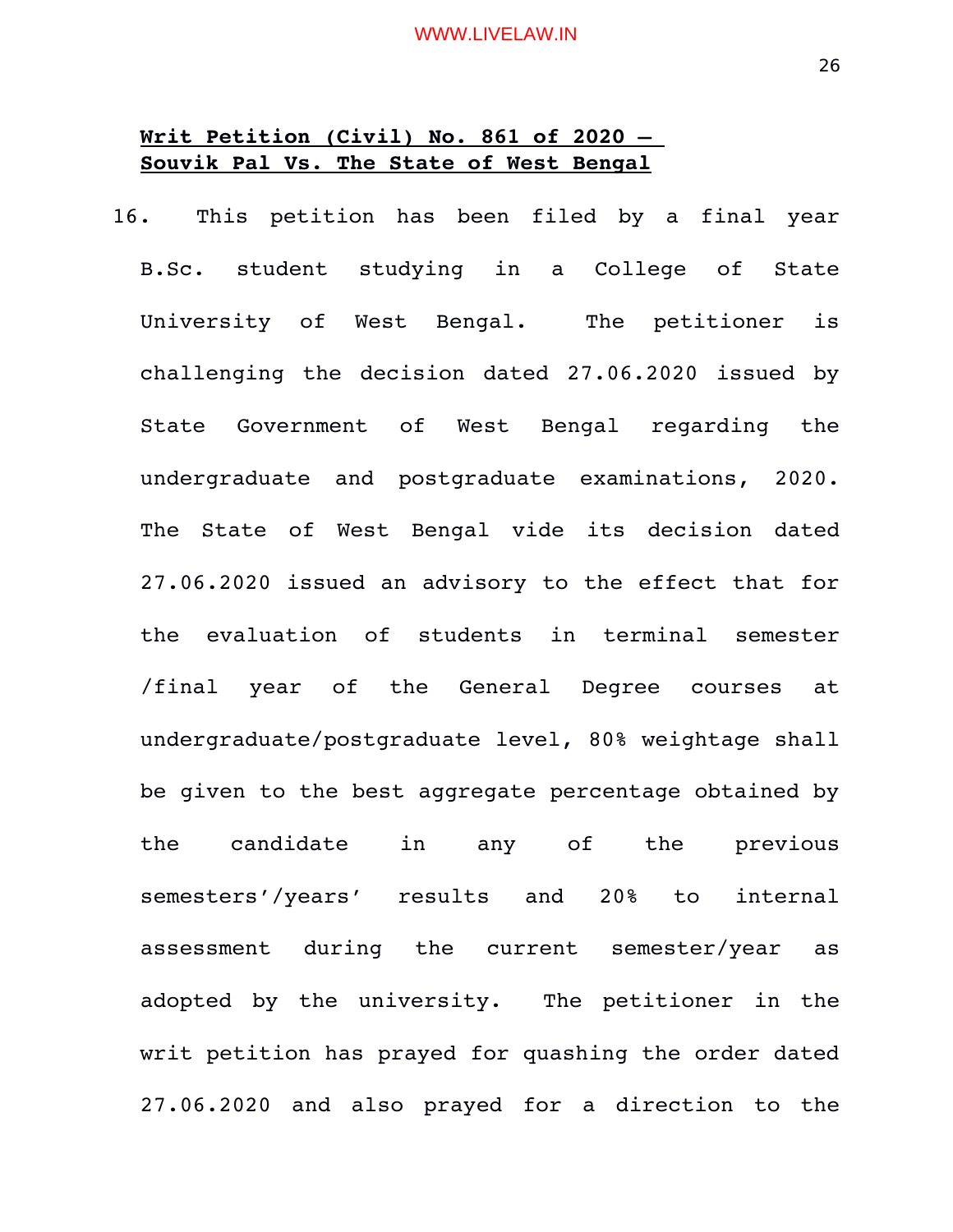# **Writ Petition (Civil) No. 861 of 2020 – Souvik Pal Vs. The State of West Bengal**

16. This petition has been filed by a final year B.Sc. student studying in a College of State University of West Bengal. The petitioner is challenging the decision dated 27.06.2020 issued by State Government of West Bengal regarding the undergraduate and postgraduate examinations, 2020. The State of West Bengal vide its decision dated 27.06.2020 issued an advisory to the effect that for the evaluation of students in terminal semester /final year of the General Degree courses at undergraduate/postgraduate level, 80% weightage shall be given to the best aggregate percentage obtained by the candidate in any of the previous semesters'/years' results and 20% to internal assessment during the current semester/year as adopted by the university. The petitioner in the writ petition has prayed for quashing the order dated 27.06.2020 and also prayed for a direction to the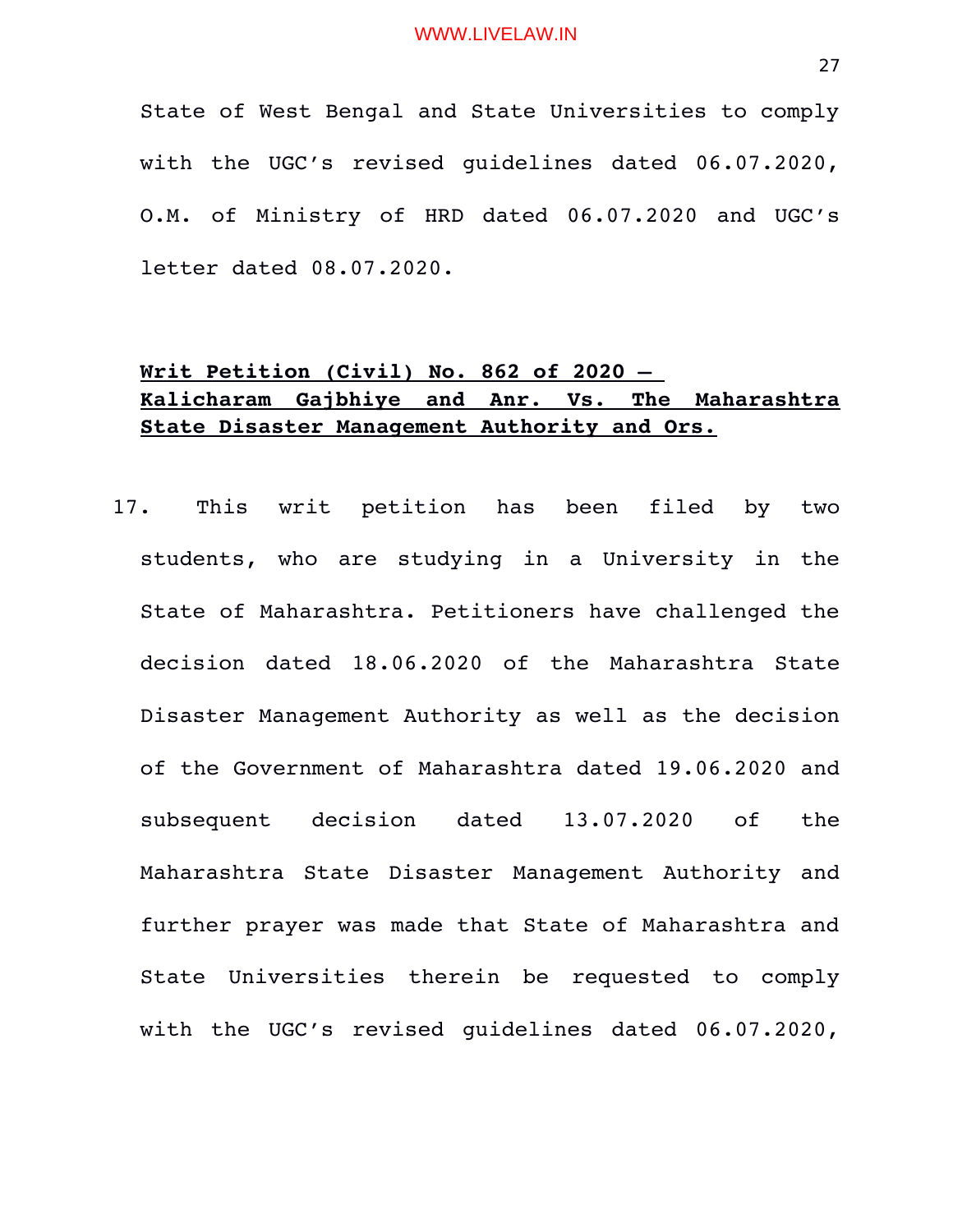State of West Bengal and State Universities to comply with the UGC's revised guidelines dated 06.07.2020, O.M. of Ministry of HRD dated 06.07.2020 and UGC's letter dated 08.07.2020.

# **Writ Petition (Civil) No. 862 of 2020 – Kalicharam Gajbhiye and Anr. Vs. The Maharashtra State Disaster Management Authority and Ors.**

17. This writ petition has been filed by two students, who are studying in a University in the State of Maharashtra. Petitioners have challenged the decision dated 18.06.2020 of the Maharashtra State Disaster Management Authority as well as the decision of the Government of Maharashtra dated 19.06.2020 and subsequent decision dated 13.07.2020 of the Maharashtra State Disaster Management Authority and further prayer was made that State of Maharashtra and State Universities therein be requested to comply with the UGC's revised guidelines dated 06.07.2020,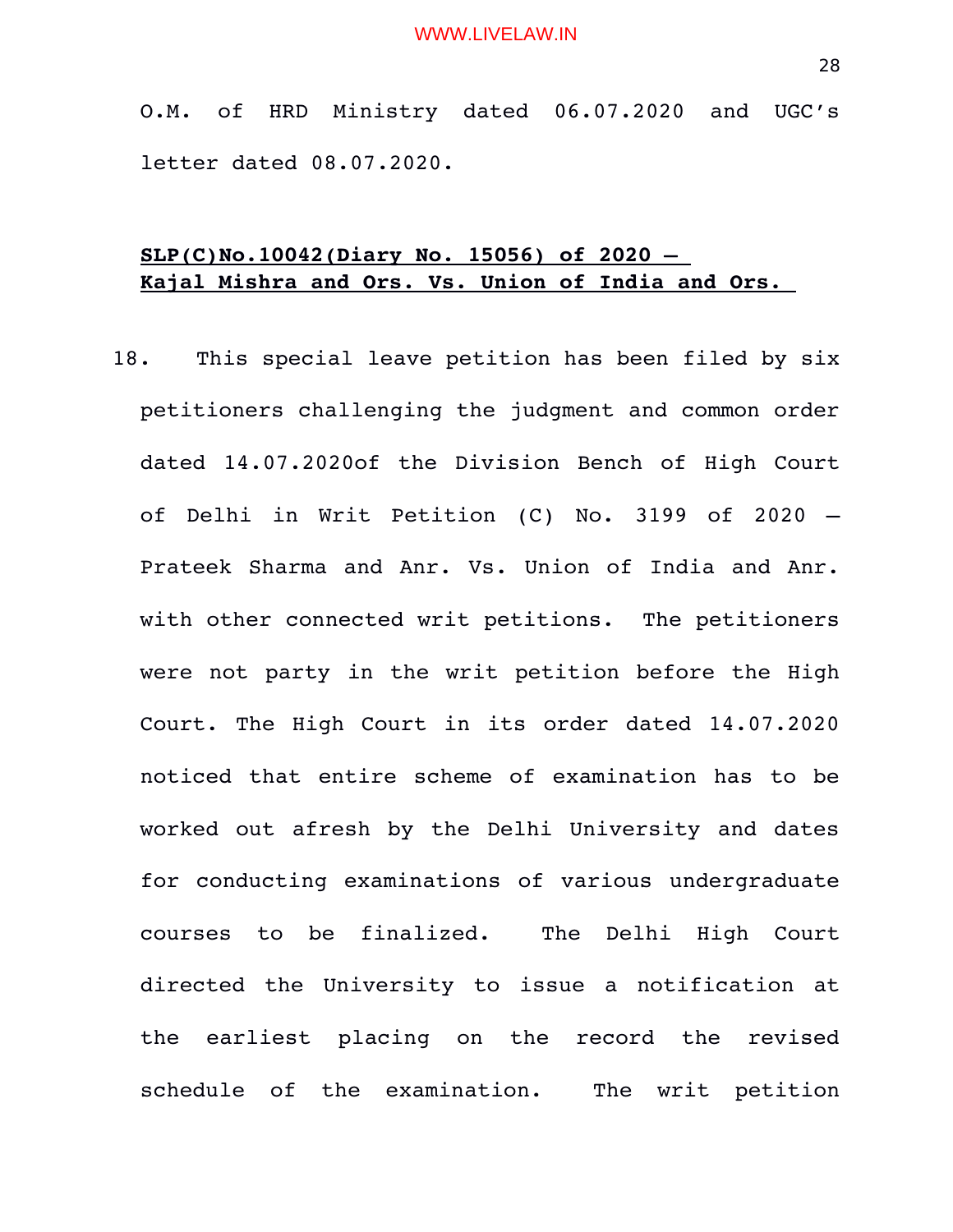O.M. of HRD Ministry dated 06.07.2020 and UGC's letter dated 08.07.2020.

# **SLP(C)No.10042(Diary No. 15056) of 2020 – Kajal Mishra and Ors. Vs. Union of India and Ors.**

18. This special leave petition has been filed by six petitioners challenging the judgment and common order dated 14.07.2020of the Division Bench of High Court of Delhi in Writ Petition  $(C)$  No. 3199 of 2020 – Prateek Sharma and Anr. Vs. Union of India and Anr. with other connected writ petitions. The petitioners were not party in the writ petition before the High Court. The High Court in its order dated 14.07.2020 noticed that entire scheme of examination has to be worked out afresh by the Delhi University and dates for conducting examinations of various undergraduate courses to be finalized. The Delhi High Court directed the University to issue a notification at the earliest placing on the record the revised schedule of the examination. The writ petition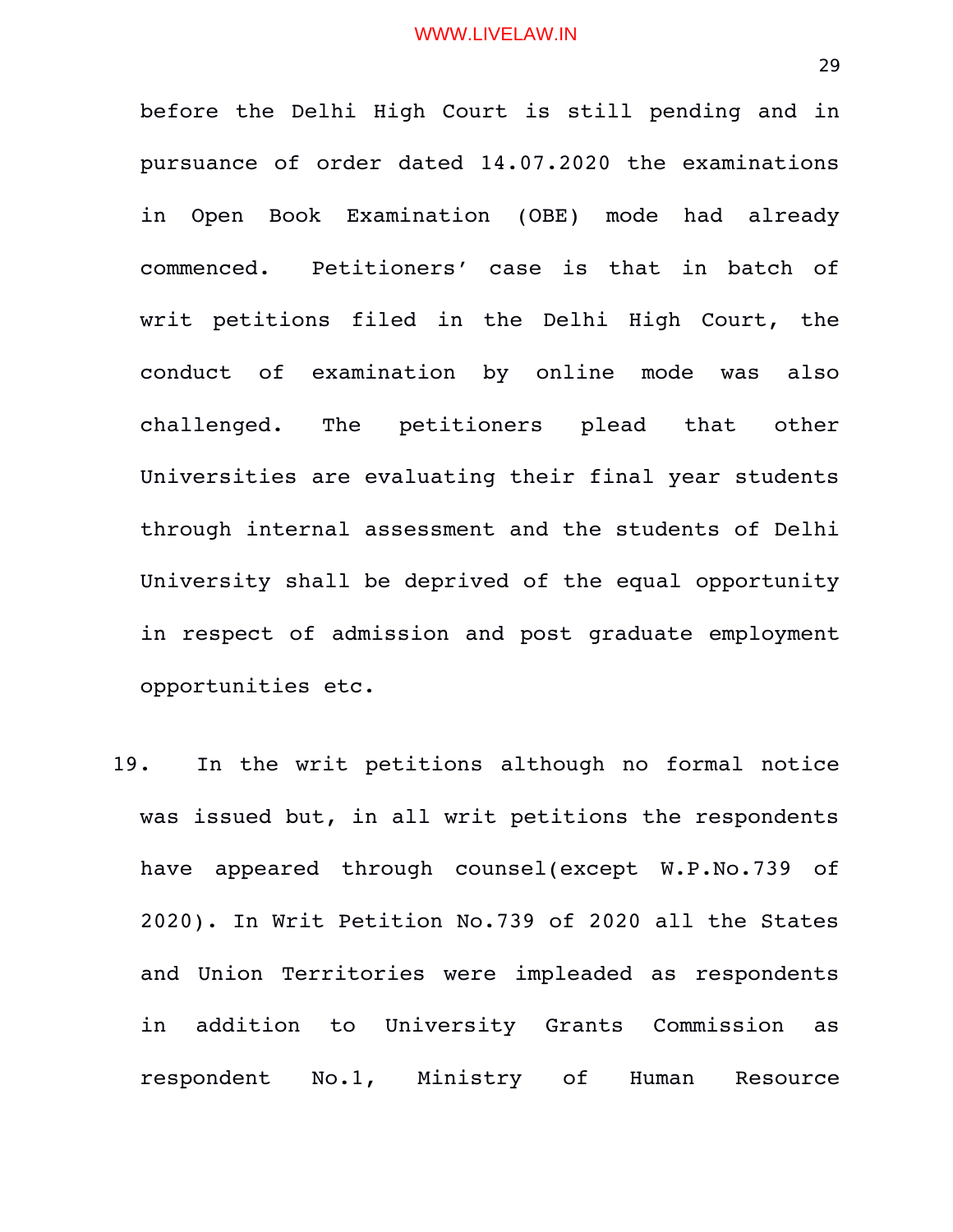before the Delhi High Court is still pending and in pursuance of order dated 14.07.2020 the examinations in Open Book Examination (OBE) mode had already commenced. Petitioners' case is that in batch of writ petitions filed in the Delhi High Court, the conduct of examination by online mode was also challenged. The petitioners plead that other Universities are evaluating their final year students through internal assessment and the students of Delhi University shall be deprived of the equal opportunity in respect of admission and post graduate employment opportunities etc.

19. In the writ petitions although no formal notice was issued but, in all writ petitions the respondents have appeared through counsel(except W.P.No.739 of 2020). In Writ Petition No.739 of 2020 all the States and Union Territories were impleaded as respondents in addition to University Grants Commission as respondent No.1, Ministry of Human Resource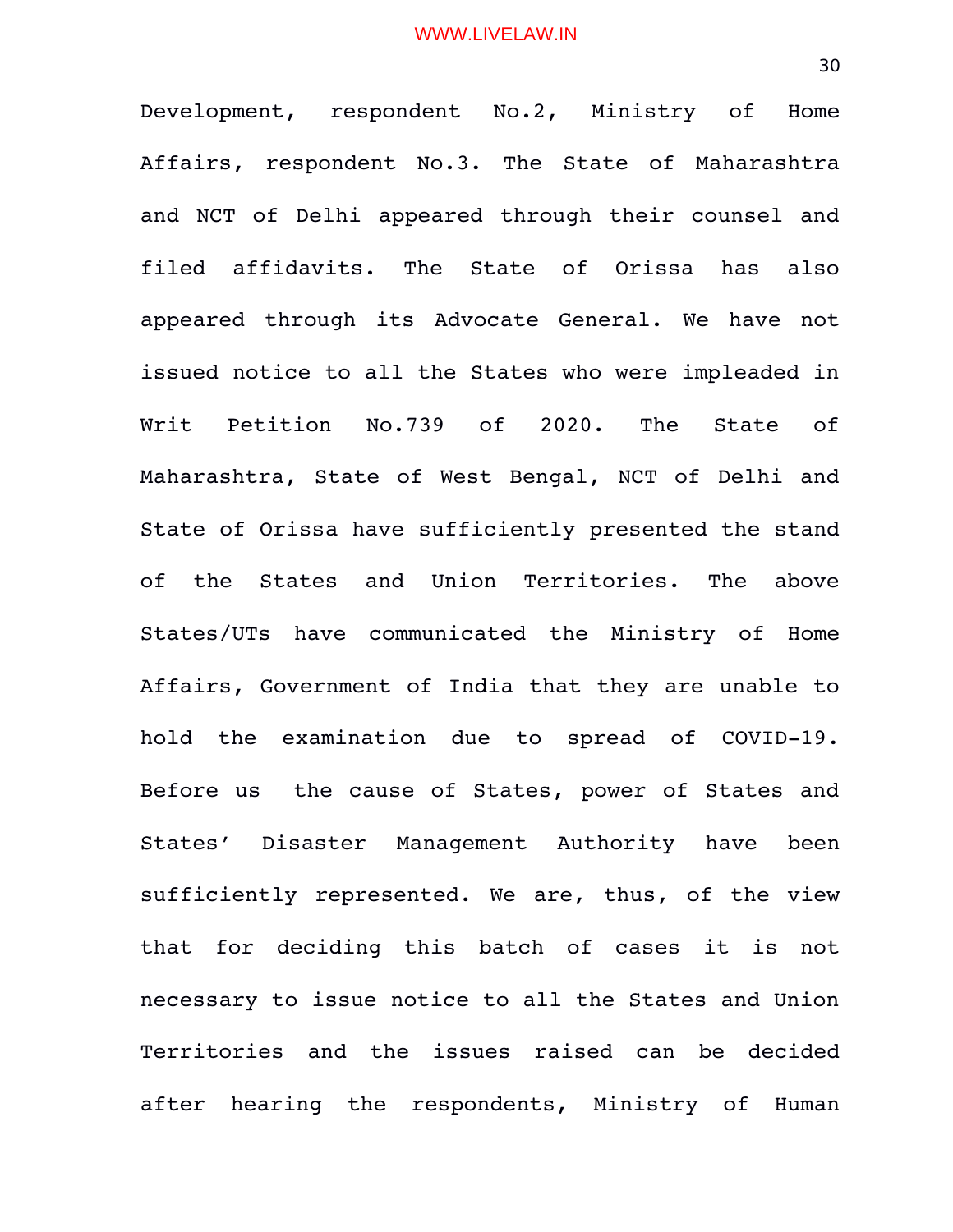Development, respondent No.2, Ministry of Home Affairs, respondent No.3. The State of Maharashtra and NCT of Delhi appeared through their counsel and filed affidavits. The State of Orissa has also appeared through its Advocate General. We have not issued notice to all the States who were impleaded in Writ Petition No.739 of 2020. The State of Maharashtra, State of West Bengal, NCT of Delhi and State of Orissa have sufficiently presented the stand of the States and Union Territories. The above States/UTs have communicated the Ministry of Home Affairs, Government of India that they are unable to hold the examination due to spread of COVID-19. Before us the cause of States, power of States and States' Disaster Management Authority have been sufficiently represented. We are, thus, of the view that for deciding this batch of cases it is not necessary to issue notice to all the States and Union Territories and the issues raised can be decided after hearing the respondents, Ministry of Human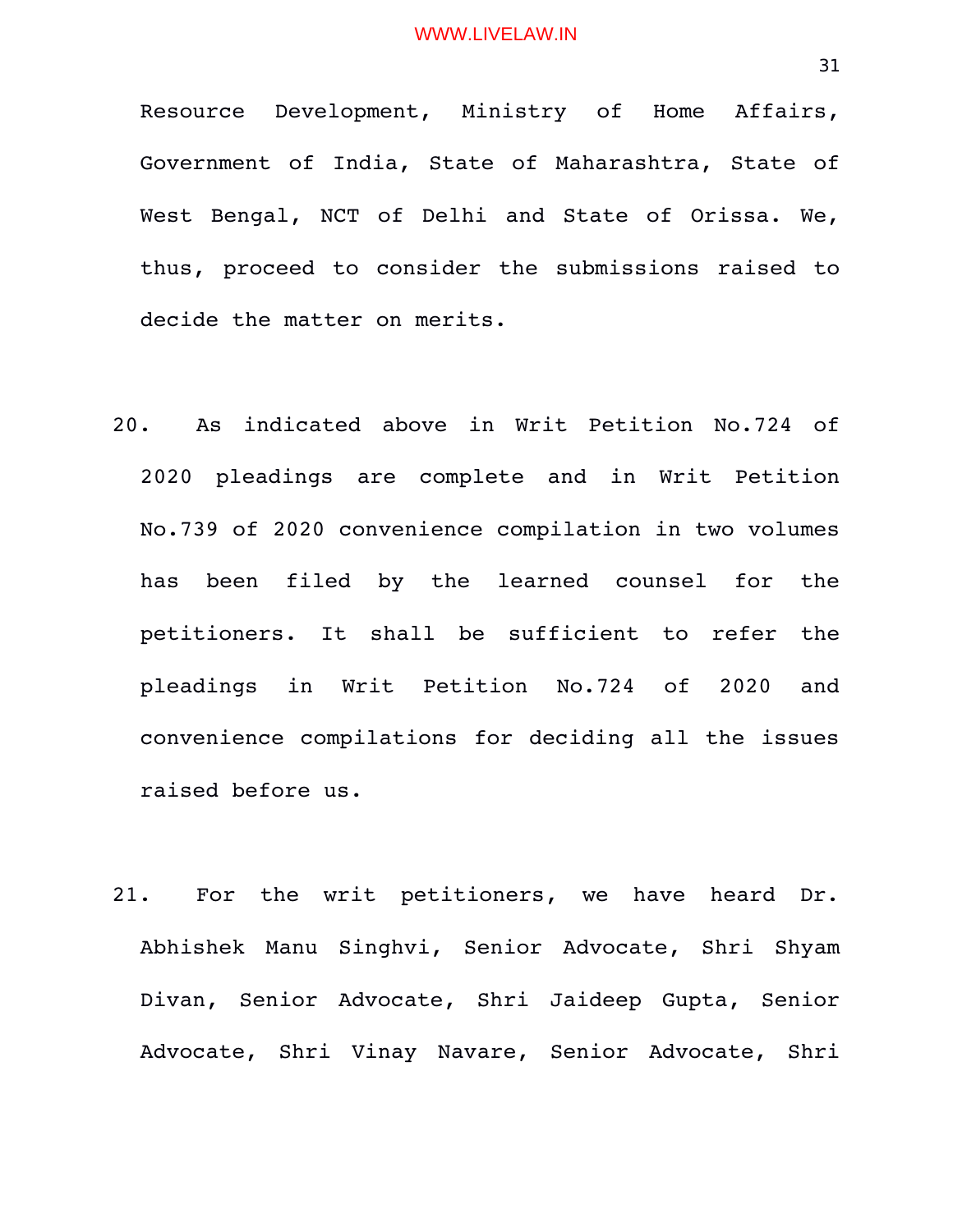Resource Development, Ministry of Home Affairs, Government of India, State of Maharashtra, State of West Bengal, NCT of Delhi and State of Orissa. We, thus, proceed to consider the submissions raised to decide the matter on merits.

- 20. As indicated above in Writ Petition No.724 of 2020 pleadings are complete and in Writ Petition No.739 of 2020 convenience compilation in two volumes has been filed by the learned counsel for the petitioners. It shall be sufficient to refer the pleadings in Writ Petition No.724 of 2020 and convenience compilations for deciding all the issues raised before us.
- 21. For the writ petitioners, we have heard Dr. Abhishek Manu Singhvi, Senior Advocate, Shri Shyam Divan, Senior Advocate, Shri Jaideep Gupta, Senior Advocate, Shri Vinay Navare, Senior Advocate, Shri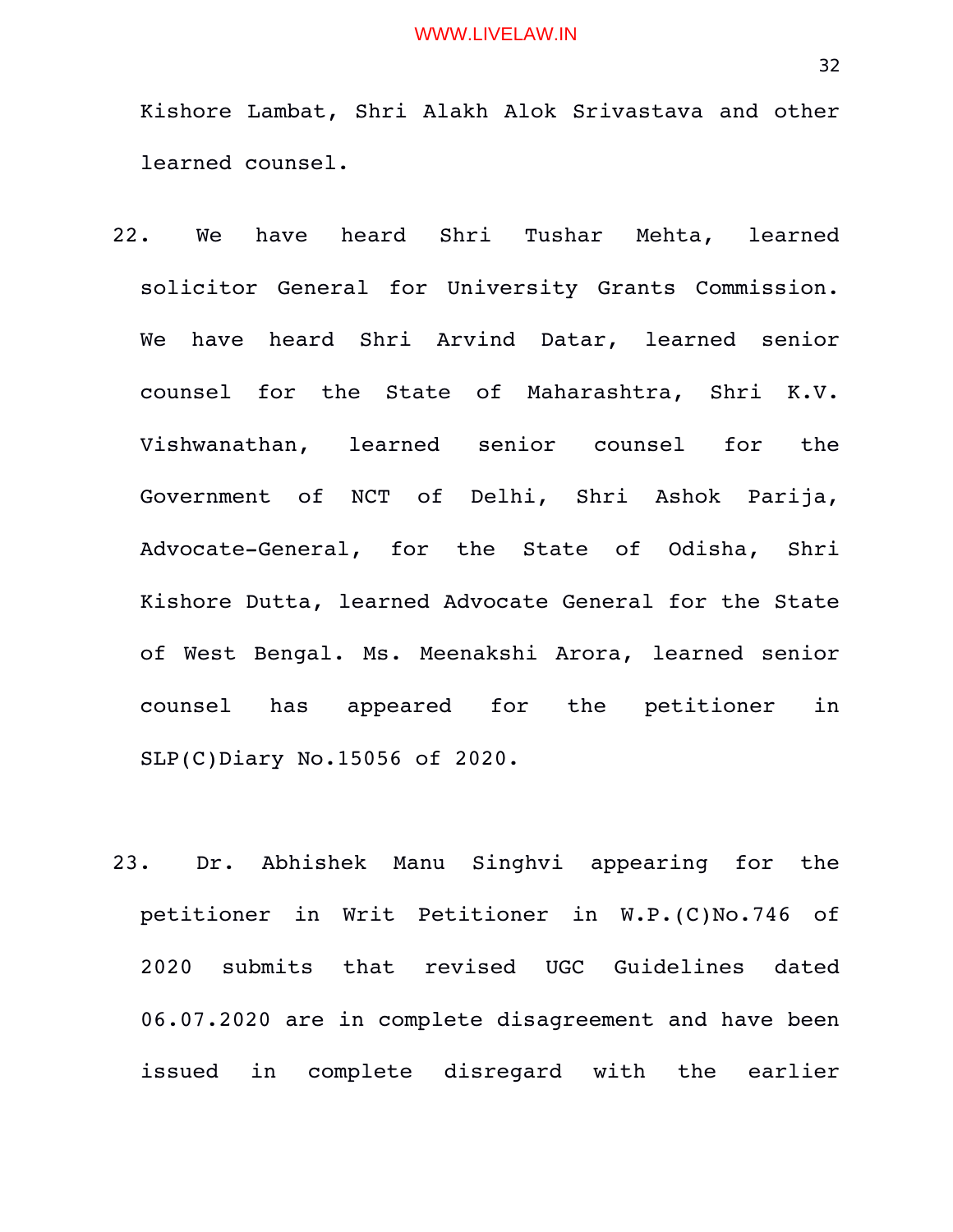Kishore Lambat, Shri Alakh Alok Srivastava and other learned counsel.

- 22. We have heard Shri Tushar Mehta, learned solicitor General for University Grants Commission. We have heard Shri Arvind Datar, learned senior counsel for the State of Maharashtra, Shri K.V. Vishwanathan, learned senior counsel for the Government of NCT of Delhi, Shri Ashok Parija, Advocate-General, for the State of Odisha, Shri Kishore Dutta, learned Advocate General for the State of West Bengal. Ms. Meenakshi Arora, learned senior counsel has appeared for the petitioner in SLP(C)Diary No.15056 of 2020.
- 23. Dr. Abhishek Manu Singhvi appearing for the petitioner in Writ Petitioner in W.P.(C)No.746 of 2020 submits that revised UGC Guidelines dated 06.07.2020 are in complete disagreement and have been issued in complete disregard with the earlier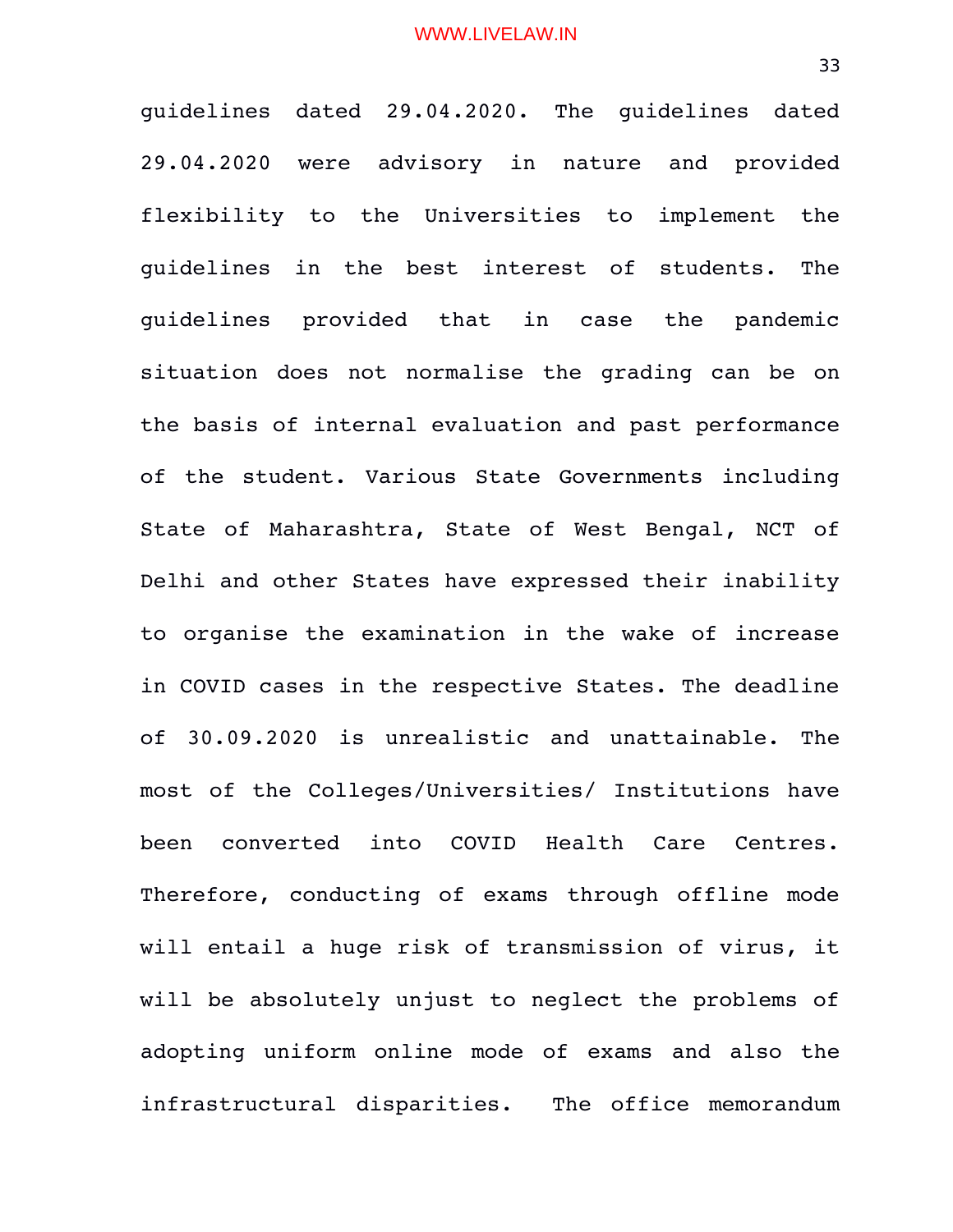guidelines dated 29.04.2020. The guidelines dated 29.04.2020 were advisory in nature and provided flexibility to the Universities to implement the guidelines in the best interest of students. The guidelines provided that in case the pandemic situation does not normalise the grading can be on the basis of internal evaluation and past performance of the student. Various State Governments including State of Maharashtra, State of West Bengal, NCT of Delhi and other States have expressed their inability to organise the examination in the wake of increase in COVID cases in the respective States. The deadline of 30.09.2020 is unrealistic and unattainable. The most of the Colleges/Universities/ Institutions have been converted into COVID Health Care Centres. Therefore, conducting of exams through offline mode will entail a huge risk of transmission of virus, it will be absolutely unjust to neglect the problems of adopting uniform online mode of exams and also the infrastructural disparities. The office memorandum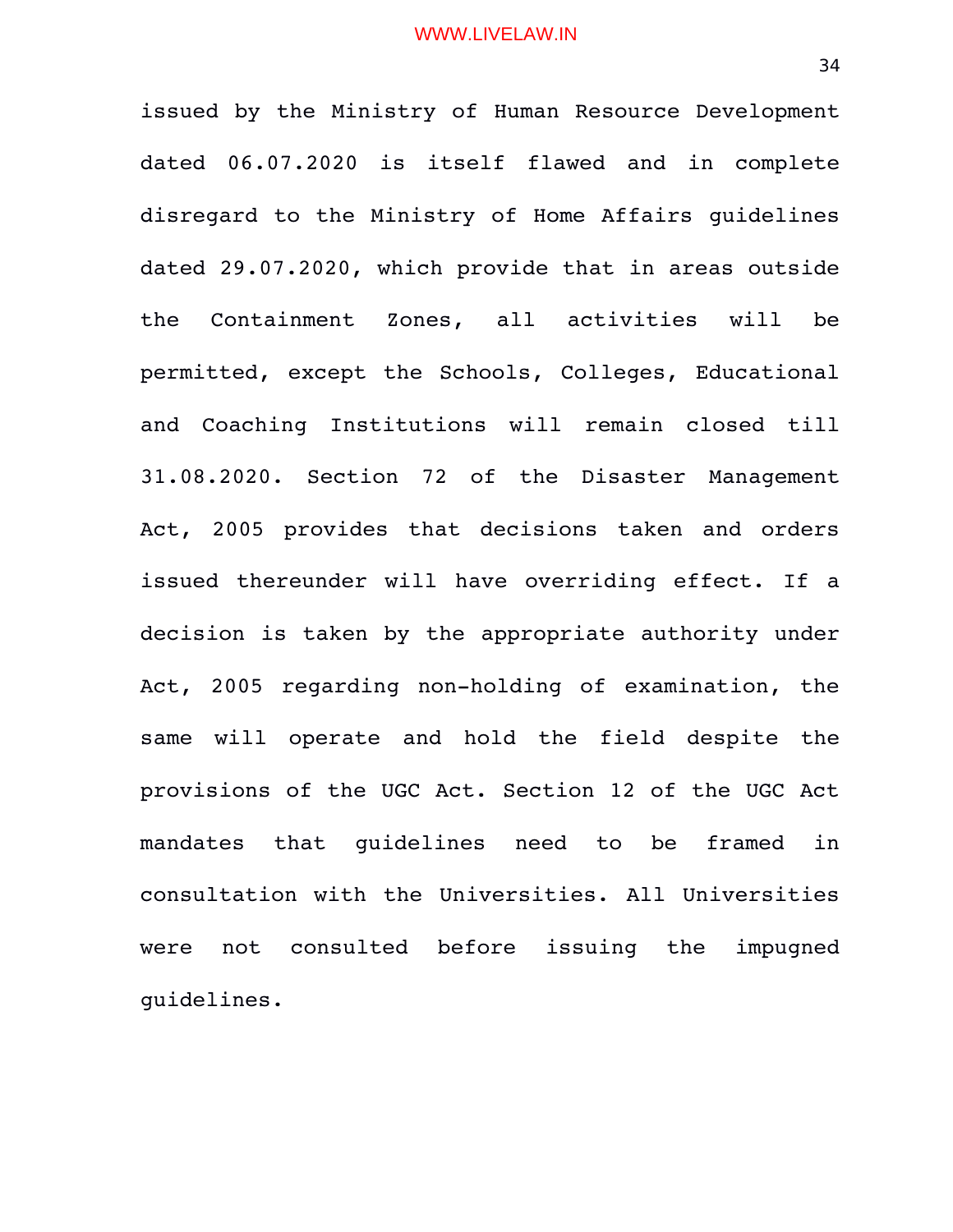issued by the Ministry of Human Resource Development dated 06.07.2020 is itself flawed and in complete disregard to the Ministry of Home Affairs guidelines dated 29.07.2020, which provide that in areas outside the Containment Zones, all activities will be permitted, except the Schools, Colleges, Educational and Coaching Institutions will remain closed till 31.08.2020. Section 72 of the Disaster Management Act, 2005 provides that decisions taken and orders issued thereunder will have overriding effect. If a decision is taken by the appropriate authority under Act, 2005 regarding non-holding of examination, the same will operate and hold the field despite the provisions of the UGC Act. Section 12 of the UGC Act mandates that quidelines need to be framed in consultation with the Universities. All Universities were not consulted before issuing the impugned guidelines.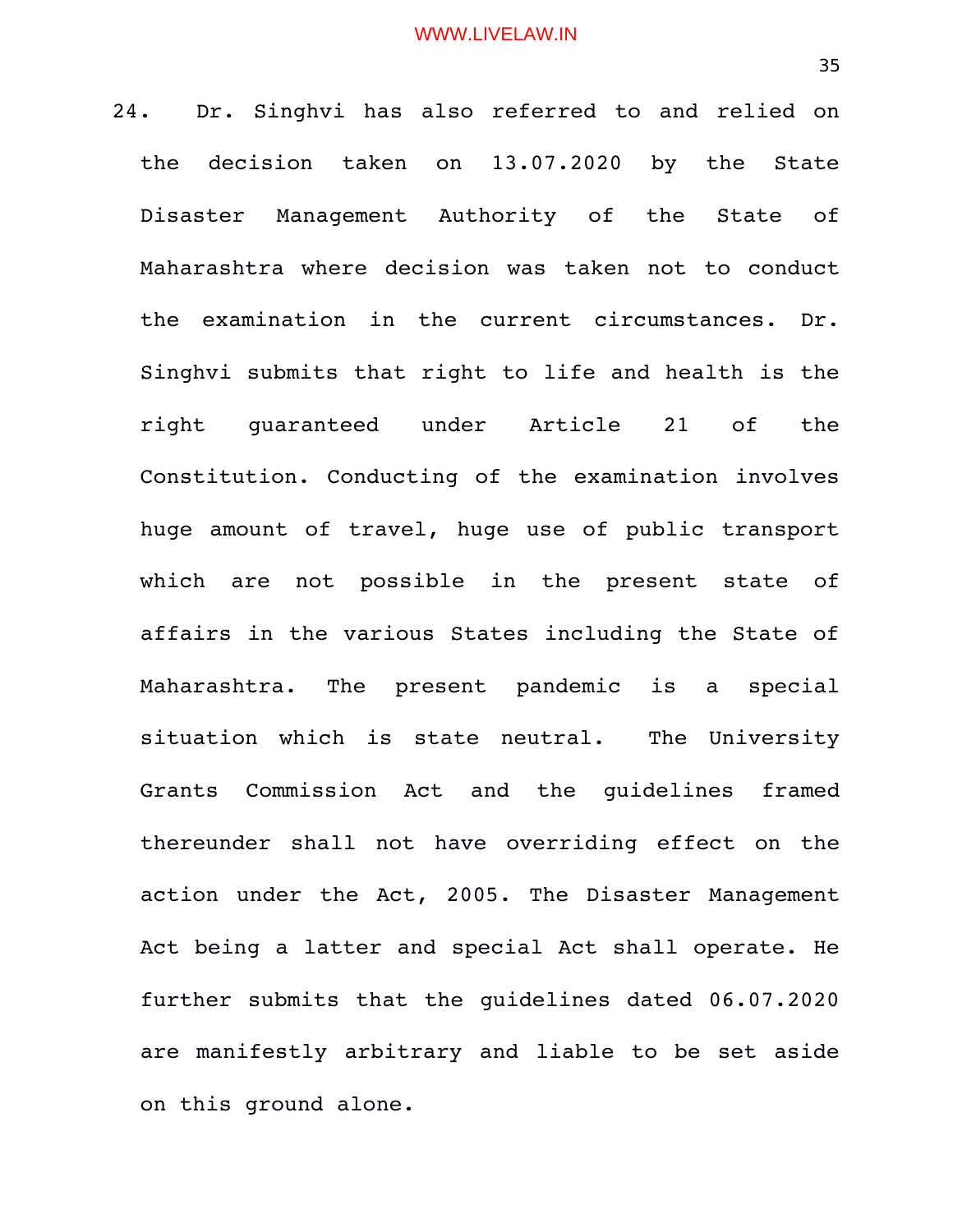24. Dr. Singhvi has also referred to and relied on the decision taken on 13.07.2020 by the State Disaster Management Authority of the State of Maharashtra where decision was taken not to conduct the examination in the current circumstances. Dr. Singhvi submits that right to life and health is the right guaranteed under Article 21 of the Constitution. Conducting of the examination involves huge amount of travel, huge use of public transport which are not possible in the present state of affairs in the various States including the State of Maharashtra. The present pandemic is a special situation which is state neutral. The University Grants Commission Act and the guidelines framed thereunder shall not have overriding effect on the action under the Act, 2005. The Disaster Management Act being a latter and special Act shall operate. He further submits that the guidelines dated 06.07.2020 are manifestly arbitrary and liable to be set aside on this ground alone.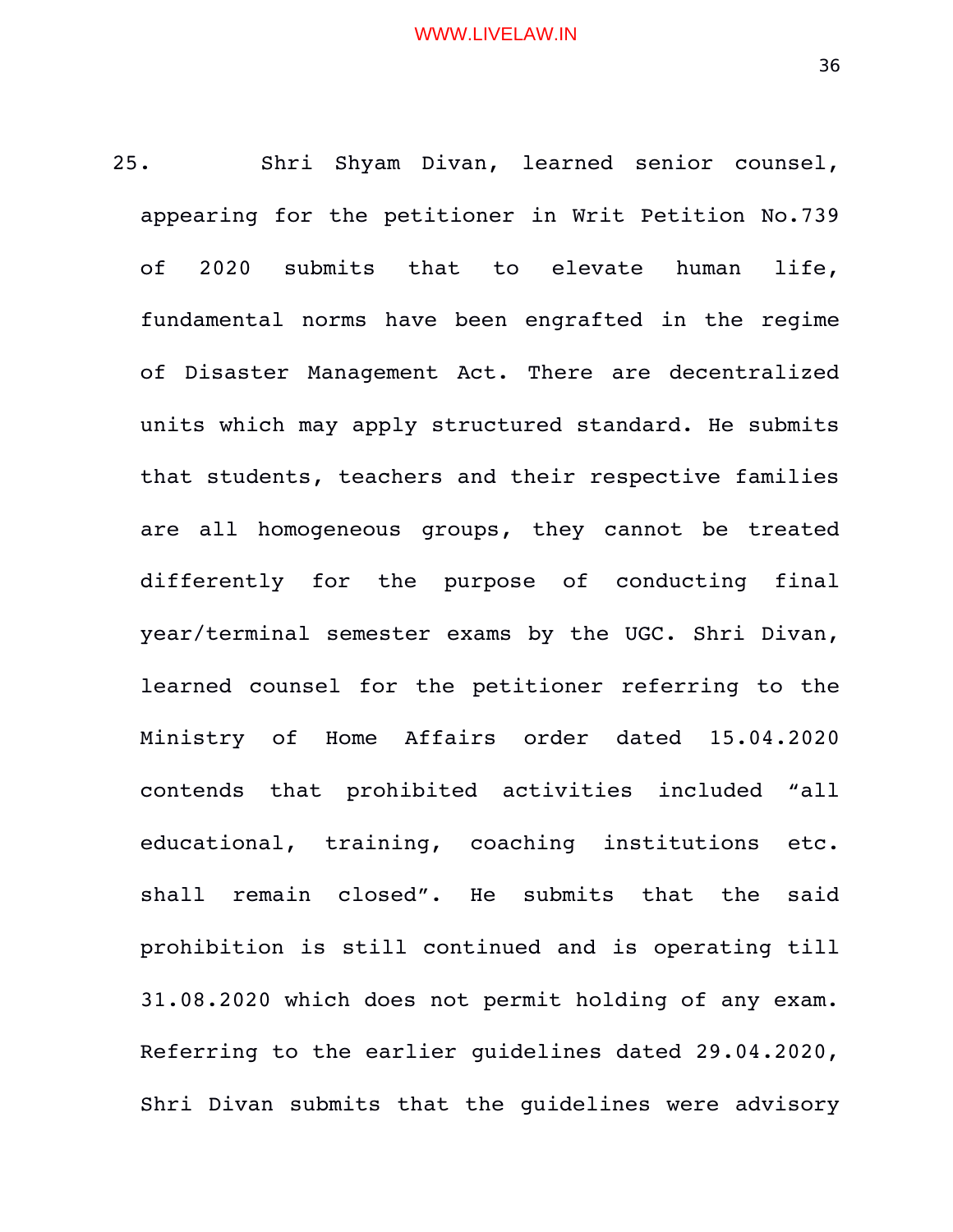25. Shri Shyam Divan, learned senior counsel, appearing for the petitioner in Writ Petition No.739 of 2020 submits that to elevate human life, fundamental norms have been engrafted in the regime of Disaster Management Act. There are decentralized units which may apply structured standard. He submits that students, teachers and their respective families are all homogeneous groups, they cannot be treated differently for the purpose of conducting final year/terminal semester exams by the UGC. Shri Divan, learned counsel for the petitioner referring to the Ministry of Home Affairs order dated 15.04.2020 contends that prohibited activities included "all educational, training, coaching institutions etc. shall remain closed". He submits that the said prohibition is still continued and is operating till 31.08.2020 which does not permit holding of any exam. Referring to the earlier guidelines dated 29.04.2020, Shri Divan submits that the guidelines were advisory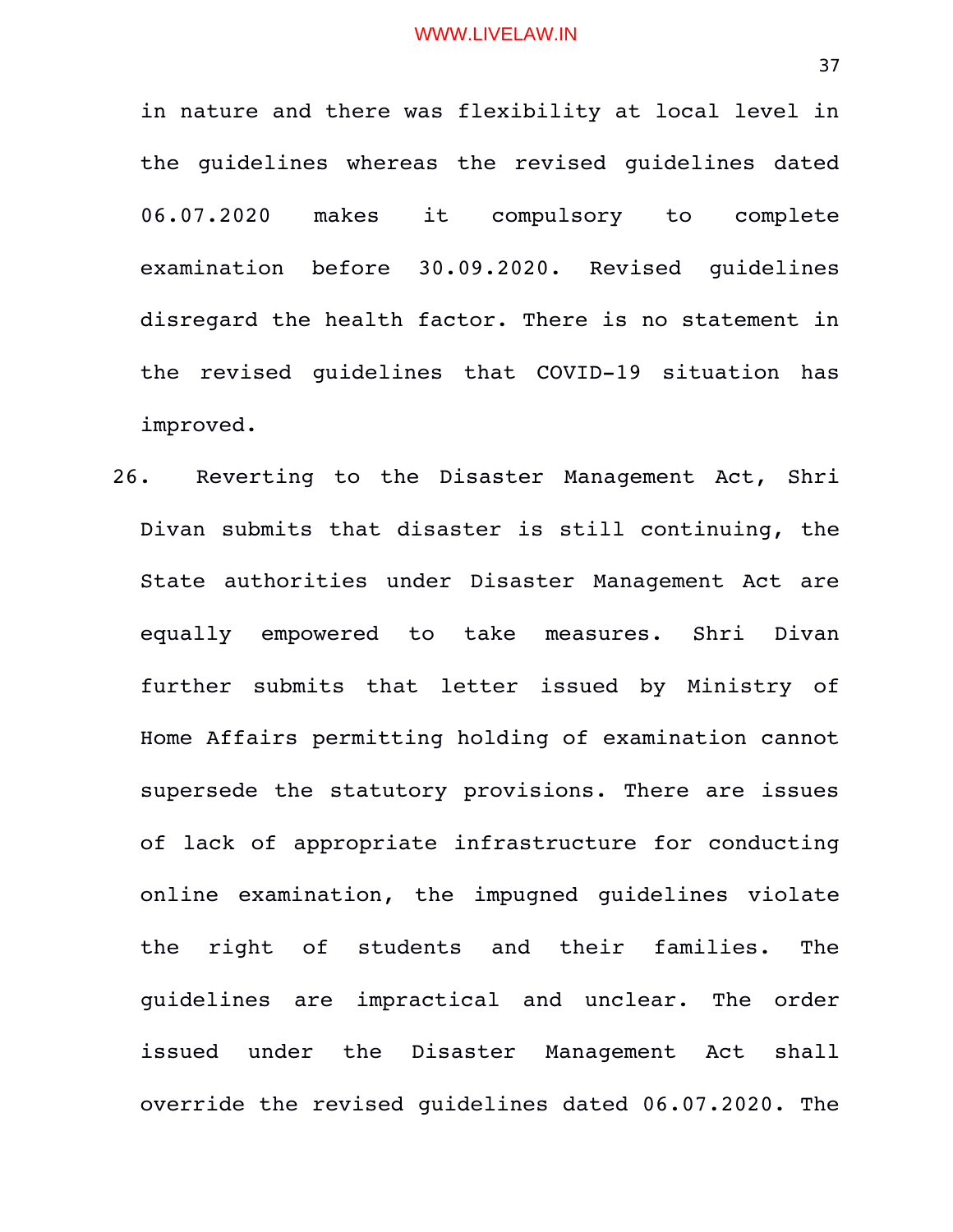in nature and there was flexibility at local level in the guidelines whereas the revised guidelines dated 06.07.2020 makes it compulsory to complete examination before 30.09.2020. Revised quidelines disregard the health factor. There is no statement in the revised quidelines that COVID-19 situation has improved.

26. Reverting to the Disaster Management Act, Shri Divan submits that disaster is still continuing, the State authorities under Disaster Management Act are equally empowered to take measures. Shri Divan further submits that letter issued by Ministry of Home Affairs permitting holding of examination cannot supersede the statutory provisions. There are issues of lack of appropriate infrastructure for conducting online examination, the impugned quidelines violate the right of students and their families. The guidelines are impractical and unclear. The order issued under the Disaster Management Act shall override the revised guidelines dated 06.07.2020. The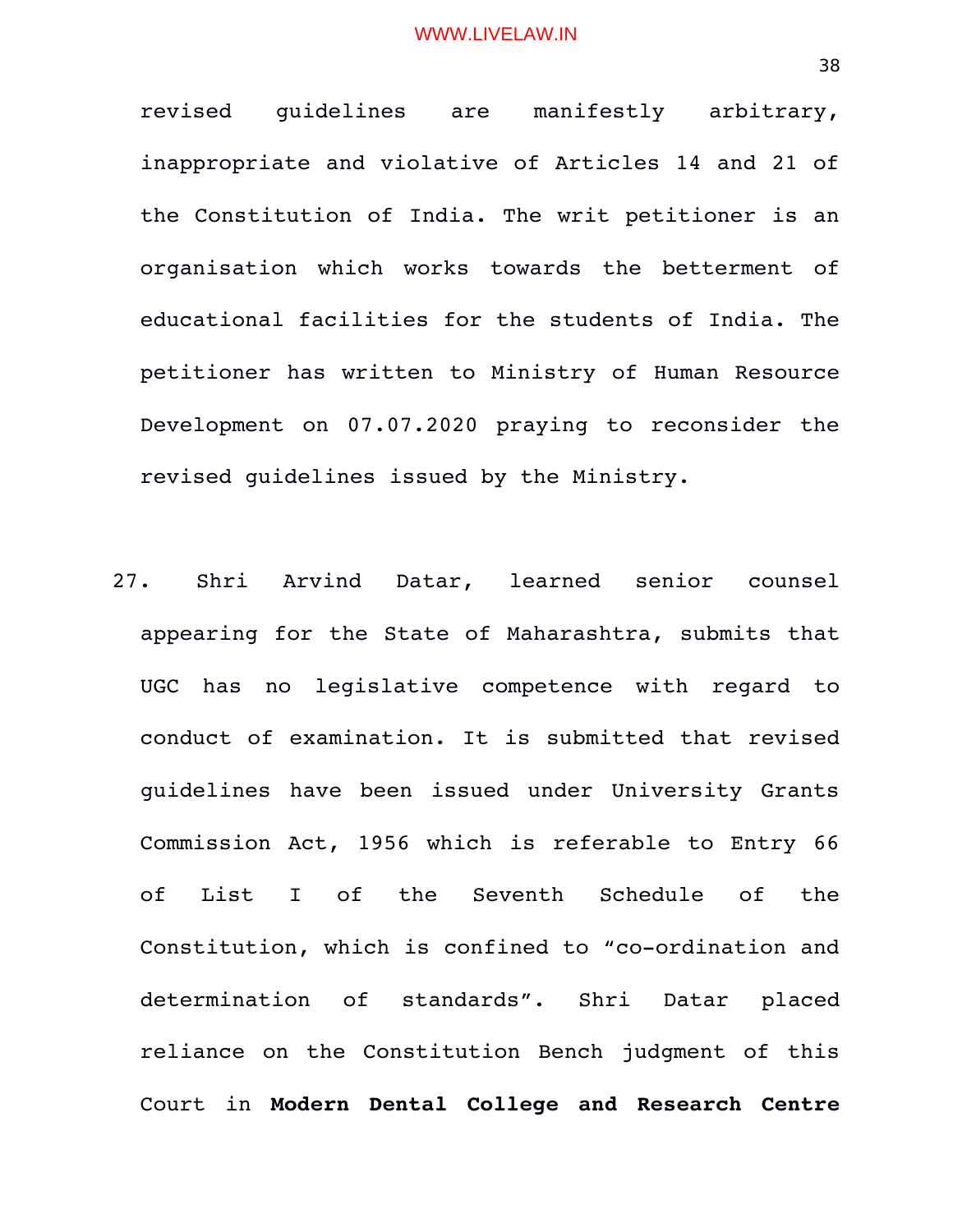revised quidelines are manifestly arbitrary, inappropriate and violative of Articles 14 and 21 of the Constitution of India. The writ petitioner is an organisation which works towards the betterment of educational facilities for the students of India. The petitioner has written to Ministry of Human Resource Development on 07.07.2020 praying to reconsider the revised guidelines issued by the Ministry.

27. Shri Arvind Datar, learned senior counsel appearing for the State of Maharashtra, submits that UGC has no legislative competence with regard to conduct of examination. It is submitted that revised guidelines have been issued under University Grants Commission Act, 1956 which is referable to Entry 66 of List I of the Seventh Schedule of the Constitution, which is confined to "co-ordination and determination of standards". Shri Datar placed reliance on the Constitution Bench judgment of this Court in **Modern Dental College and Research Centre**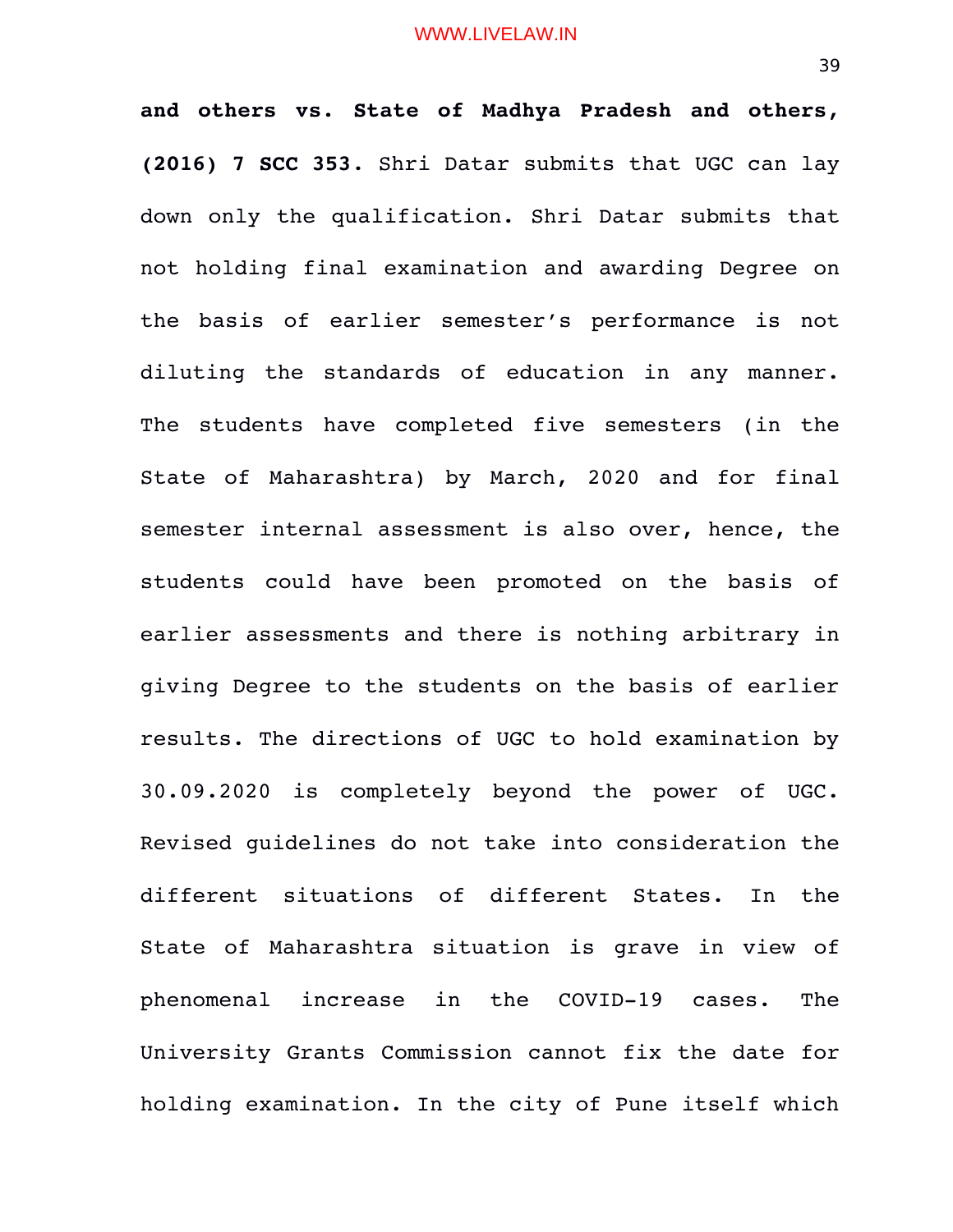**and others vs. State of Madhya Pradesh and others, (2016) 7 SCC 353**. Shri Datar submits that UGC can lay down only the qualification. Shri Datar submits that not holding final examination and awarding Degree on the basis of earlier semester's performance is not diluting the standards of education in any manner. The students have completed five semesters (in the State of Maharashtra) by March, 2020 and for final semester internal assessment is also over, hence, the students could have been promoted on the basis of earlier assessments and there is nothing arbitrary in giving Degree to the students on the basis of earlier results. The directions of UGC to hold examination by 30.09.2020 is completely beyond the power of UGC. Revised guidelines do not take into consideration the different situations of different States. In the State of Maharashtra situation is grave in view of phenomenal increase in the COVID-19 cases. The University Grants Commission cannot fix the date for holding examination. In the city of Pune itself which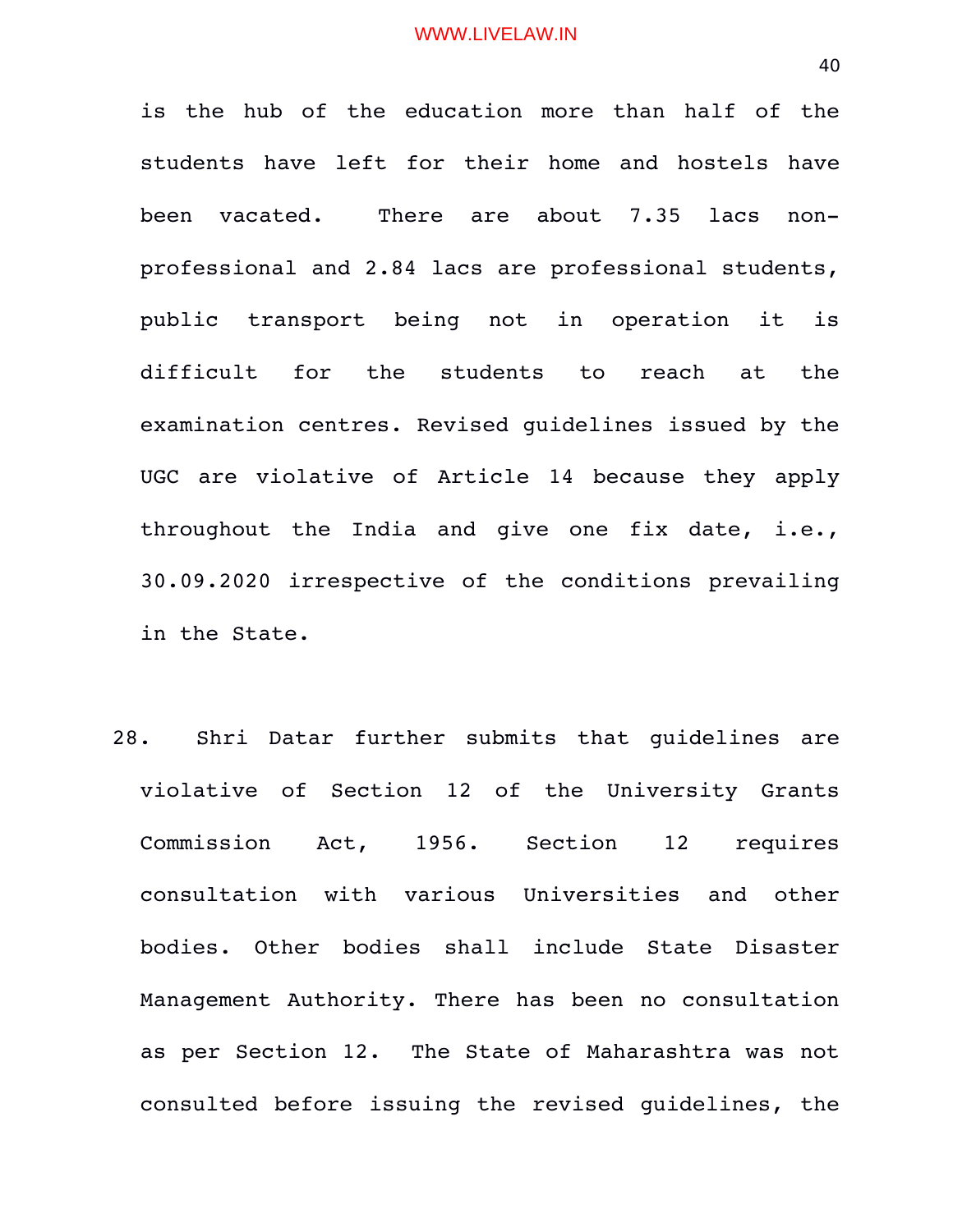is the hub of the education more than half of the students have left for their home and hostels have been vacated. There are about 7.35 lacs nonprofessional and 2.84 lacs are professional students, public transport being not in operation it is difficult for the students to reach at the examination centres. Revised guidelines issued by the UGC are violative of Article 14 because they apply throughout the India and give one fix date, i.e., 30.09.2020 irrespective of the conditions prevailing in the State.

28. Shri Datar further submits that quidelines are violative of Section 12 of the University Grants Commission Act, 1956. Section 12 requires consultation with various Universities and other bodies. Other bodies shall include State Disaster Management Authority. There has been no consultation as per Section 12. The State of Maharashtra was not consulted before issuing the revised guidelines, the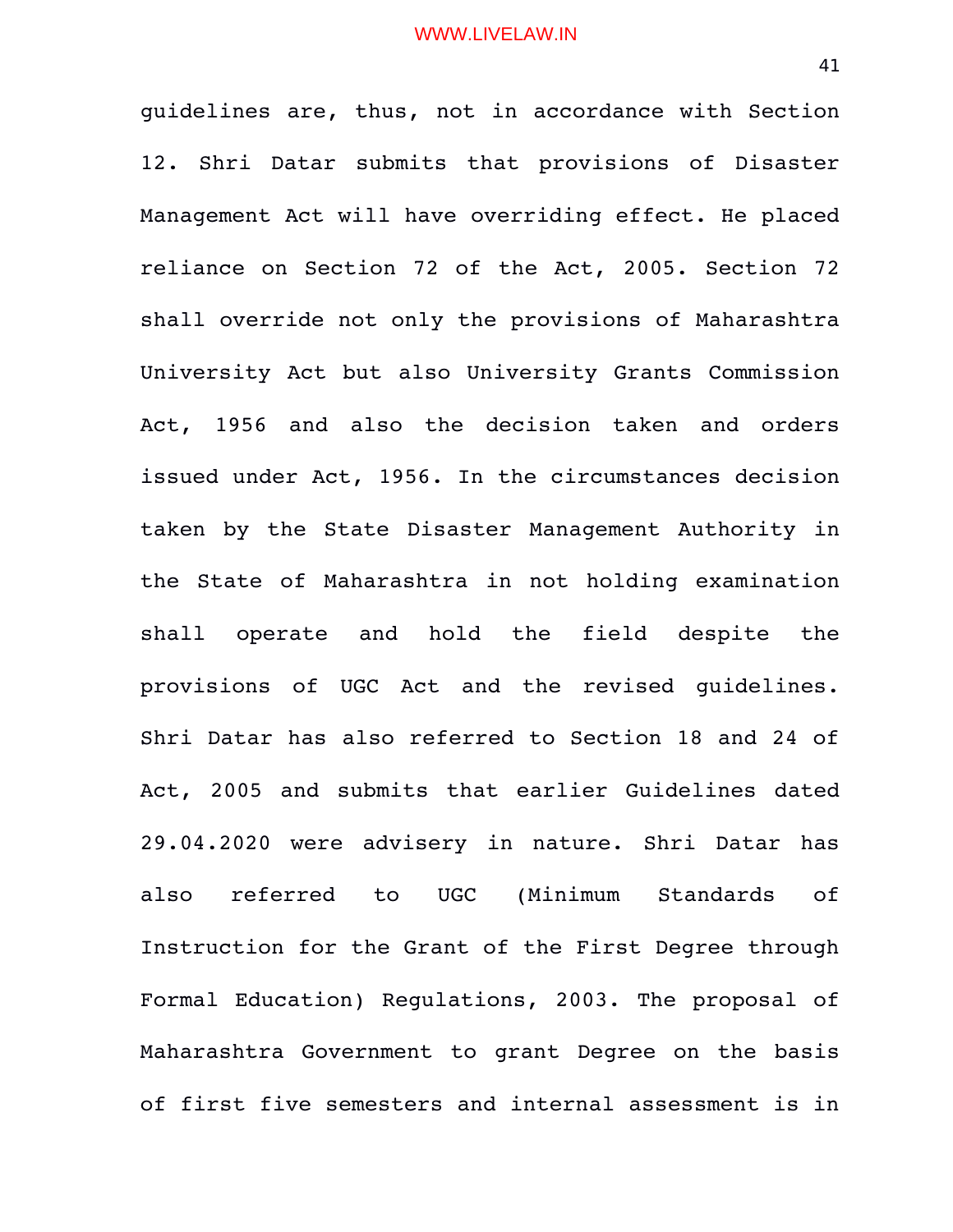guidelines are, thus, not in accordance with Section 12. Shri Datar submits that provisions of Disaster Management Act will have overriding effect. He placed reliance on Section 72 of the Act, 2005. Section 72 shall override not only the provisions of Maharashtra University Act but also University Grants Commission Act, 1956 and also the decision taken and orders issued under Act, 1956. In the circumstances decision taken by the State Disaster Management Authority in the State of Maharashtra in not holding examination shall operate and hold the field despite the provisions of UGC Act and the revised guidelines. Shri Datar has also referred to Section 18 and 24 of Act, 2005 and submits that earlier Guidelines dated 29.04.2020 were advisery in nature. Shri Datar has also referred to UGC (Minimum Standards of Instruction for the Grant of the First Degree through Formal Education) Regulations, 2003. The proposal of Maharashtra Government to grant Degree on the basis of first five semesters and internal assessment is in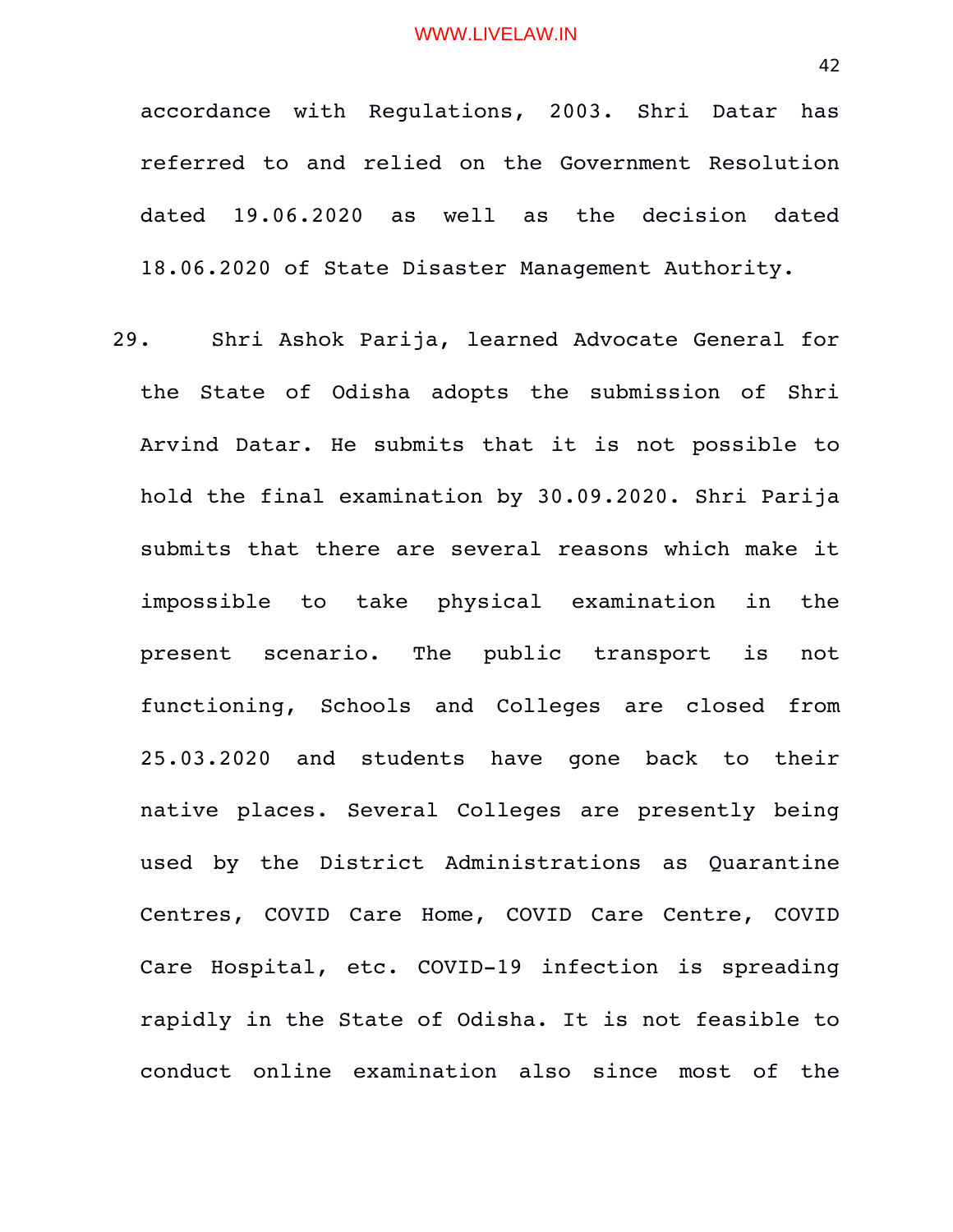accordance with Regulations, 2003. Shri Datar has referred to and relied on the Government Resolution dated 19.06.2020 as well as the decision dated 18.06.2020 of State Disaster Management Authority.

29. Shri Ashok Parija, learned Advocate General for the State of Odisha adopts the submission of Shri Arvind Datar. He submits that it is not possible to hold the final examination by 30.09.2020. Shri Parija submits that there are several reasons which make it impossible to take physical examination in the present scenario. The public transport is not functioning, Schools and Colleges are closed from 25.03.2020 and students have gone back to their native places. Several Colleges are presently being used by the District Administrations as Quarantine Centres, COVID Care Home, COVID Care Centre, COVID Care Hospital, etc. COVID-19 infection is spreading rapidly in the State of Odisha. It is not feasible to conduct online examination also since most of the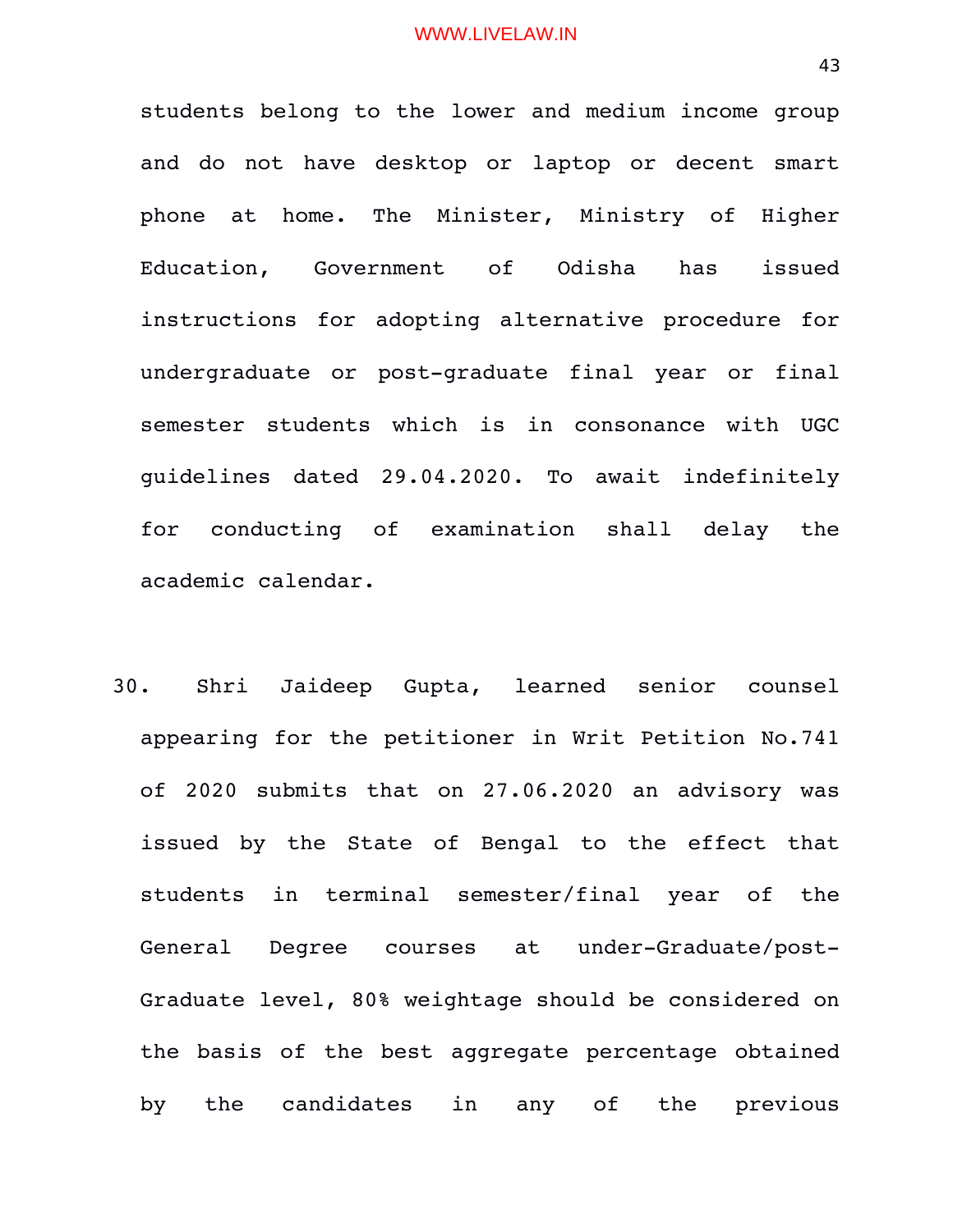students belong to the lower and medium income group and do not have desktop or laptop or decent smart phone at home. The Minister, Ministry of Higher Education, Government of Odisha has issued instructions for adopting alternative procedure for undergraduate or post-graduate final year or final semester students which is in consonance with UGC guidelines dated 29.04.2020. To await indefinitely for conducting of examination shall delay the academic calendar.

30. Shri Jaideep Gupta, learned senior counsel appearing for the petitioner in Writ Petition No.741 of 2020 submits that on 27.06.2020 an advisory was issued by the State of Bengal to the effect that students in terminal semester/final year of the General Degree courses at under-Graduate/post-Graduate level, 80% weightage should be considered on the basis of the best aggregate percentage obtained by the candidates in any of the previous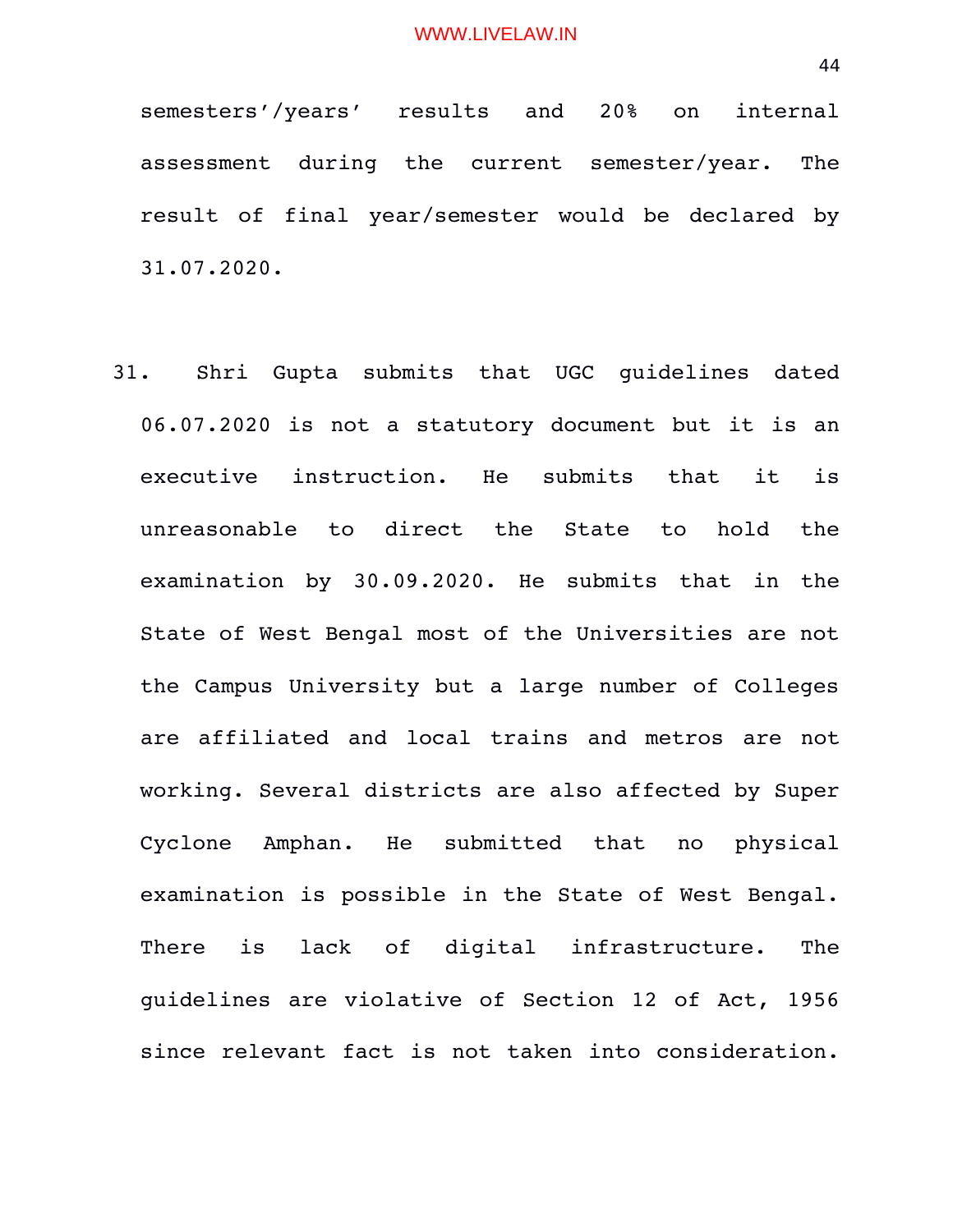semesters'/years' results and 20% on internal assessment during the current semester/year. The result of final year/semester would be declared by 31.07.2020.

31. Shri Gupta submits that UGC guidelines dated 06.07.2020 is not a statutory document but it is an executive instruction. He submits that it is unreasonable to direct the State to hold the examination by 30.09.2020. He submits that in the State of West Bengal most of the Universities are not the Campus University but a large number of Colleges are affiliated and local trains and metros are not working. Several districts are also affected by Super Cyclone Amphan. He submitted that no physical examination is possible in the State of West Bengal. There is lack of digital infrastructure. The guidelines are violative of Section 12 of Act, 1956 since relevant fact is not taken into consideration.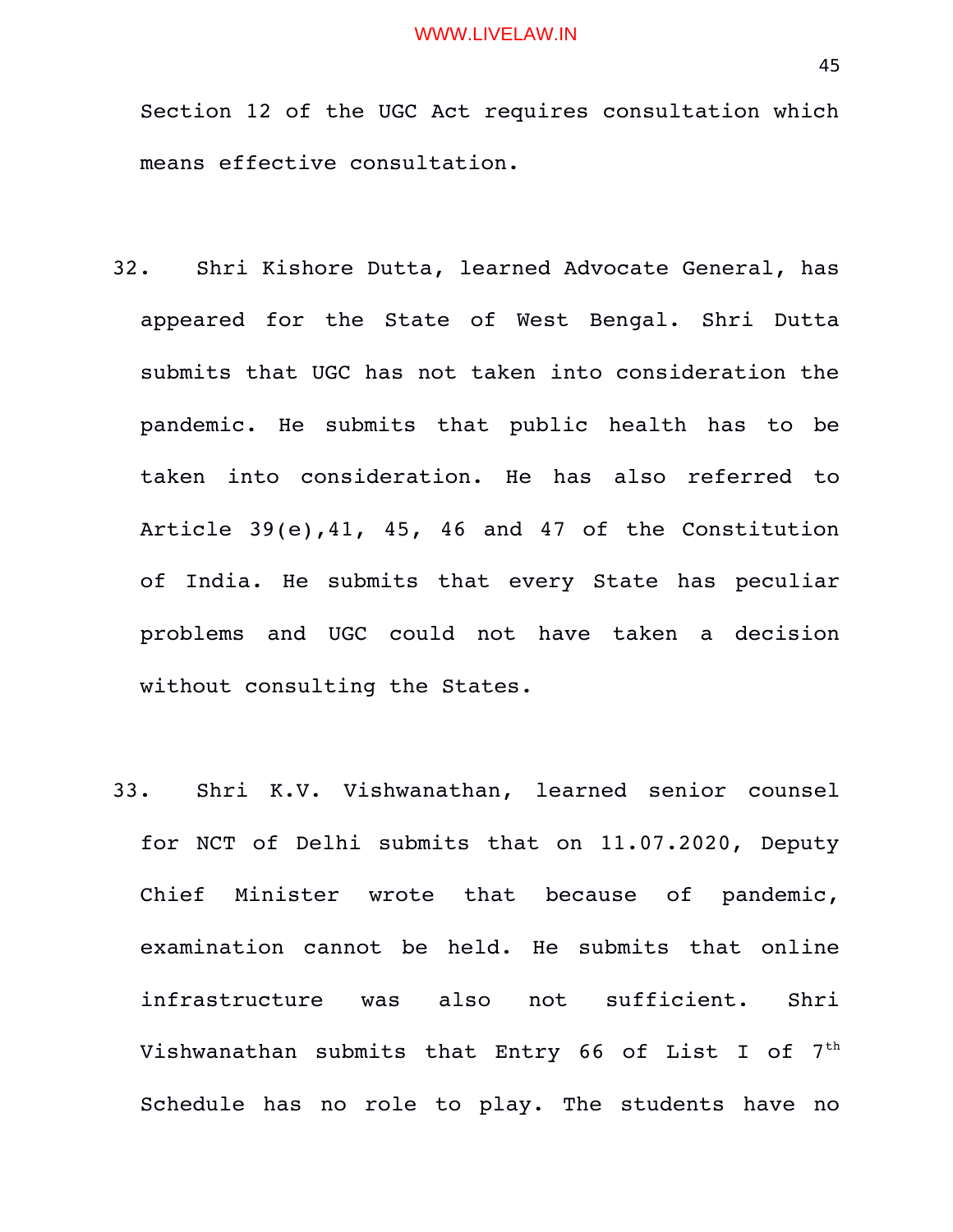Section 12 of the UGC Act requires consultation which means effective consultation.

- 32. Shri Kishore Dutta, learned Advocate General, has appeared for the State of West Bengal. Shri Dutta submits that UGC has not taken into consideration the pandemic. He submits that public health has to be taken into consideration. He has also referred to Article 39(e),41, 45, 46 and 47 of the Constitution of India. He submits that every State has peculiar problems and UGC could not have taken a decision without consulting the States.
- 33. Shri K.V. Vishwanathan, learned senior counsel for NCT of Delhi submits that on 11.07.2020, Deputy Chief Minister wrote that because of pandemic, examination cannot be held. He submits that online infrastructure was also not sufficient. Shri Vishwanathan submits that Entry 66 of List I of  $7<sup>th</sup>$ Schedule has no role to play. The students have no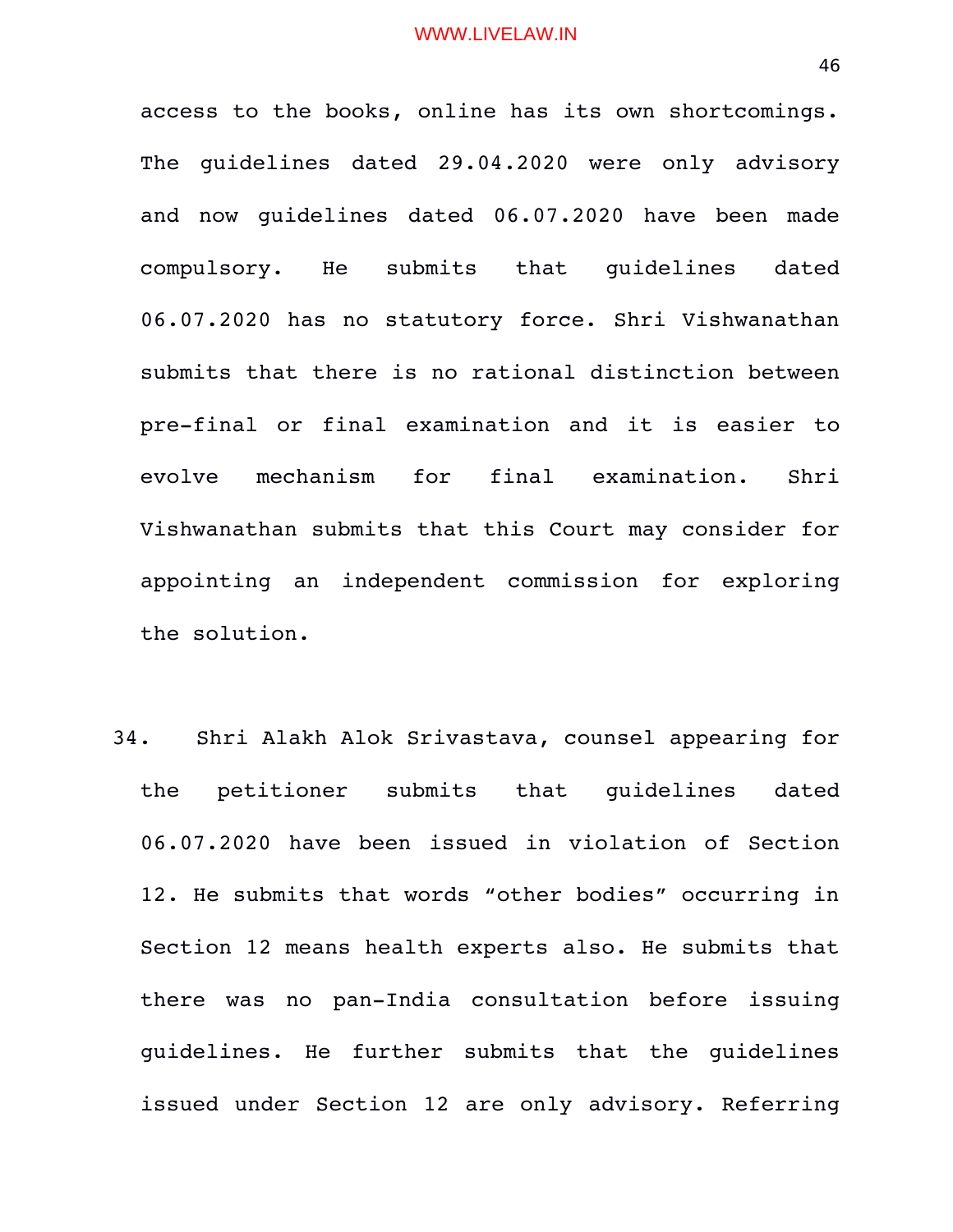access to the books, online has its own shortcomings. The quidelines dated 29.04.2020 were only advisory and now quidelines dated 06.07.2020 have been made compulsory. He submits that quidelines dated 06.07.2020 has no statutory force. Shri Vishwanathan submits that there is no rational distinction between pre-final or final examination and it is easier to evolve mechanism for final examination. Shri Vishwanathan submits that this Court may consider for appointing an independent commission for exploring the solution.

34. Shri Alakh Alok Srivastava, counsel appearing for the petitioner submits that quidelines dated 06.07.2020 have been issued in violation of Section 12. He submits that words "other bodies" occurring in Section 12 means health experts also. He submits that there was no pan-India consultation before issuing guidelines. He further submits that the guidelines issued under Section 12 are only advisory. Referring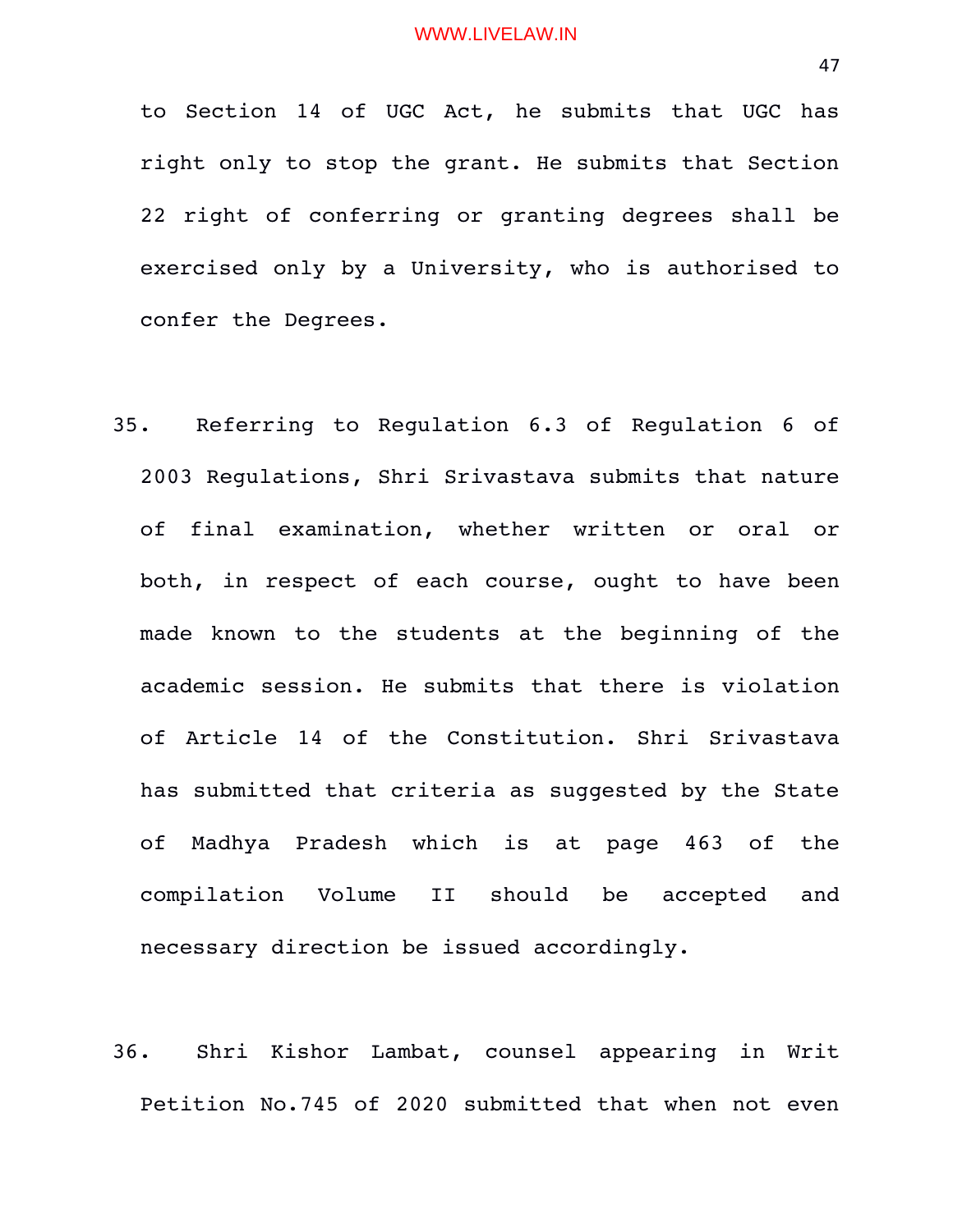to Section 14 of UGC Act, he submits that UGC has right only to stop the grant. He submits that Section 22 right of conferring or granting degrees shall be exercised only by a University, who is authorised to confer the Degrees.

- 35. Referring to Regulation 6.3 of Regulation 6 of 2003 Regulations, Shri Srivastava submits that nature of final examination, whether written or oral or both, in respect of each course, ought to have been made known to the students at the beginning of the academic session. He submits that there is violation of Article 14 of the Constitution. Shri Srivastava has submitted that criteria as suggested by the State of Madhya Pradesh which is at page 463 of the compilation Volume II should be accepted and necessary direction be issued accordingly.
- 36. Shri Kishor Lambat, counsel appearing in Writ Petition No.745 of 2020 submitted that when not even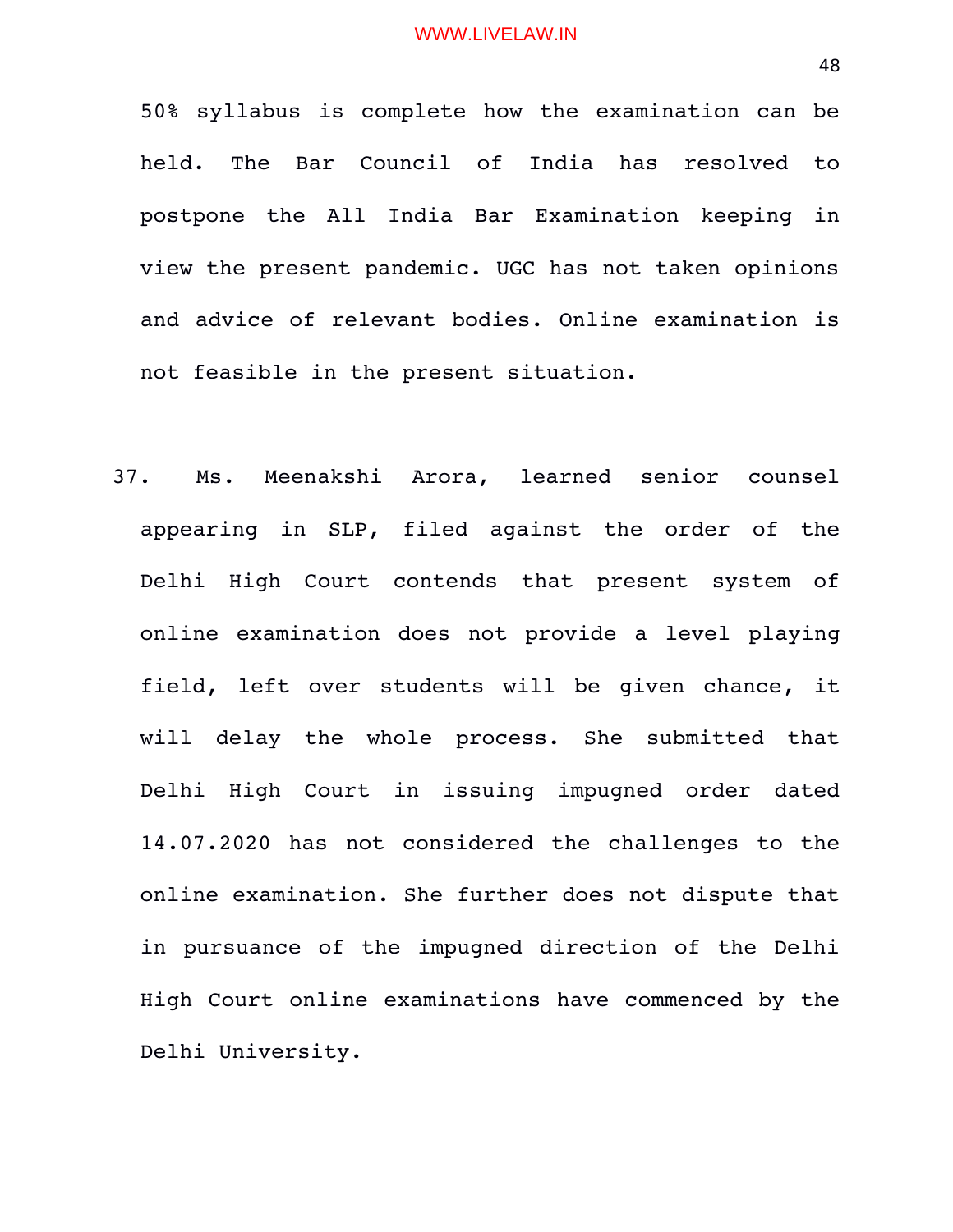50% syllabus is complete how the examination can be held. The Bar Council of India has resolved to postpone the All India Bar Examination keeping in view the present pandemic. UGC has not taken opinions and advice of relevant bodies. Online examination is not feasible in the present situation.

37. Ms. Meenakshi Arora, learned senior counsel appearing in SLP, filed against the order of the Delhi High Court contends that present system of online examination does not provide a level playing field, left over students will be given chance, it will delay the whole process. She submitted that Delhi High Court in issuing impugned order dated 14.07.2020 has not considered the challenges to the online examination. She further does not dispute that in pursuance of the impugned direction of the Delhi High Court online examinations have commenced by the Delhi University.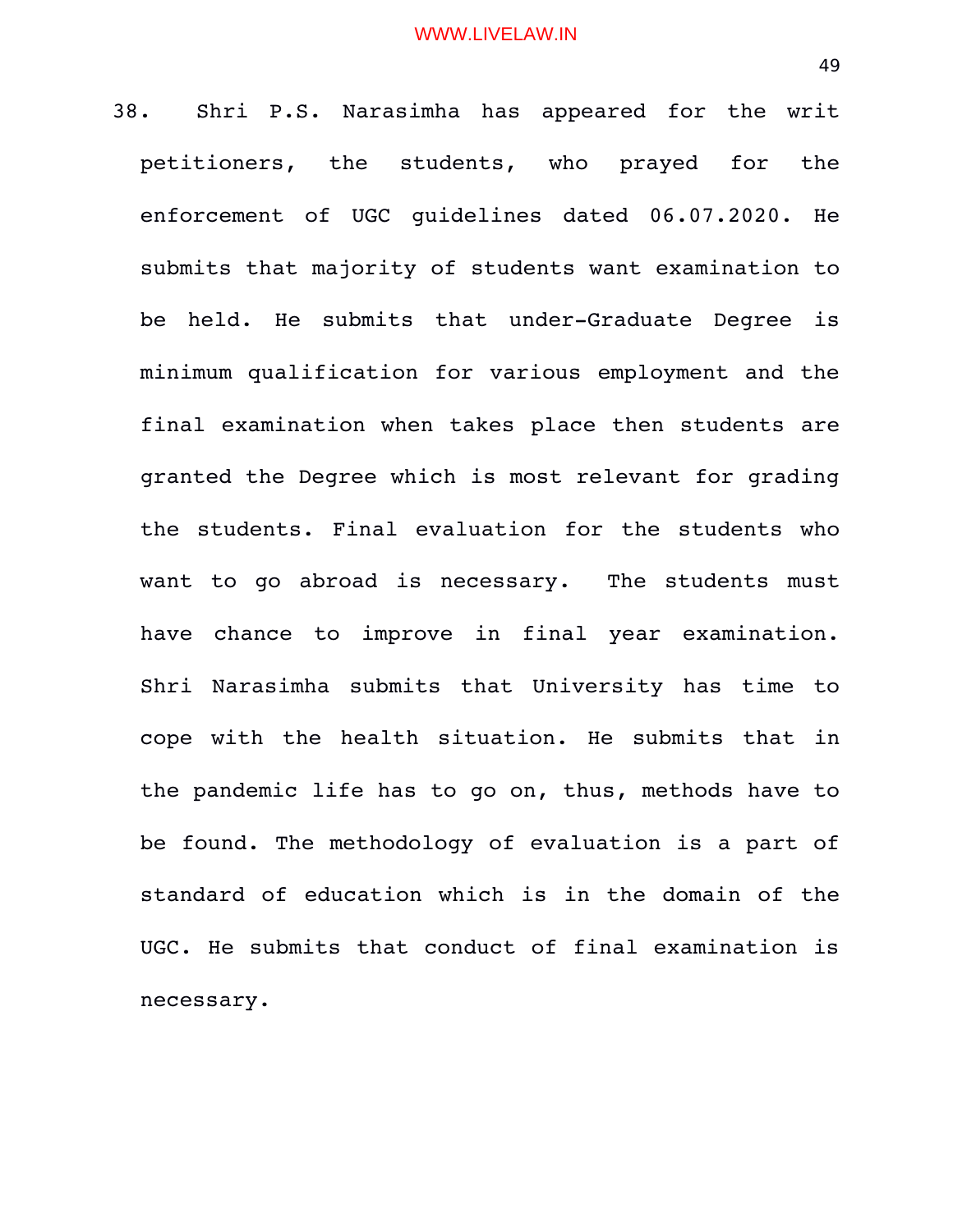38. Shri P.S. Narasimha has appeared for the writ petitioners, the students, who prayed for the enforcement of UGC quidelines dated 06.07.2020. He submits that majority of students want examination to be held. He submits that under-Graduate Degree is minimum qualification for various employment and the final examination when takes place then students are granted the Degree which is most relevant for grading the students. Final evaluation for the students who want to go abroad is necessary. The students must have chance to improve in final year examination. Shri Narasimha submits that University has time to cope with the health situation. He submits that in the pandemic life has to go on, thus, methods have to be found. The methodology of evaluation is a part of standard of education which is in the domain of the UGC. He submits that conduct of final examination is necessary.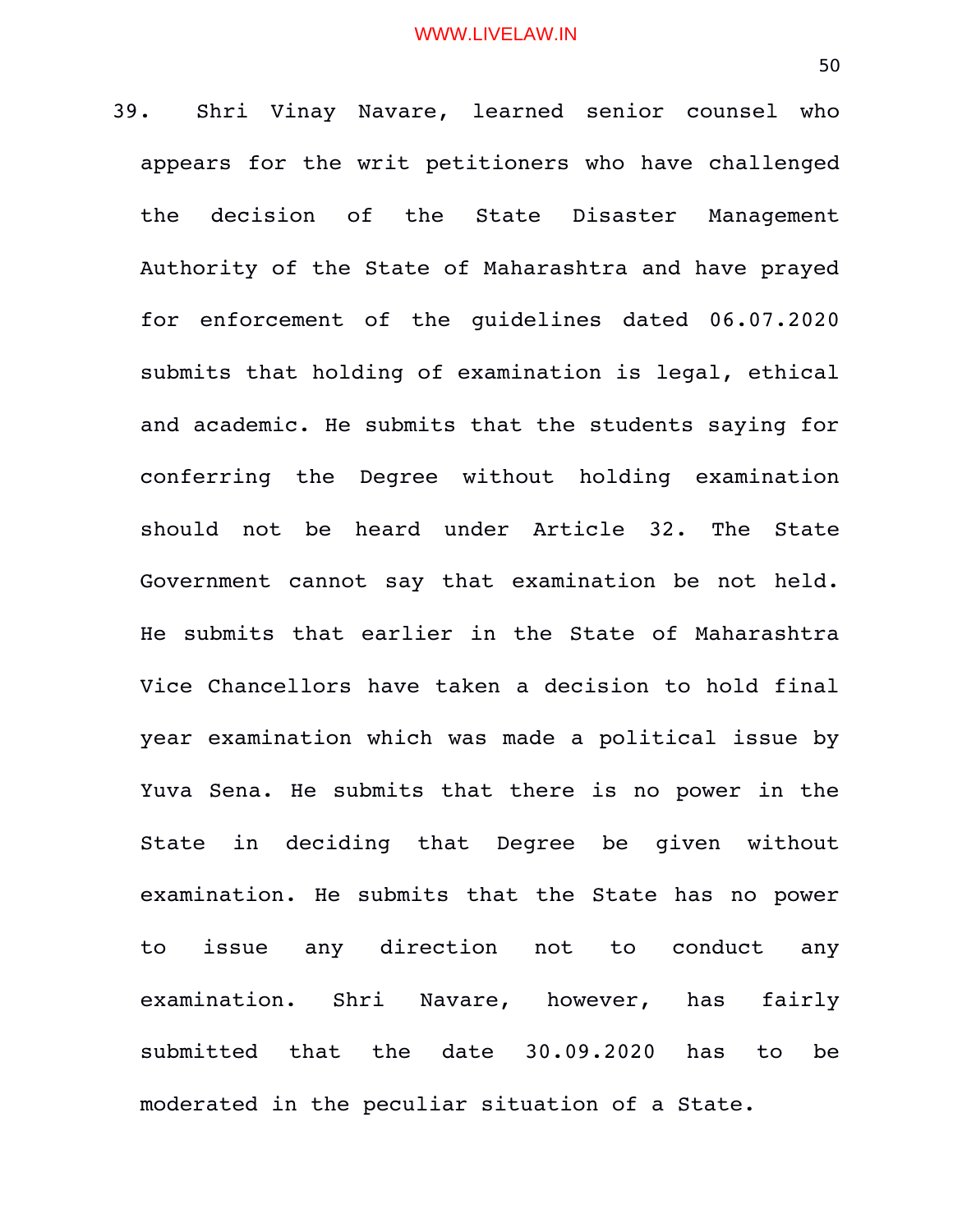39. Shri Vinay Navare, learned senior counsel who appears for the writ petitioners who have challenged the decision of the State Disaster Management Authority of the State of Maharashtra and have prayed for enforcement of the quidelines dated 06.07.2020 submits that holding of examination is legal, ethical and academic. He submits that the students saying for conferring the Degree without holding examination should not be heard under Article 32. The State Government cannot say that examination be not held. He submits that earlier in the State of Maharashtra Vice Chancellors have taken a decision to hold final year examination which was made a political issue by Yuva Sena. He submits that there is no power in the State in deciding that Degree be given without examination. He submits that the State has no power to issue any direction not to conduct any examination. Shri Navare, however, has fairly submitted that the date 30.09.2020 has to be moderated in the peculiar situation of a State.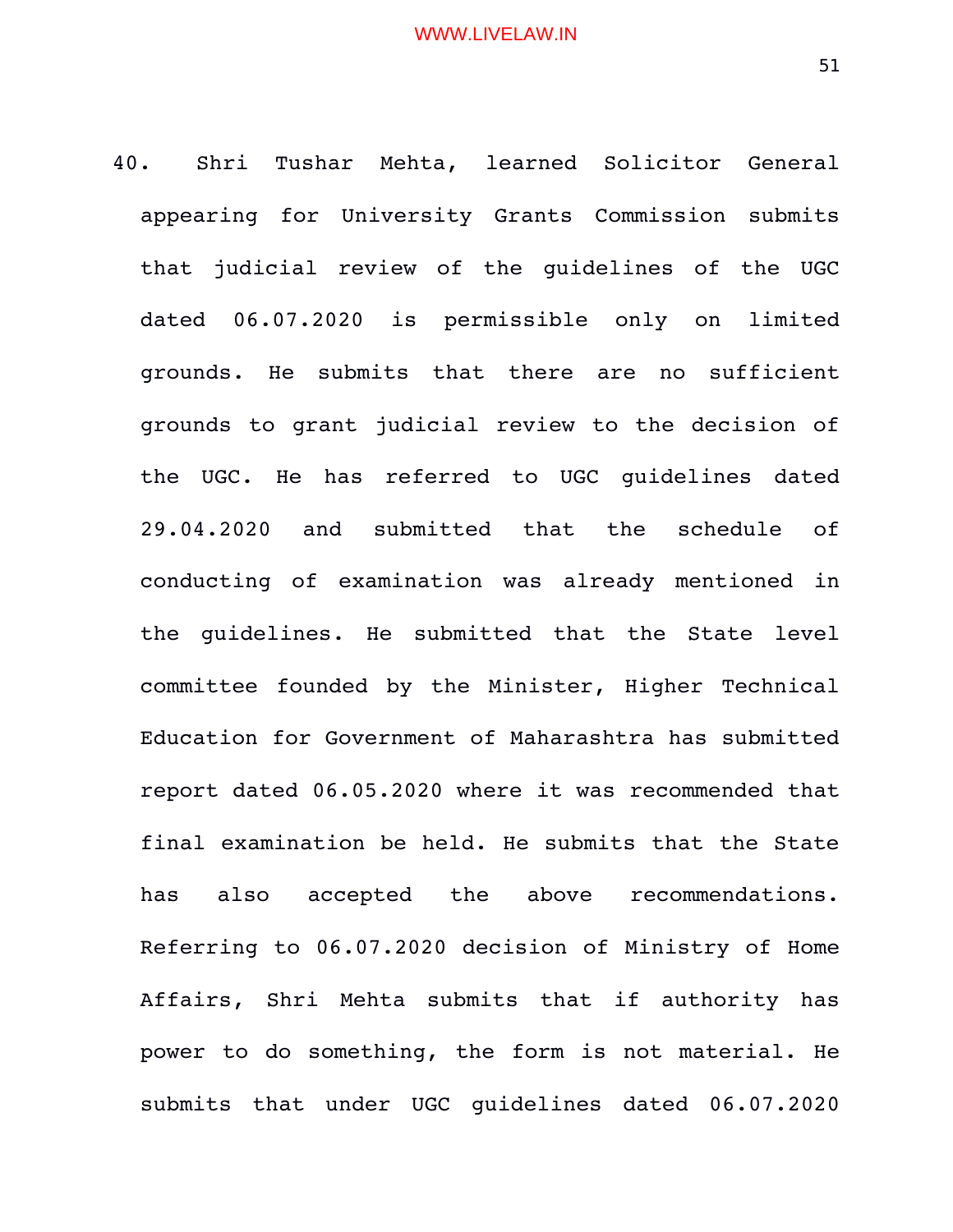40. Shri Tushar Mehta, learned Solicitor General appearing for University Grants Commission submits that judicial review of the quidelines of the UGC dated 06.07.2020 is permissible only on limited grounds. He submits that there are no sufficient grounds to grant judicial review to the decision of the UGC. He has referred to UGC quidelines dated 29.04.2020 and submitted that the schedule of conducting of examination was already mentioned in the quidelines. He submitted that the State level committee founded by the Minister, Higher Technical Education for Government of Maharashtra has submitted report dated 06.05.2020 where it was recommended that final examination be held. He submits that the State has also accepted the above recommendations. Referring to 06.07.2020 decision of Ministry of Home Affairs, Shri Mehta submits that if authority has power to do something, the form is not material. He submits that under UGC quidelines dated 06.07.2020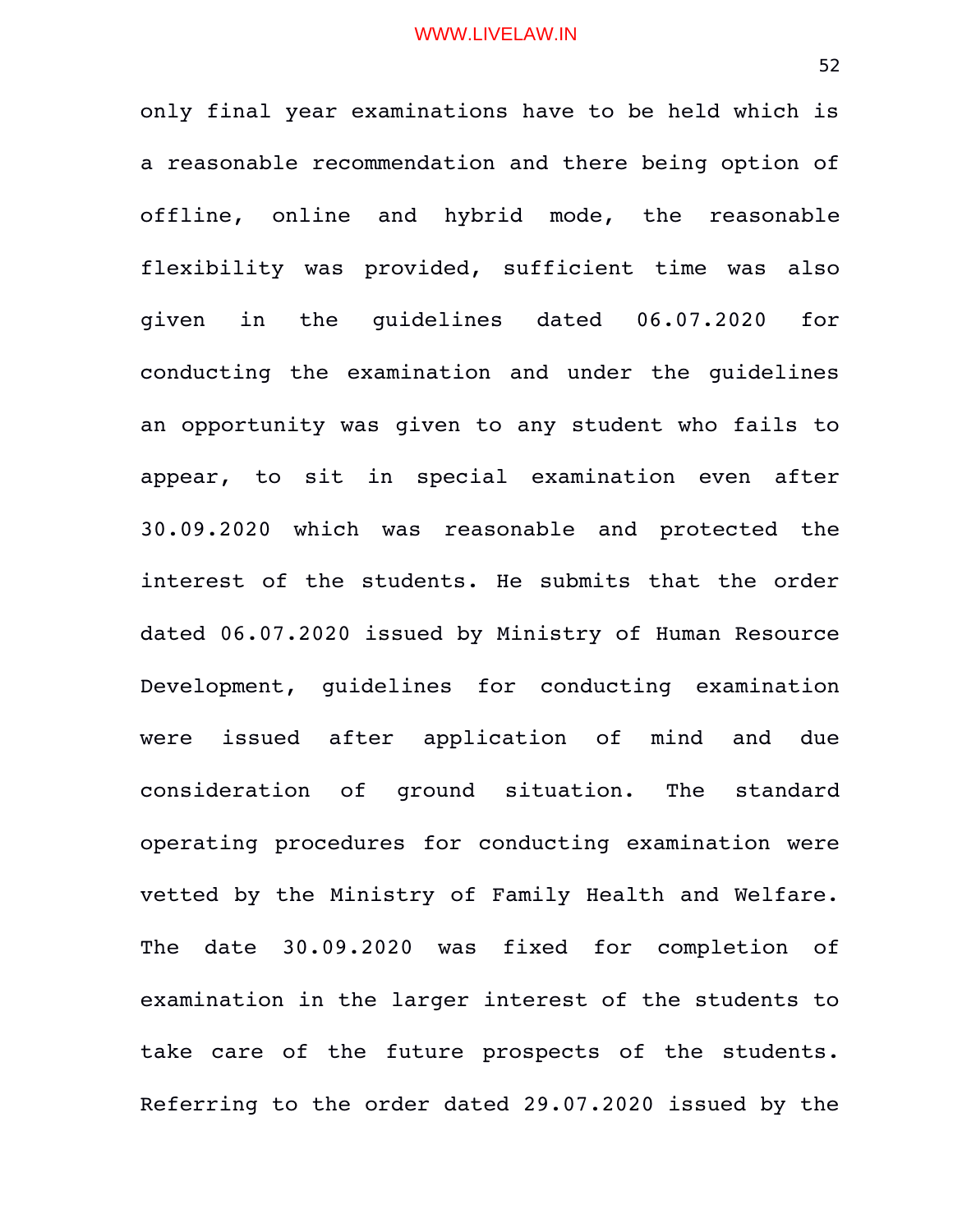only final year examinations have to be held which is a reasonable recommendation and there being option of offline, online and hybrid mode, the reasonable flexibility was provided, sufficient time was also given in the guidelines dated 06.07.2020 for conducting the examination and under the guidelines an opportunity was given to any student who fails to appear, to sit in special examination even after 30.09.2020 which was reasonable and protected the interest of the students. He submits that the order dated 06.07.2020 issued by Ministry of Human Resource Development, quidelines for conducting examination were issued after application of mind and due consideration of ground situation. The standard operating procedures for conducting examination were vetted by the Ministry of Family Health and Welfare. The date 30.09.2020 was fixed for completion of examination in the larger interest of the students to take care of the future prospects of the students. Referring to the order dated 29.07.2020 issued by the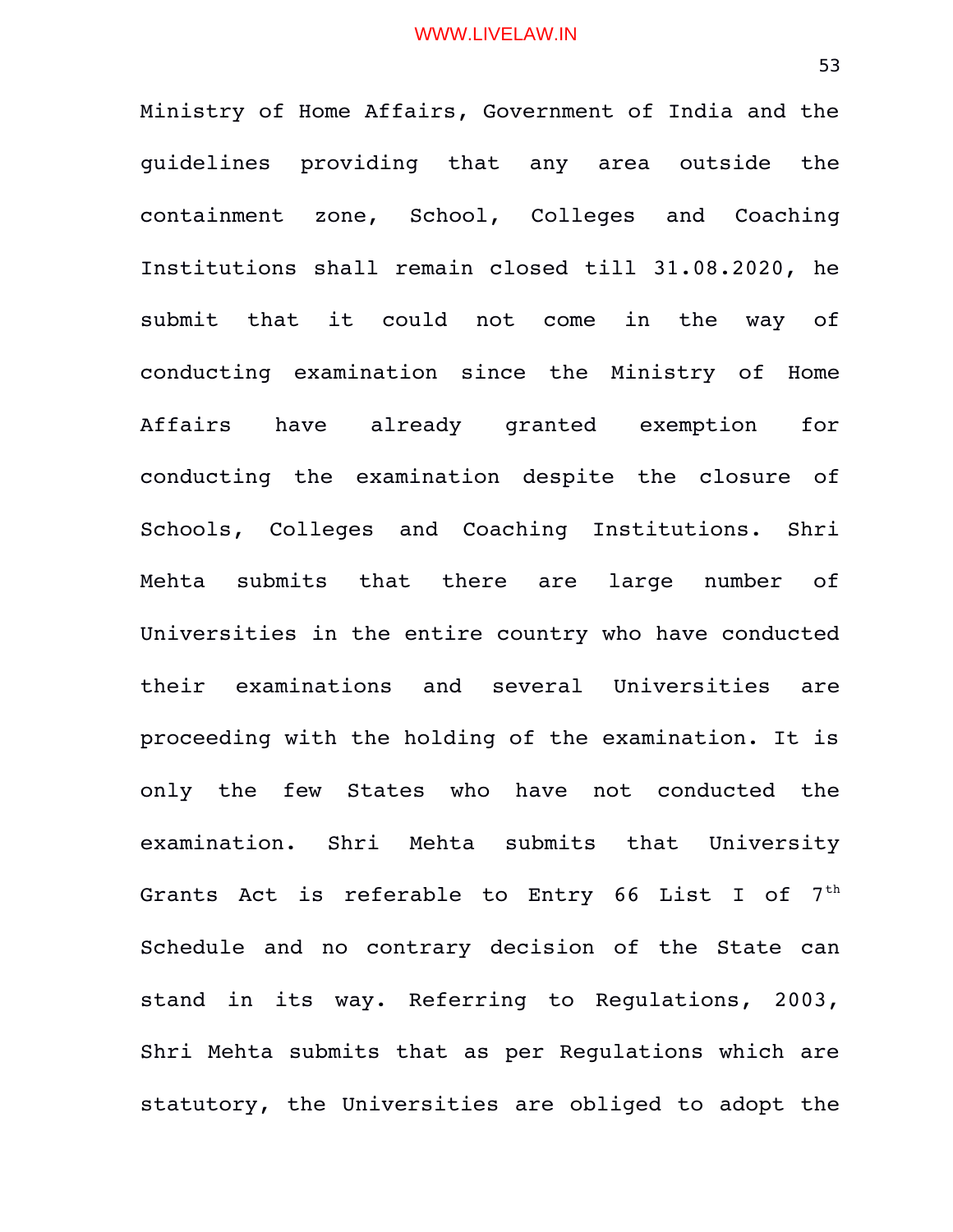Ministry of Home Affairs, Government of India and the guidelines providing that any area outside the containment zone, School, Colleges and Coaching Institutions shall remain closed till 31.08.2020, he submit that it could not come in the way of conducting examination since the Ministry of Home Affairs have already granted exemption for conducting the examination despite the closure of Schools, Colleges and Coaching Institutions. Shri Mehta submits that there are large number of Universities in the entire country who have conducted their examinations and several Universities are proceeding with the holding of the examination. It is only the few States who have not conducted the examination. Shri Mehta submits that University Grants Act is referable to Entry 66 List I of  $7<sup>th</sup>$ Schedule and no contrary decision of the State can stand in its way. Referring to Regulations, 2003, Shri Mehta submits that as per Regulations which are statutory, the Universities are obliged to adopt the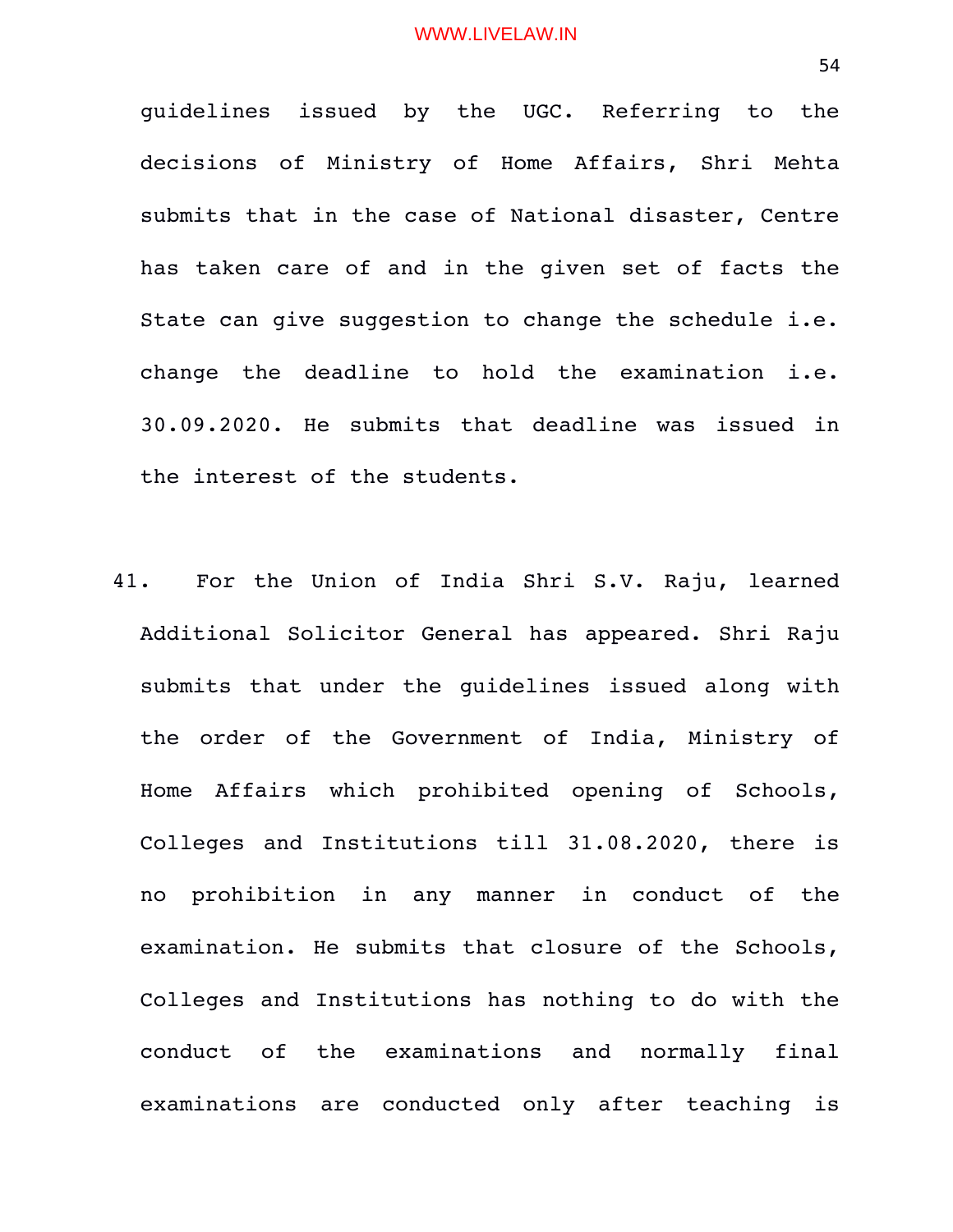guidelines issued by the UGC. Referring to the decisions of Ministry of Home Affairs, Shri Mehta submits that in the case of National disaster, Centre has taken care of and in the given set of facts the State can give suggestion to change the schedule i.e. change the deadline to hold the examination i.e. 30.09.2020. He submits that deadline was issued in the interest of the students.

41. For the Union of India Shri S.V. Raju, learned Additional Solicitor General has appeared. Shri Raju submits that under the guidelines issued along with the order of the Government of India, Ministry of Home Affairs which prohibited opening of Schools, Colleges and Institutions till 31.08.2020, there is no prohibition in any manner in conduct of the examination. He submits that closure of the Schools, Colleges and Institutions has nothing to do with the conduct of the examinations and normally final examinations are conducted only after teaching is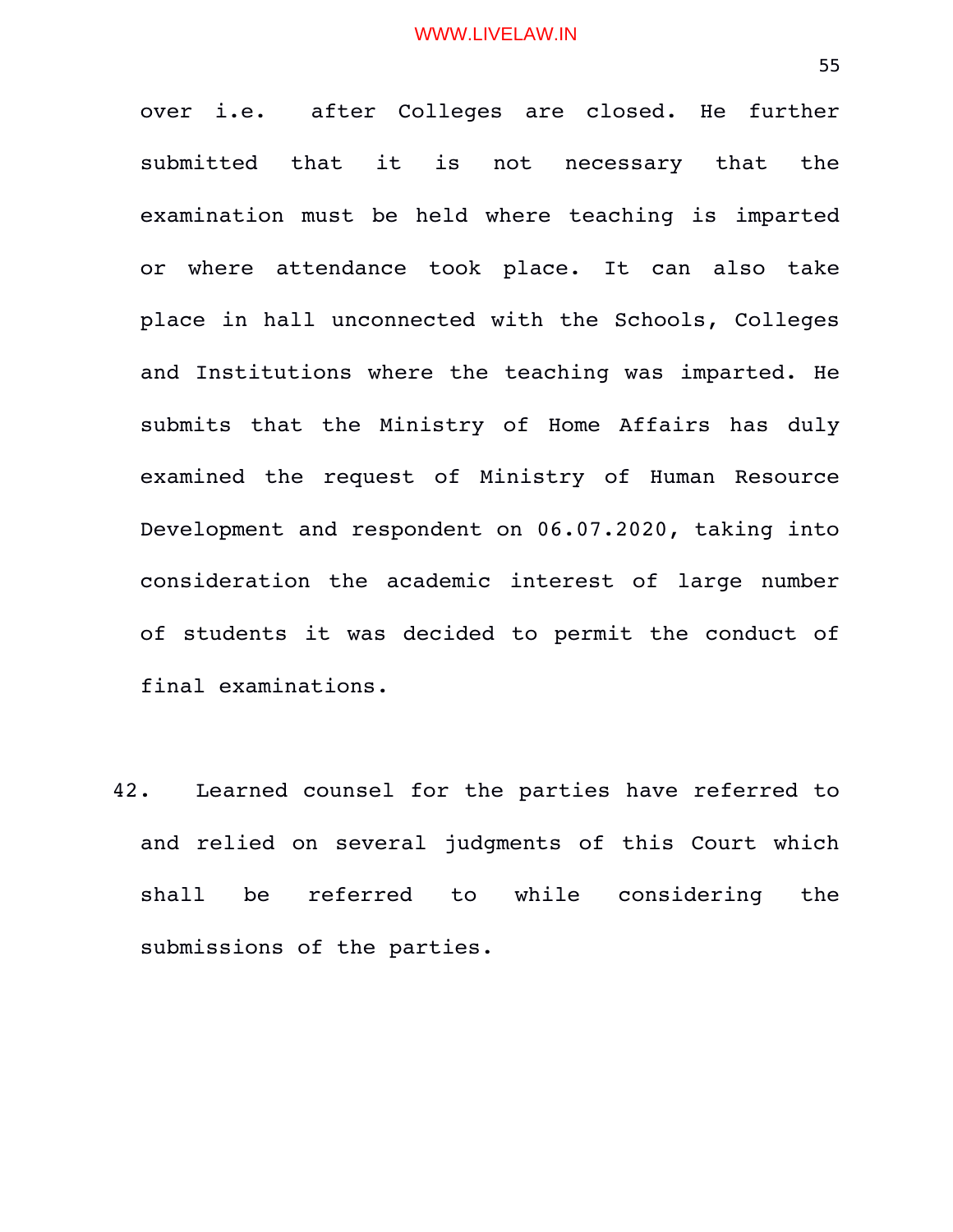over i.e. after Colleges are closed. He further submitted that it is not necessary that the examination must be held where teaching is imparted or where attendance took place. It can also take place in hall unconnected with the Schools, Colleges and Institutions where the teaching was imparted. He submits that the Ministry of Home Affairs has duly examined the request of Ministry of Human Resource Development and respondent on 06.07.2020, taking into consideration the academic interest of large number of students it was decided to permit the conduct of final examinations.

42. Learned counsel for the parties have referred to and relied on several judgments of this Court which shall be referred to while considering the submissions of the parties.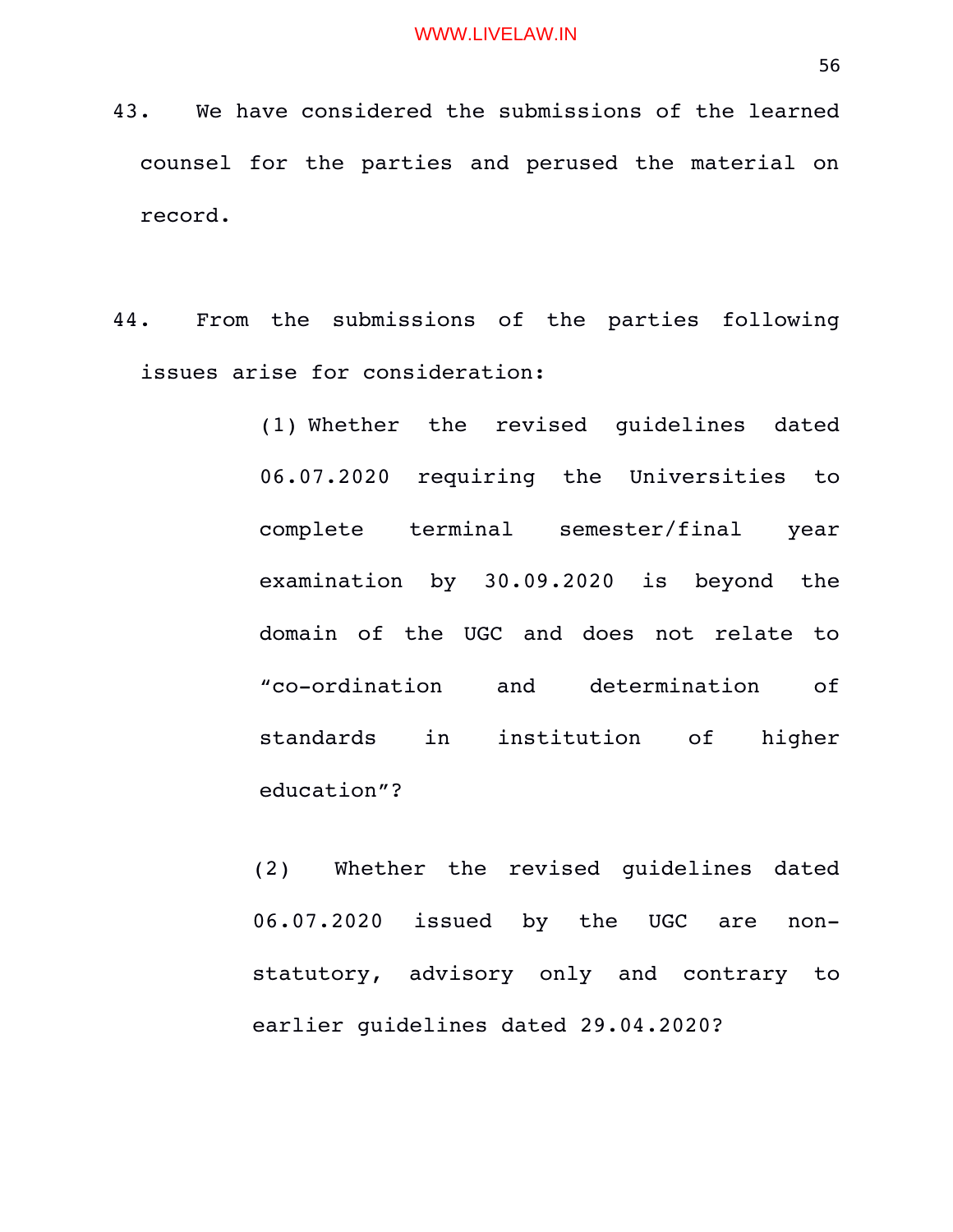- 43. We have considered the submissions of the learned counsel for the parties and perused the material on record.
- 44. From the submissions of the parties following issues arise for consideration:
	- (1) Whether the revised guidelines dated 06.07.2020 requiring the Universities to complete terminal semester/final year examination by 30.09.2020 is beyond the domain of the UGC and does not relate to "co-ordination and determination of standards in institution of higher education"?

(2) Whether the revised guidelines dated 06.07.2020 issued by the UGC are nonstatutory, advisory only and contrary to earlier guidelines dated 29.04.2020?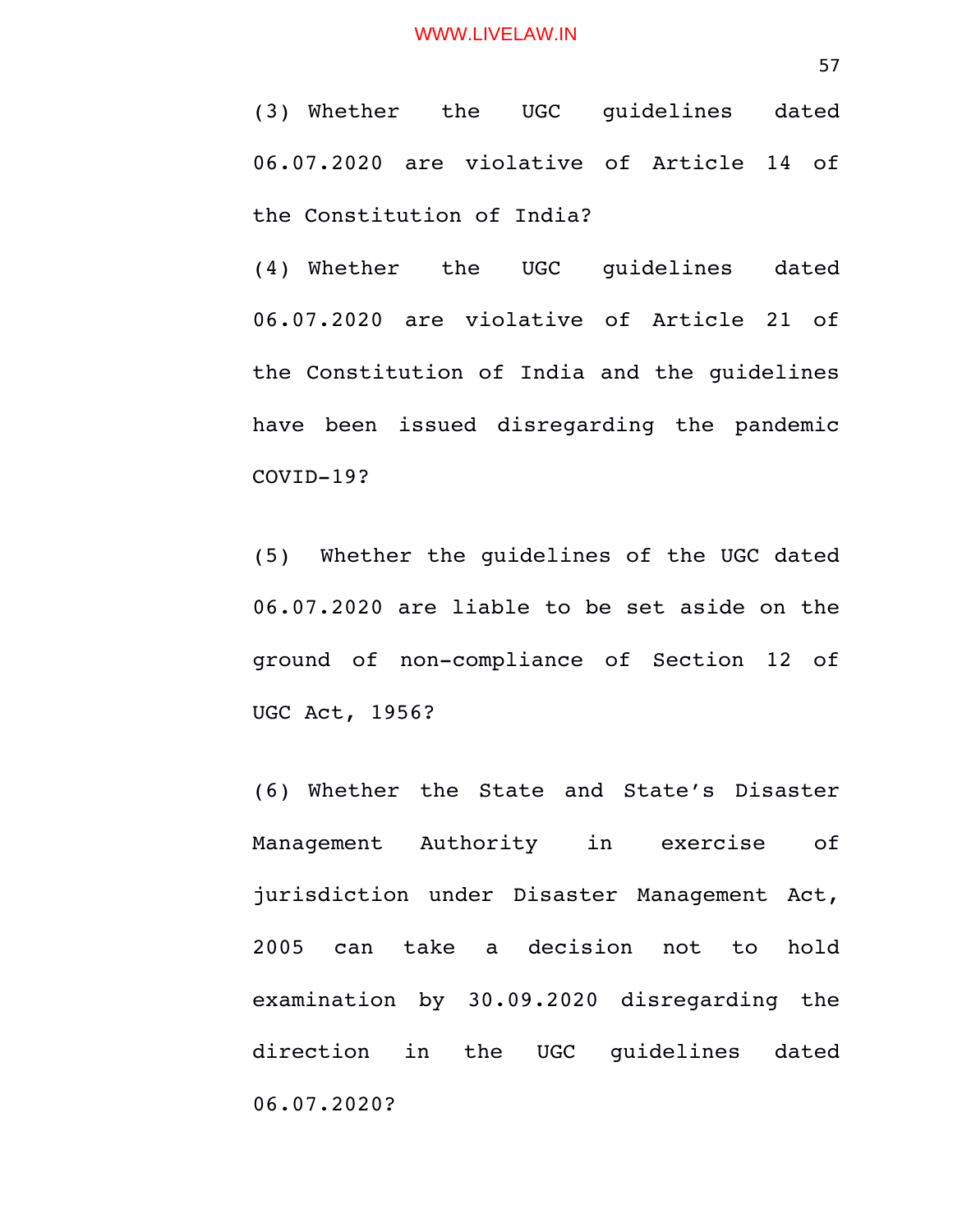(3) Whether the UGC guidelines dated 06.07.2020 are violative of Article 14 of the Constitution of India?

(4) Whether the UGC guidelines dated 06.07.2020 are violative of Article 21 of the Constitution of India and the guidelines have been issued disregarding the pandemic  $COVID-19?$ 

(5) Whether the guidelines of the UGC dated 06.07.2020 are liable to be set aside on the ground of non-compliance of Section 12 of UGC Act, 1956?

(6) Whether the State and State's Disaster Management Authority in exercise of jurisdiction under Disaster Management Act, 2005 can take a decision not to hold examination by 30.09.2020 disregarding the direction in the UGC quidelines dated 06.07.2020?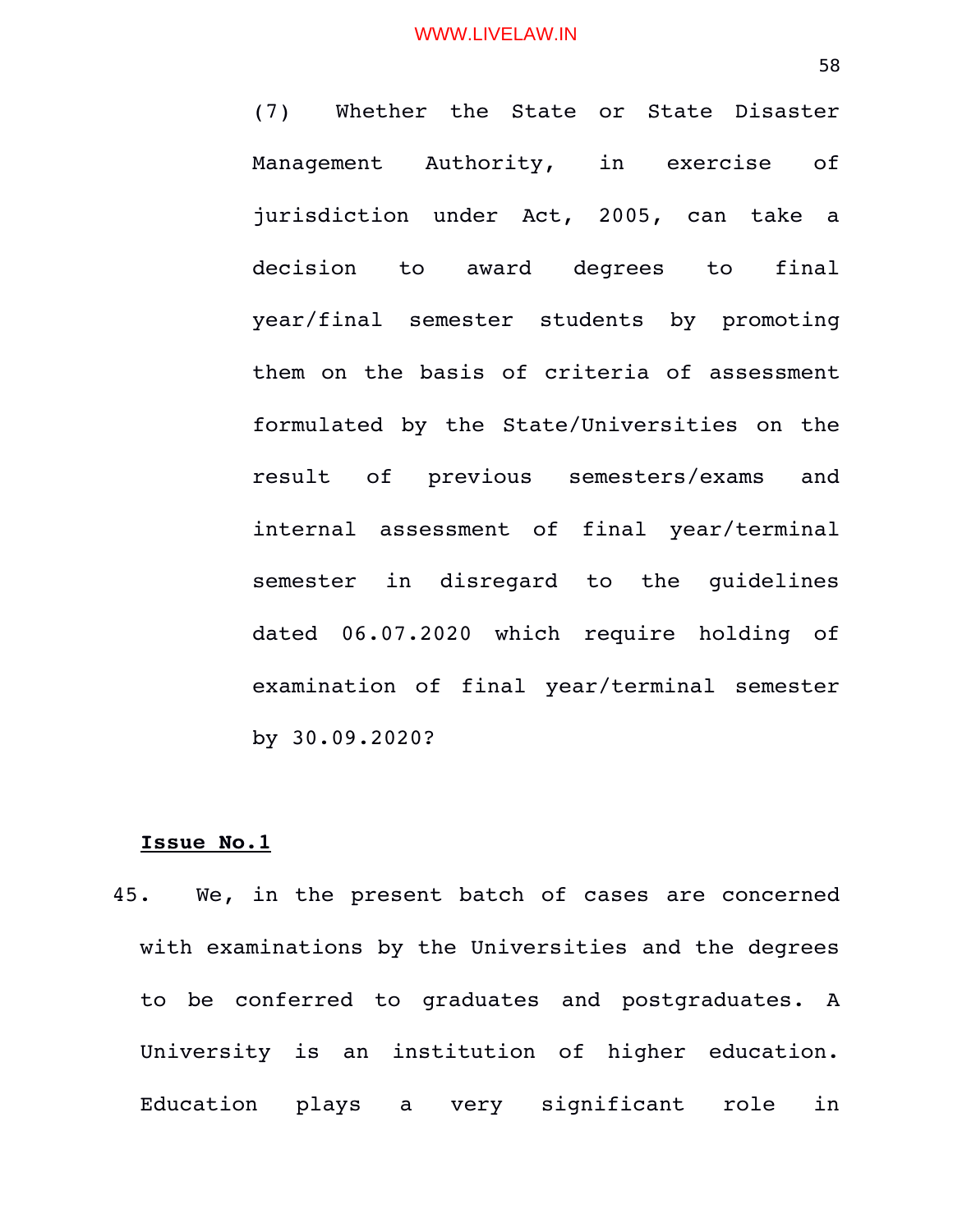(7) Whether the State or State Disaster Management Authority, in exercise of jurisdiction under Act, 2005, can take a decision to award degrees to final year/final semester students by promoting them on the basis of criteria of assessment formulated by the State/Universities on the result of previous semesters/exams and internal assessment of final year/terminal semester in disregard to the quidelines dated 06.07.2020 which require holding of examination of final year/terminal semester by 30.09.2020?

# **Issue No.1**

45. We, in the present batch of cases are concerned with examinations by the Universities and the degrees to be conferred to graduates and postgraduates. A University is an institution of higher education. Education plays a very significant role in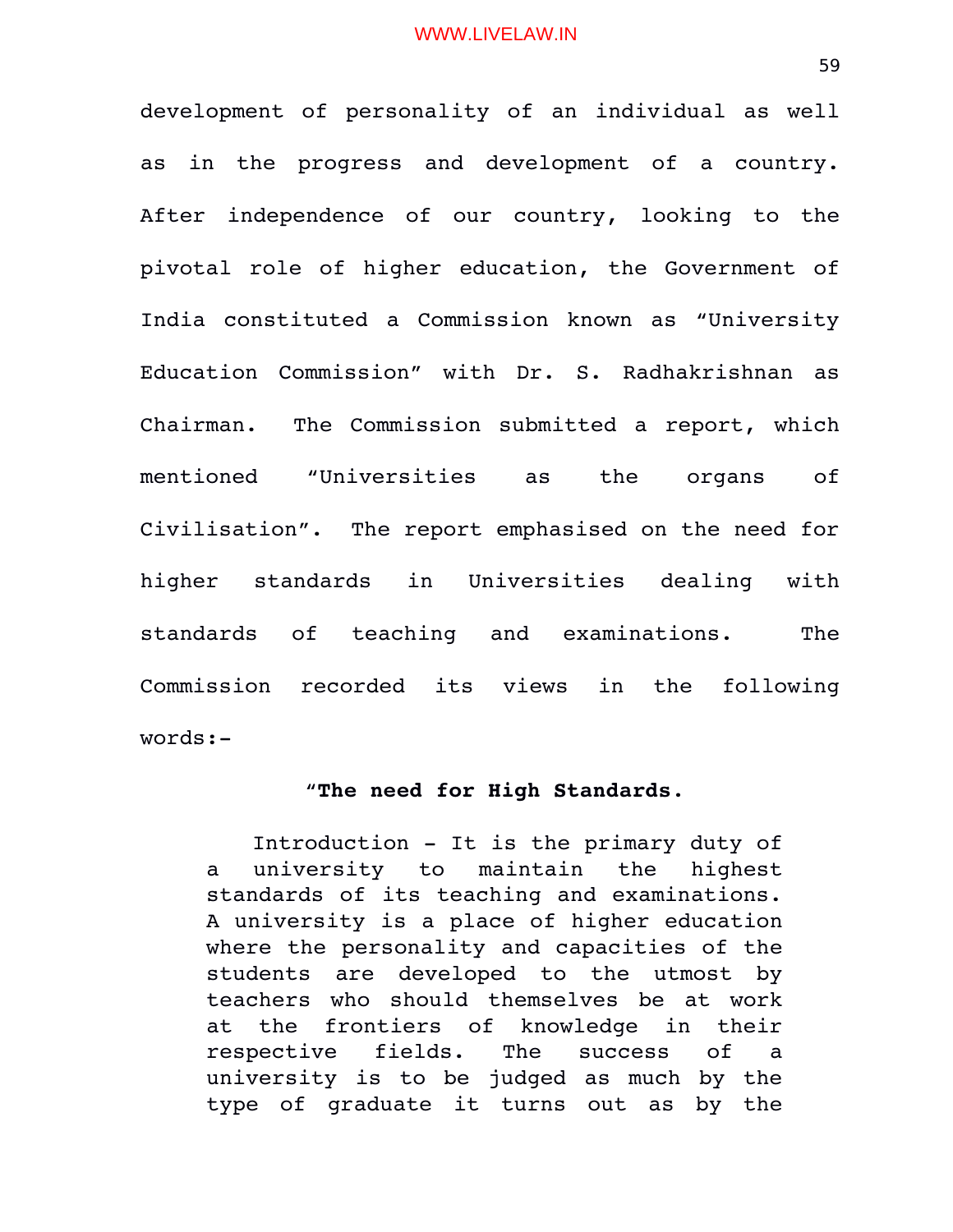development of personality of an individual as well as in the progress and development of a country. After independence of our country, looking to the pivotal role of higher education, the Government of India constituted a Commission known as "University Education Commission" with Dr. S. Radhakrishnan as Chairman. The Commission submitted a report, which mentioned "Universities as the organs of Civilisation". The report emphasised on the need for higher standards in Universities dealing with standards of teaching and examinations. The Commission recorded its views in the following words:

# "**The need for High Standards**.

Introduction - It is the primary duty of a university to maintain the highest standards of its teaching and examinations. A university is a place of higher education where the personality and capacities of the students are developed to the utmost by teachers who should themselves be at work at the frontiers of knowledge in their respective fields. The success of a university is to be judged as much by the type of graduate it turns out as by the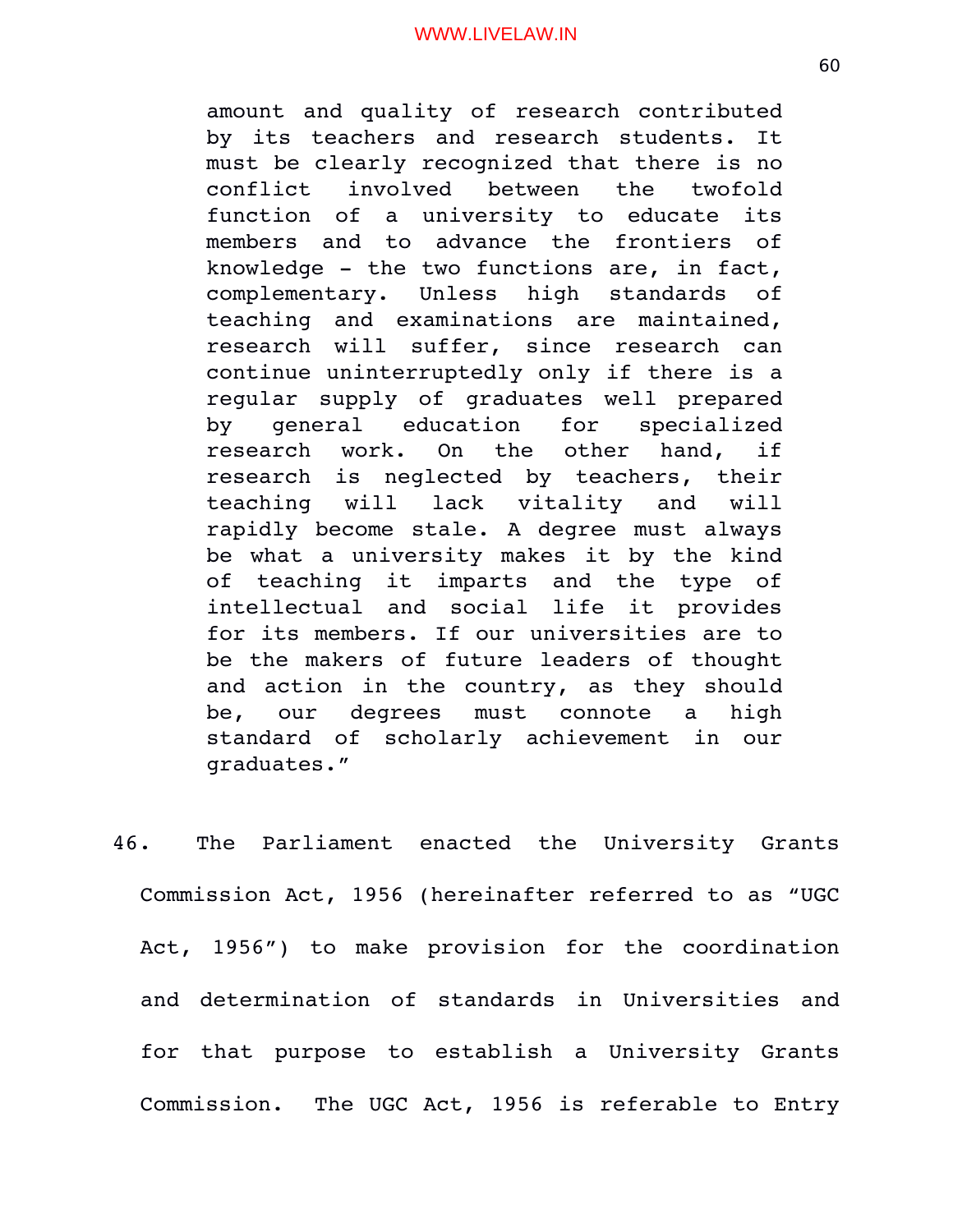amount and quality of research contributed by its teachers and research students. It must be clearly recognized that there is no conflict involved between the twofold function of a university to educate its members and to advance the frontiers of knowledge - the two functions are, in fact, complementary. Unless high standards of teaching and examinations are maintained, research will suffer, since research can continue uninterruptedly only if there is a regular supply of graduates well prepared by general education for specialized research work. On the other hand, if research is neglected by teachers, their teaching will lack vitality and will rapidly become stale. A degree must always be what a university makes it by the kind of teaching it imparts and the type of intellectual and social life it provides for its members. If our universities are to be the makers of future leaders of thought and action in the country, as they should be, our degrees must connote a high standard of scholarly achievement in our graduates."

46. The Parliament enacted the University Grants Commission Act, 1956 (hereinafter referred to as "UGC Act, 1956") to make provision for the coordination and determination of standards in Universities and for that purpose to establish a University Grants Commission. The UGC Act, 1956 is referable to Entry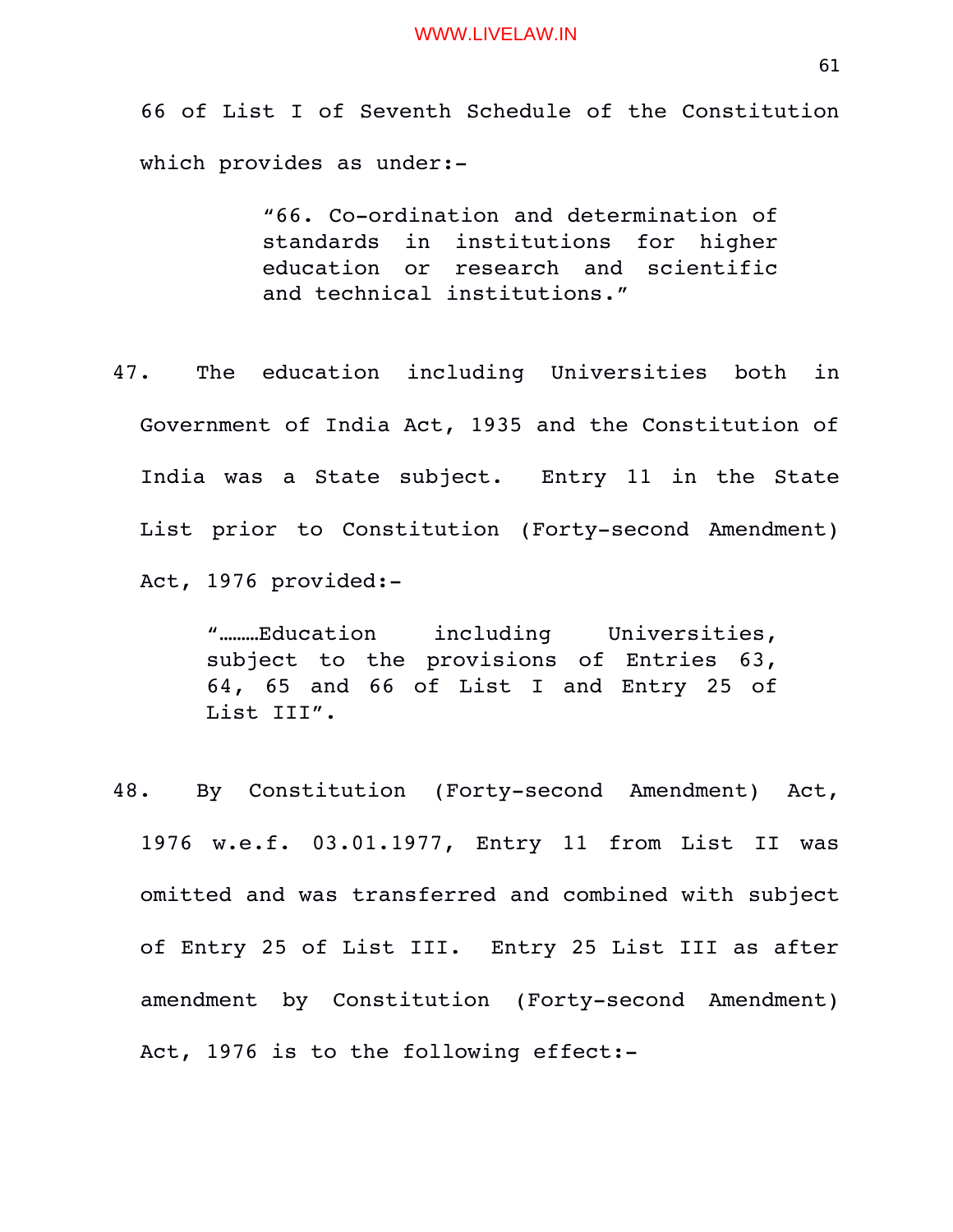66 of List I of Seventh Schedule of the Constitution which provides as under:

> "66. Co-ordination and determination of standards in institutions for higher education or research and scientific and technical institutions."

47. The education including Universities both in Government of India Act, 1935 and the Constitution of India was a State subject. Entry 11 in the State List prior to Constitution (Forty-second Amendment) Act, 1976 provided:

> "………Education including Universities, subject to the provisions of Entries 63, 64, 65 and 66 of List I and Entry 25 of List III".

48. By Constitution (Forty-second Amendment) Act, 1976 w.e.f. 03.01.1977, Entry 11 from List II was omitted and was transferred and combined with subject of Entry 25 of List III. Entry 25 List III as after amendment by Constitution (Forty-second Amendment) Act, 1976 is to the following effect: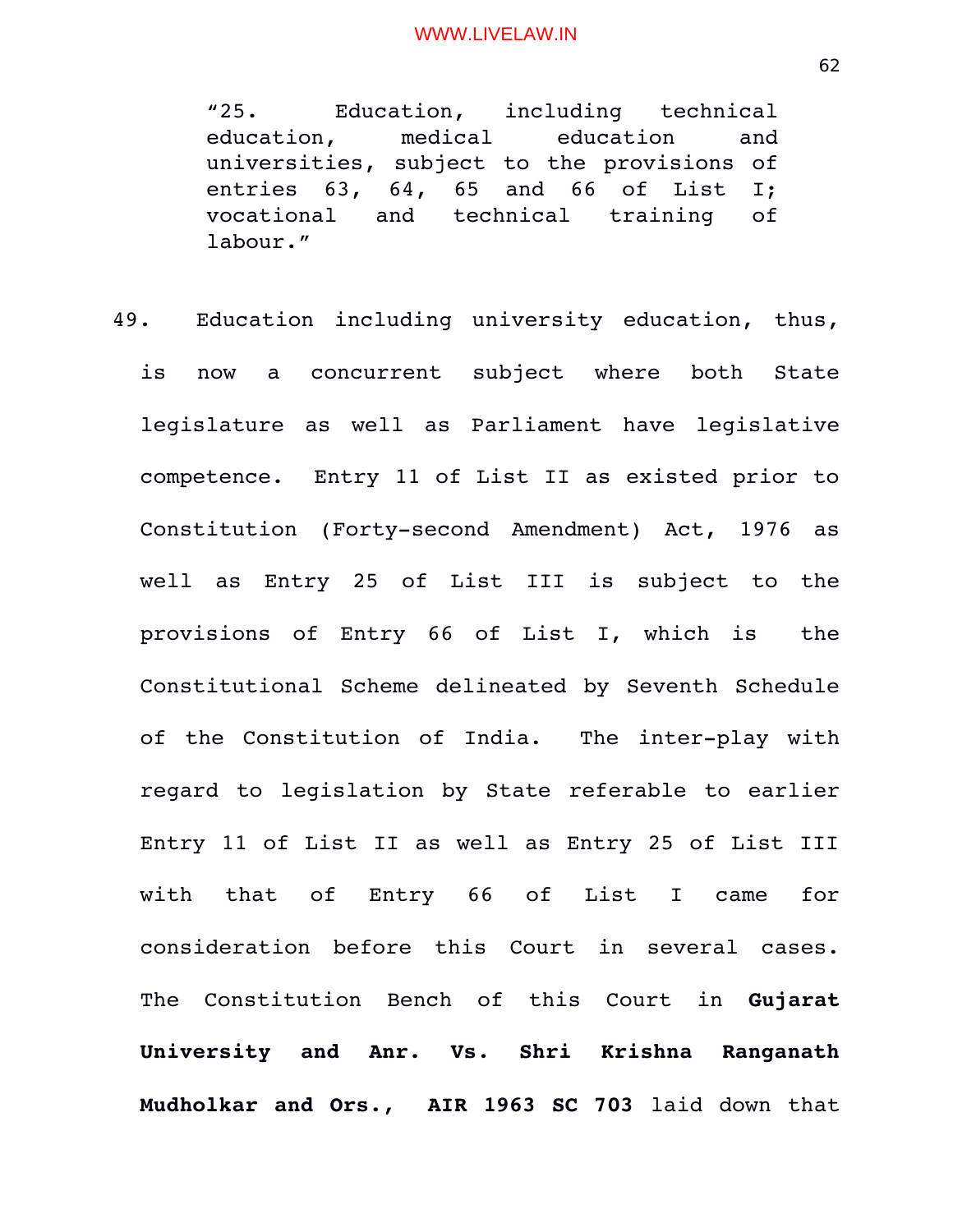"25. Education, including technical education, medical education and universities, subject to the provisions of entries 63, 64, 65 and 66 of List I; vocational and technical training of labour."

49. Education including university education, thus, is now a concurrent subject where both State legislature as well as Parliament have legislative competence. Entry 11 of List II as existed prior to Constitution (Forty-second Amendment) Act, 1976 as well as Entry 25 of List III is subject to the provisions of Entry 66 of List I, which is the Constitutional Scheme delineated by Seventh Schedule of the Constitution of India. The inter-play with regard to legislation by State referable to earlier Entry 11 of List II as well as Entry 25 of List III with that of Entry 66 of List I came for consideration before this Court in several cases. The Constitution Bench of this Court in **Gujarat University and Anr. Vs. Shri Krishna Ranganath Mudholkar and Ors., AIR 1963 SC 703** laid down that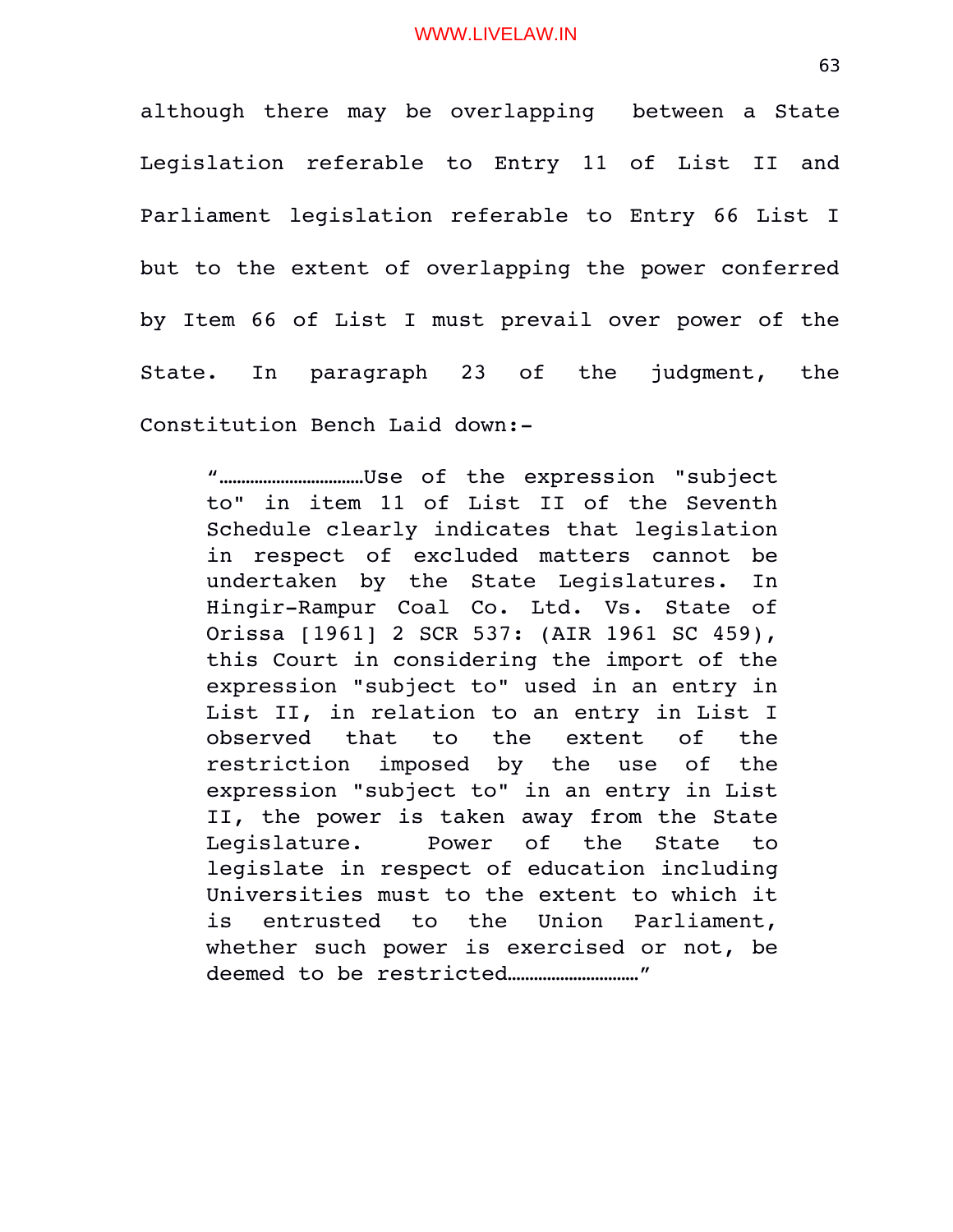although there may be overlapping between a State Legislation referable to Entry 11 of List II and Parliament legislation referable to Entry 66 List I but to the extent of overlapping the power conferred by Item 66 of List I must prevail over power of the State. In paragraph 23 of the judgment, the Constitution Bench Laid down:

"……………………………Use of the expression "subject to" in item 11 of List II of the Seventh Schedule clearly indicates that legislation in respect of excluded matters cannot be undertaken by the State Legislatures. In Hingir-Rampur Coal Co. Ltd. Vs. State of Orissa [1961] 2 SCR 537: (AIR 1961 SC 459), this Court in considering the import of the expression "subject to" used in an entry in List II, in relation to an entry in List I observed that to the extent of the restriction imposed by the use of the expression "subject to" in an entry in List II, the power is taken away from the State Legislature. Power of the State to legislate in respect of education including Universities must to the extent to which it is entrusted to the Union Parliament, whether such power is exercised or not, be deemed to be restricted…………………………"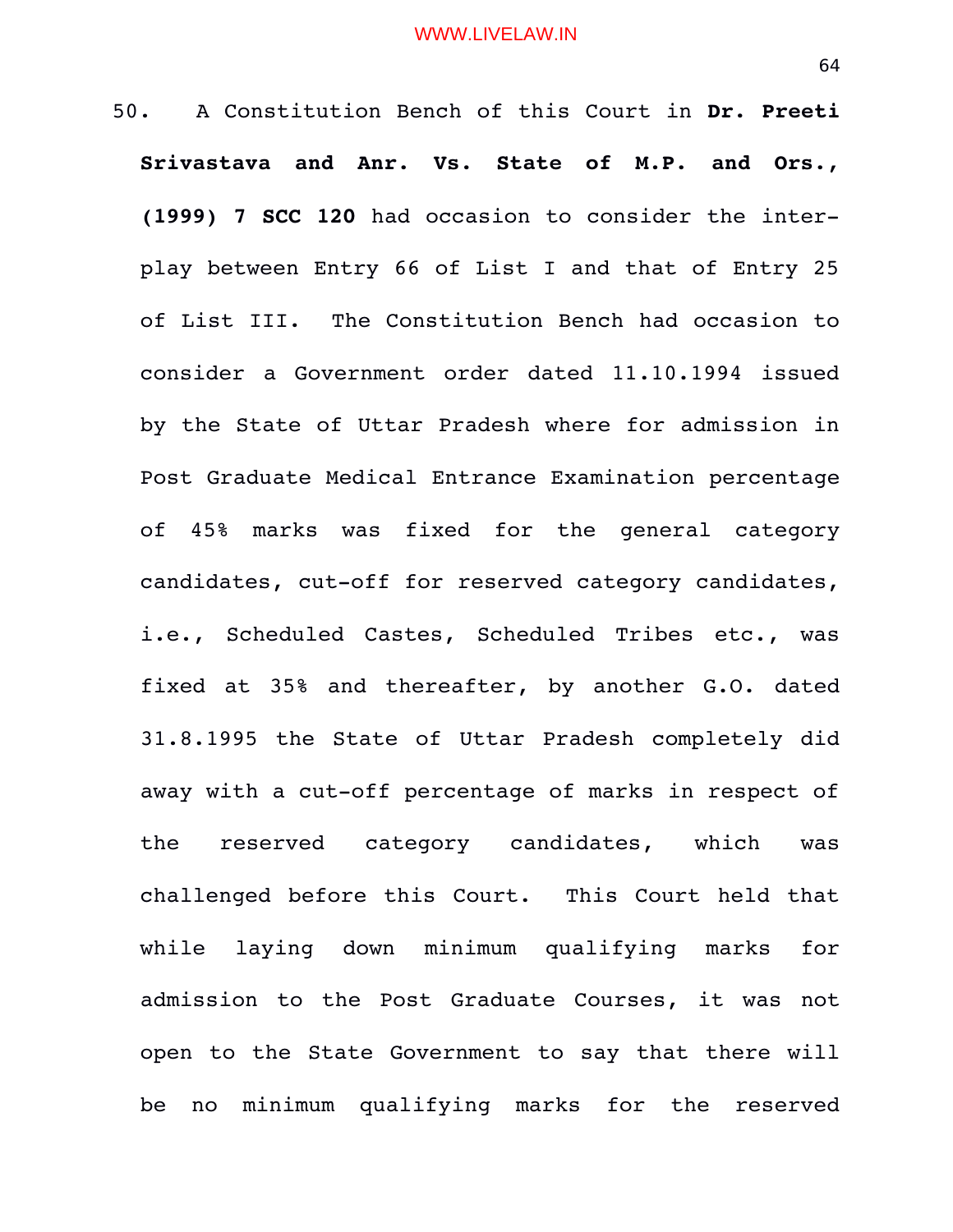50. A Constitution Bench of this Court in **Dr. Preeti Srivastava and Anr. Vs. State of M.P. and Ors., (1999) 7 SCC 120** had occasion to consider the interplay between Entry 66 of List I and that of Entry 25 of List III. The Constitution Bench had occasion to consider a Government order dated 11.10.1994 issued by the State of Uttar Pradesh where for admission in Post Graduate Medical Entrance Examination percentage of 45% marks was fixed for the general category candidates, cut-off for reserved category candidates, i.e., Scheduled Castes, Scheduled Tribes etc., was fixed at 35% and thereafter, by another G.O. dated 31.8.1995 the State of Uttar Pradesh completely did away with a cut-off percentage of marks in respect of the reserved category candidates, which was challenged before this Court. This Court held that while laying down minimum qualifying marks for admission to the Post Graduate Courses, it was not open to the State Government to say that there will be no minimum qualifying marks for the reserved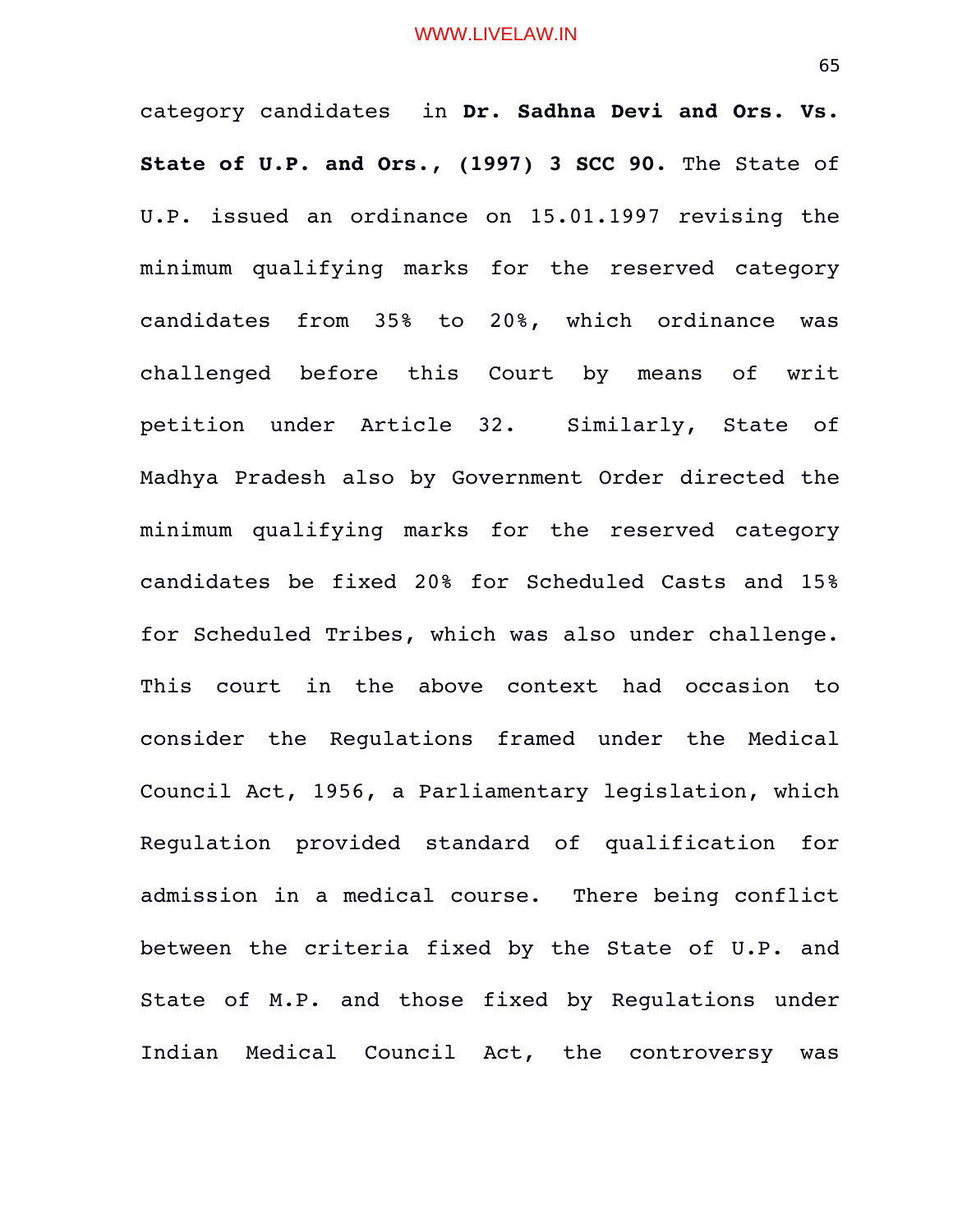category candidates in **Dr. Sadhna Devi and Ors. Vs. State of U.P. and Ors., (1997) 3 SCC 90.** The State of U.P. issued an ordinance on 15.01.1997 revising the minimum qualifying marks for the reserved category candidates from 35% to 20%, which ordinance was challenged before this Court by means of writ petition under Article 32. Similarly, State of Madhya Pradesh also by Government Order directed the minimum qualifying marks for the reserved category candidates be fixed 20% for Scheduled Casts and 15% for Scheduled Tribes, which was also under challenge. This court in the above context had occasion to consider the Regulations framed under the Medical Council Act, 1956, a Parliamentary legislation, which Regulation provided standard of qualification for admission in a medical course. There being conflict between the criteria fixed by the State of U.P. and State of M.P. and those fixed by Regulations under Indian Medical Council Act, the controversy was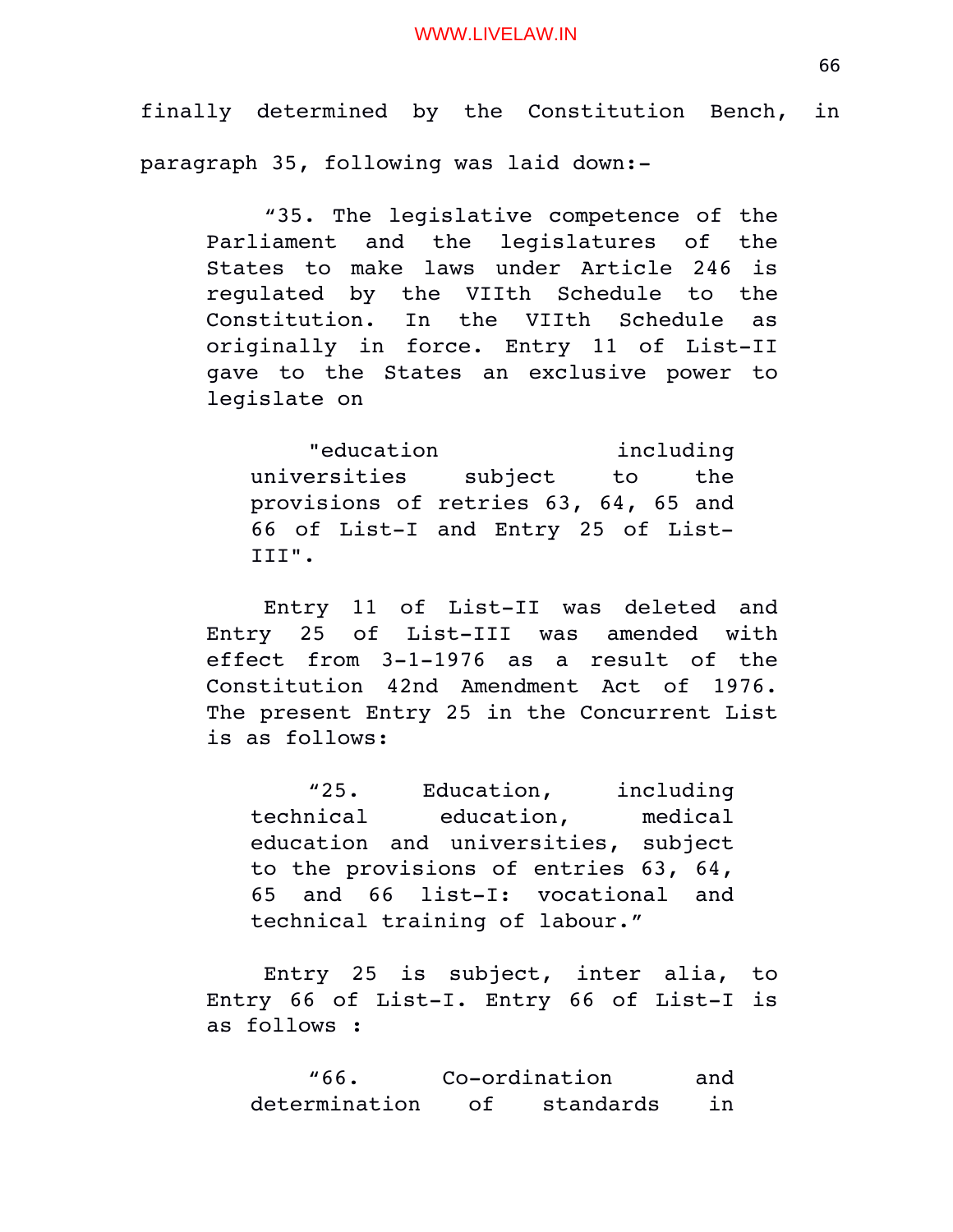finally determined by the Constitution Bench, in paragraph 35, following was laid down:

"35. The legislative competence of the Parliament and the legislatures of the States to make laws under Article 246 is regulated by the VIIth Schedule to the Constitution. In the VIIth Schedule as originally in force. Entry 11 of List-II gave to the States an exclusive power to legislate on

"education including universities subject to the provisions of retries 63, 64, 65 and 66 of List-I and Entry 25 of List-III".

Entry 11 of List-II was deleted and Entry 25 of List-III was amended with effect from 3-1-1976 as a result of the Constitution 42nd Amendment Act of 1976. The present Entry 25 in the Concurrent List is as follows:

"25. Education, including technical education, medical education and universities, subject to the provisions of entries 63, 64, 65 and 66 list-I: vocational and technical training of labour."

Entry 25 is subject, inter alia, to Entry 66 of List-I. Entry 66 of List-I is as follows :

"66. Co-ordination and determination of standards in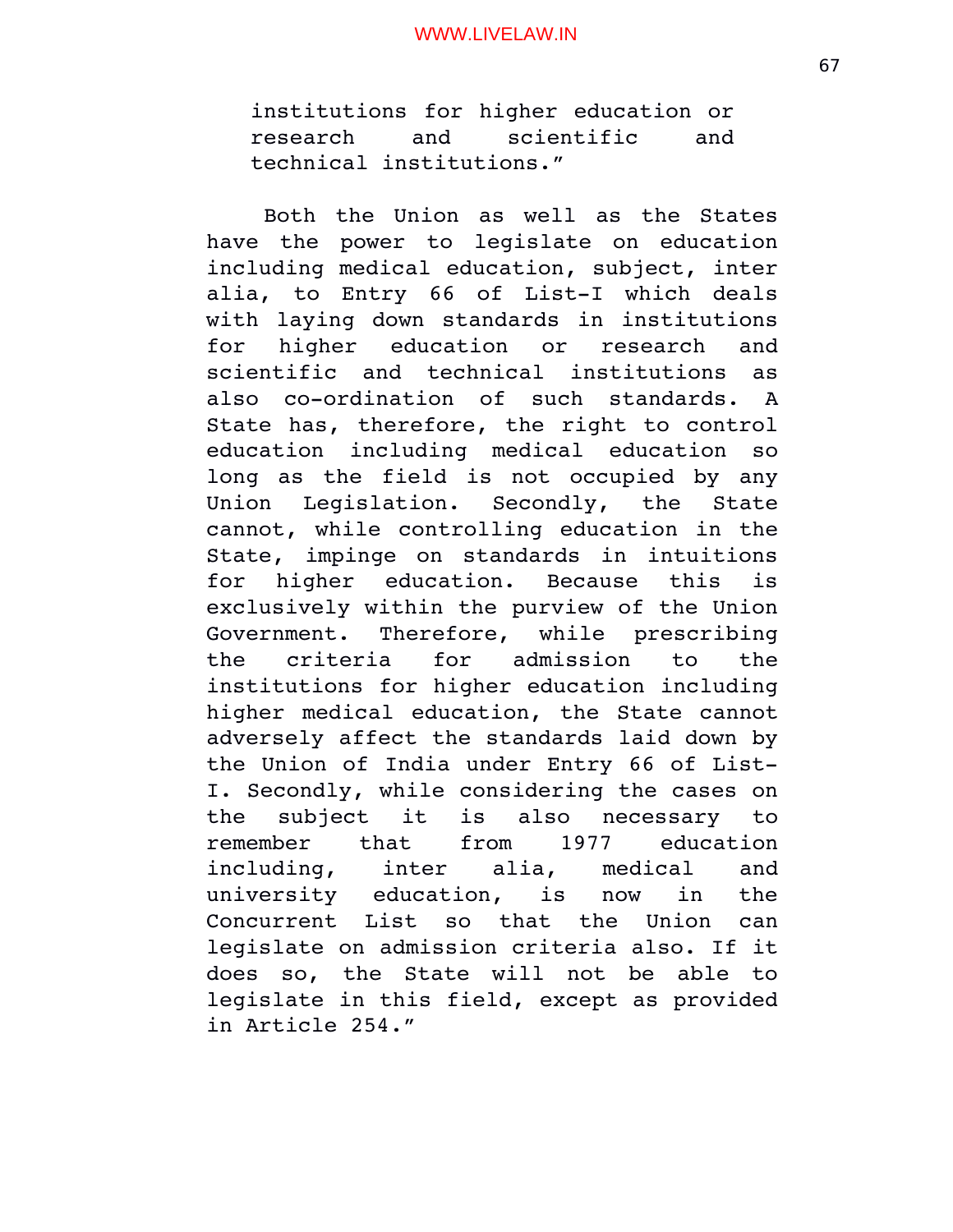institutions for higher education or research and scientific and technical institutions."

Both the Union as well as the States have the power to legislate on education including medical education, subject, inter alia, to Entry 66 of List-I which deals with laying down standards in institutions for higher education or research and scientific and technical institutions as also co-ordination of such standards. A State has, therefore, the right to control education including medical education so long as the field is not occupied by any Union Legislation. Secondly, the State cannot, while controlling education in the State, impinge on standards in intuitions for higher education. Because this is exclusively within the purview of the Union Government. Therefore, while prescribing the criteria for admission to the institutions for higher education including higher medical education, the State cannot adversely affect the standards laid down by the Union of India under Entry 66 of List-I. Secondly, while considering the cases on the subject it is also necessary to remember that from 1977 education including, inter alia, medical and university education, is now in the Concurrent List so that the Union can legislate on admission criteria also. If it does so, the State will not be able to legislate in this field, except as provided in Article 254."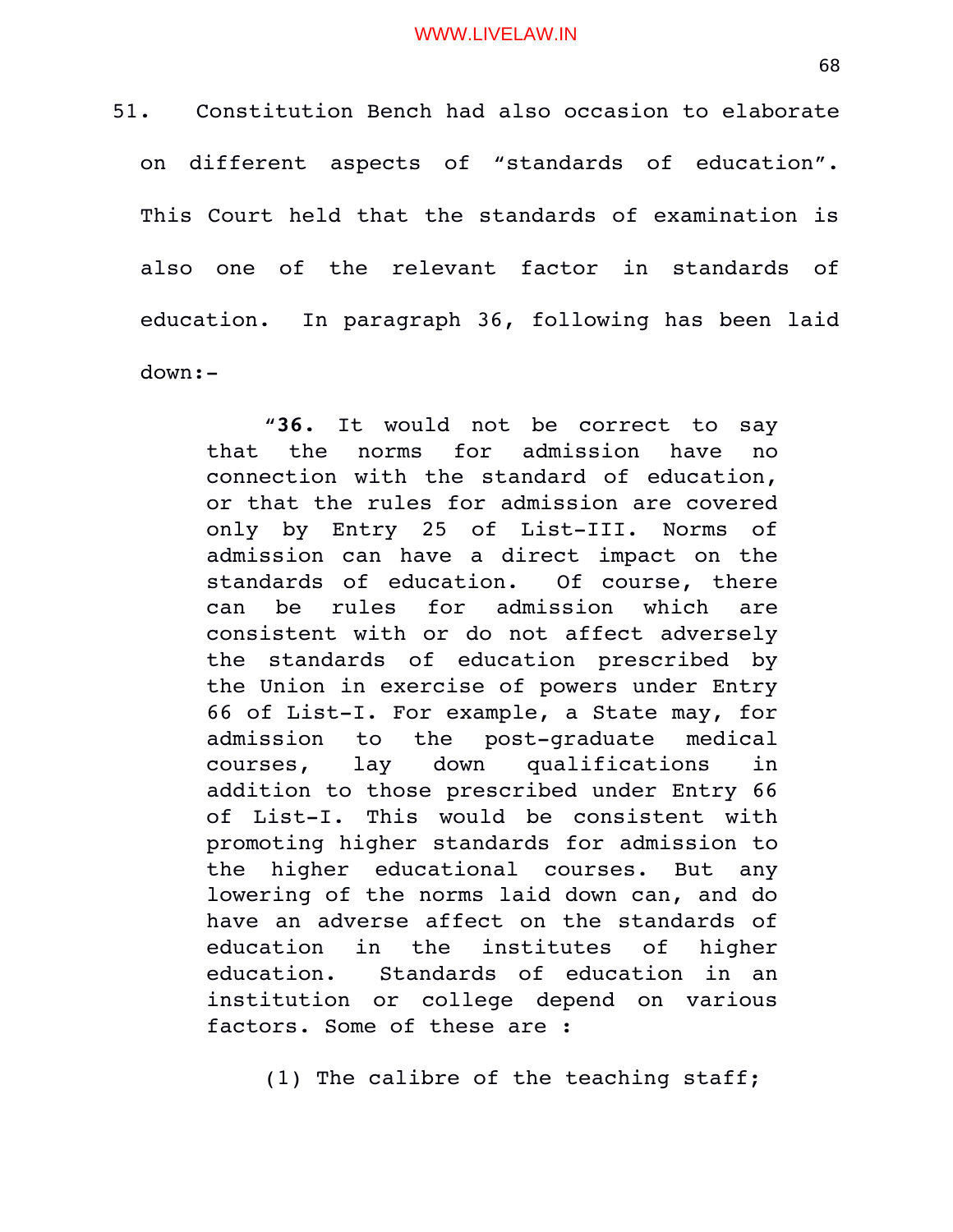51. Constitution Bench had also occasion to elaborate on different aspects of "standards of education". This Court held that the standards of examination is also one of the relevant factor in standards of education. In paragraph 36, following has been laid down:

> "**36.** It would not be correct to say that the norms for admission have no connection with the standard of education, or that the rules for admission are covered only by Entry 25 of List-III. Norms of admission can have a direct impact on the standards of education. Of course, there can be rules for admission which are consistent with or do not affect adversely the standards of education prescribed by the Union in exercise of powers under Entry 66 of List-I. For example, a State may, for admission to the post-graduate medical courses, lay down qualifications in addition to those prescribed under Entry 66 of List-I. This would be consistent with promoting higher standards for admission to the higher educational courses. But any lowering of the norms laid down can, and do have an adverse affect on the standards of education in the institutes of higher education. Standards of education in an institution or college depend on various factors. Some of these are :

> > (1) The calibre of the teaching staff;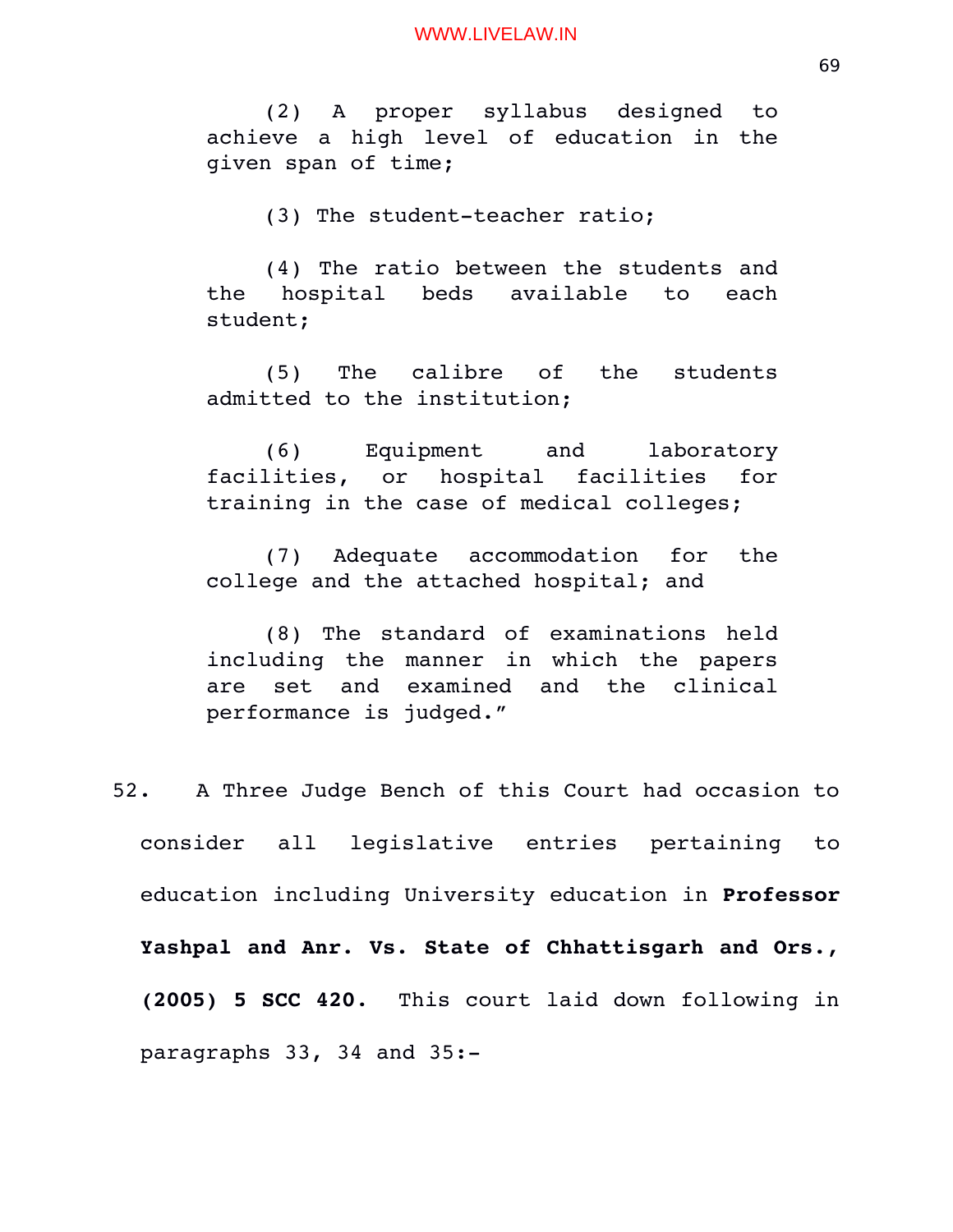(2) A proper syllabus designed to achieve a high level of education in the given span of time;

(3) The student-teacher ratio;

(4) The ratio between the students and the hospital beds available to each student;

(5) The calibre of the students admitted to the institution;

(6) Equipment and laboratory facilities, or hospital facilities for training in the case of medical colleges;

(7) Adequate accommodation for the college and the attached hospital; and

(8) The standard of examinations held including the manner in which the papers are set and examined and the clinical performance is judged."

52. A Three Judge Bench of this Court had occasion to consider all legislative entries pertaining to education including University education in **Professor Yashpal and Anr. Vs. State of Chhattisgarh and Ors., (2005) 5 SCC 420**. This court laid down following in paragraphs 33, 34 and 35: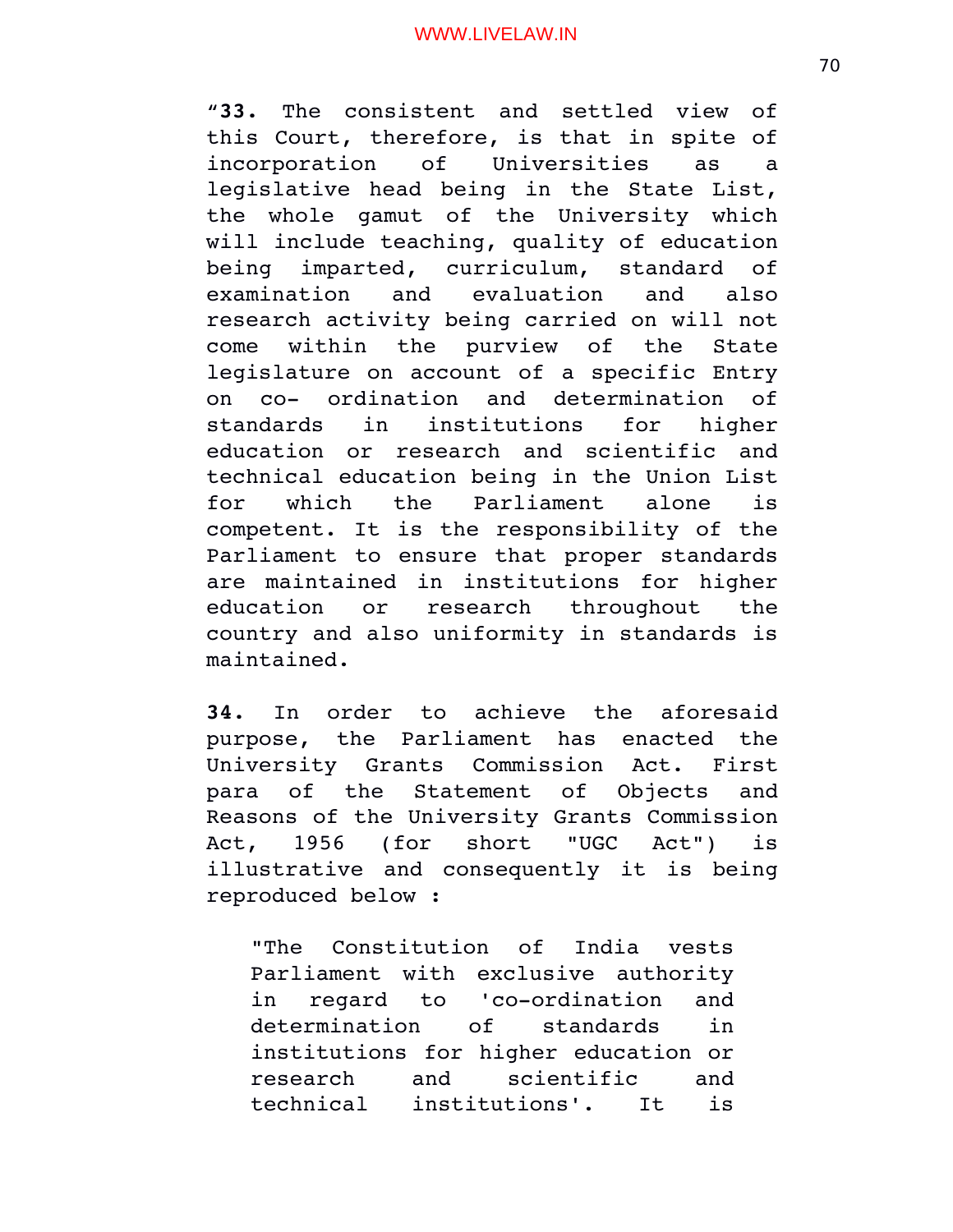"**33.** The consistent and settled view of this Court, therefore, is that in spite of incorporation of Universities as a legislative head being in the State List, the whole qamut of the University which will include teaching, quality of education being imparted, curriculum, standard of examination and evaluation and also research activity being carried on will not come within the purview of the State legislature on account of a specific Entry on co- ordination and determination of standards in institutions for higher education or research and scientific and technical education being in the Union List for which the Parliament alone is competent. It is the responsibility of the Parliament to ensure that proper standards are maintained in institutions for higher education or research throughout the country and also uniformity in standards is maintained.

**34.** In order to achieve the aforesaid purpose, the Parliament has enacted the University Grants Commission Act. First para of the Statement of Objects and Reasons of the University Grants Commission Act, 1956 (for short "UGC Act") is illustrative and consequently it is being reproduced below :

"The Constitution of India vests Parliament with exclusive authority in regard to 'co-ordination and determination of standards in institutions for higher education or research and scientific and technical institutions'. It is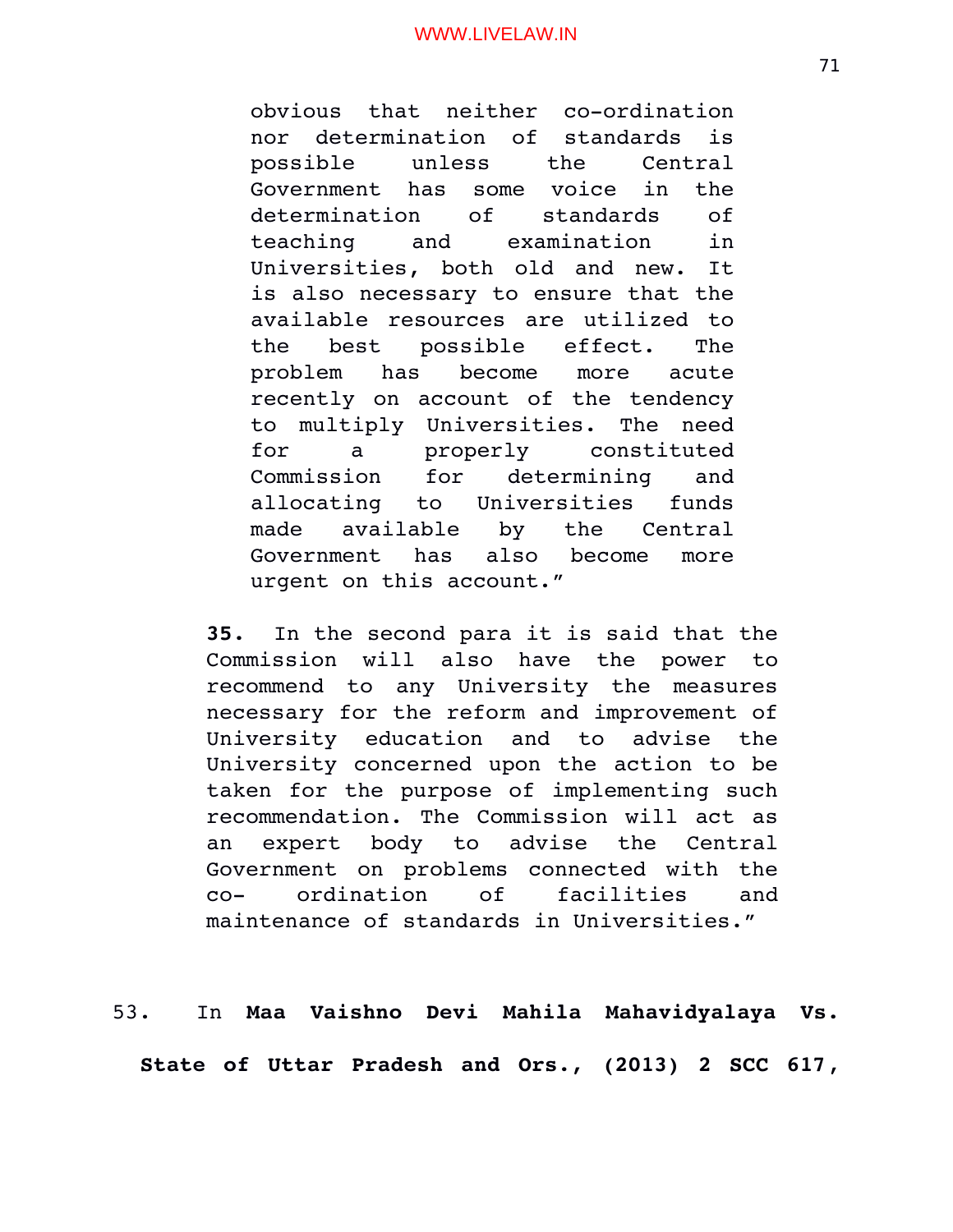obvious that neither co-ordination nor determination of standards is possible unless the Central Government has some voice in the determination of standards of teaching and examination in Universities, both old and new. It is also necessary to ensure that the available resources are utilized to the best possible effect. The problem has become more acute recently on account of the tendency to multiply Universities. The need for a properly constituted Commission for determining and allocating to Universities funds made available by the Central Government has also become more urgent on this account."

**35.** In the second para it is said that the Commission will also have the power to recommend to any University the measures necessary for the reform and improvement of University education and to advise the University concerned upon the action to be taken for the purpose of implementing such recommendation. The Commission will act as an expert body to advise the Central Government on problems connected with the co ordination of facilities and maintenance of standards in Universities."

53. In **Maa Vaishno Devi Mahila Mahavidyalaya Vs. State of Uttar Pradesh and Ors., (2013) 2 SCC 617**,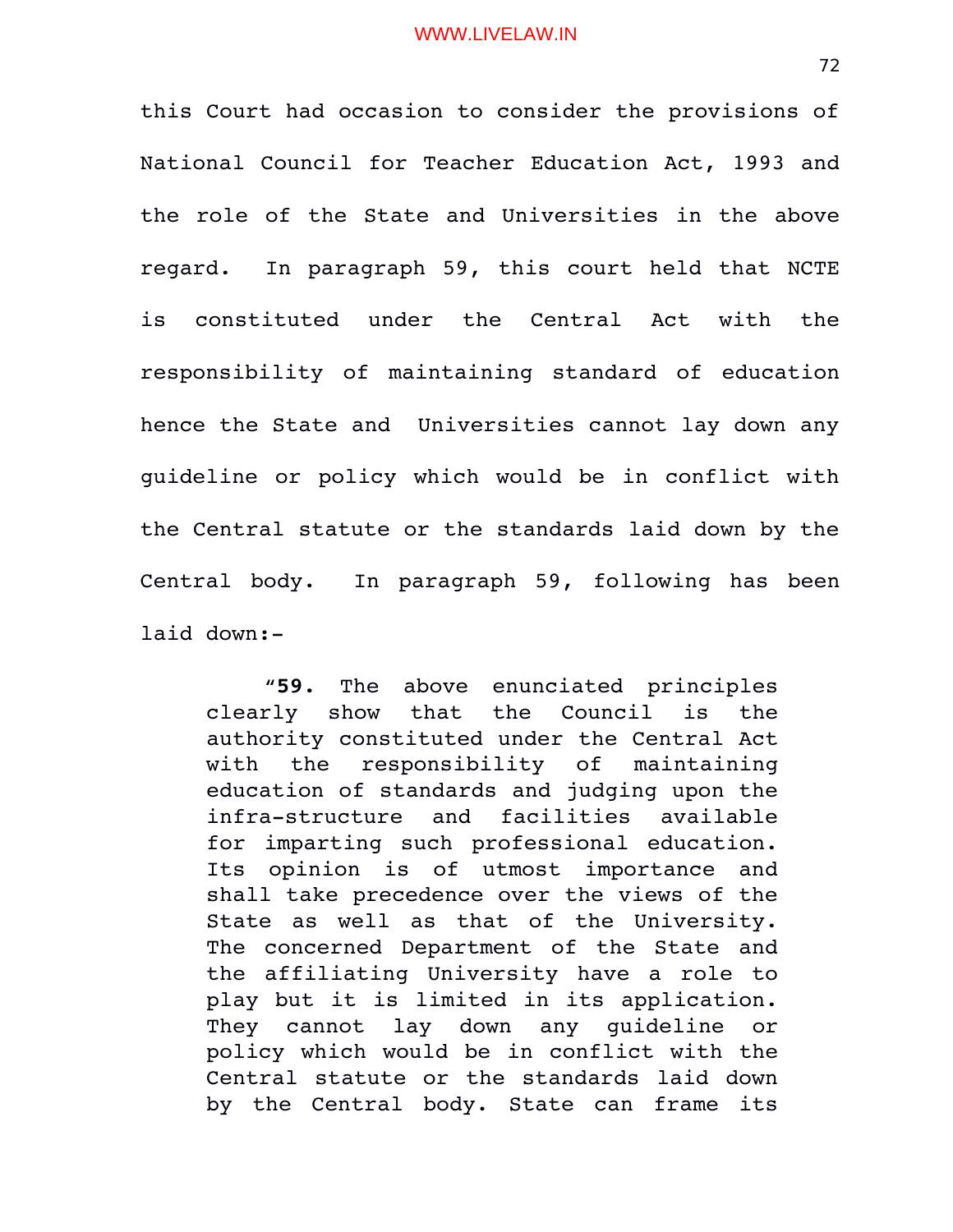this Court had occasion to consider the provisions of National Council for Teacher Education Act, 1993 and the role of the State and Universities in the above regard. In paragraph 59, this court held that NCTE is constituted under the Central Act with the responsibility of maintaining standard of education hence the State and Universities cannot lay down any guideline or policy which would be in conflict with the Central statute or the standards laid down by the Central body. In paragraph 59, following has been laid down:

"**59.** The above enunciated principles clearly show that the Council is the authority constituted under the Central Act with the responsibility of maintaining education of standards and judging upon the infra-structure and facilities available for imparting such professional education. Its opinion is of utmost importance and shall take precedence over the views of the State as well as that of the University. The concerned Department of the State and the affiliating University have a role to play but it is limited in its application. They cannot lay down any quideline or policy which would be in conflict with the Central statute or the standards laid down by the Central body. State can frame its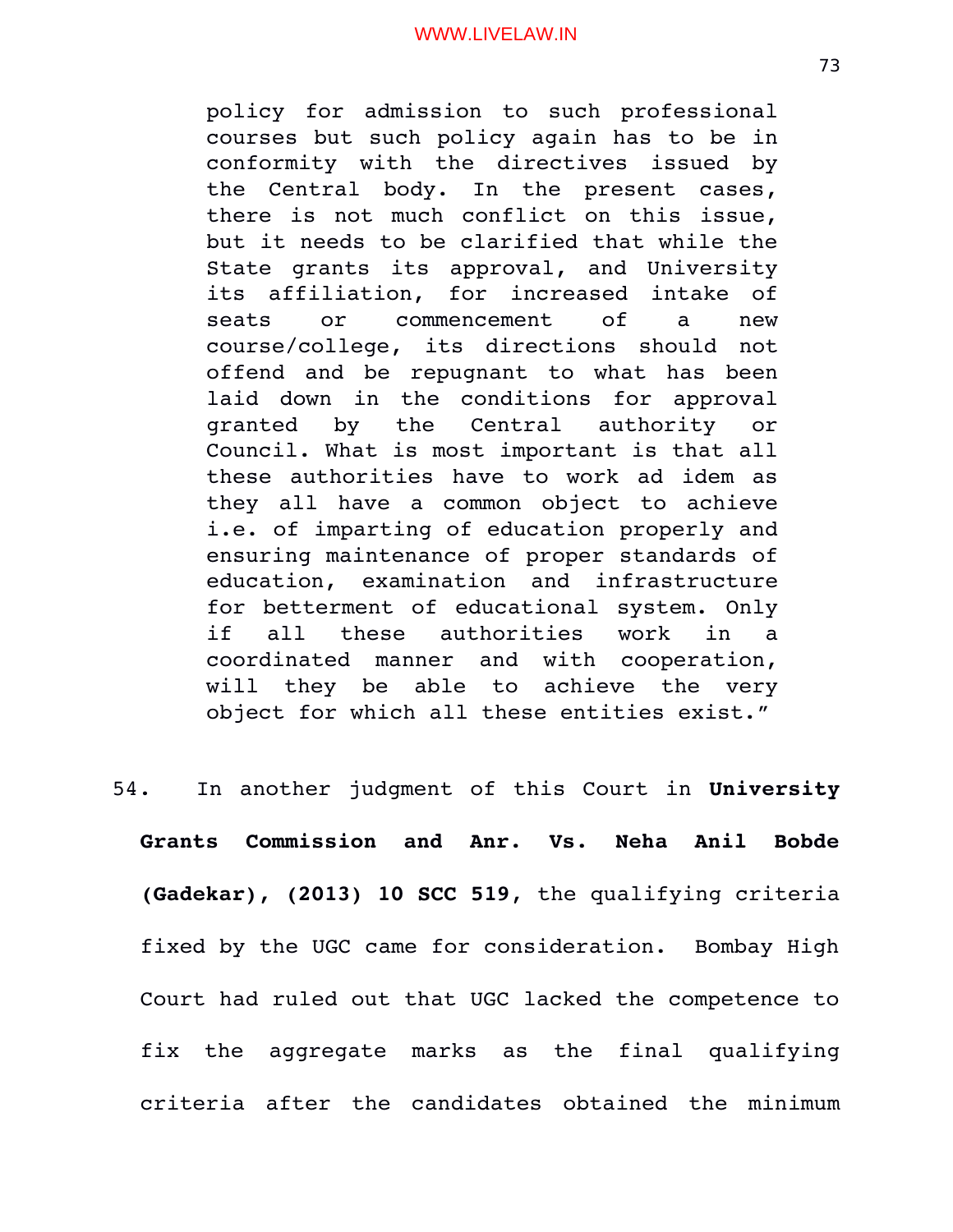policy for admission to such professional courses but such policy again has to be in conformity with the directives issued by the Central body. In the present cases, there is not much conflict on this issue, but it needs to be clarified that while the State grants its approval, and University its affiliation, for increased intake of seats or commencement of a new course/college, its directions should not offend and be repugnant to what has been laid down in the conditions for approval granted by the Central authority or Council. What is most important is that all these authorities have to work ad idem as they all have a common object to achieve i.e. of imparting of education properly and ensuring maintenance of proper standards of education, examination and infrastructure for betterment of educational system. Only if all these authorities work in a coordinated manner and with cooperation, will they be able to achieve the very object for which all these entities exist."

54. In another judgment of this Court in **University Grants Commission and Anr. Vs. Neha Anil Bobde (Gadekar), (2013) 10 SCC 519**, the qualifying criteria fixed by the UGC came for consideration. Bombay High Court had ruled out that UGC lacked the competence to fix the aggregate marks as the final qualifying criteria after the candidates obtained the minimum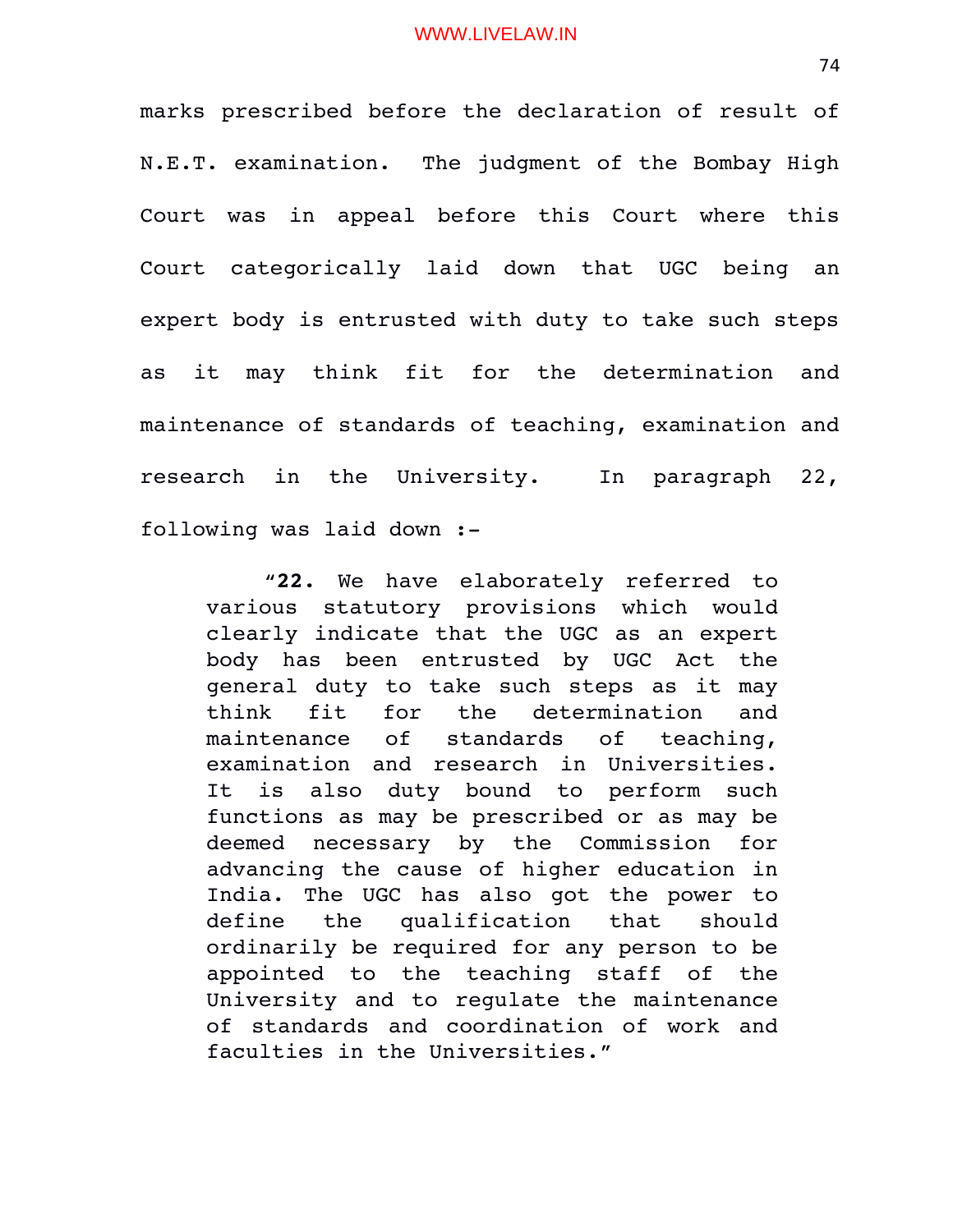marks prescribed before the declaration of result of N.E.T. examination. The judgment of the Bombay High Court was in appeal before this Court where this Court categorically laid down that UGC being an expert body is entrusted with duty to take such steps as it may think fit for the determination and maintenance of standards of teaching, examination and research in the University. In paragraph 22, following was laid down :

"**22.** We have elaborately referred to various statutory provisions which would clearly indicate that the UGC as an expert body has been entrusted by UGC Act the general duty to take such steps as it may think fit for the determination and maintenance of standards of teaching, examination and research in Universities. It is also duty bound to perform such functions as may be prescribed or as may be deemed necessary by the Commission for advancing the cause of higher education in India. The UGC has also got the power to define the qualification that should ordinarily be required for any person to be appointed to the teaching staff of the University and to regulate the maintenance of standards and coordination of work and faculties in the Universities."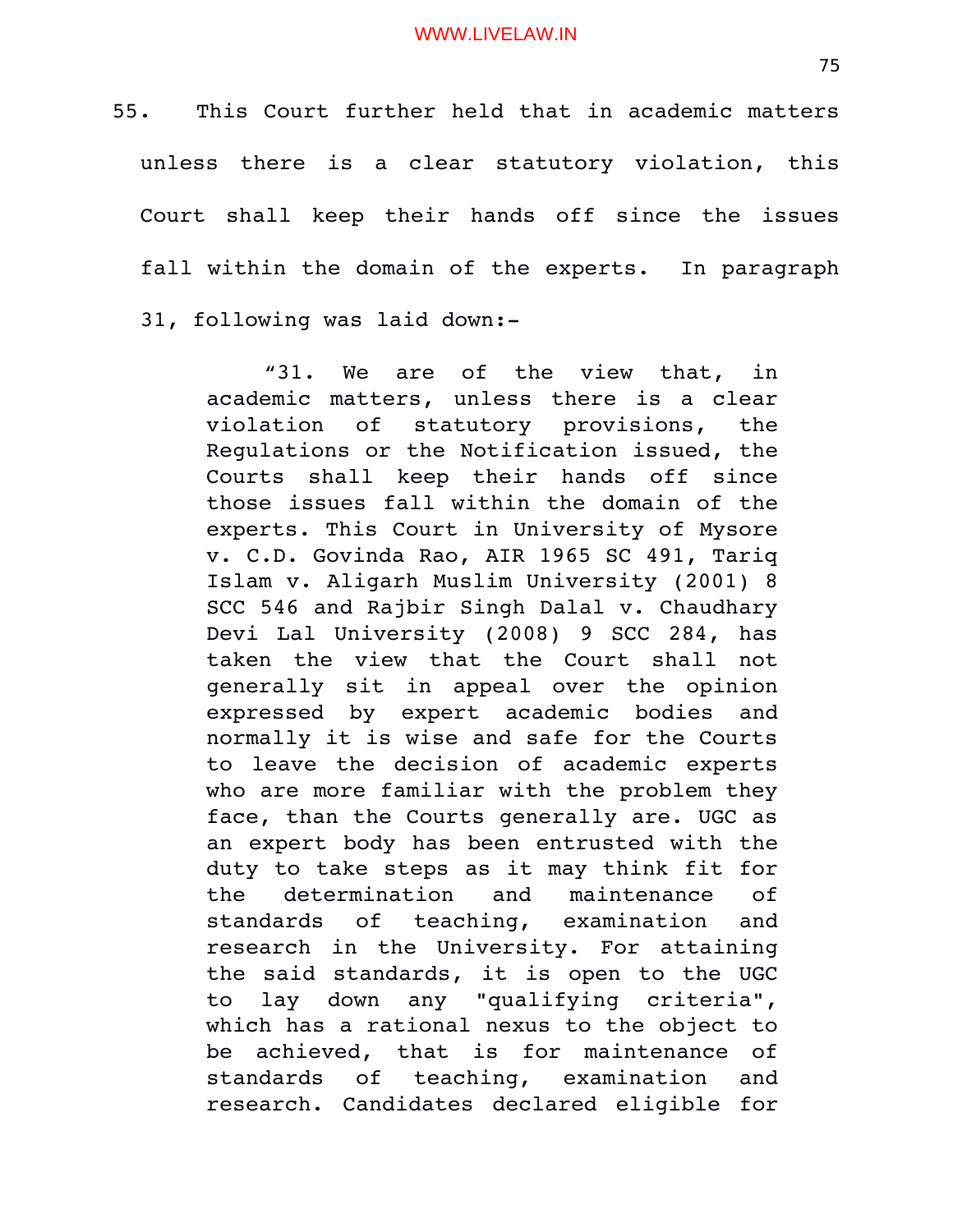55. This Court further held that in academic matters unless there is a clear statutory violation, this Court shall keep their hands off since the issues fall within the domain of the experts. In paragraph 31, following was laid down:

> "31. We are of the view that, in academic matters, unless there is a clear violation of statutory provisions, the Regulations or the Notification issued, the Courts shall keep their hands off since those issues fall within the domain of the experts. This Court in University of Mysore v. C.D. Govinda Rao, AIR 1965 SC 491, Tariq Islam v. Aligarh Muslim University (2001) 8 SCC 546 and Rajbir Singh Dalal v. Chaudhary Devi Lal University (2008) 9 SCC 284, has taken the view that the Court shall not generally sit in appeal over the opinion expressed by expert academic bodies and normally it is wise and safe for the Courts to leave the decision of academic experts who are more familiar with the problem they face, than the Courts generally are. UGC as an expert body has been entrusted with the duty to take steps as it may think fit for the determination and maintenance of standards of teaching, examination and research in the University. For attaining the said standards, it is open to the UGC to lay down any "qualifying criteria", which has a rational nexus to the object to be achieved, that is for maintenance of standards of teaching, examination and research. Candidates declared eligible for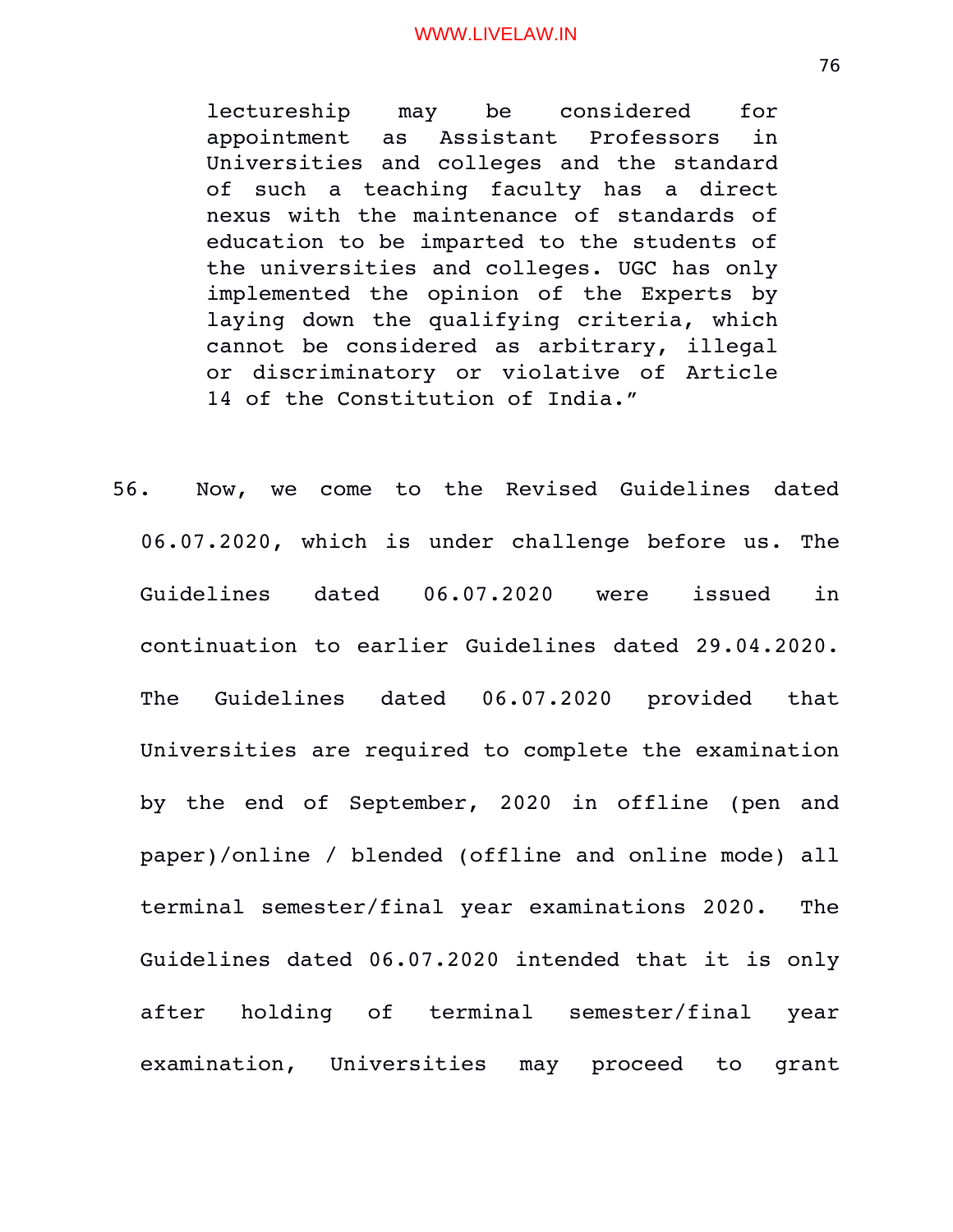lectureship may be considered for appointment as Assistant Professors in Universities and colleges and the standard of such a teaching faculty has a direct nexus with the maintenance of standards of education to be imparted to the students of the universities and colleges. UGC has only implemented the opinion of the Experts by laying down the qualifying criteria, which cannot be considered as arbitrary, illegal or discriminatory or violative of Article 14 of the Constitution of India."

56. Now, we come to the Revised Guidelines dated 06.07.2020, which is under challenge before us. The Guidelines dated 06.07.2020 were issued in continuation to earlier Guidelines dated 29.04.2020. The Guidelines dated 06.07.2020 provided that Universities are required to complete the examination by the end of September, 2020 in offline (pen and paper)/online / blended (offline and online mode) all terminal semester/final year examinations 2020. The Guidelines dated 06.07.2020 intended that it is only after holding of terminal semester/final year examination, Universities may proceed to grant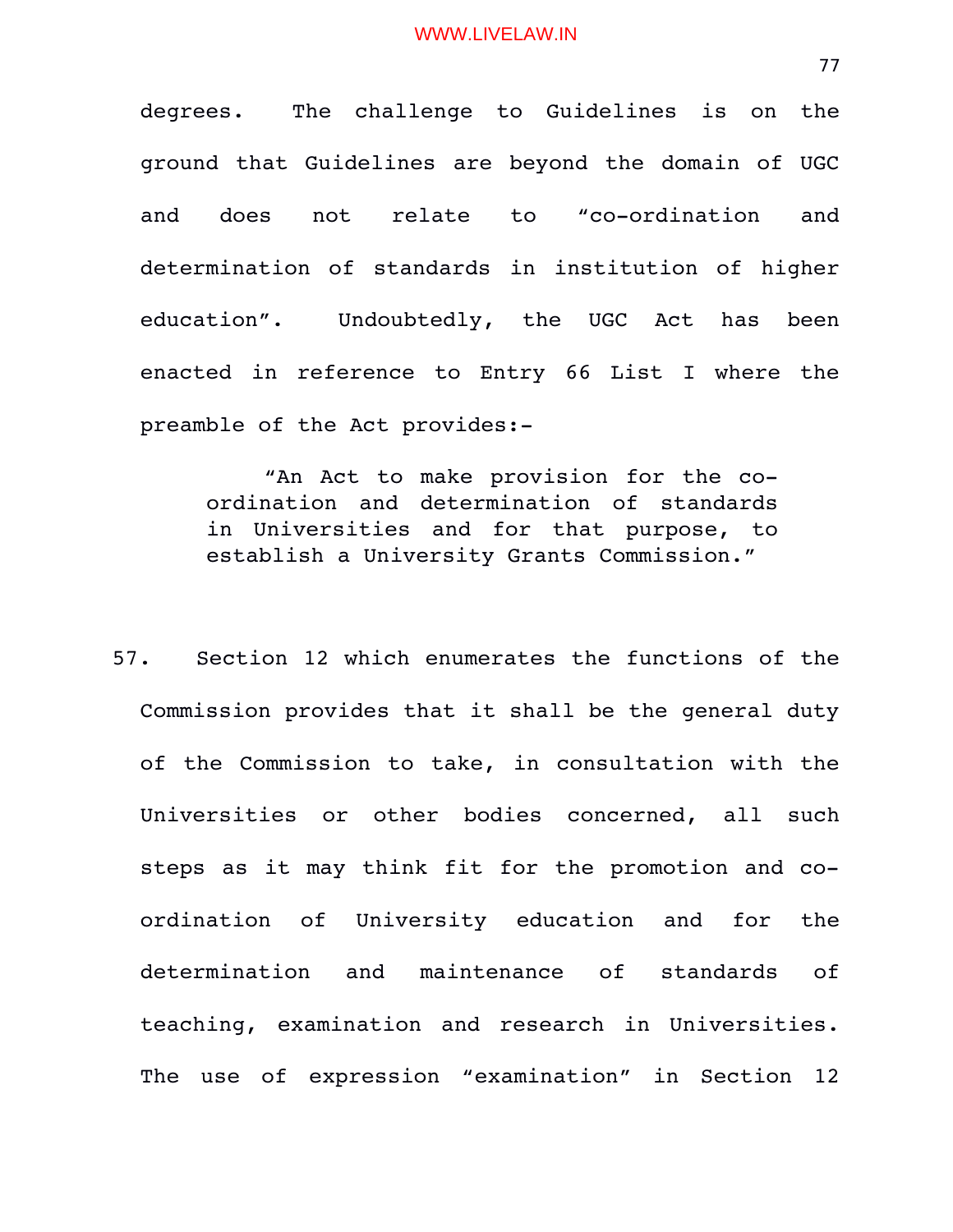degrees. The challenge to Guidelines is on the ground that Guidelines are beyond the domain of UGC and does not relate to "co-ordination and determination of standards in institution of higher education". Undoubtedly, the UGC Act has been enacted in reference to Entry 66 List I where the preamble of the Act provides:

"An Act to make provision for the coordination and determination of standards in Universities and for that purpose, to establish a University Grants Commission."

57. Section 12 which enumerates the functions of the Commission provides that it shall be the general duty of the Commission to take, in consultation with the Universities or other bodies concerned, all such steps as it may think fit for the promotion and coordination of University education and for the determination and maintenance of standards of teaching, examination and research in Universities. The use of expression "examination" in Section 12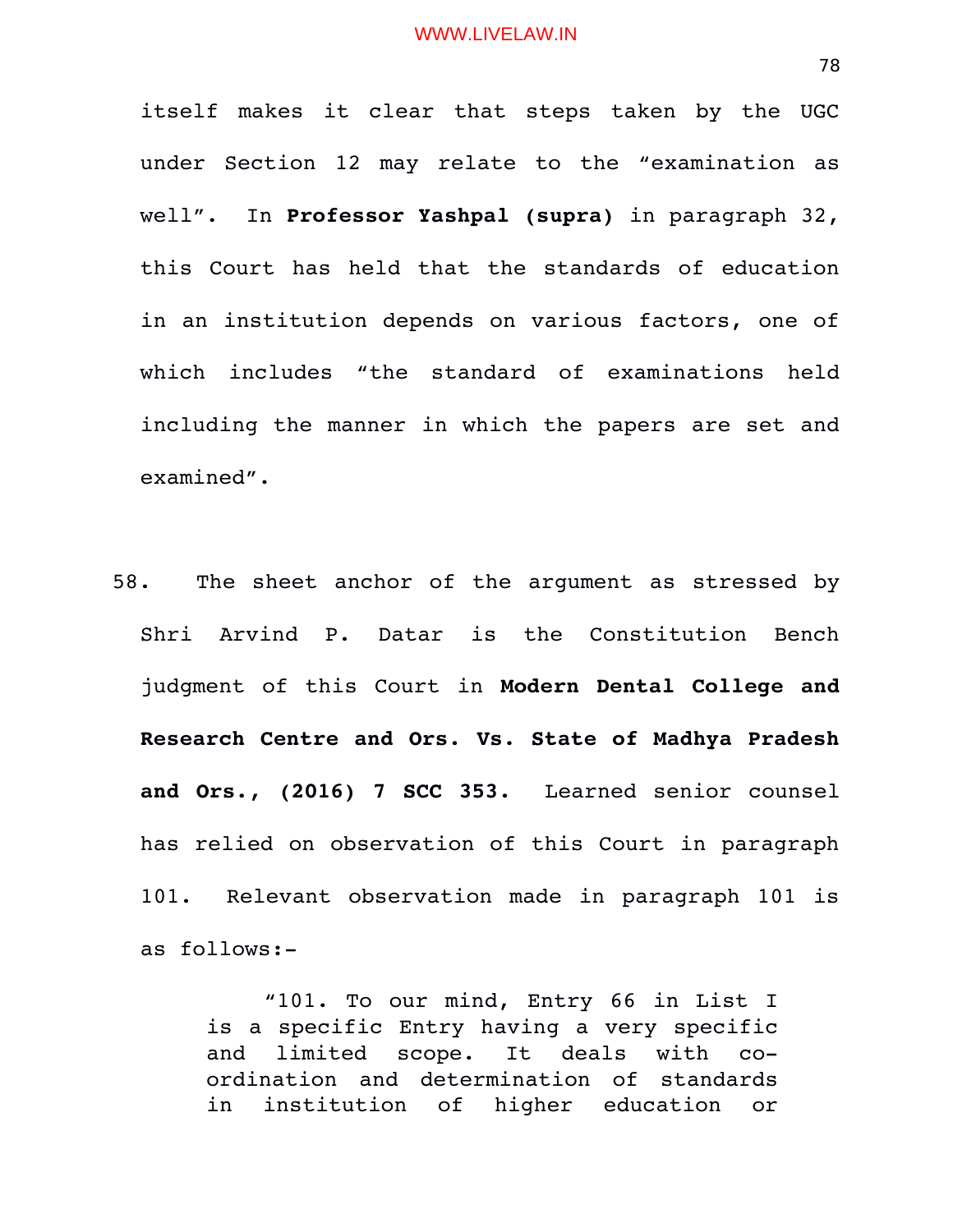itself makes it clear that steps taken by the UGC under Section 12 may relate to the "examination as well". In **Professor Yashpal (supra)** in paragraph 32, this Court has held that the standards of education in an institution depends on various factors, one of which includes "the standard of examinations held including the manner in which the papers are set and examined".

58. The sheet anchor of the argument as stressed by Shri Arvind P. Datar is the Constitution Bench judgment of this Court in **Modern Dental College and Research Centre and Ors. Vs. State of Madhya Pradesh** and Ors., (2016) 7 SCC 353. Learned senior counsel has relied on observation of this Court in paragraph 101. Relevant observation made in paragraph 101 is as follows:

> "101. To our mind, Entry 66 in List I is a specific Entry having a very specific and limited scope. It deals with coordination and determination of standards in institution of higher education or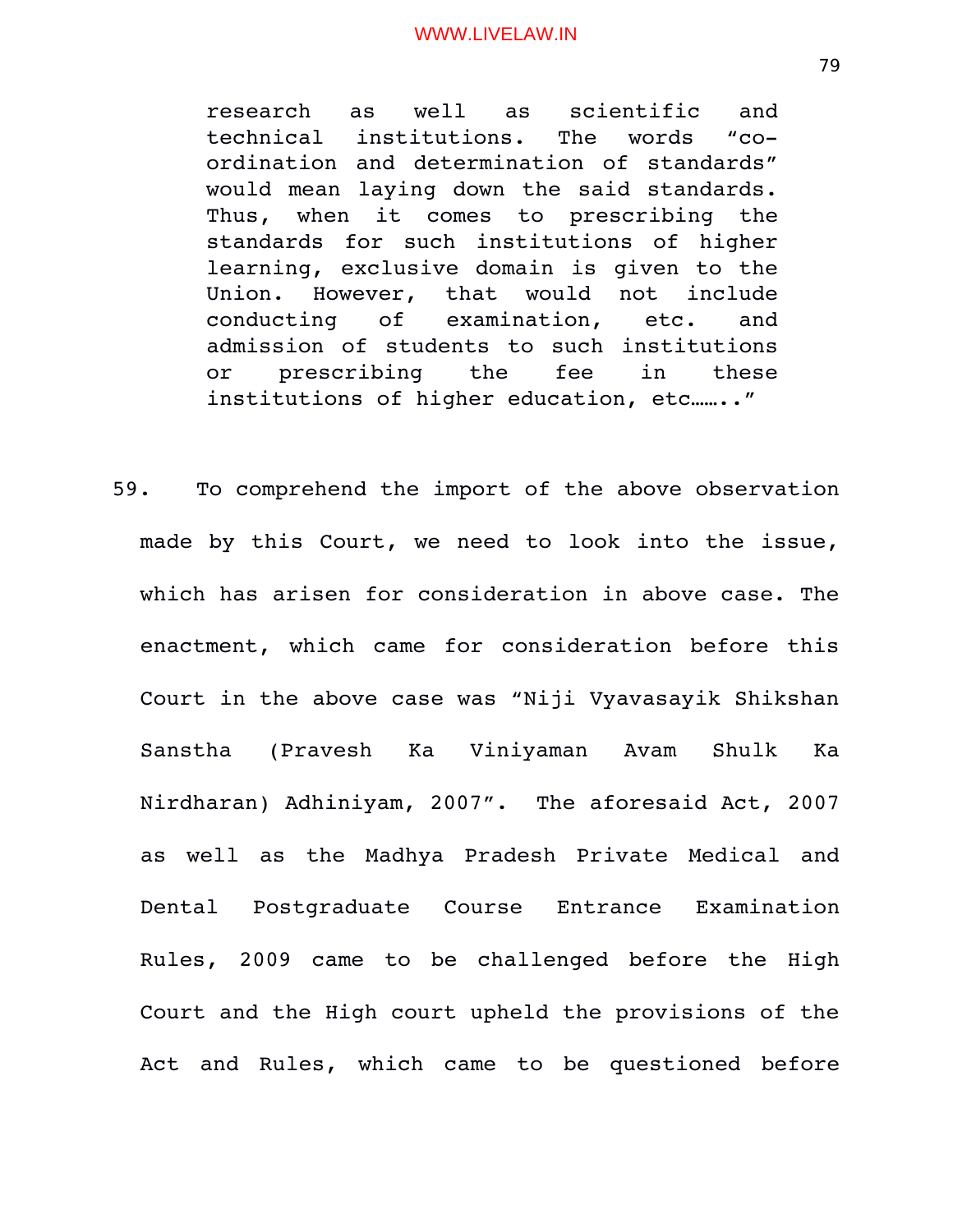research as well as scientific and technical institutions. The words "coordination and determination of standards" would mean laying down the said standards. Thus, when it comes to prescribing the standards for such institutions of higher learning, exclusive domain is given to the Union. However, that would not include conducting of examination, etc. and admission of students to such institutions or prescribing the fee in these institutions of higher education, etc…….."

59. To comprehend the import of the above observation made by this Court, we need to look into the issue, which has arisen for consideration in above case. The enactment, which came for consideration before this Court in the above case was "Niji Vyavasayik Shikshan Sanstha (Pravesh Ka Viniyaman Avam Shulk Ka Nirdharan) Adhiniyam, 2007". The aforesaid Act, 2007 as well as the Madhya Pradesh Private Medical and Dental Postgraduate Course Entrance Examination Rules, 2009 came to be challenged before the High Court and the High court upheld the provisions of the Act and Rules, which came to be questioned before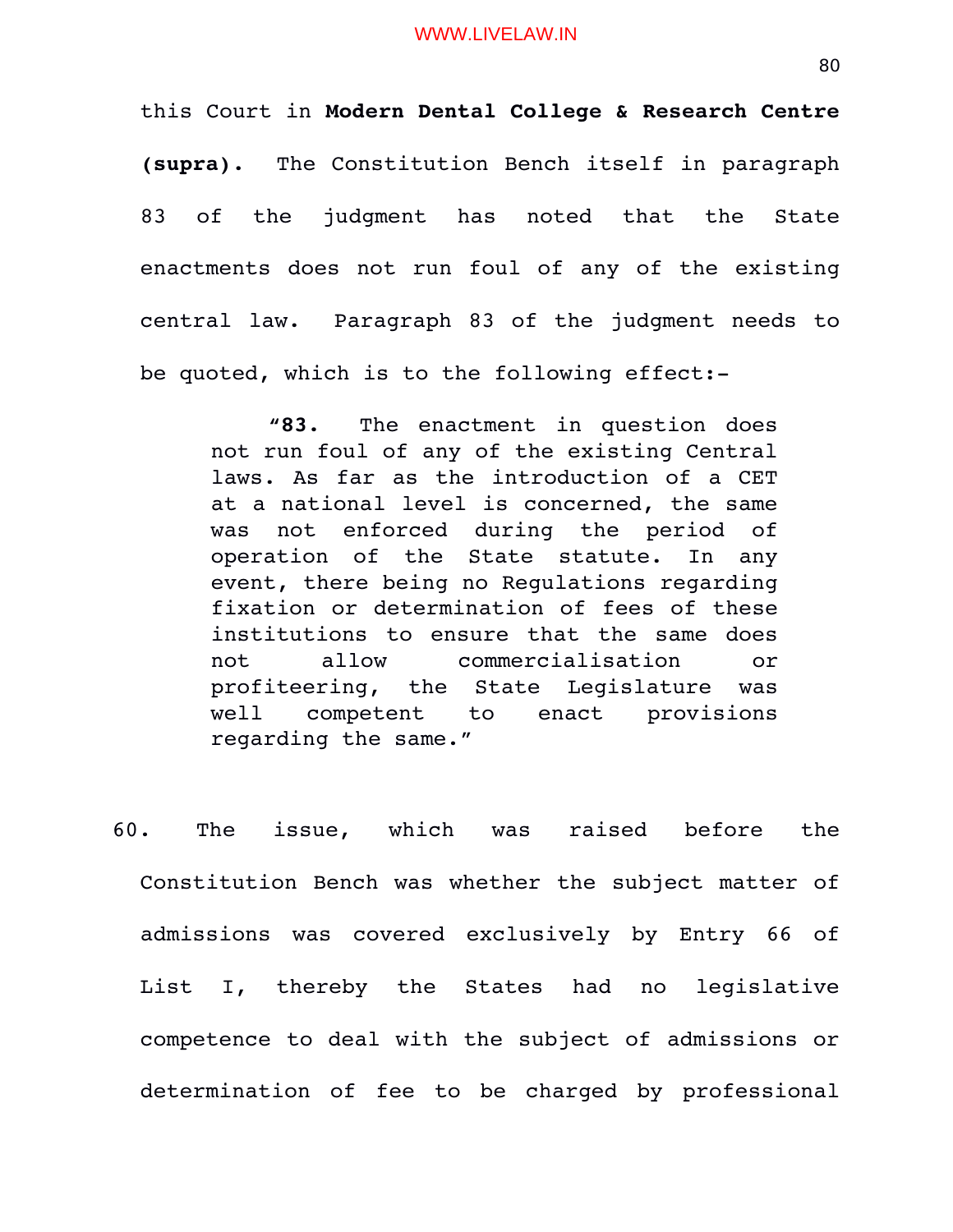this Court in **Modern Dental College & Research Centre (supra).** The Constitution Bench itself in paragraph 83 of the judgment has noted that the State enactments does not run foul of any of the existing central law. Paragraph 83 of the judgment needs to be quoted, which is to the following effect:

**"83.** The enactment in question does not run foul of any of the existing Central laws. As far as the introduction of a CET at a national level is concerned, the same was not enforced during the period of operation of the State statute. In any event, there being no Regulations regarding fixation or determination of fees of these institutions to ensure that the same does not allow commercialisation or profiteering, the State Legislature was well competent to enact provisions regarding the same."

60. The issue, which was raised before the Constitution Bench was whether the subject matter of admissions was covered exclusively by Entry 66 of List I, thereby the States had no legislative competence to deal with the subject of admissions or determination of fee to be charged by professional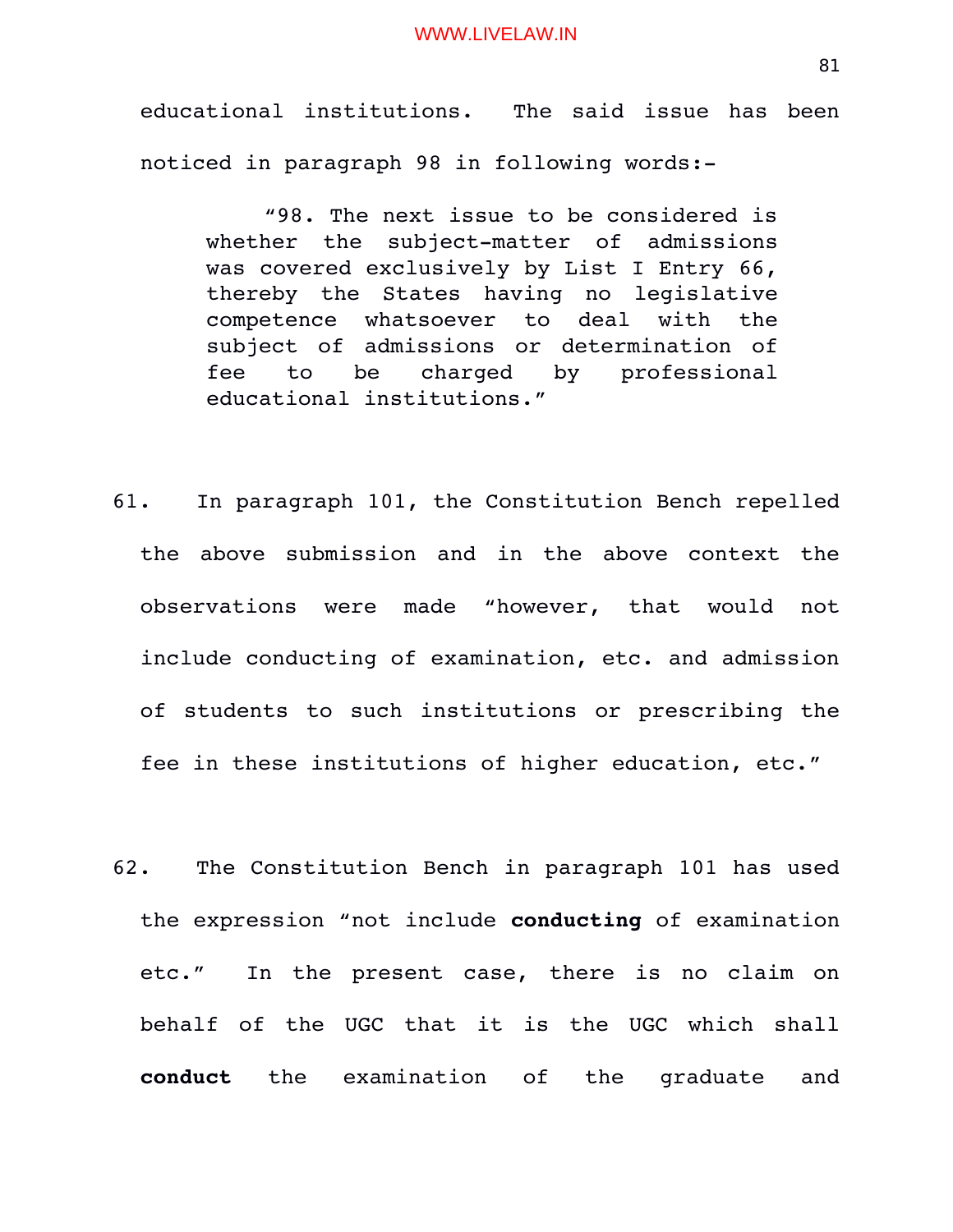educational institutions. The said issue has been noticed in paragraph 98 in following words:

"98. The next issue to be considered is whether the subject-matter of admissions was covered exclusively by List I Entry 66, thereby the States having no legislative competence whatsoever to deal with the subject of admissions or determination of fee to be charged by professional educational institutions."

- 61. In paragraph 101, the Constitution Bench repelled the above submission and in the above context the observations were made "however, that would not include conducting of examination, etc. and admission of students to such institutions or prescribing the fee in these institutions of higher education, etc."
- 62. The Constitution Bench in paragraph 101 has used the expression "not include **conducting** of examination etc." In the present case, there is no claim on behalf of the UGC that it is the UGC which shall conduct the examination of the graduate and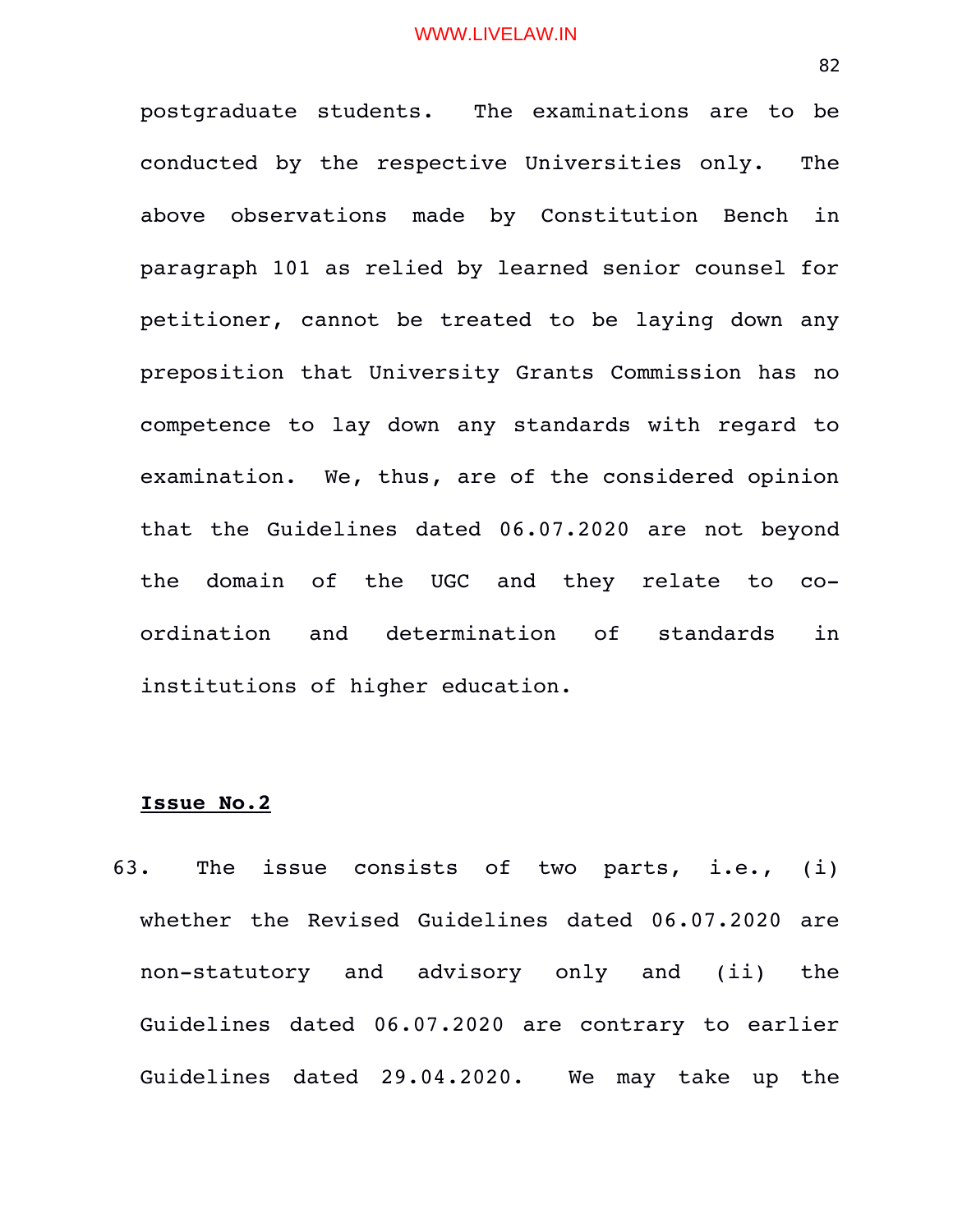postgraduate students. The examinations are to be conducted by the respective Universities only. The above observations made by Constitution Bench in paragraph 101 as relied by learned senior counsel for petitioner, cannot be treated to be laying down any preposition that University Grants Commission has no competence to lay down any standards with regard to examination. We, thus, are of the considered opinion that the Guidelines dated 06.07.2020 are not beyond the domain of the UGC and they relate to coordination and determination of standards in institutions of higher education.

#### **Issue No.2**

63. The issue consists of two parts, i.e., (i) whether the Revised Guidelines dated 06.07.2020 are non-statutory and advisory only and (ii) the Guidelines dated 06.07.2020 are contrary to earlier Guidelines dated 29.04.2020. We may take up the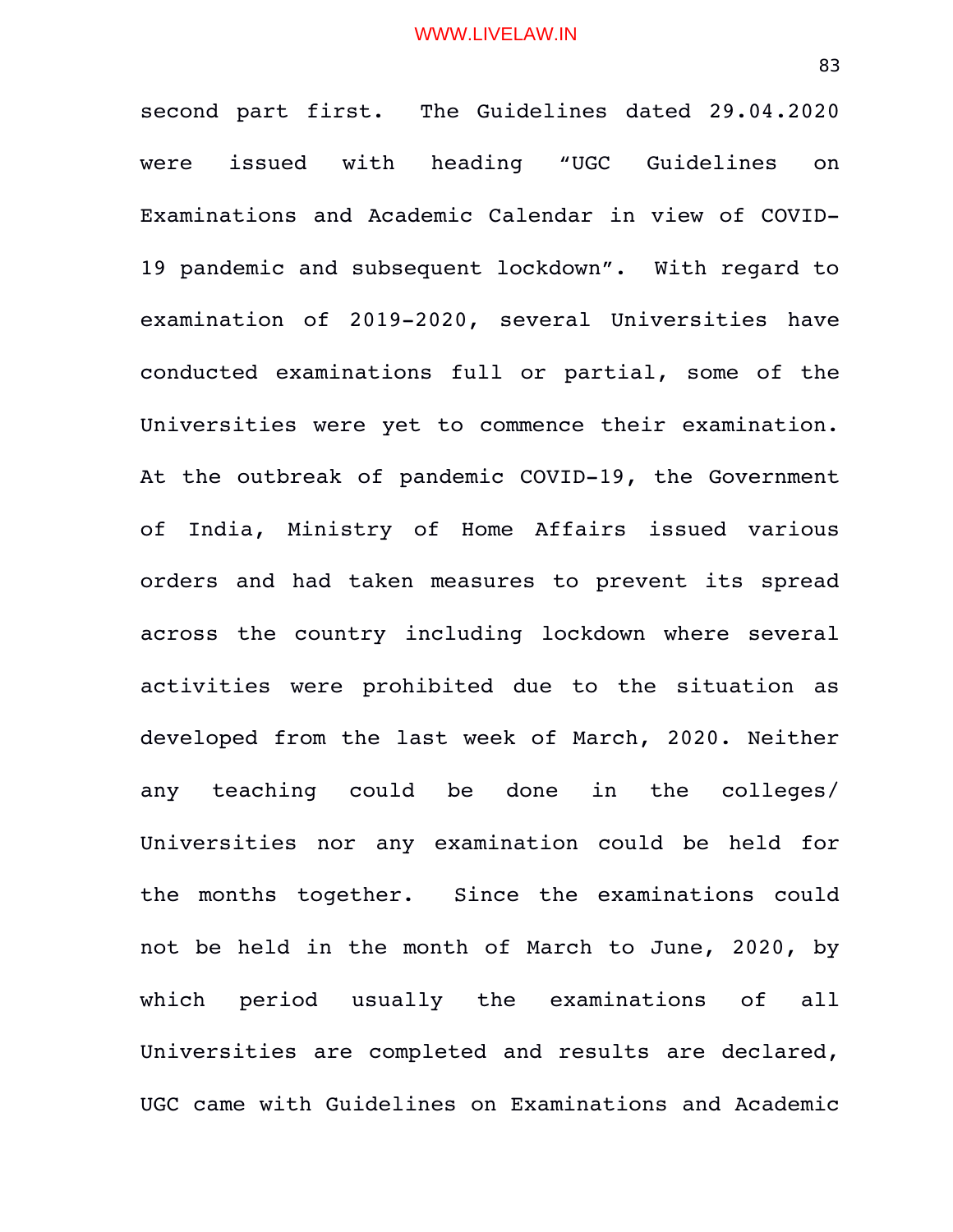second part first. The Guidelines dated 29.04.2020 were issued with heading "UGC Guidelines on Examinations and Academic Calendar in view of COVID-19 pandemic and subsequent lockdown". With regard to examination of 2019-2020, several Universities have conducted examinations full or partial, some of the Universities were yet to commence their examination. At the outbreak of pandemic COVID-19, the Government of India, Ministry of Home Affairs issued various orders and had taken measures to prevent its spread across the country including lockdown where several activities were prohibited due to the situation as developed from the last week of March, 2020. Neither any teaching could be done in the colleges/ Universities nor any examination could be held for the months together. Since the examinations could not be held in the month of March to June, 2020, by which period usually the examinations of all Universities are completed and results are declared, UGC came with Guidelines on Examinations and Academic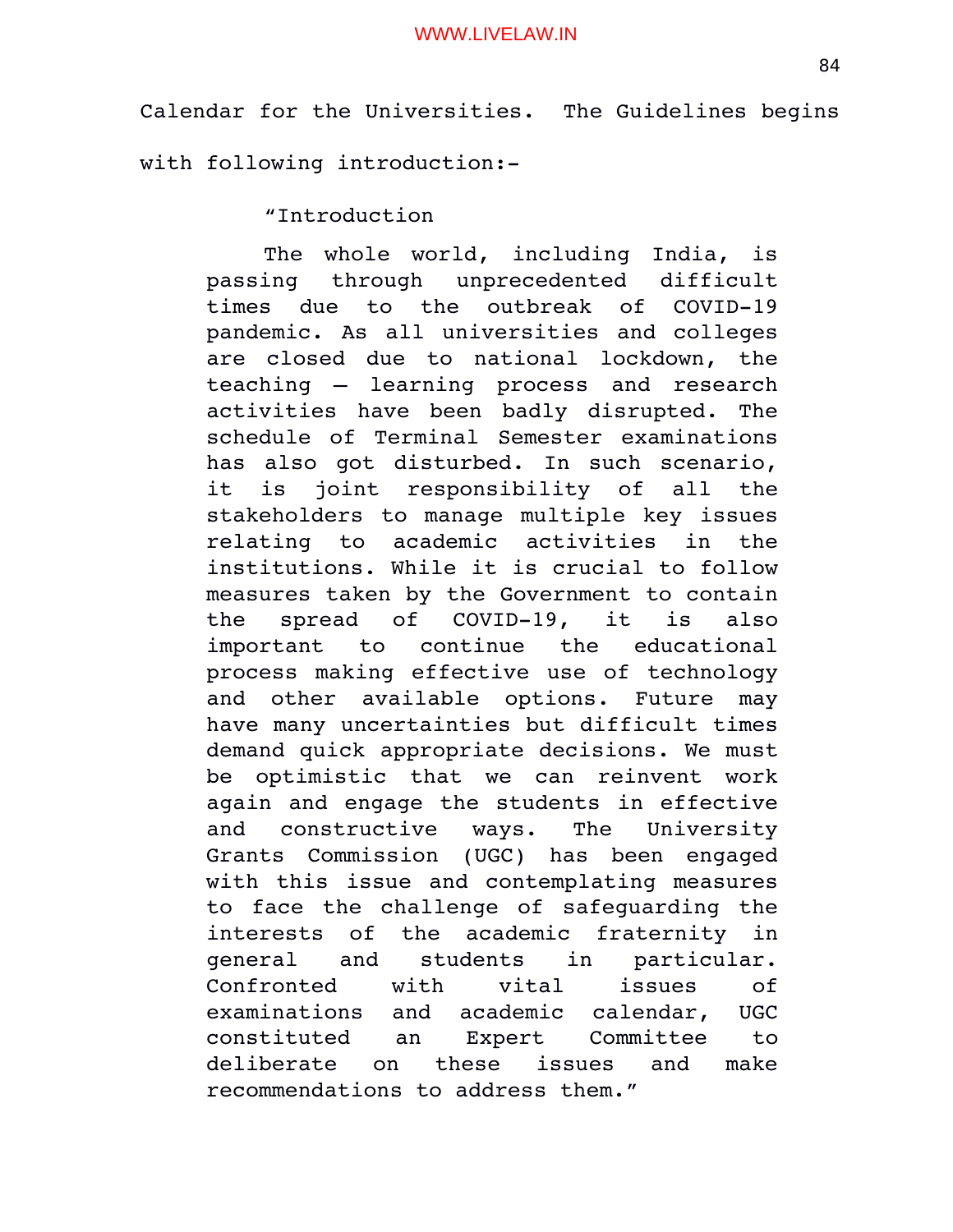Calendar for the Universities. The Guidelines begins with following introduction:

"Introduction

The whole world, including India, is passing through unprecedented difficult times due to the outbreak of COVID-19 pandemic. As all universities and colleges are closed due to national lockdown, the teaching - learning process and research activities have been badly disrupted. The schedule of Terminal Semester examinations has also got disturbed. In such scenario, it is joint responsibility of all the stakeholders to manage multiple key issues relating to academic activities in the institutions. While it is crucial to follow measures taken by the Government to contain the spread of COVID-19, it is also important to continue the educational process making effective use of technology and other available options. Future may have many uncertainties but difficult times demand quick appropriate decisions. We must be optimistic that we can reinvent work again and engage the students in effective and constructive ways. The University Grants Commission (UGC) has been engaged with this issue and contemplating measures to face the challenge of safeguarding the interests of the academic fraternity in general and students in particular. Confronted with vital issues of examinations and academic calendar, UGC constituted an Expert Committee to deliberate on these issues and make recommendations to address them."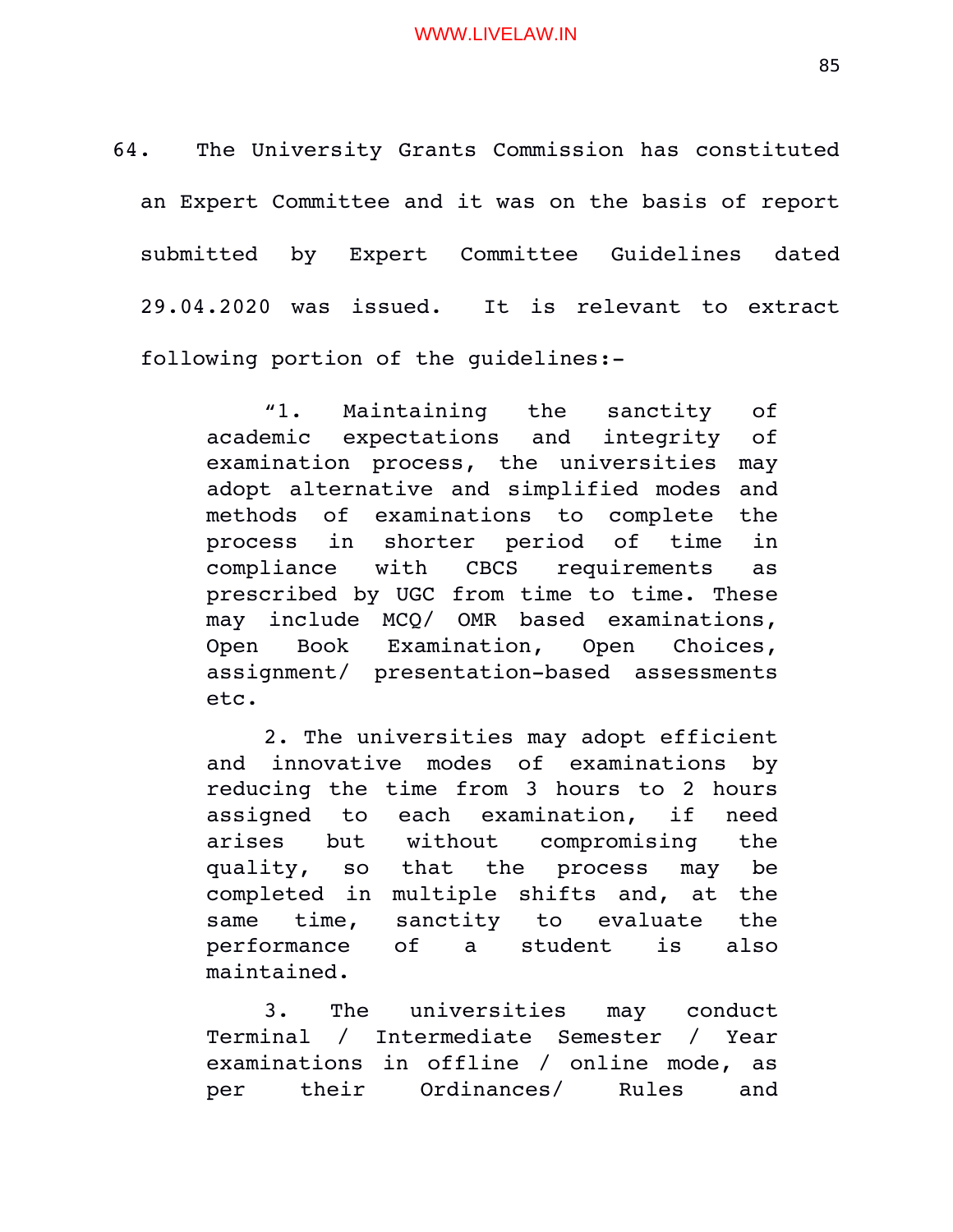64. The University Grants Commission has constituted an Expert Committee and it was on the basis of report submitted by Expert Committee Guidelines dated 29.04.2020 was issued. It is relevant to extract following portion of the guidelines:

> "1. Maintaining the sanctity of academic expectations and integrity of examination process, the universities may adopt alternative and simplified modes and methods of examinations to complete the process in shorter period of time in compliance with CBCS requirements as prescribed by UGC from time to time. These may include MCQ/ OMR based examinations, Open Book Examination, Open Choices, assignment/ presentation-based assessments etc.

> 2. The universities may adopt efficient and innovative modes of examinations by reducing the time from 3 hours to 2 hours assigned to each examination, if need arises but without compromising the quality, so that the process may be completed in multiple shifts and, at the same time, sanctity to evaluate the performance of a student is also maintained.

> 3. The universities may conduct Terminal / Intermediate Semester / Year examinations in offline / online mode, as per their Ordinances/ Rules and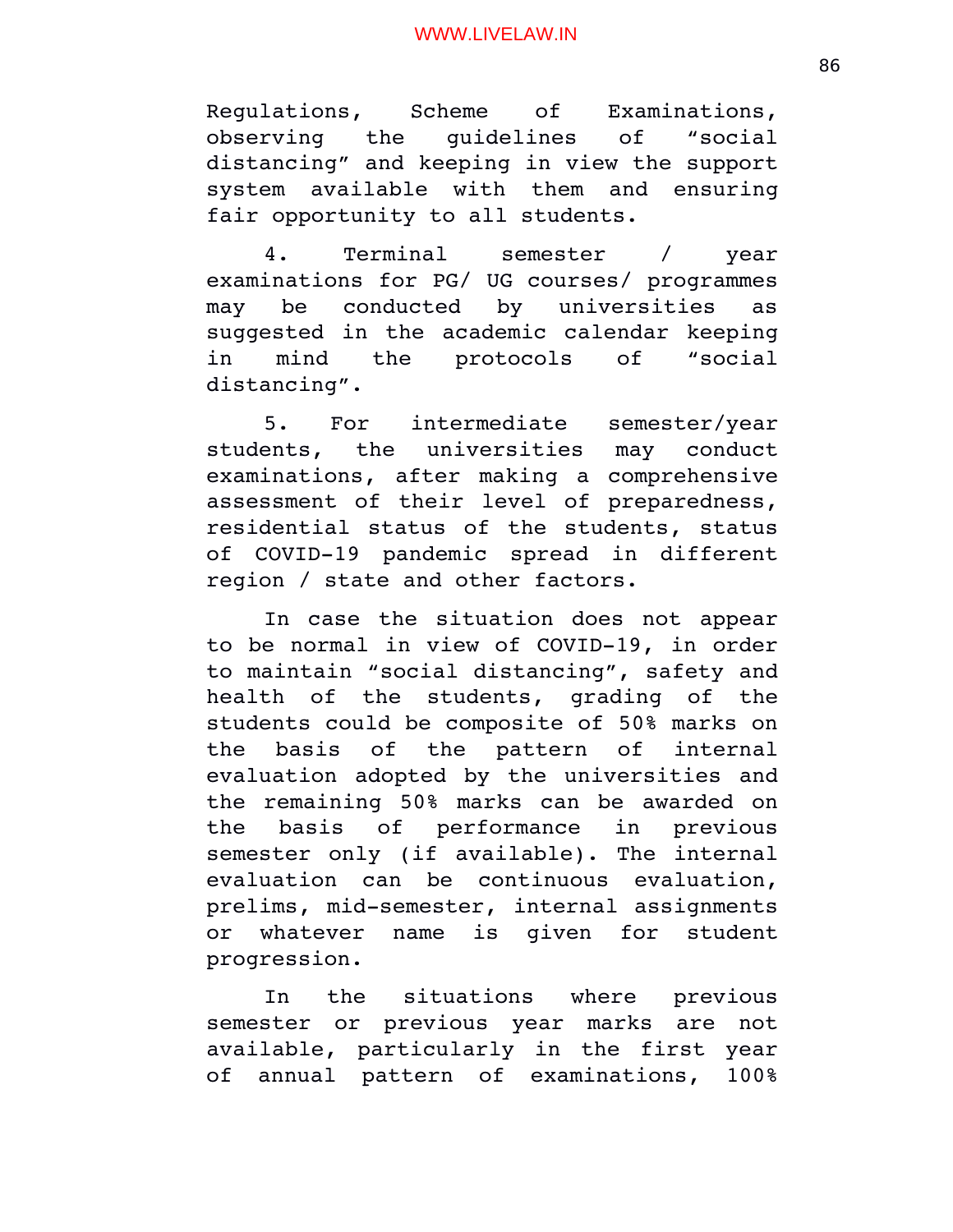Regulations, Scheme of Examinations, observing the quidelines of "social distancing" and keeping in view the support system available with them and ensuring fair opportunity to all students.

4. Terminal semester / year examinations for PG/ UG courses/ programmes may be conducted by universities as suggested in the academic calendar keeping in mind the protocols of "social distancing".

5. For intermediate semester/year students, the universities may conduct examinations, after making a comprehensive assessment of their level of preparedness, residential status of the students, status of COVID-19 pandemic spread in different region / state and other factors.

In case the situation does not appear to be normal in view of COVID-19, in order to maintain "social distancing", safety and health of the students, grading of the students could be composite of 50% marks on the basis of the pattern of internal evaluation adopted by the universities and the remaining 50% marks can be awarded on the basis of performance in previous semester only (if available). The internal evaluation can be continuous evaluation, prelims, mid-semester, internal assignments or whatever name is given for student progression.

In the situations where previous semester or previous year marks are not available, particularly in the first year of annual pattern of examinations, 100%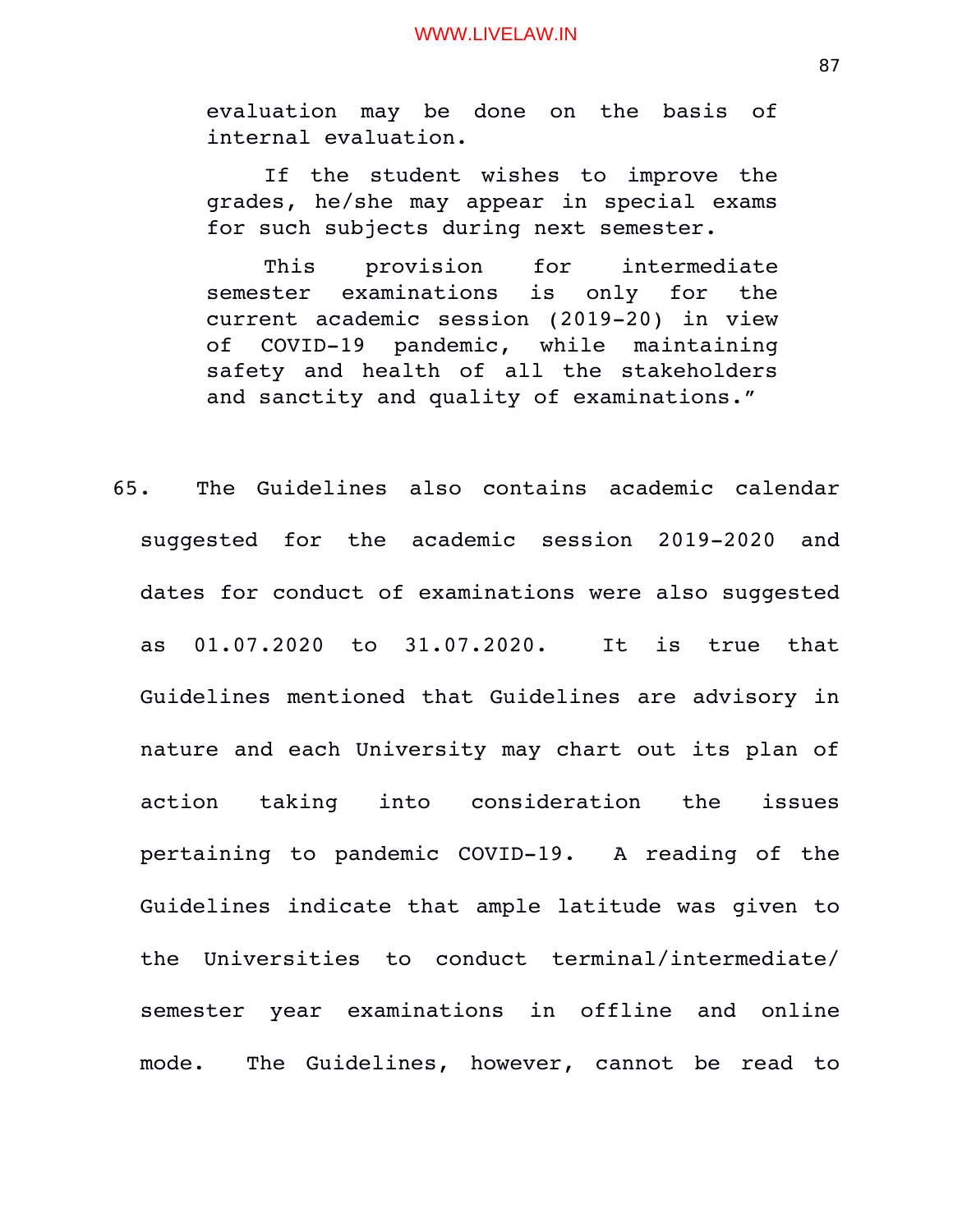evaluation may be done on the basis of internal evaluation.

If the student wishes to improve the grades, he/she may appear in special exams for such subjects during next semester.

This provision for intermediate semester examinations is only for the current academic session (2019-20) in view of COVID-19 pandemic, while maintaining safety and health of all the stakeholders and sanctity and quality of examinations."

65. The Guidelines also contains academic calendar suggested for the academic session 2019-2020 and dates for conduct of examinations were also suggested as 01.07.2020 to 31.07.2020. It is true that Guidelines mentioned that Guidelines are advisory in nature and each University may chart out its plan of action taking into consideration the issues pertaining to pandemic COVID-19. A reading of the Guidelines indicate that ample latitude was given to the Universities to conduct terminal/intermediate/ semester year examinations in offline and online mode. The Guidelines, however, cannot be read to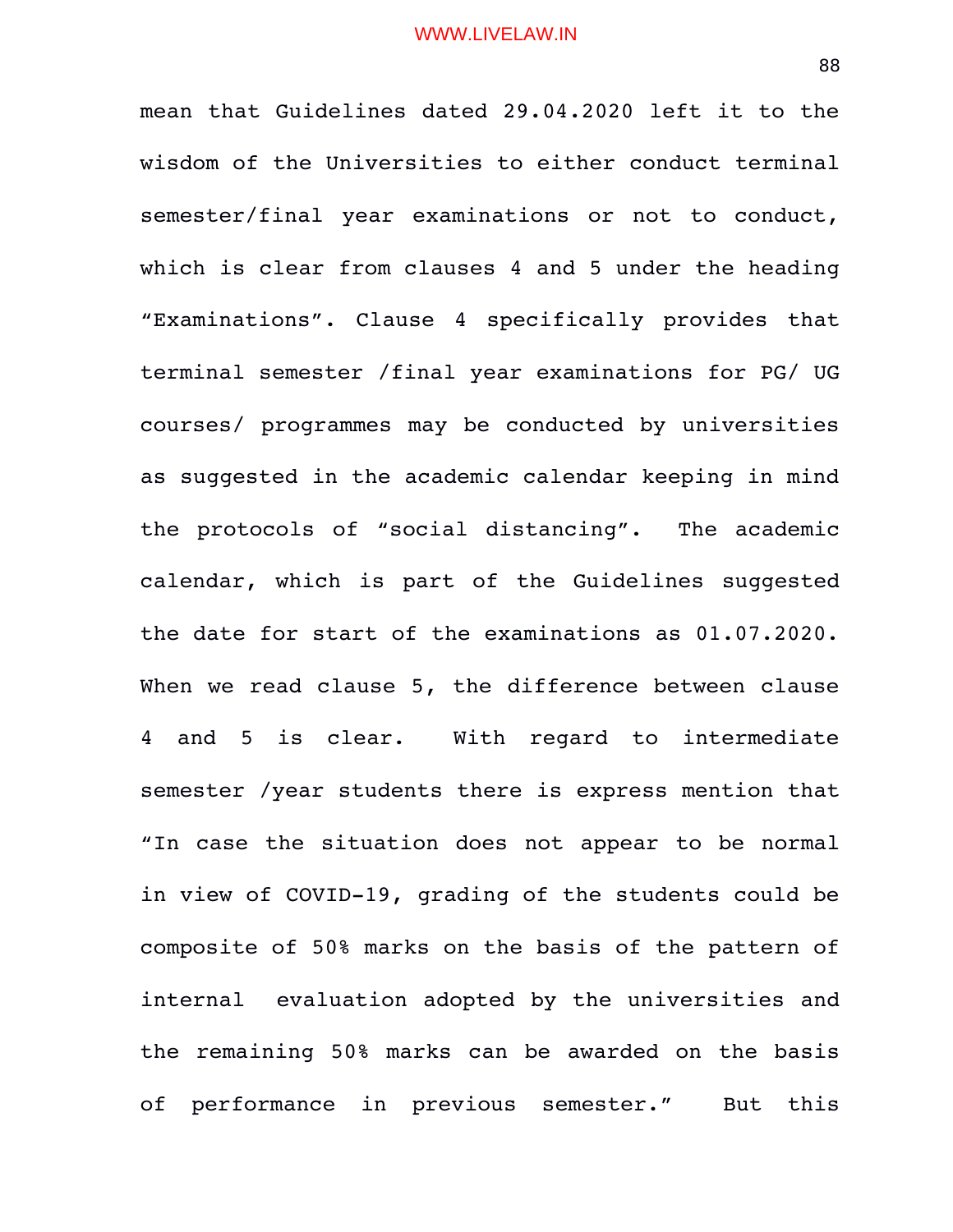mean that Guidelines dated 29.04.2020 left it to the wisdom of the Universities to either conduct terminal semester/final year examinations or not to conduct, which is clear from clauses 4 and 5 under the heading "Examinations". Clause 4 specifically provides that terminal semester /final year examinations for PG/ UG courses/ programmes may be conducted by universities as suggested in the academic calendar keeping in mind the protocols of "social distancing". The academic calendar, which is part of the Guidelines suggested the date for start of the examinations as 01.07.2020. When we read clause 5, the difference between clause 4 and 5 is clear. With regard to intermediate semester /year students there is express mention that "In case the situation does not appear to be normal in view of COVID-19, grading of the students could be composite of 50% marks on the basis of the pattern of internal evaluation adopted by the universities and the remaining 50% marks can be awarded on the basis of performance in previous semester." But this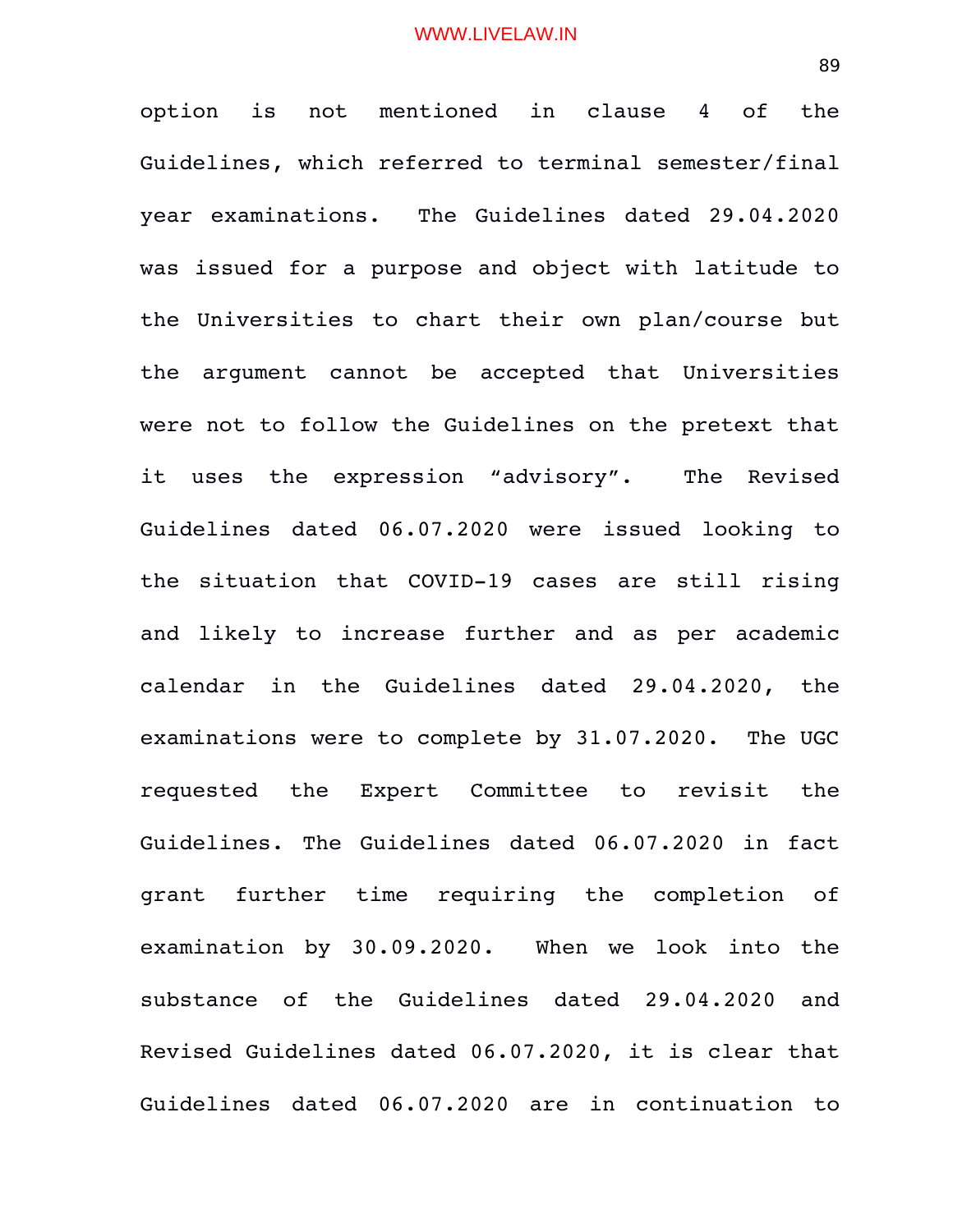option is not mentioned in clause 4 of the Guidelines, which referred to terminal semester/final year examinations. The Guidelines dated 29.04.2020 was issued for a purpose and object with latitude to the Universities to chart their own plan/course but the argument cannot be accepted that Universities were not to follow the Guidelines on the pretext that it uses the expression "advisory". The Revised Guidelines dated 06.07.2020 were issued looking to the situation that COVID-19 cases are still rising and likely to increase further and as per academic calendar in the Guidelines dated 29.04.2020, the examinations were to complete by 31.07.2020. The UGC requested the Expert Committee to revisit the Guidelines. The Guidelines dated 06.07.2020 in fact grant further time requiring the completion of examination by 30.09.2020. When we look into the substance of the Guidelines dated 29.04.2020 and Revised Guidelines dated 06.07.2020, it is clear that Guidelines dated 06.07.2020 are in continuation to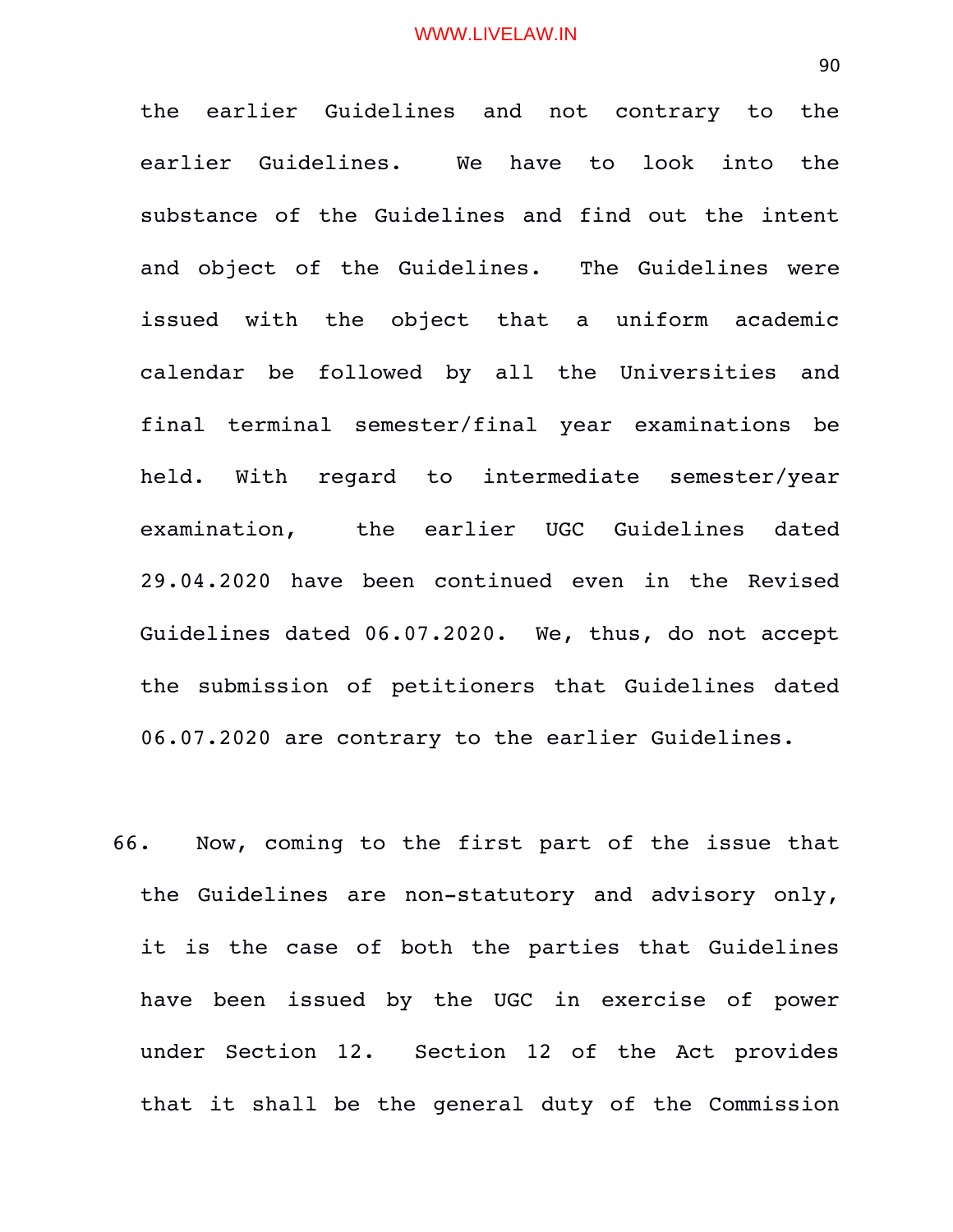the earlier Guidelines and not contrary to the earlier Guidelines. We have to look into the substance of the Guidelines and find out the intent and object of the Guidelines. The Guidelines were issued with the object that a uniform academic calendar be followed by all the Universities and final terminal semester/final year examinations be held. With regard to intermediate semester/year examination, the earlier UGC Guidelines dated 29.04.2020 have been continued even in the Revised Guidelines dated 06.07.2020. We, thus, do not accept the submission of petitioners that Guidelines dated 06.07.2020 are contrary to the earlier Guidelines.

66. Now, coming to the first part of the issue that the Guidelines are non-statutory and advisory only, it is the case of both the parties that Guidelines have been issued by the UGC in exercise of power under Section 12. Section 12 of the Act provides that it shall be the general duty of the Commission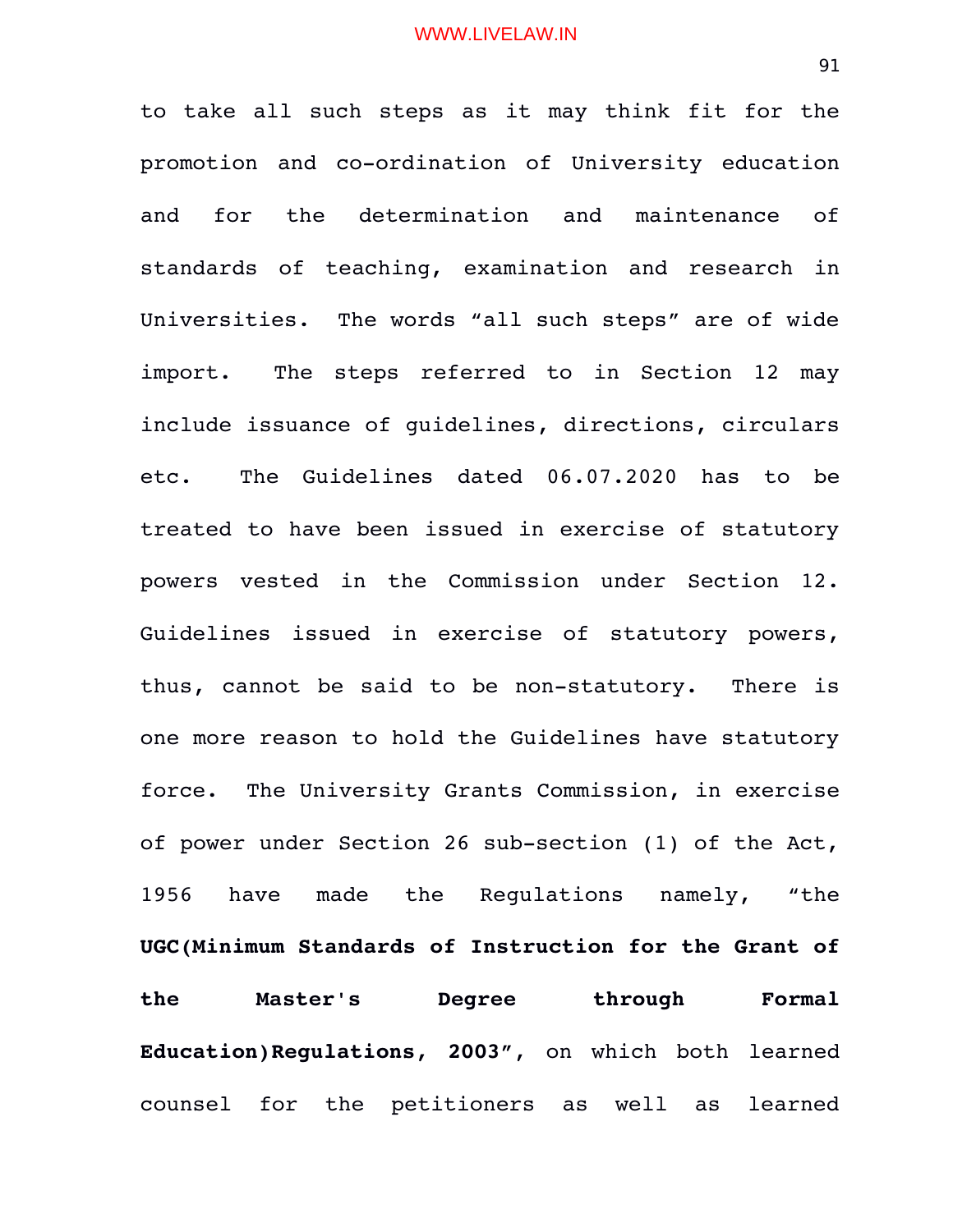to take all such steps as it may think fit for the promotion and co-ordination of University education and for the determination and maintenance of standards of teaching, examination and research in Universities. The words "all such steps" are of wide import. The steps referred to in Section 12 may include issuance of guidelines, directions, circulars etc. The Guidelines dated 06.07.2020 has to be treated to have been issued in exercise of statutory powers vested in the Commission under Section 12. Guidelines issued in exercise of statutory powers, thus, cannot be said to be non-statutory. There is one more reason to hold the Guidelines have statutory force. The University Grants Commission, in exercise of power under Section 26 sub-section (1) of the Act, 1956 have made the Regulations namely, "the **UGC(Minimum Standards of Instruction for the Grant of the Master's Degree through Formal Education)Regulations, 2003"**, on which both learned counsel for the petitioners as well as learned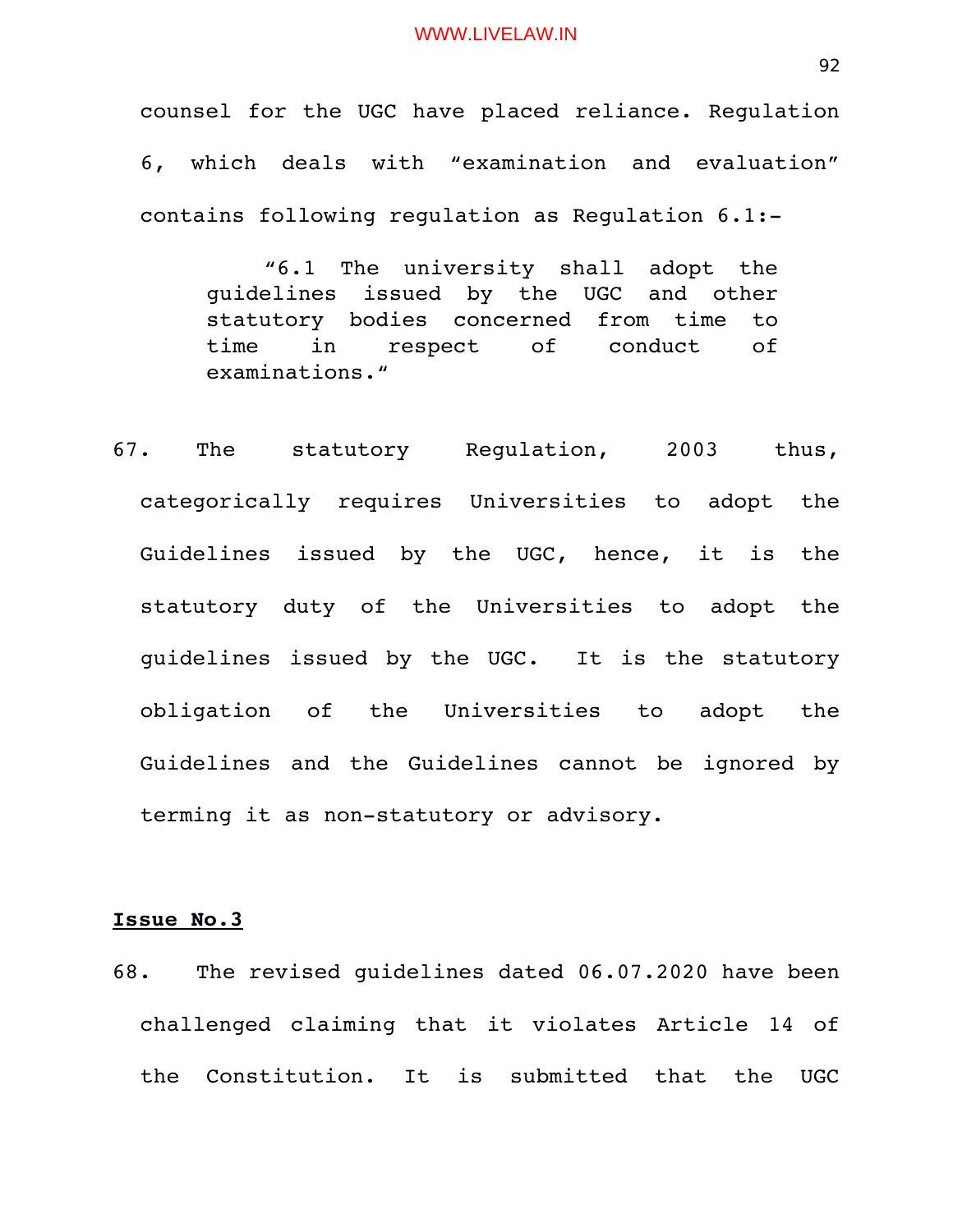counsel for the UGC have placed reliance. Regulation 6, which deals with "examination and evaluation" contains following regulation as Regulation 6.1:

"6.1 The university shall adopt the guidelines issued by the UGC and other statutory bodies concerned from time to time in respect of conduct of examinations."

67. The statutory Regulation, 2003 thus, categorically requires Universities to adopt the Guidelines issued by the UGC, hence, it is the statutory duty of the Universities to adopt the guidelines issued by the UGC. It is the statutory obligation of the Universities to adopt the Guidelines and the Guidelines cannot be ignored by terming it as non-statutory or advisory.

# **Issue No.3**

68. The revised guidelines dated 06.07.2020 have been challenged claiming that it violates Article 14 of the Constitution. It is submitted that the UGC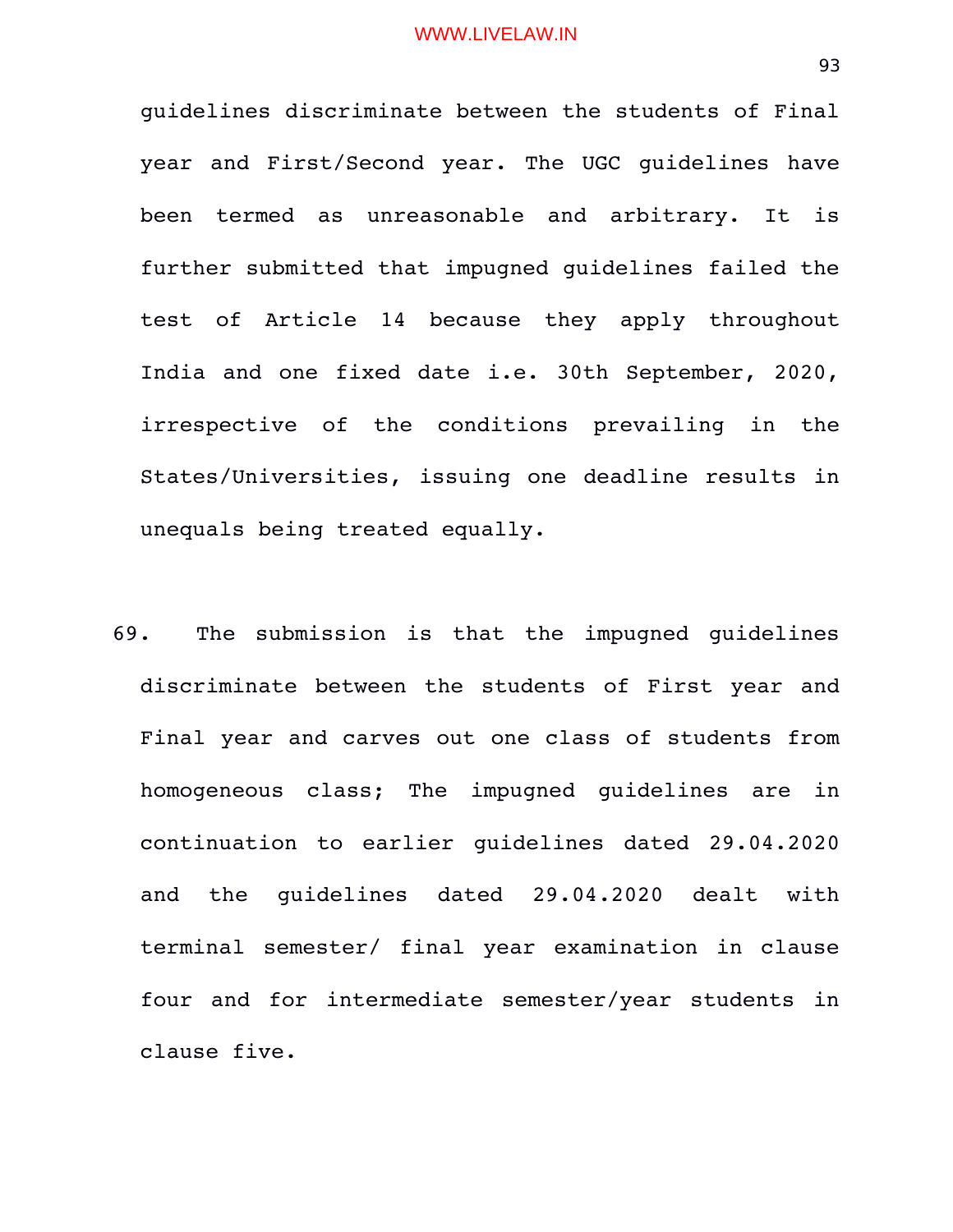guidelines discriminate between the students of Final year and First/Second year. The UGC guidelines have been termed as unreasonable and arbitrary. It is further submitted that impugned guidelines failed the test of Article 14 because they apply throughout India and one fixed date i.e. 30th September, 2020, irrespective of the conditions prevailing in the States/Universities, issuing one deadline results in unequals being treated equally.

69. The submission is that the impugned guidelines discriminate between the students of First year and Final year and carves out one class of students from homogeneous class; The impugned guidelines are in continuation to earlier quidelines dated 29.04.2020 and the quidelines dated 29.04.2020 dealt with terminal semester/ final year examination in clause four and for intermediate semester/year students in clause five.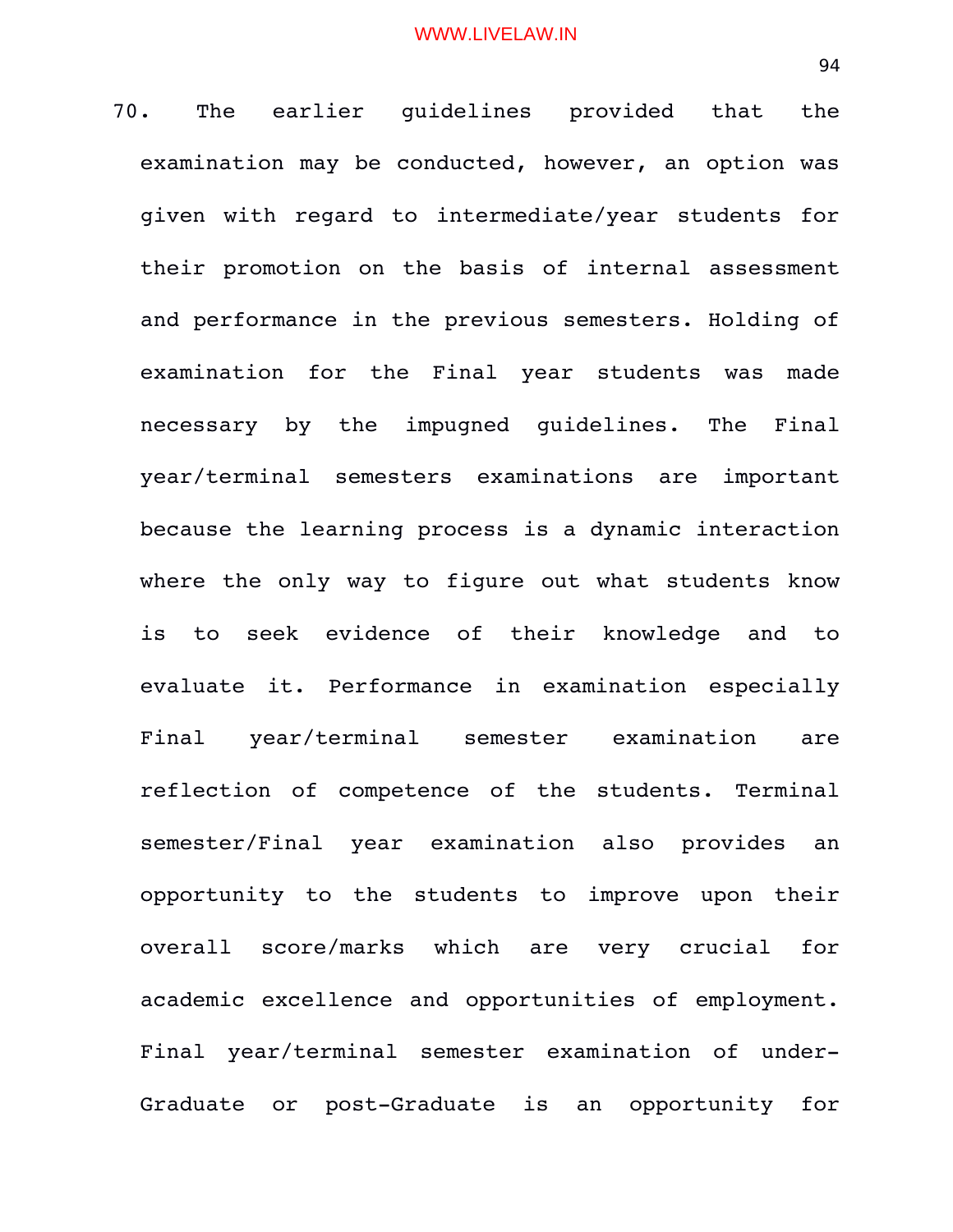70. The earlier quidelines provided that the examination may be conducted, however, an option was given with regard to intermediate/year students for their promotion on the basis of internal assessment and performance in the previous semesters. Holding of examination for the Final year students was made necessary by the impugned guidelines. The Final year/terminal semesters examinations are important because the learning process is a dynamic interaction where the only way to figure out what students know is to seek evidence of their knowledge and to evaluate it. Performance in examination especially Final year/terminal semester examination are reflection of competence of the students. Terminal semester/Final year examination also provides an opportunity to the students to improve upon their overall score/marks which are very crucial for academic excellence and opportunities of employment. Final year/terminal semester examination of under-Graduate or post-Graduate is an opportunity for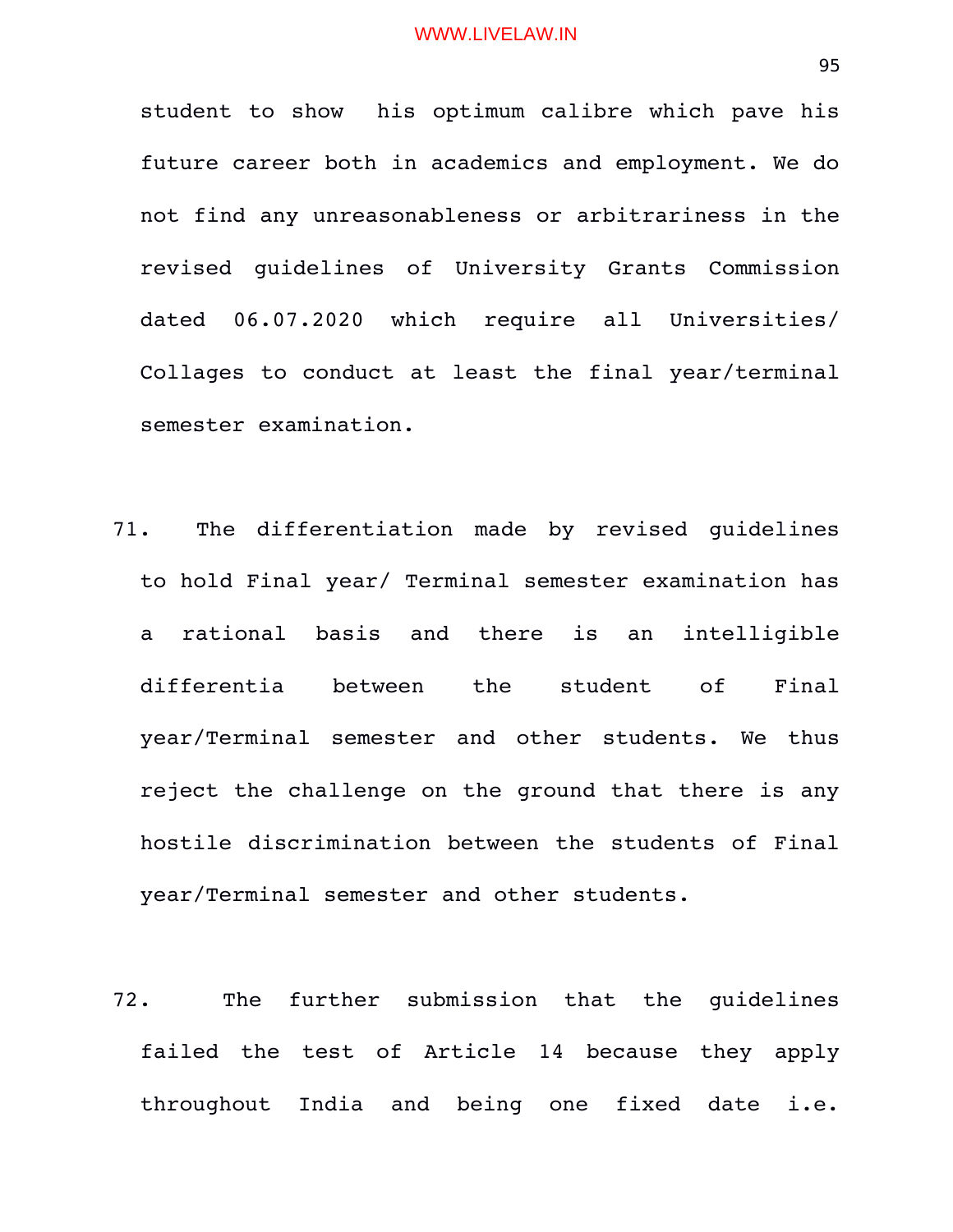student to show his optimum calibre which pave his future career both in academics and employment. We do not find any unreasonableness or arbitrariness in the revised guidelines of University Grants Commission dated 06.07.2020 which require all Universities/ Collages to conduct at least the final year/terminal semester examination.

- 71. The differentiation made by revised guidelines to hold Final year/ Terminal semester examination has a rational basis and there is an intelligible differentia between the student of Final year/Terminal semester and other students. We thus reject the challenge on the ground that there is any hostile discrimination between the students of Final year/Terminal semester and other students.
- 72. The further submission that the quidelines failed the test of Article 14 because they apply throughout India and being one fixed date i.e.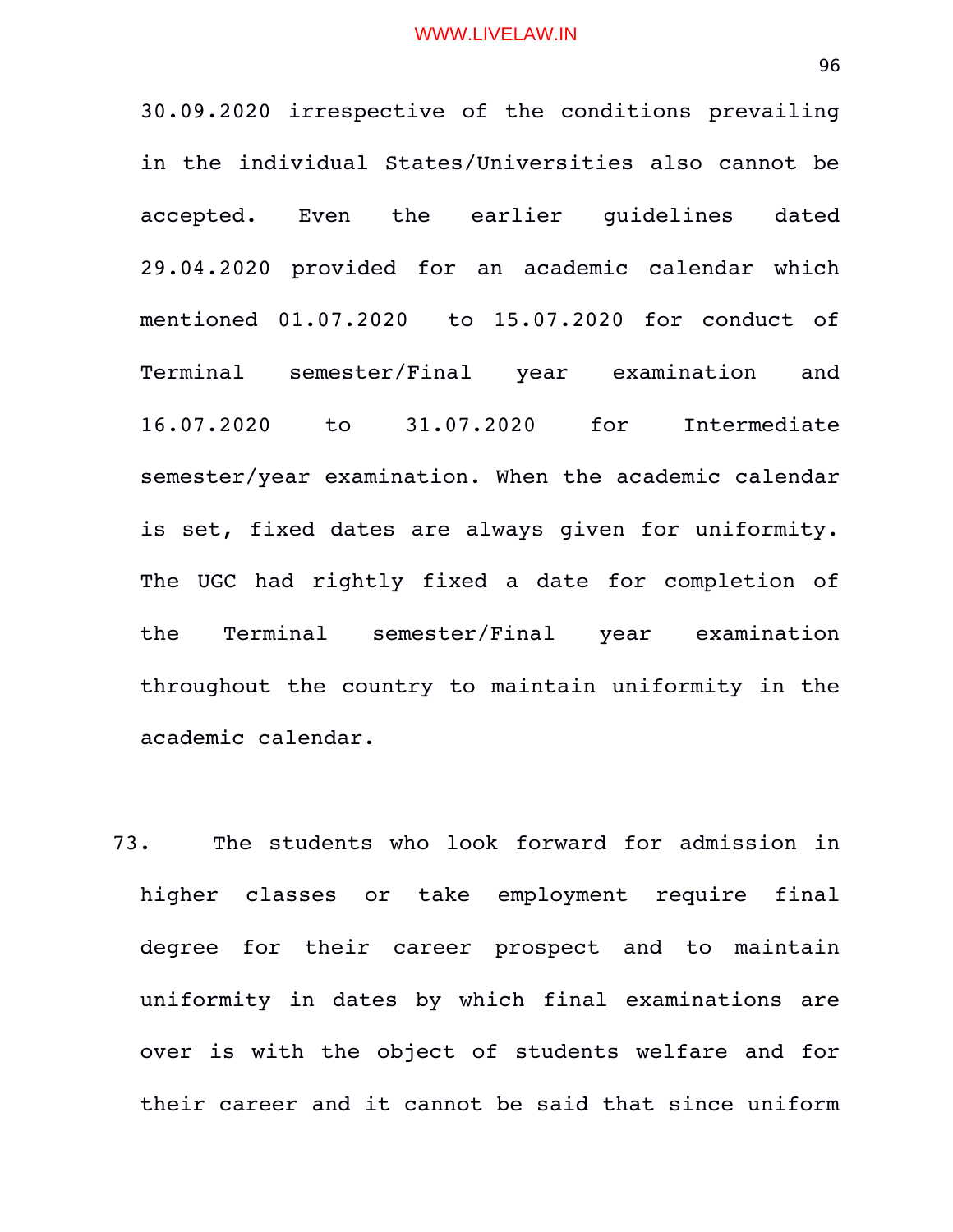30.09.2020 irrespective of the conditions prevailing in the individual States/Universities also cannot be accepted. Even the earlier quidelines dated 29.04.2020 provided for an academic calendar which mentioned 01.07.2020 to 15.07.2020 for conduct of Terminal semester/Final year examination and 16.07.2020 to 31.07.2020 for Intermediate semester/year examination. When the academic calendar is set, fixed dates are always given for uniformity. The UGC had rightly fixed a date for completion of the Terminal semester/Final year examination throughout the country to maintain uniformity in the academic calendar.

73. The students who look forward for admission in higher classes or take employment require final degree for their career prospect and to maintain uniformity in dates by which final examinations are over is with the object of students welfare and for their career and it cannot be said that since uniform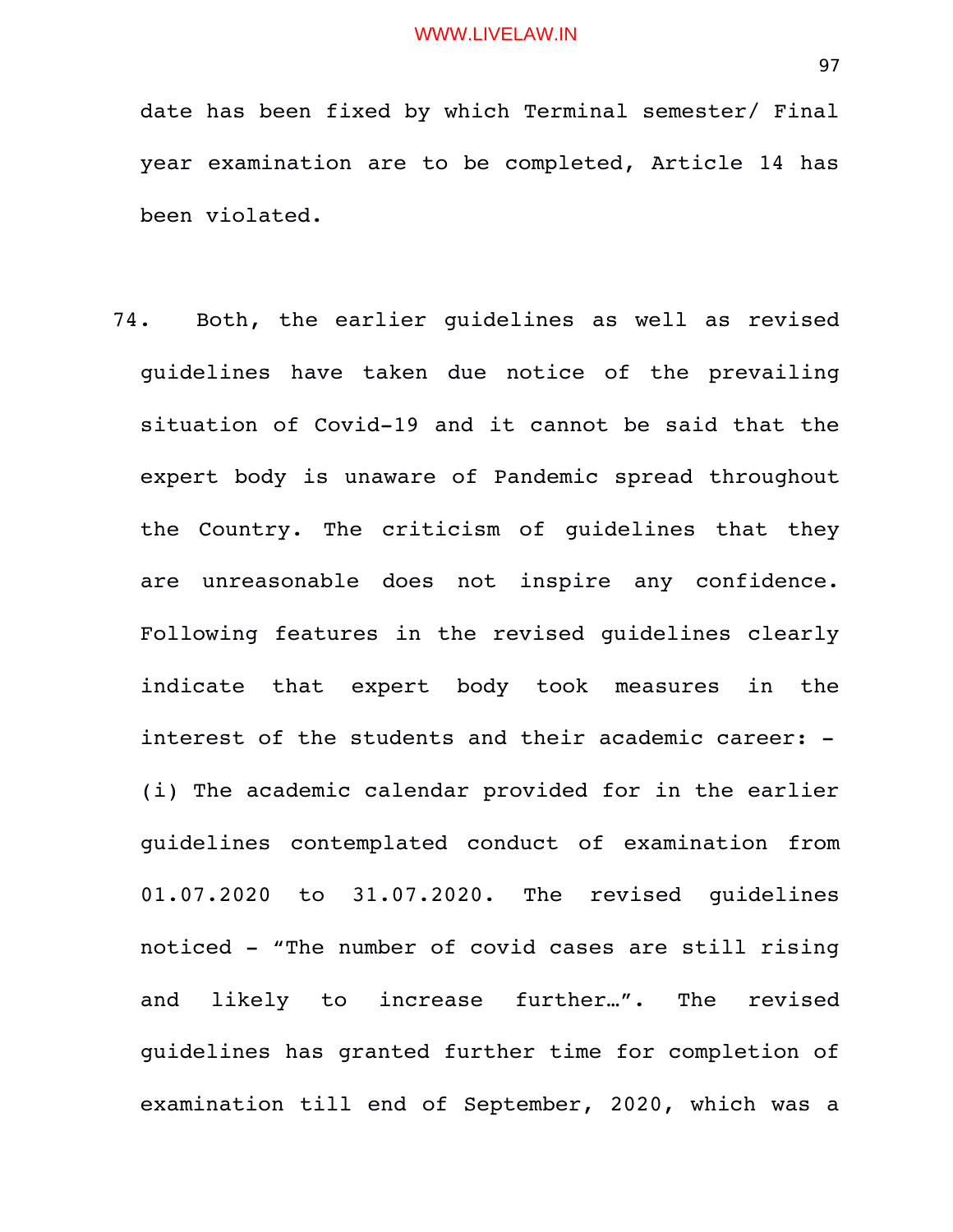date has been fixed by which Terminal semester/ Final year examination are to be completed, Article 14 has been violated.

74. Both, the earlier guidelines as well as revised guidelines have taken due notice of the prevailing situation of Covid-19 and it cannot be said that the expert body is unaware of Pandemic spread throughout the Country. The criticism of quidelines that they are unreasonable does not inspire any confidence. Following features in the revised guidelines clearly indicate that expert body took measures in the interest of the students and their academic career: -(i) The academic calendar provided for in the earlier guidelines contemplated conduct of examination from 01.07.2020 to 31.07.2020. The revised guidelines noticed "The number of covid cases are still rising and likely to increase further...". The revised guidelines has granted further time for completion of examination till end of September, 2020, which was a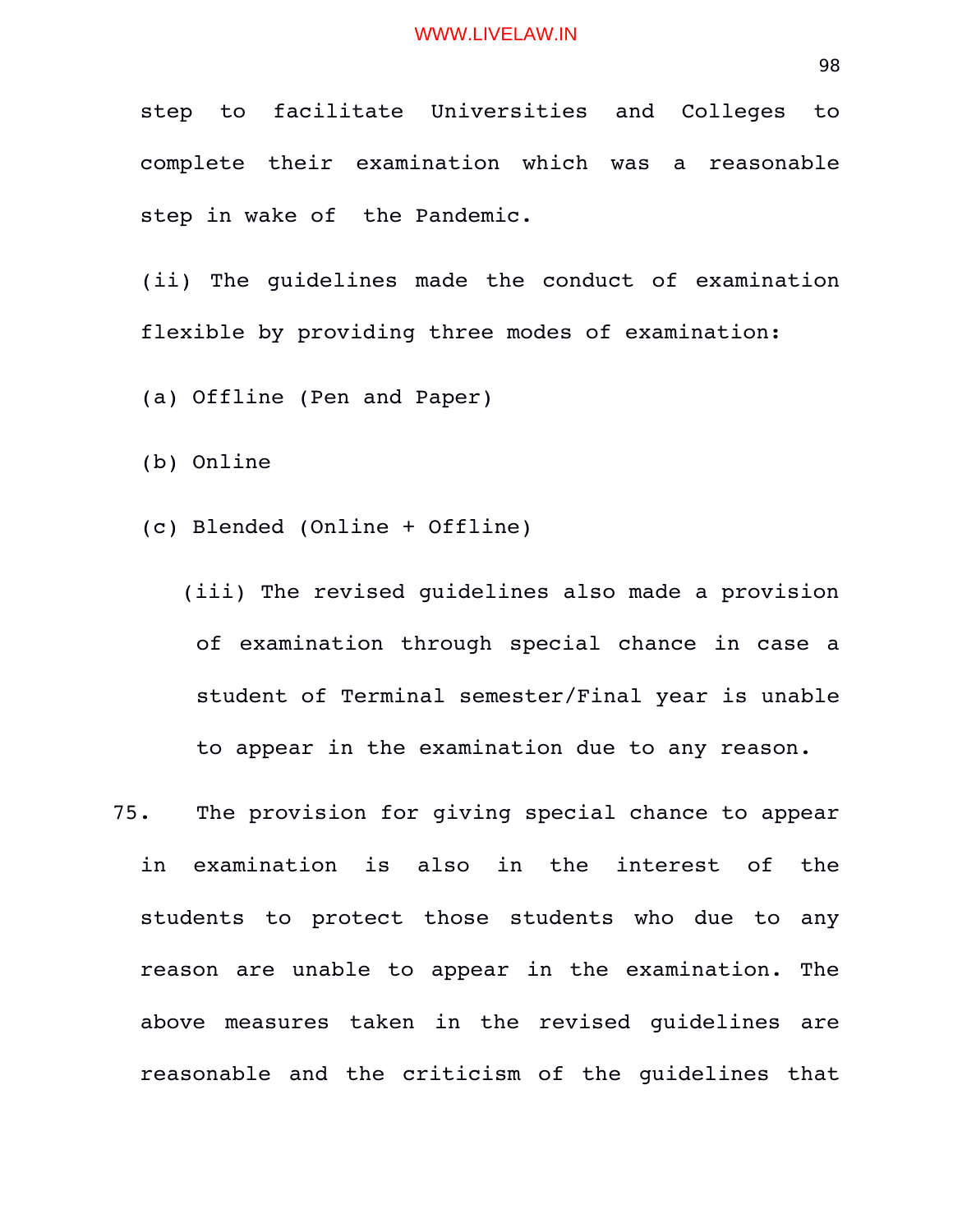step to facilitate Universities and Colleges to complete their examination which was a reasonable step in wake of the Pandemic.

(ii) The guidelines made the conduct of examination flexible by providing three modes of examination:

(a) Offline (Pen and Paper)

(b) Online

(c) Blended (Online + Offline)

 (iii) The revised guidelines also made a provision of examination through special chance in case a student of Terminal semester/Final year is unable to appear in the examination due to any reason.

75. The provision for giving special chance to appear in examination is also in the interest of the students to protect those students who due to any reason are unable to appear in the examination. The above measures taken in the revised guidelines are reasonable and the criticism of the guidelines that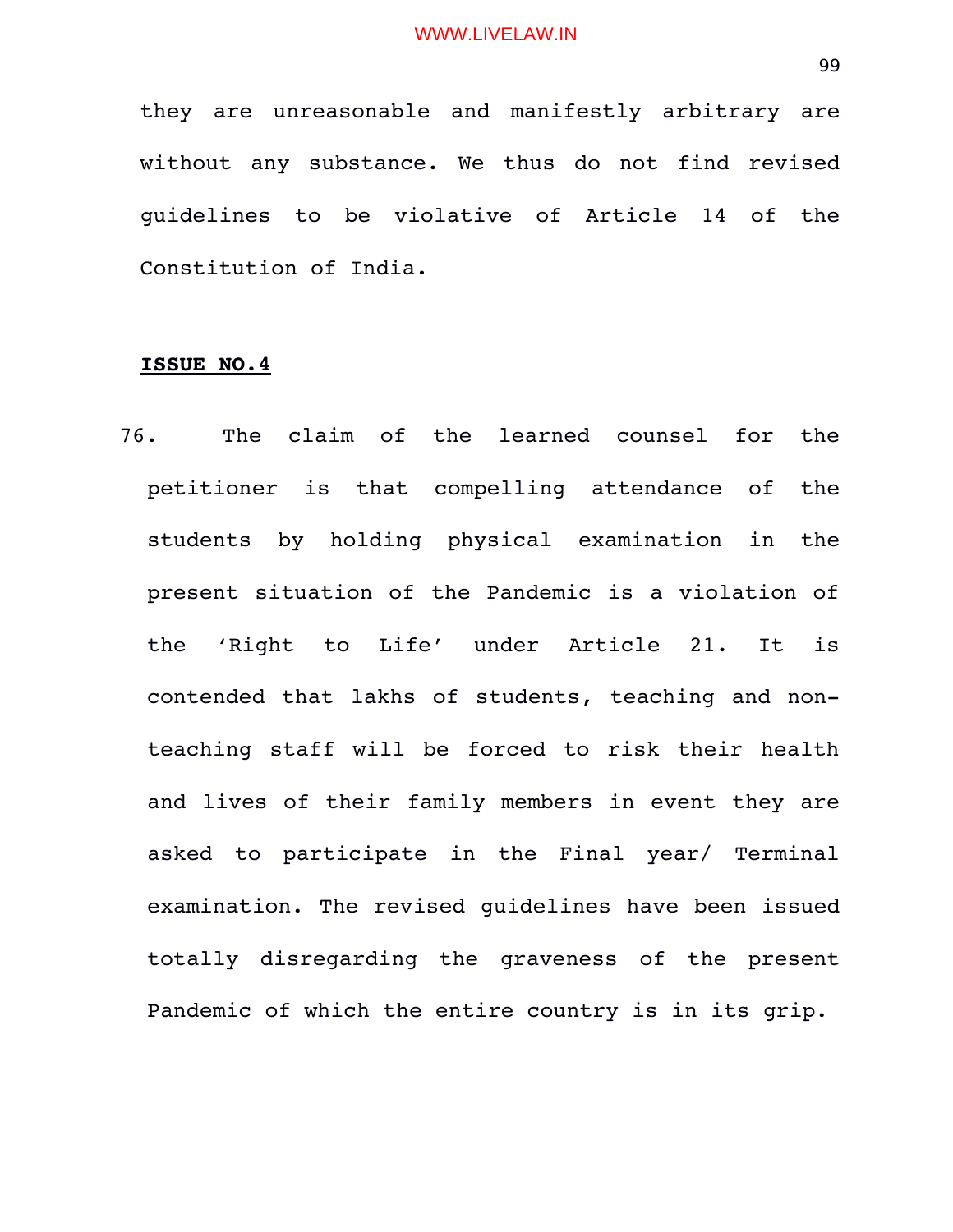they are unreasonable and manifestly arbitrary are without any substance. We thus do not find revised guidelines to be violative of Article 14 of the Constitution of India.

#### **ISSUE NO.4**

76. The claim of the learned counsel for the petitioner is that compelling attendance of the students by holding physical examination in the present situation of the Pandemic is a violation of the 'Right to Life' under Article 21. It is contended that lakhs of students, teaching and nonteaching staff will be forced to risk their health and lives of their family members in event they are asked to participate in the Final year/ Terminal examination. The revised guidelines have been issued totally disregarding the graveness of the present Pandemic of which the entire country is in its grip.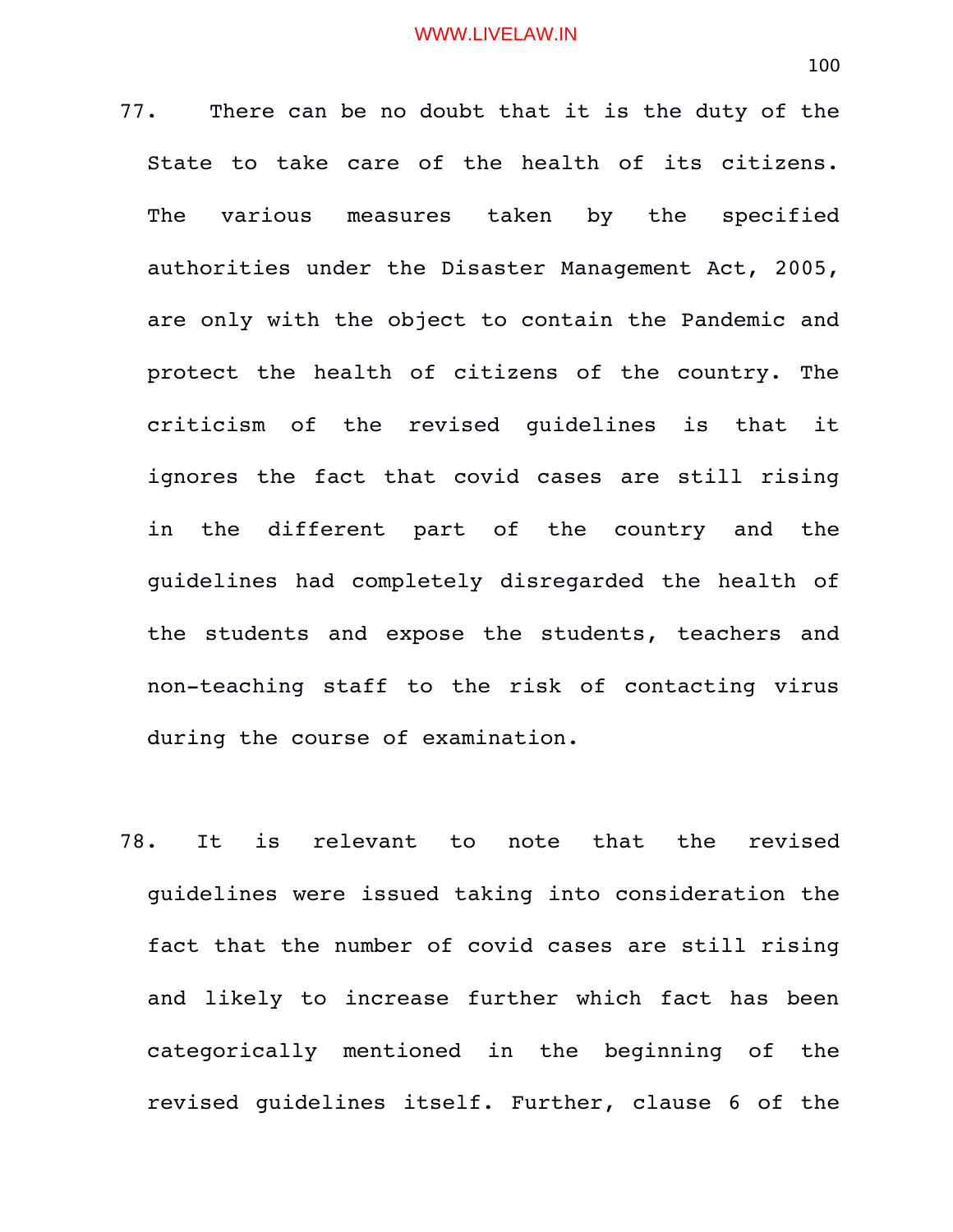77. There can be no doubt that it is the duty of the State to take care of the health of its citizens. The various measures taken by the specified authorities under the Disaster Management Act, 2005, are only with the object to contain the Pandemic and protect the health of citizens of the country. The criticism of the revised guidelines is that it ignores the fact that covid cases are still rising in the different part of the country and the guidelines had completely disregarded the health of the students and expose the students, teachers and non-teaching staff to the risk of contacting virus during the course of examination.

78. It is relevant to note that the revised guidelines were issued taking into consideration the fact that the number of covid cases are still rising and likely to increase further which fact has been categorically mentioned in the beginning of the revised guidelines itself. Further, clause 6 of the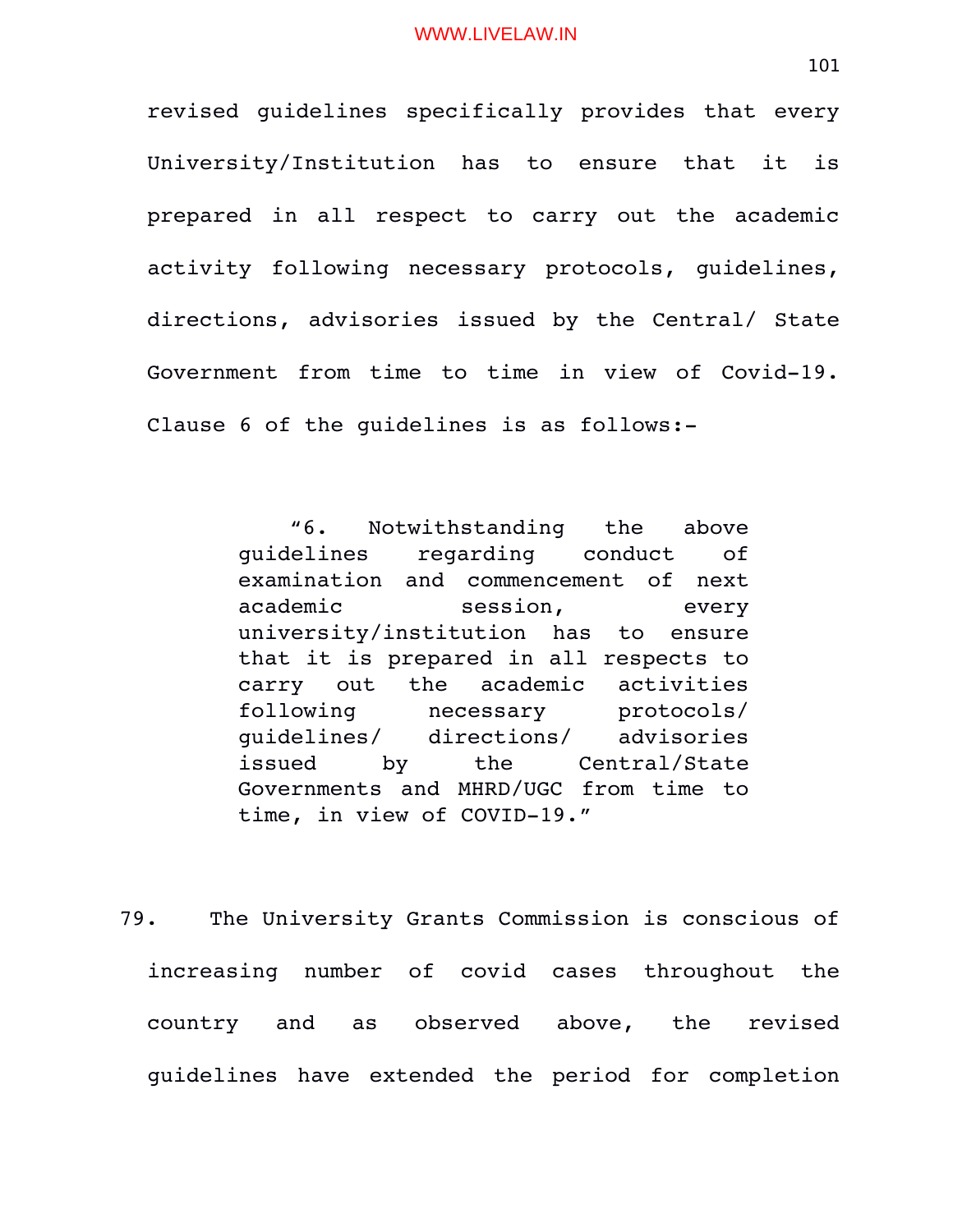revised guidelines specifically provides that every University/Institution has to ensure that it is prepared in all respect to carry out the academic activity following necessary protocols, quidelines, directions, advisories issued by the Central/ State Government from time to time in view of Covid-19. Clause 6 of the guidelines is as follows:

> "6. Notwithstanding the above guidelines regarding conduct of examination and commencement of next academic session, every university/institution has to ensure that it is prepared in all respects to carry out the academic activities following necessary protocols/ guidelines/ directions/ advisories issued by the Central/State Governments and MHRD/UGC from time to time, in view of COVID-19."

79. The University Grants Commission is conscious of increasing number of covid cases throughout the country and as observed above, the revised guidelines have extended the period for completion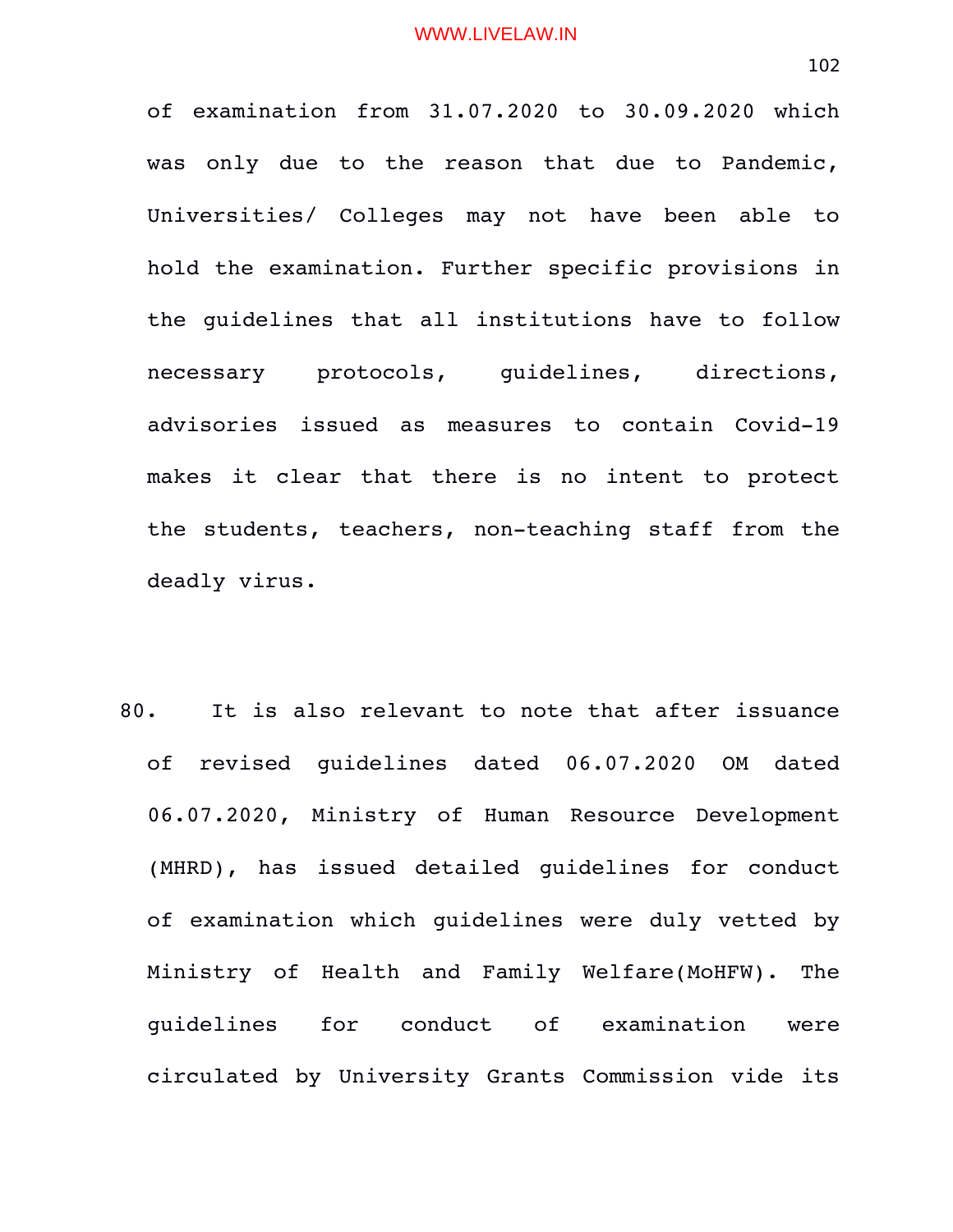of examination from 31.07.2020 to 30.09.2020 which was only due to the reason that due to Pandemic, Universities/ Colleges may not have been able to hold the examination. Further specific provisions in the guidelines that all institutions have to follow necessary protocols, guidelines, directions, advisories issued as measures to contain Covid-19 makes it clear that there is no intent to protect the students, teachers, non-teaching staff from the deadly virus.

80. It is also relevant to note that after issuance of revised guidelines dated 06.07.2020 OM dated 06.07.2020, Ministry of Human Resource Development (MHRD), has issued detailed quidelines for conduct of examination which guidelines were duly vetted by Ministry of Health and Family Welfare(MoHFW). The guidelines for conduct of examination were circulated by University Grants Commission vide its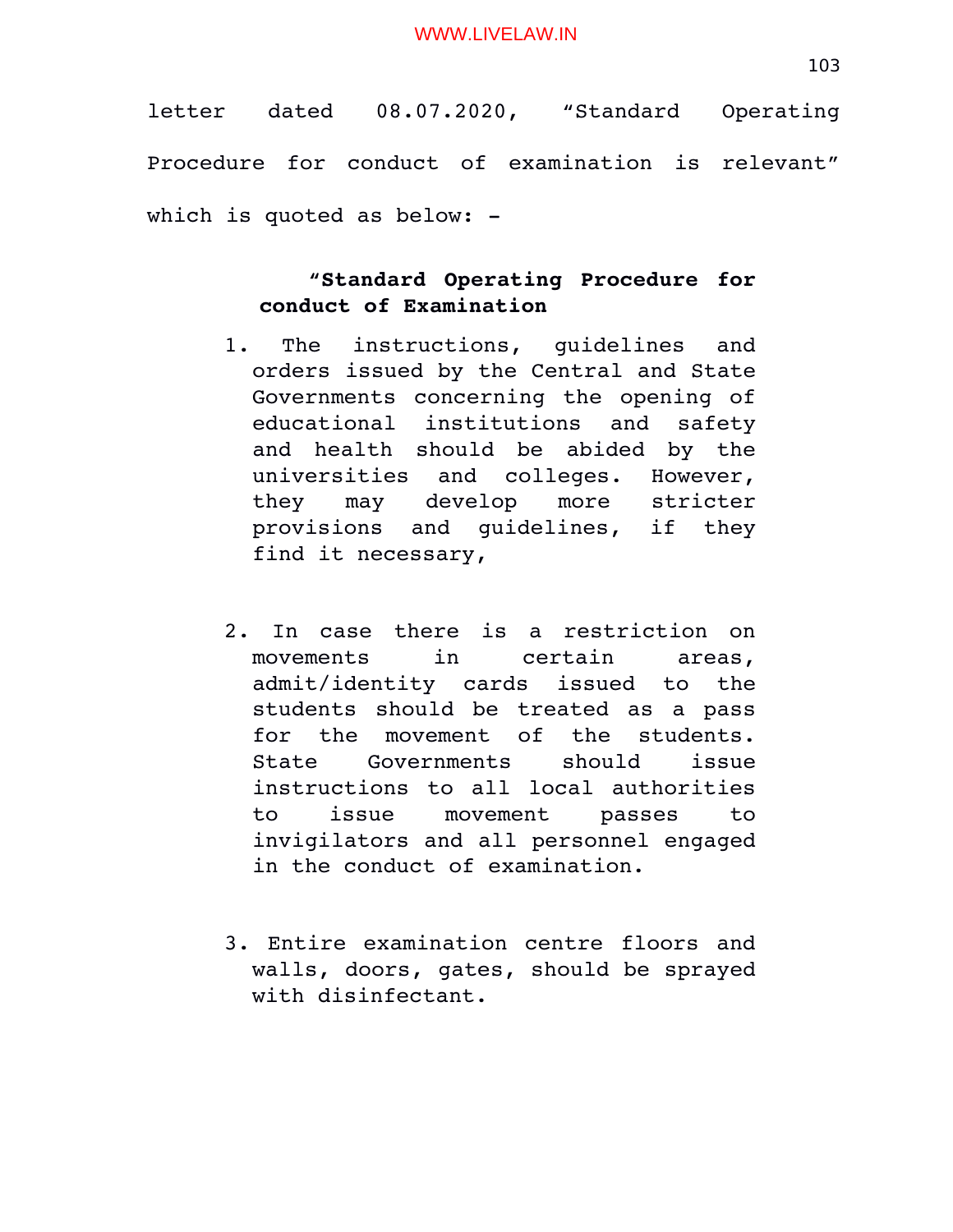letter dated 08.07.2020, "Standard Operating Procedure for conduct of examination is relevant" which is quoted as below: -

# **"Standard Operating Procedure for conduct of Examination**

- 1. The instructions, quidelines and orders issued by the Central and State Governments concerning the opening of educational institutions and safety and health should be abided by the universities and colleges. However, they may develop more stricter provisions and quidelines, if they find it necessary,
- 2. In case there is a restriction on movements in certain areas, admit/identity cards issued to the students should be treated as a pass for the movement of the students. State Governments should issue instructions to all local authorities to issue movement passes to invigilators and all personnel engaged in the conduct of examination.
- 3. Entire examination centre floors and walls, doors, gates, should be sprayed with disinfectant.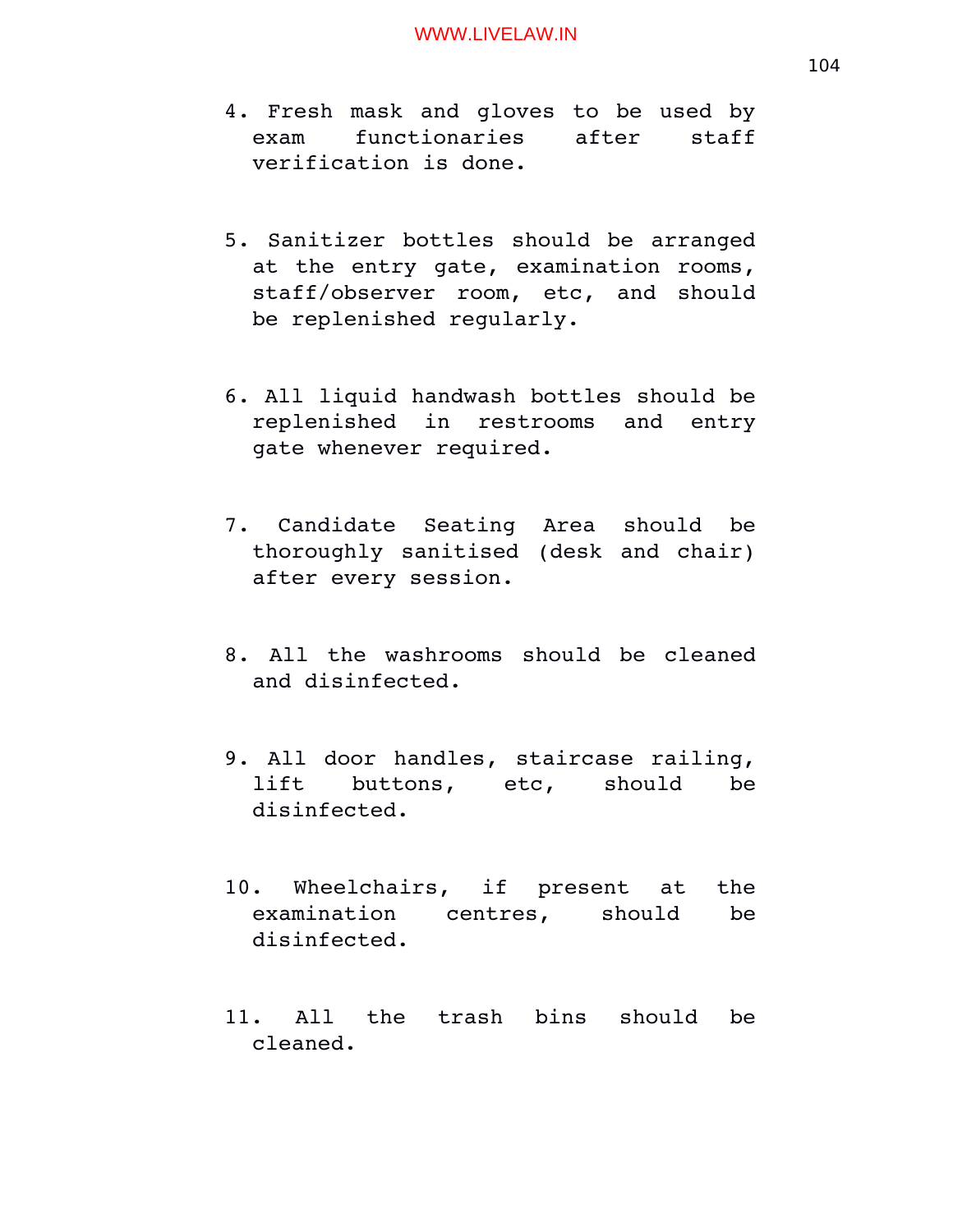- 4. Fresh mask and gloves to be used by exam functionaries after staff verification is done.
- 5. Sanitizer bottles should be arranged at the entry gate, examination rooms, staff/observer room, etc, and should be replenished regularly.
- 6. All liquid handwash bottles should be replenished in restrooms and entry gate whenever required.
- 7. Candidate Seating Area should be thoroughly sanitised (desk and chair) after every session.
- 8. All the washrooms should be cleaned and disinfected.
- 9. All door handles, staircase railing, lift buttons, etc, should be disinfected.
- 10. Wheelchairs, if present at the examination centres, should be disinfected.
- 11. All the trash bins should be cleaned.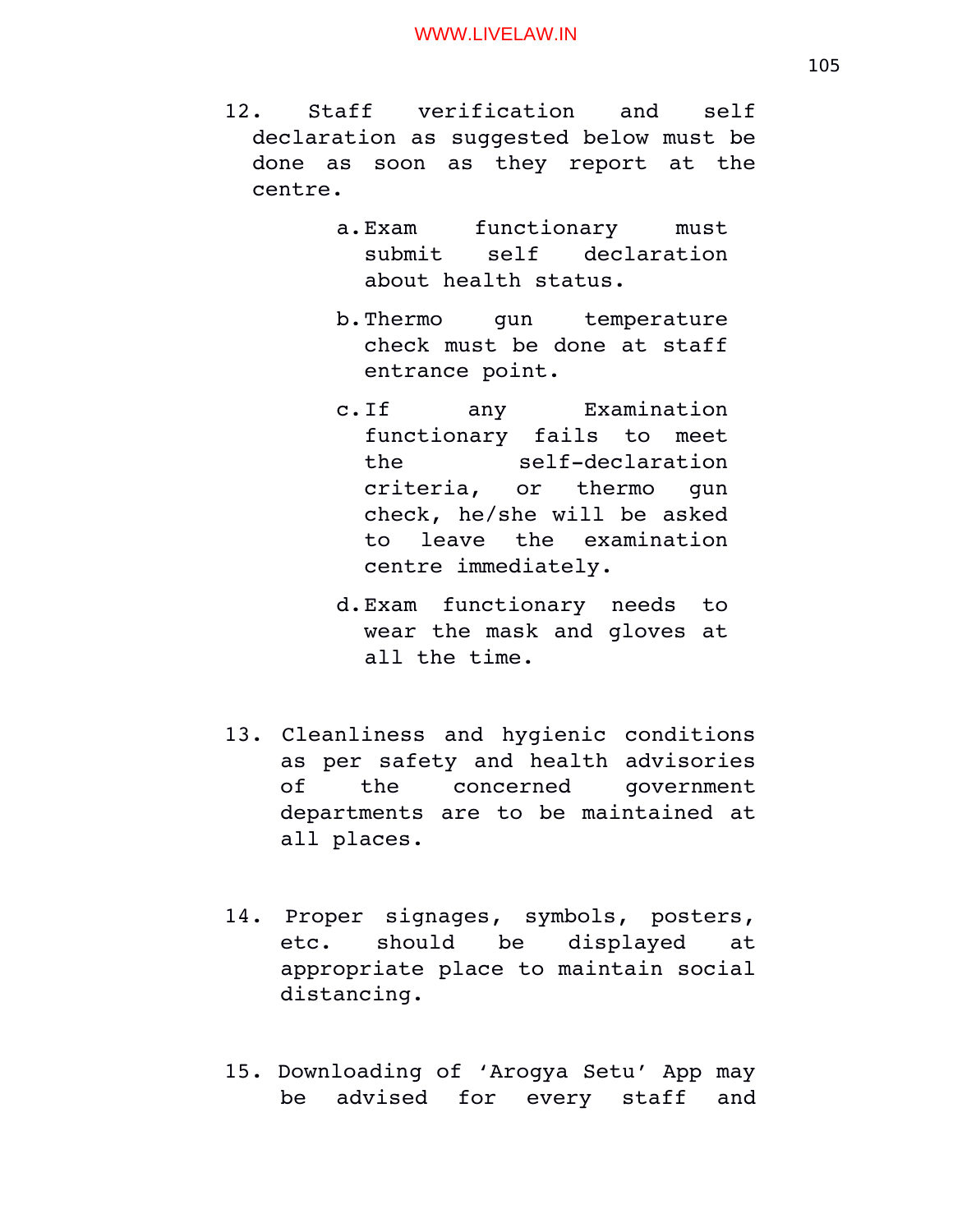- 12. Staff verification and self declaration as suggested below must be done as soon as they report at the centre.
	- a.Exam functionary must submit self declaration about health status.
	- b.Thermo qun temperature check must be done at staff entrance point.
	- c.If any Examination functionary fails to meet the self-declaration criteria, or thermo gun check, he/she will be asked to leave the examination centre immediately.
	- d.Exam functionary needs to wear the mask and gloves at all the time.
- 13. Cleanliness and hygienic conditions as per safety and health advisories of the concerned government departments are to be maintained at all places.
- 14. Proper signages, symbols, posters, etc. should be displayed at appropriate place to maintain social distancing.
- 15. Downloading of 'Arogya Setu' App may be advised for every staff and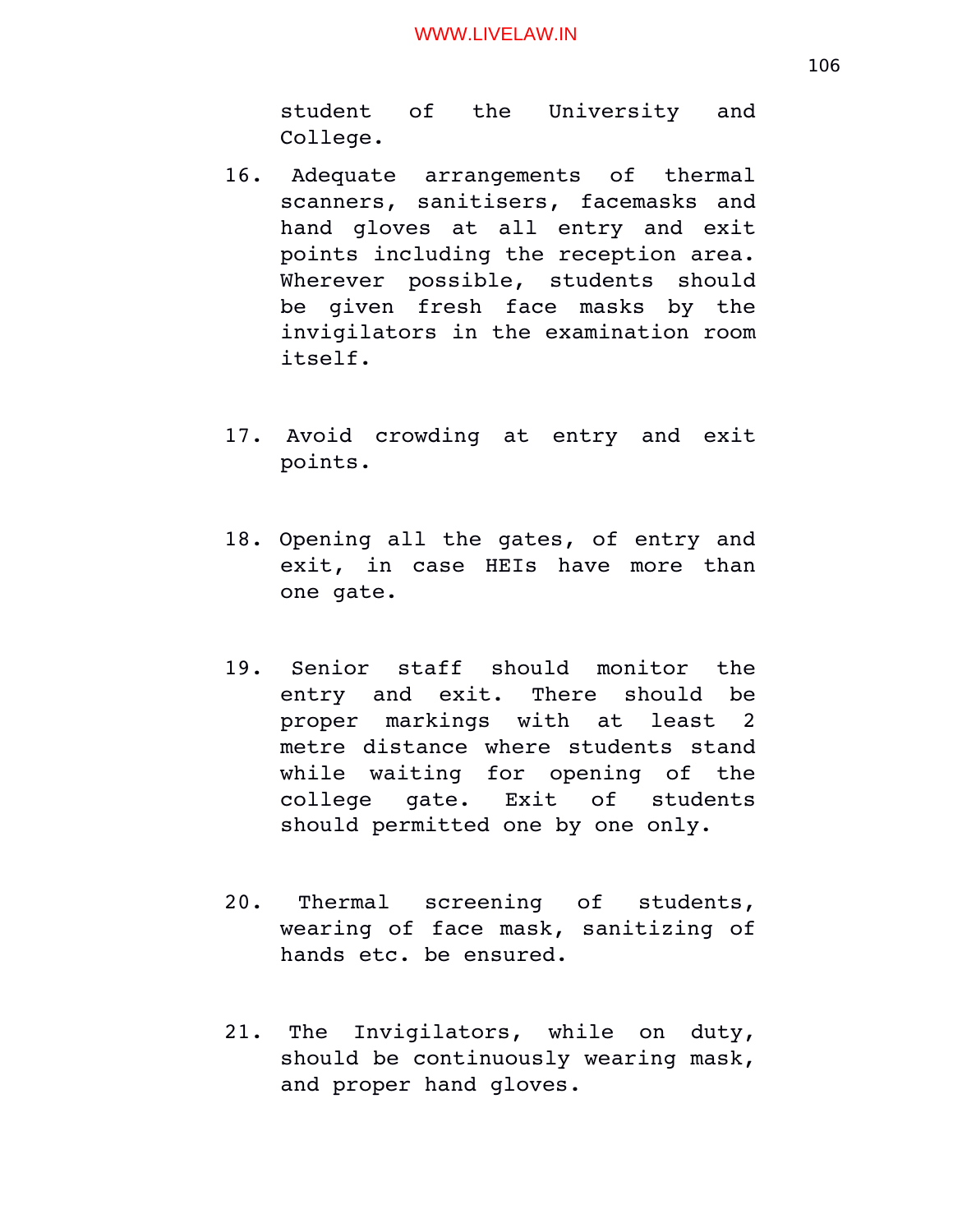student of the University and College.

- 16. Adequate arrangements of thermal scanners, sanitisers, facemasks and hand qloves at all entry and exit points including the reception area. Wherever possible, students should be qiven fresh face masks by the invigilators in the examination room itself.
- 17. Avoid crowding at entry and exit points.
- 18. Opening all the gates, of entry and exit, in case HEIs have more than one gate.
- 19. Senior staff should monitor the entry and exit. There should be proper markings with at least 2 metre distance where students stand while waiting for opening of the college gate. Exit of students should permitted one by one only.
- 20. Thermal screening of students, wearing of face mask, sanitizing of hands etc. be ensured.
- 21. The Invigilators, while on duty, should be continuously wearing mask, and proper hand gloves.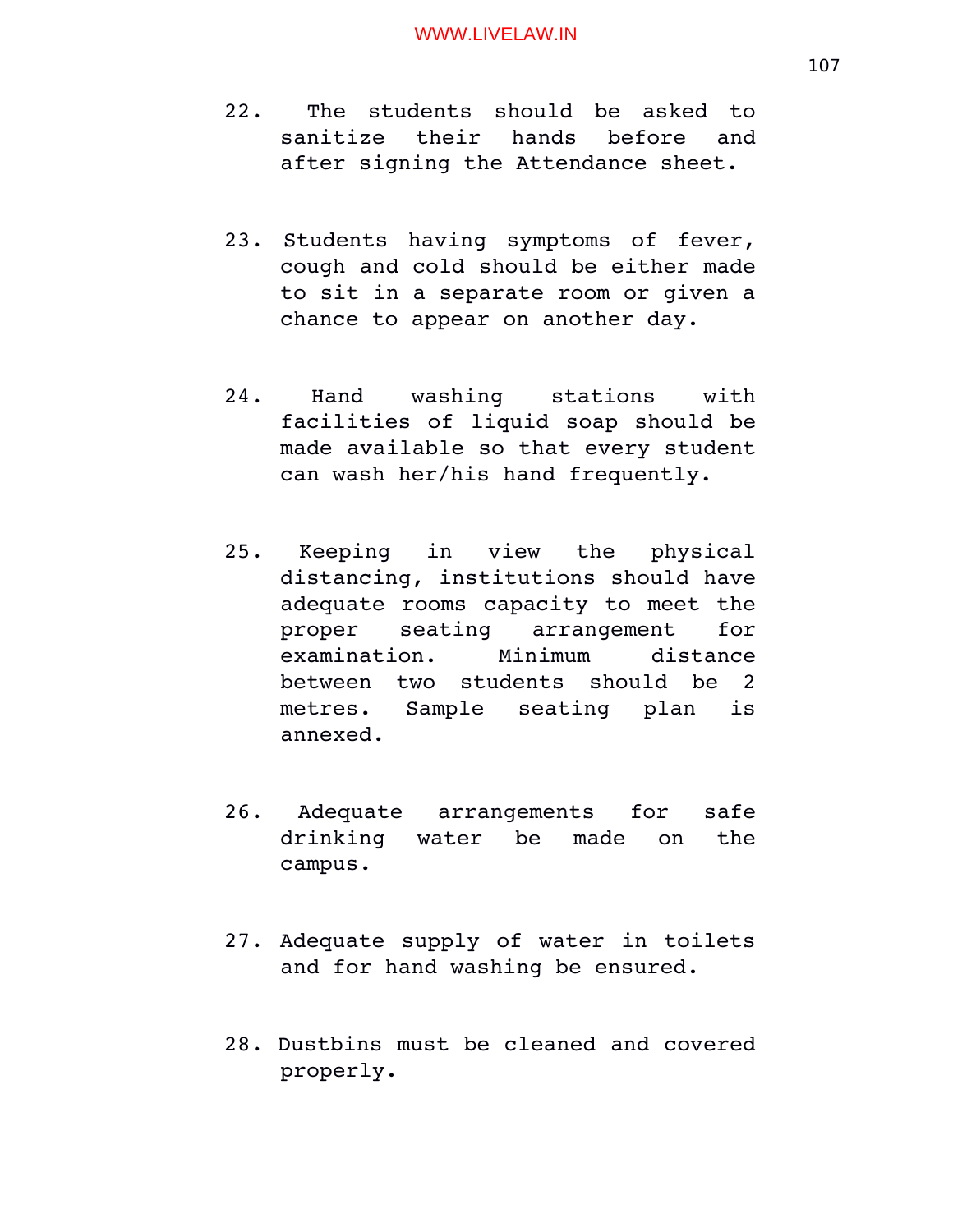- 22. The students should be asked to sanitize their hands before and after signing the Attendance sheet.
- 23. Students having symptoms of fever, cough and cold should be either made to sit in a separate room or given a chance to appear on another day.
- 24. Hand washing stations with facilities of liquid soap should be made available so that every student can wash her/his hand frequently.
- 25. Keeping in view the physical distancing, institutions should have adequate rooms capacity to meet the proper seating arrangement for examination. Minimum distance between two students should be 2 metres. Sample seating plan is annexed.
- 26. Adequate arrangements for safe drinking water be made on the campus.
- 27. Adequate supply of water in toilets and for hand washing be ensured.
- 28. Dustbins must be cleaned and covered properly.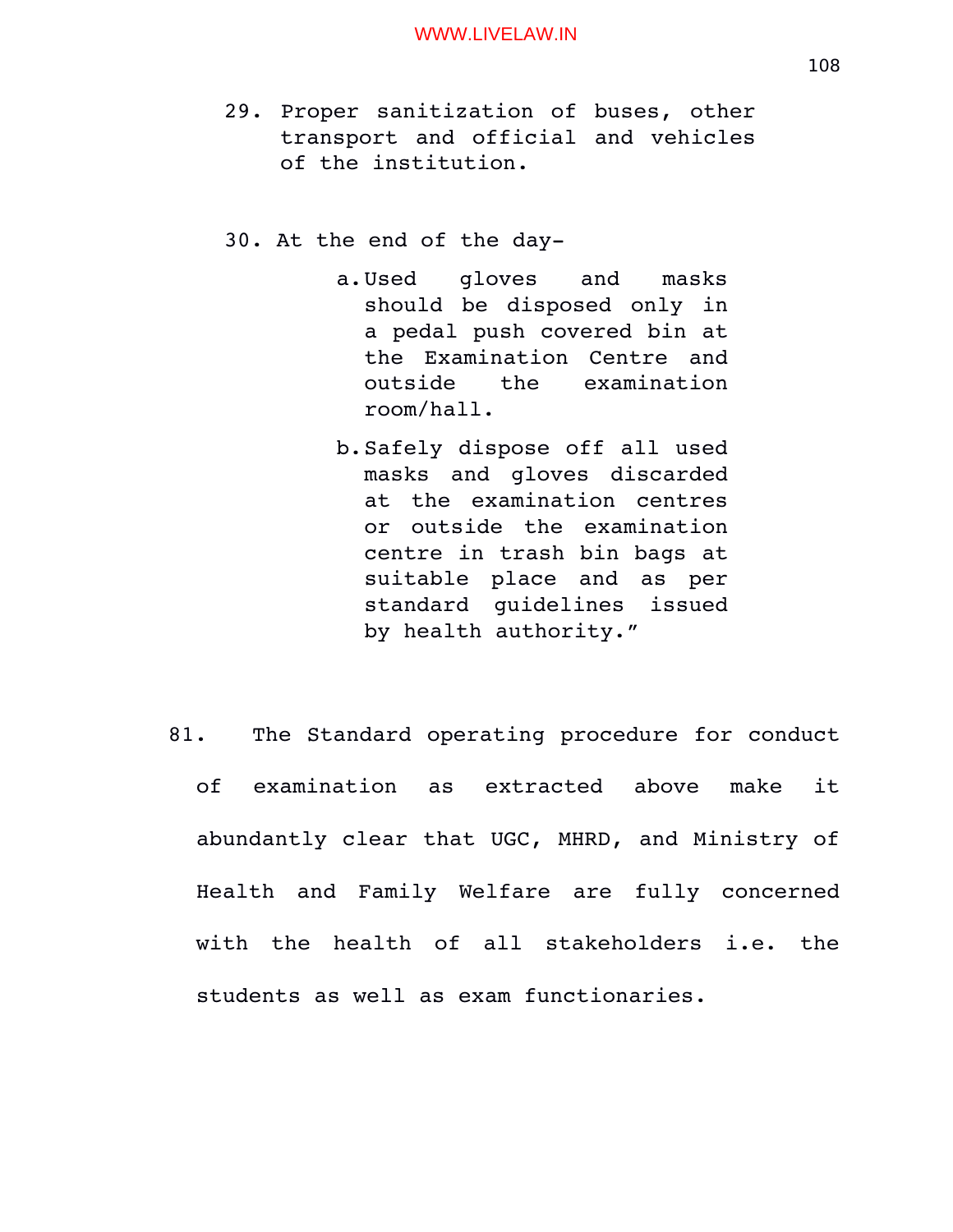- 29. Proper sanitization of buses, other transport and official and vehicles of the institution.
- 30. At the end of the day
	- a.Used gloves and masks should be disposed only in a pedal push covered bin at the Examination Centre and outside the examination room/hall.
	- b.Safely dispose off all used masks and gloves discarded at the examination centres or outside the examination centre in trash bin bags at suitable place and as per standard quidelines issued by health authority."
- 81. The Standard operating procedure for conduct of examination as extracted above make it abundantly clear that UGC, MHRD, and Ministry of Health and Family Welfare are fully concerned with the health of all stakeholders i.e. the students as well as exam functionaries.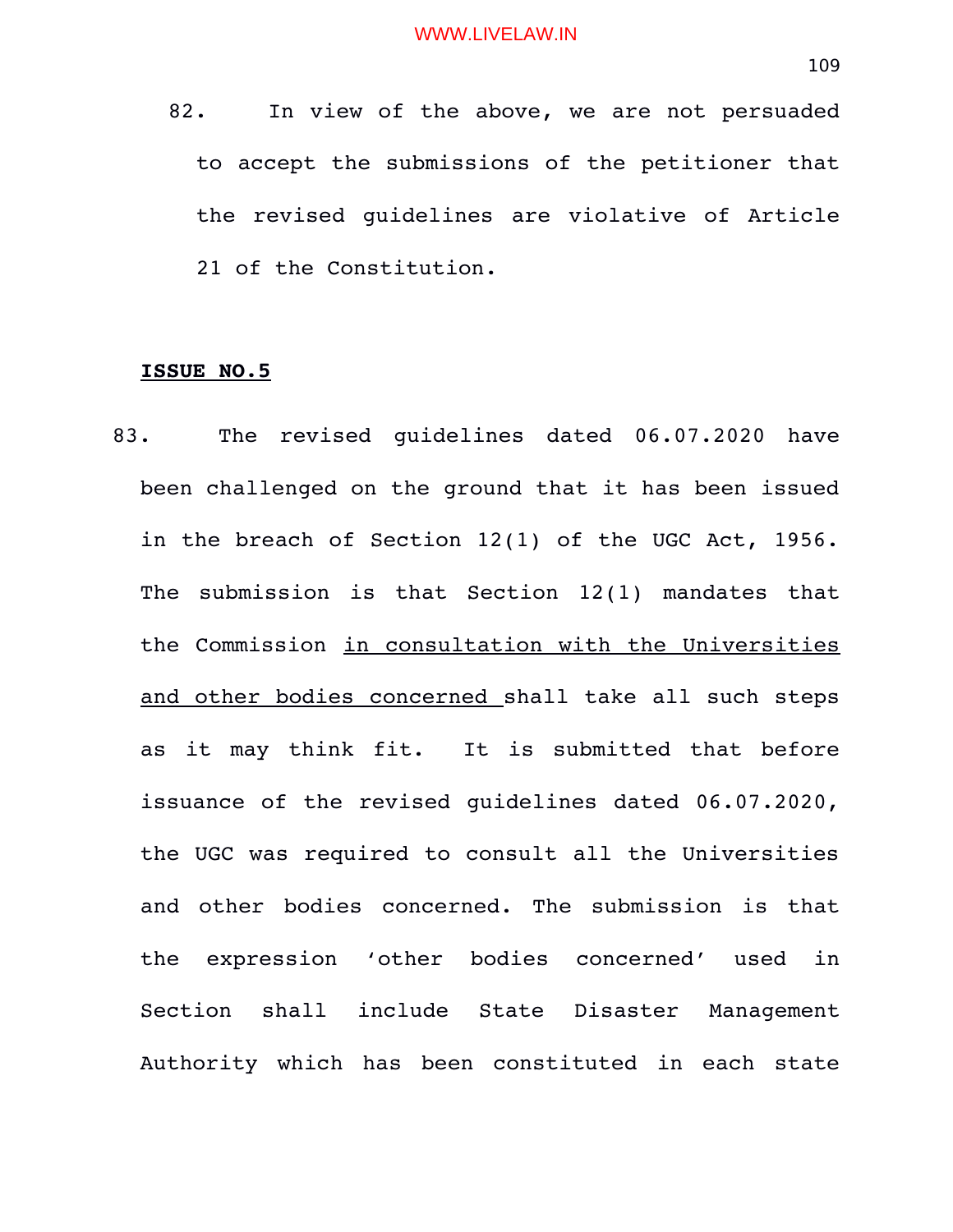82. In view of the above, we are not persuaded to accept the submissions of the petitioner that the revised guidelines are violative of Article 21 of the Constitution.

# **ISSUE NO.5**

83. The revised quidelines dated 06.07.2020 have been challenged on the ground that it has been issued in the breach of Section 12(1) of the UGC Act, 1956. The submission is that Section  $12(1)$  mandates that the Commission in consultation with the Universities and other bodies concerned shall take all such steps as it may think fit. It is submitted that before issuance of the revised guidelines dated 06.07.2020, the UGC was required to consult all the Universities and other bodies concerned. The submission is that the expression 'other bodies concerned' used in Section shall include State Disaster Management Authority which has been constituted in each state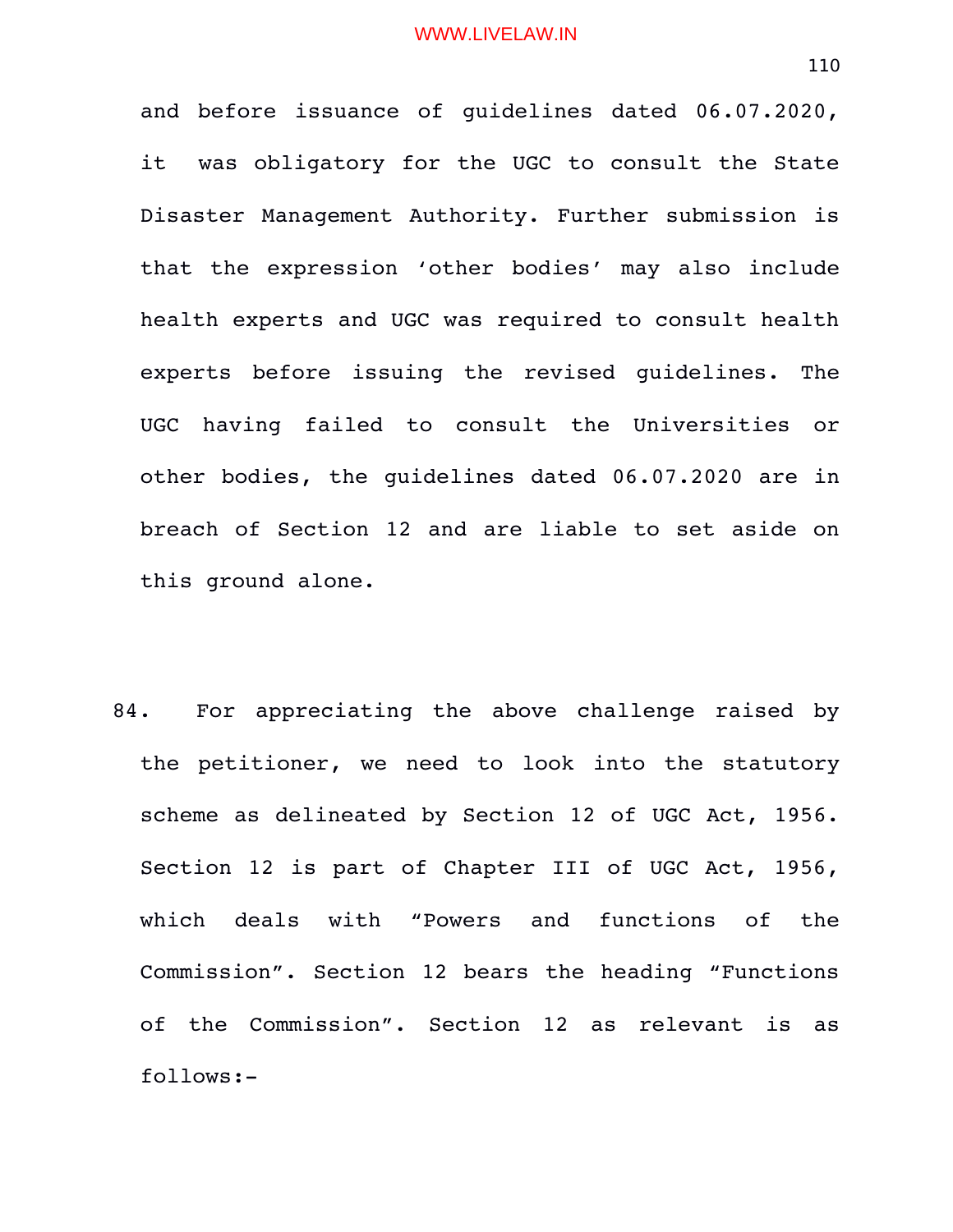and before issuance of guidelines dated 06.07.2020, it was obligatory for the UGC to consult the State Disaster Management Authority. Further submission is that the expression 'other bodies' may also include health experts and UGC was required to consult health experts before issuing the revised quidelines. The UGC having failed to consult the Universities or other bodies, the guidelines dated 06.07.2020 are in breach of Section 12 and are liable to set aside on this ground alone.

84. For appreciating the above challenge raised by the petitioner, we need to look into the statutory scheme as delineated by Section 12 of UGC Act, 1956. Section 12 is part of Chapter III of UGC Act, 1956, which deals with "Powers and functions of the Commission". Section 12 bears the heading "Functions of the Commission". Section 12 as relevant is as follows: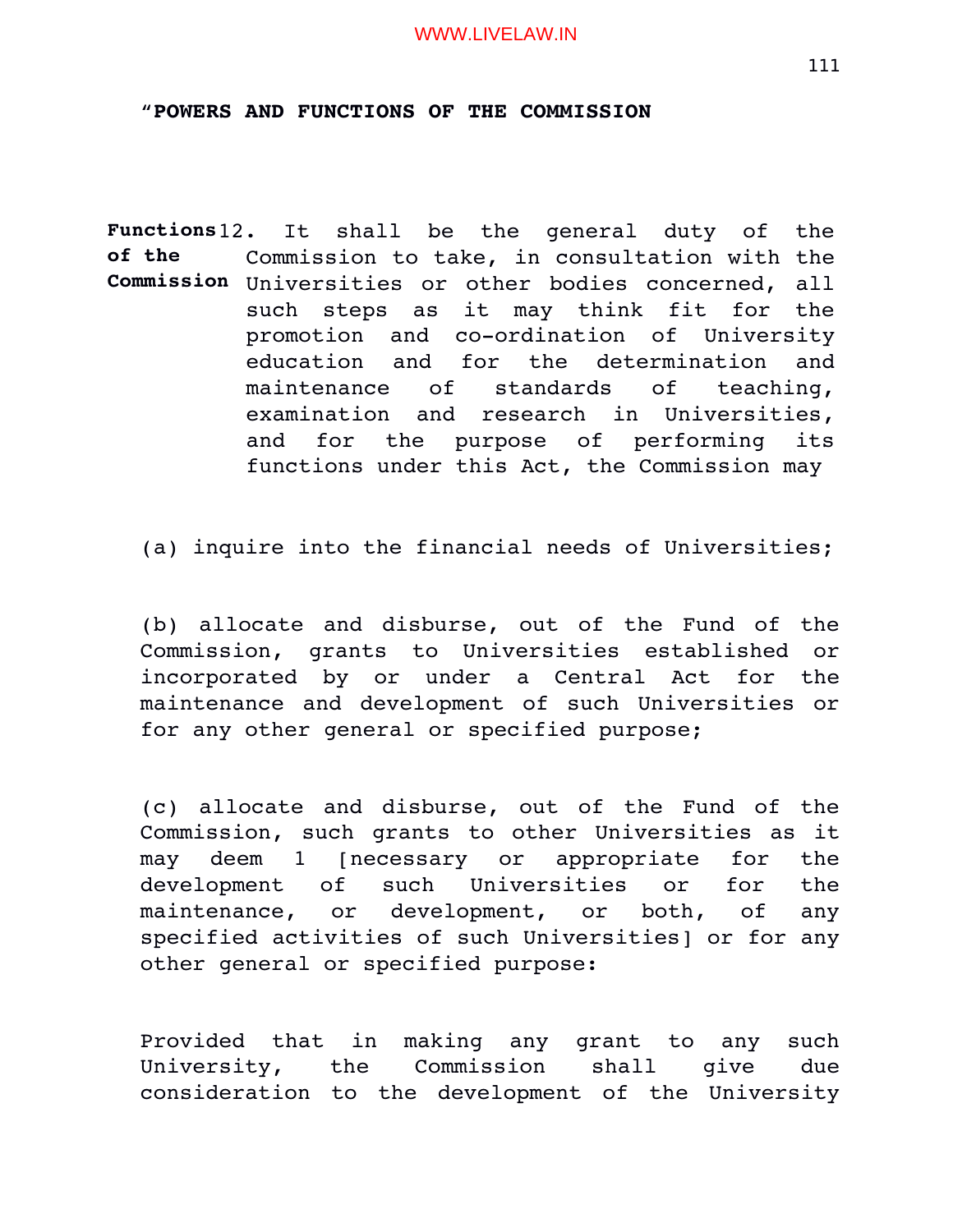### "**POWERS AND FUNCTIONS OF THE COMMISSION**

**Functions of the Commission** Universities or other bodies concerned, all It shall be the general duty of the Commission to take, in consultation with the such steps as it may think fit for the promotion and co-ordination of University education and for the determination and maintenance of standards of teaching, examination and research in Universities, and for the purpose of performing its functions under this Act, the Commission may

(a) inquire into the financial needs of Universities;

(b) allocate and disburse, out of the Fund of the Commission, grants to Universities established or incorporated by or under a Central Act for the maintenance and development of such Universities or for any other general or specified purpose;

(c) allocate and disburse, out of the Fund of the Commission, such grants to other Universities as it may deem 1 [necessary or appropriate for the development of such Universities or for the maintenance, or development, or both, of any specified activities of such Universities] or for any other general or specified purpose:

Provided that in making any grant to any such University, the Commission shall give due consideration to the development of the University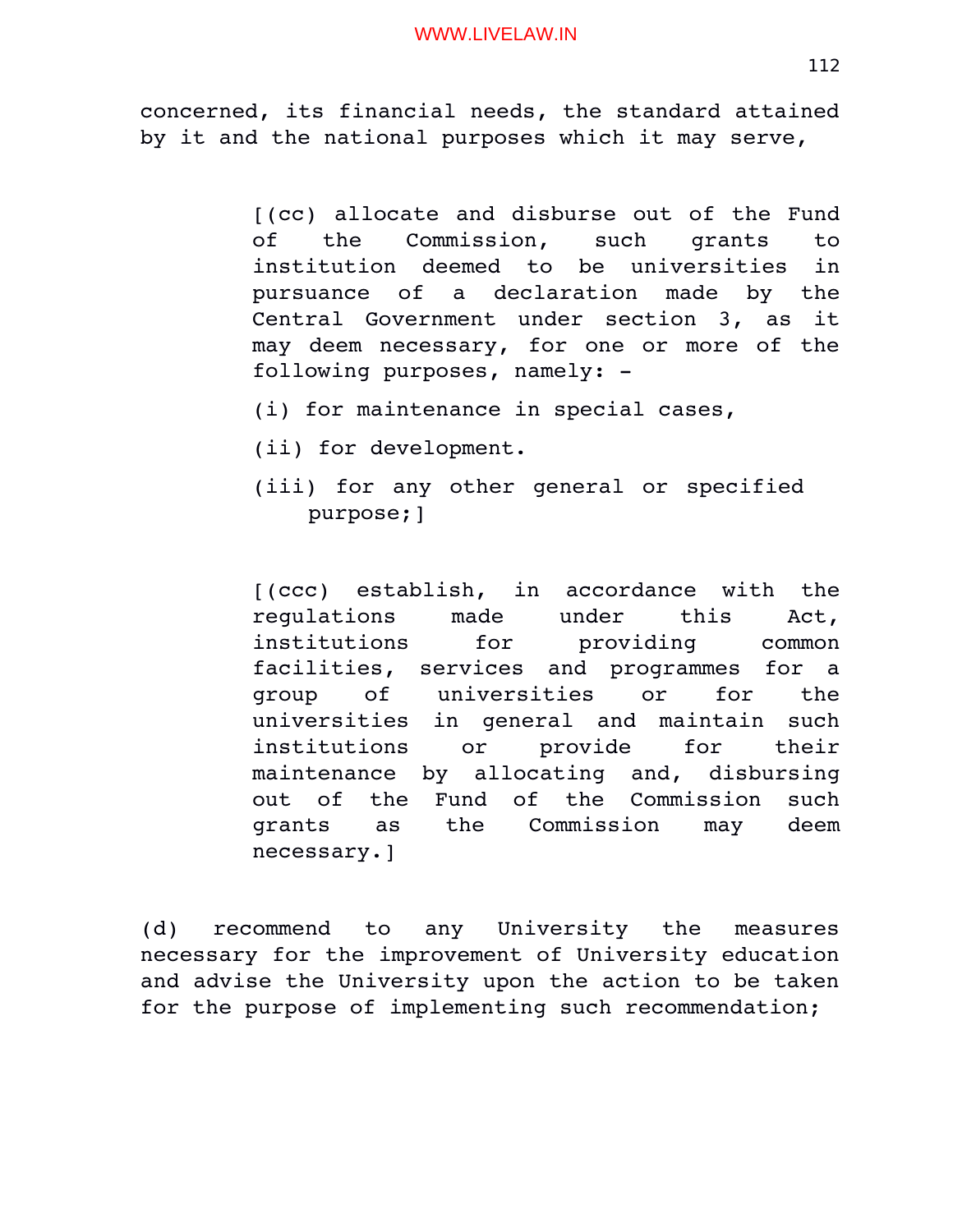concerned, its financial needs, the standard attained by it and the national purposes which it may serve,

> [(cc) allocate and disburse out of the Fund of the Commission, such grants to institution deemed to be universities in pursuance of a declaration made by the Central Government under section 3, as it may deem necessary, for one or more of the following purposes, namely:

- (i) for maintenance in special cases,
- (ii) for development.
- (iii) for any other general or specified purpose;]

[(ccc) establish, in accordance with the regulations made under this Act, institutions for providing common facilities, services and programmes for a group of universities or for the universities in qeneral and maintain such institutions or provide for their maintenance by allocating and, disbursing out of the Fund of the Commission such grants as the Commission may deem necessary.]

(d) recommend to any University the measures necessary for the improvement of University education and advise the University upon the action to be taken for the purpose of implementing such recommendation;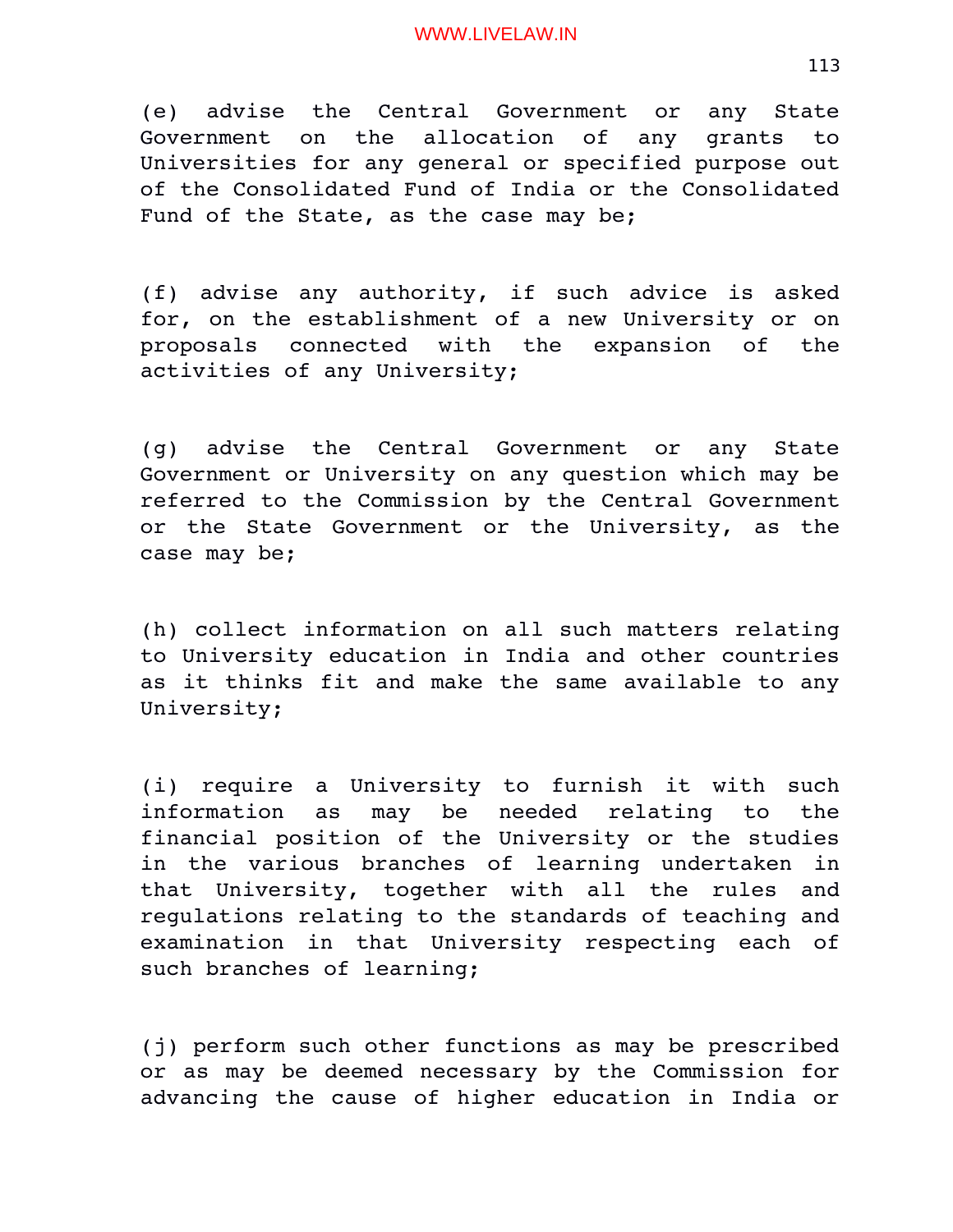(e) advise the Central Government or any State Government on the allocation of any grants to Universities for any general or specified purpose out of the Consolidated Fund of India or the Consolidated Fund of the State, as the case may be;

(f) advise any authority, if such advice is asked for, on the establishment of a new University or on proposals connected with the expansion of the activities of any University;

(g) advise the Central Government or any State Government or University on any question which may be referred to the Commission by the Central Government or the State Government or the University, as the case may be;

(h) collect information on all such matters relating to University education in India and other countries as it thinks fit and make the same available to any University;

(i) require a University to furnish it with such information as may be needed relating to the financial position of the University or the studies in the various branches of learning undertaken in that University, together with all the rules and regulations relating to the standards of teaching and examination in that University respecting each of such branches of learning;

(j) perform such other functions as may be prescribed or as may be deemed necessary by the Commission for advancing the cause of higher education in India or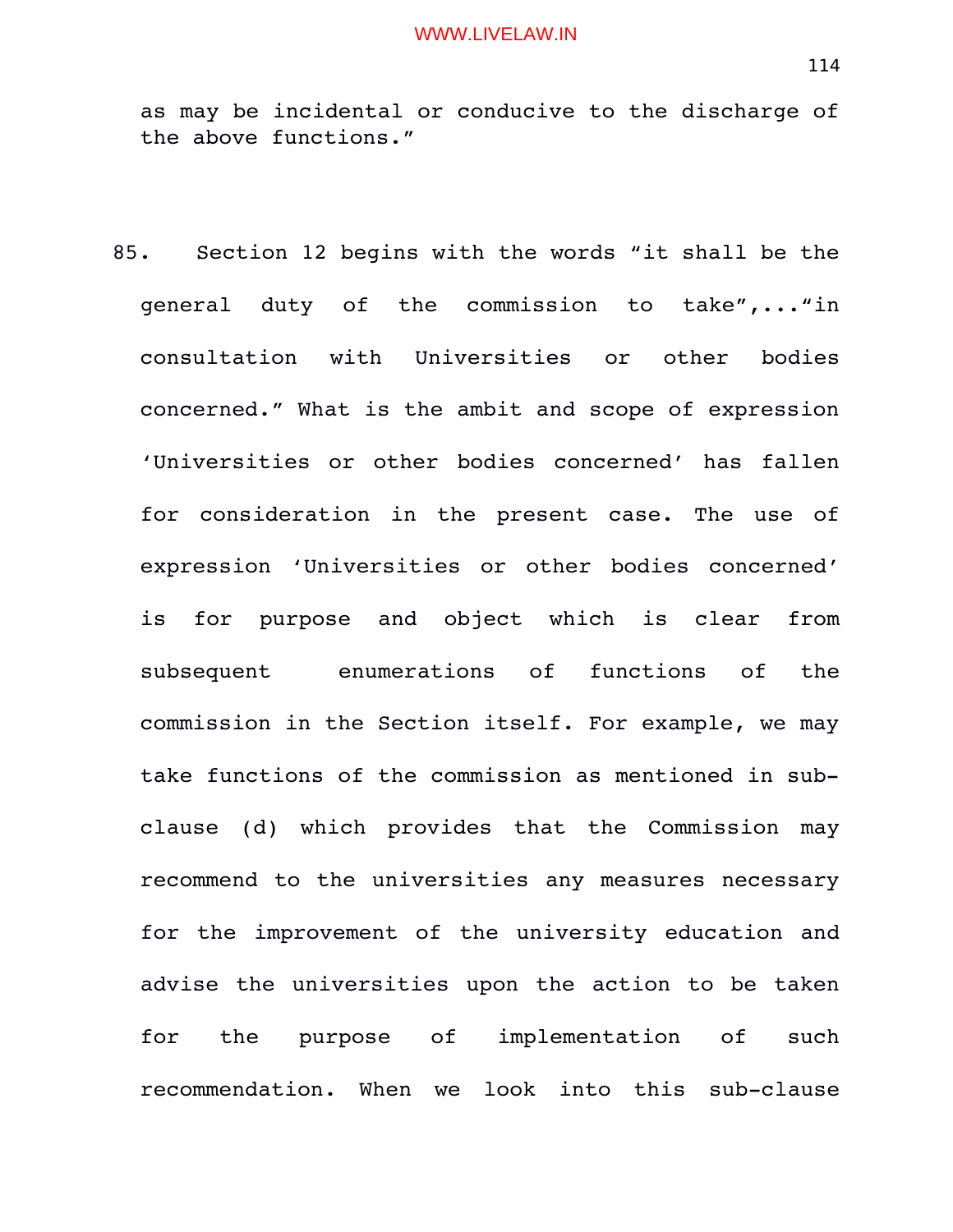as may be incidental or conducive to the discharge of the above functions."

85. Section 12 begins with the words "it shall be the general duty of the commission to take",..."in consultation with Universities or other bodies concerned." What is the ambit and scope of expression 'Universities or other bodies concerned' has fallen for consideration in the present case. The use of expression 'Universities or other bodies concerned' is for purpose and object which is clear from subsequent enumerations of functions of the commission in the Section itself. For example, we may take functions of the commission as mentioned in subclause (d) which provides that the Commission may recommend to the universities any measures necessary for the improvement of the university education and advise the universities upon the action to be taken for the purpose of implementation of such recommendation. When we look into this sub-clause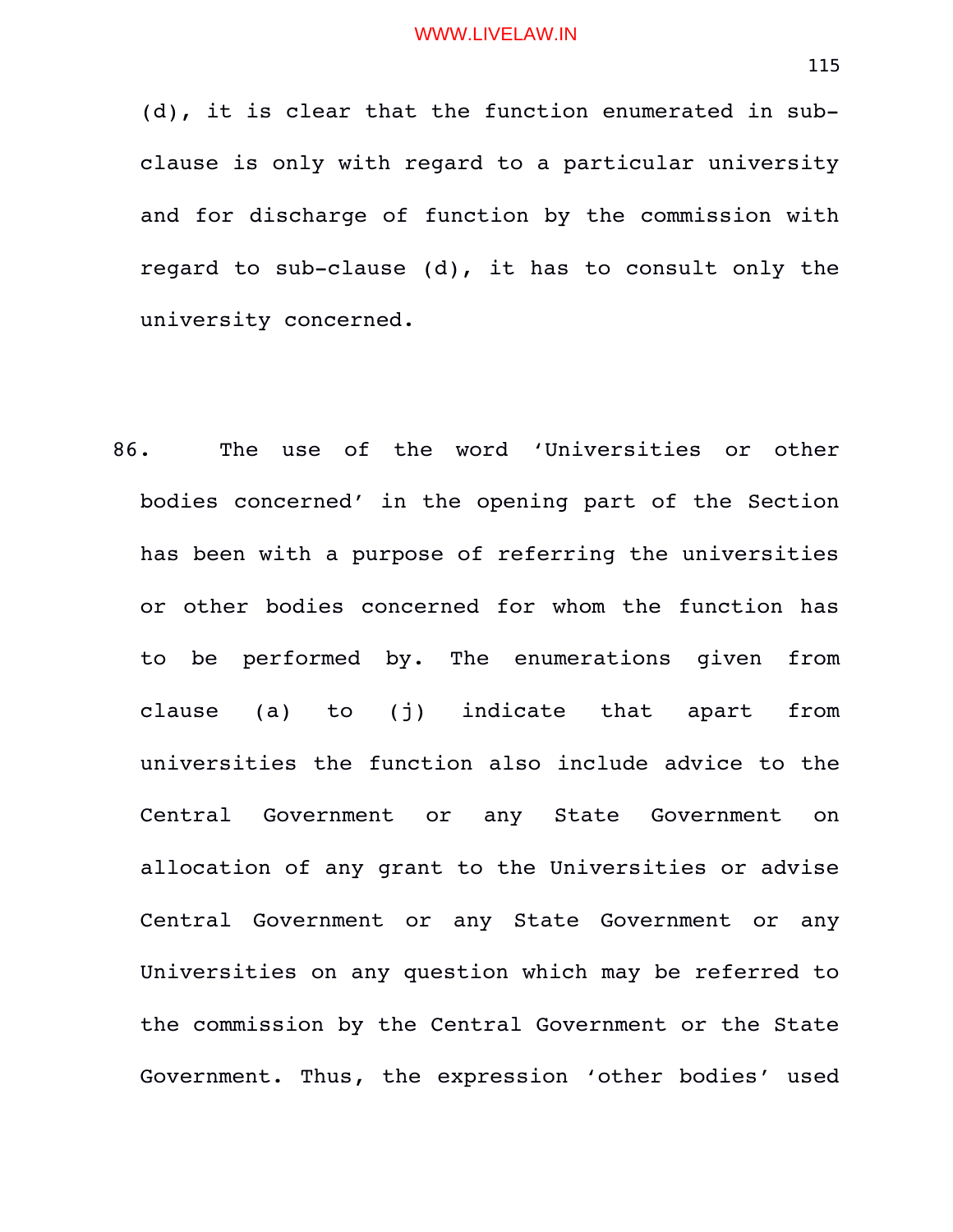(d), it is clear that the function enumerated in subclause is only with regard to a particular university and for discharge of function by the commission with regard to sub-clause  $(d)$ , it has to consult only the university concerned.

86. The use of the word 'Universities or other bodies concerned' in the opening part of the Section has been with a purpose of referring the universities or other bodies concerned for whom the function has to be performed by. The enumerations given from clause (a) to (j) indicate that apart from universities the function also include advice to the Central Government or any State Government on allocation of any grant to the Universities or advise Central Government or any State Government or any Universities on any question which may be referred to the commission by the Central Government or the State Government. Thus, the expression 'other bodies' used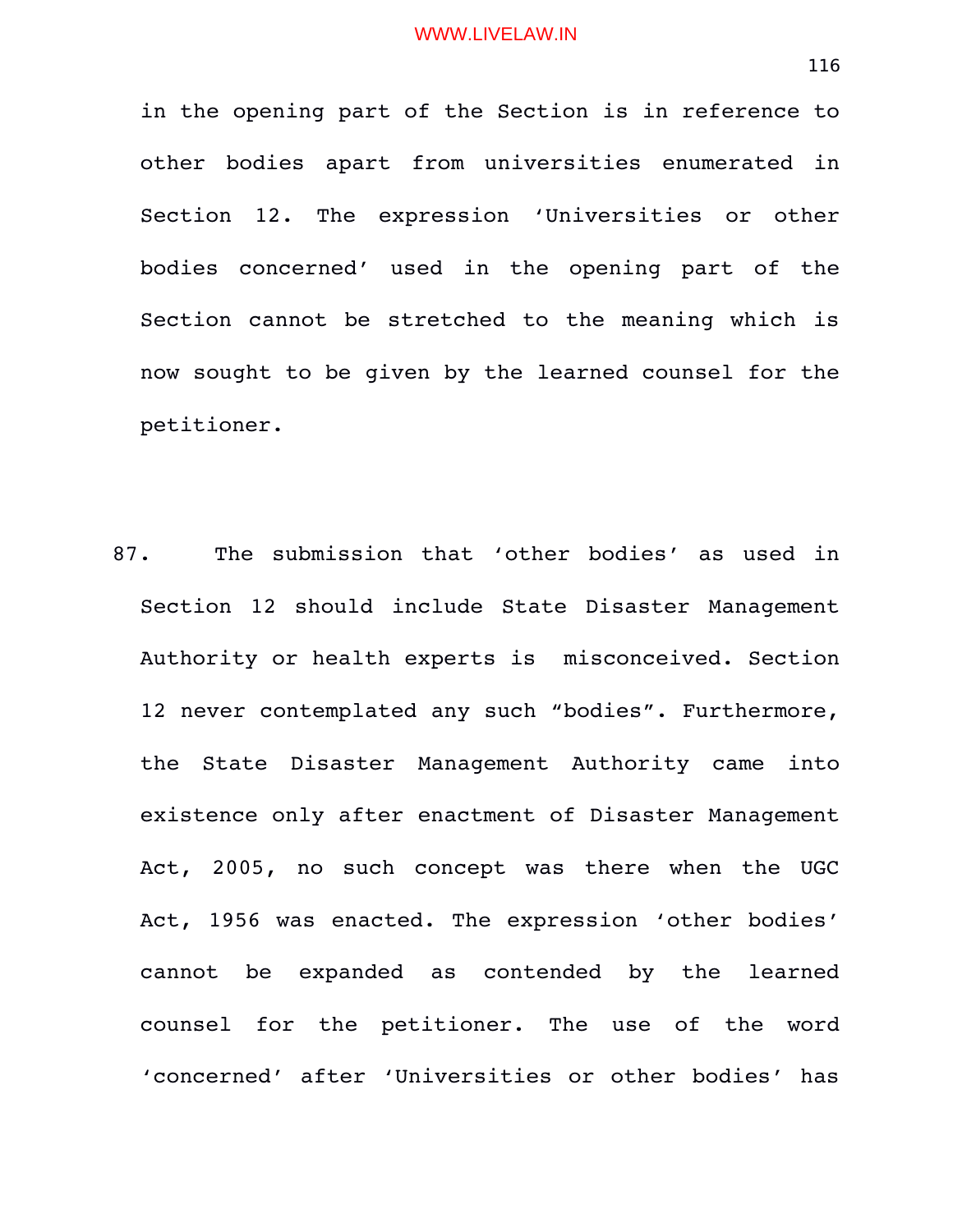in the opening part of the Section is in reference to other bodies apart from universities enumerated in Section 12. The expression 'Universities or other bodies concerned' used in the opening part of the Section cannot be stretched to the meaning which is now sought to be given by the learned counsel for the petitioner.

87. The submission that 'other bodies' as used in Section 12 should include State Disaster Management Authority or health experts is misconceived. Section 12 never contemplated any such "bodies". Furthermore, the State Disaster Management Authority came into existence only after enactment of Disaster Management Act, 2005, no such concept was there when the UGC Act, 1956 was enacted. The expression 'other bodies' cannot be expanded as contended by the learned counsel for the petitioner. The use of the word 'concerned' after 'Universities or other bodies' has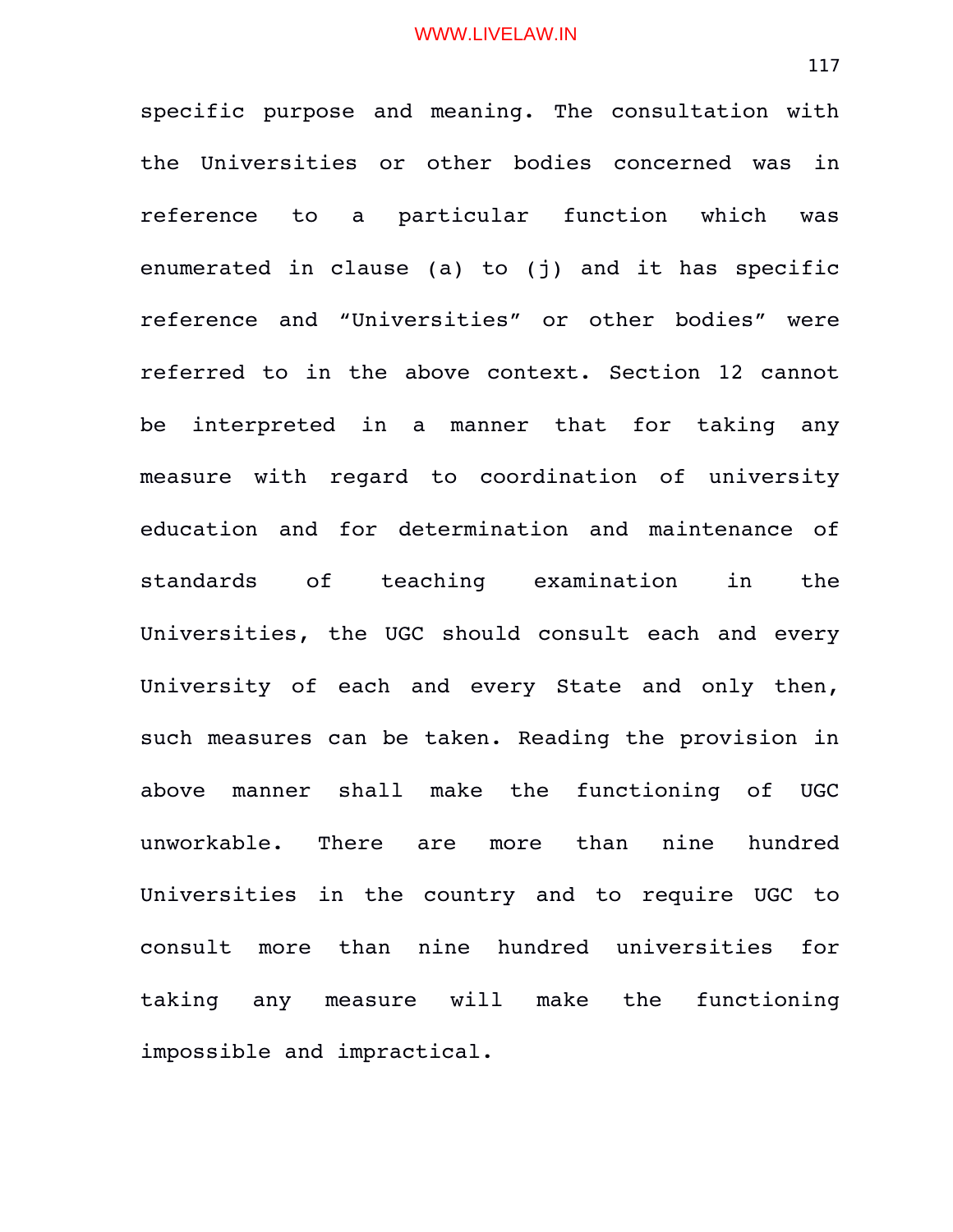specific purpose and meaning. The consultation with the Universities or other bodies concerned was in reference to a particular function which was enumerated in clause (a) to (j) and it has specific reference and "Universities" or other bodies" were referred to in the above context. Section 12 cannot be interpreted in a manner that for taking any measure with regard to coordination of university education and for determination and maintenance of standards of teaching examination in the Universities, the UGC should consult each and every University of each and every State and only then, such measures can be taken. Reading the provision in above manner shall make the functioning of UGC unworkable. There are more than nine hundred Universities in the country and to require UGC to consult more than nine hundred universities for taking any measure will make the functioning impossible and impractical.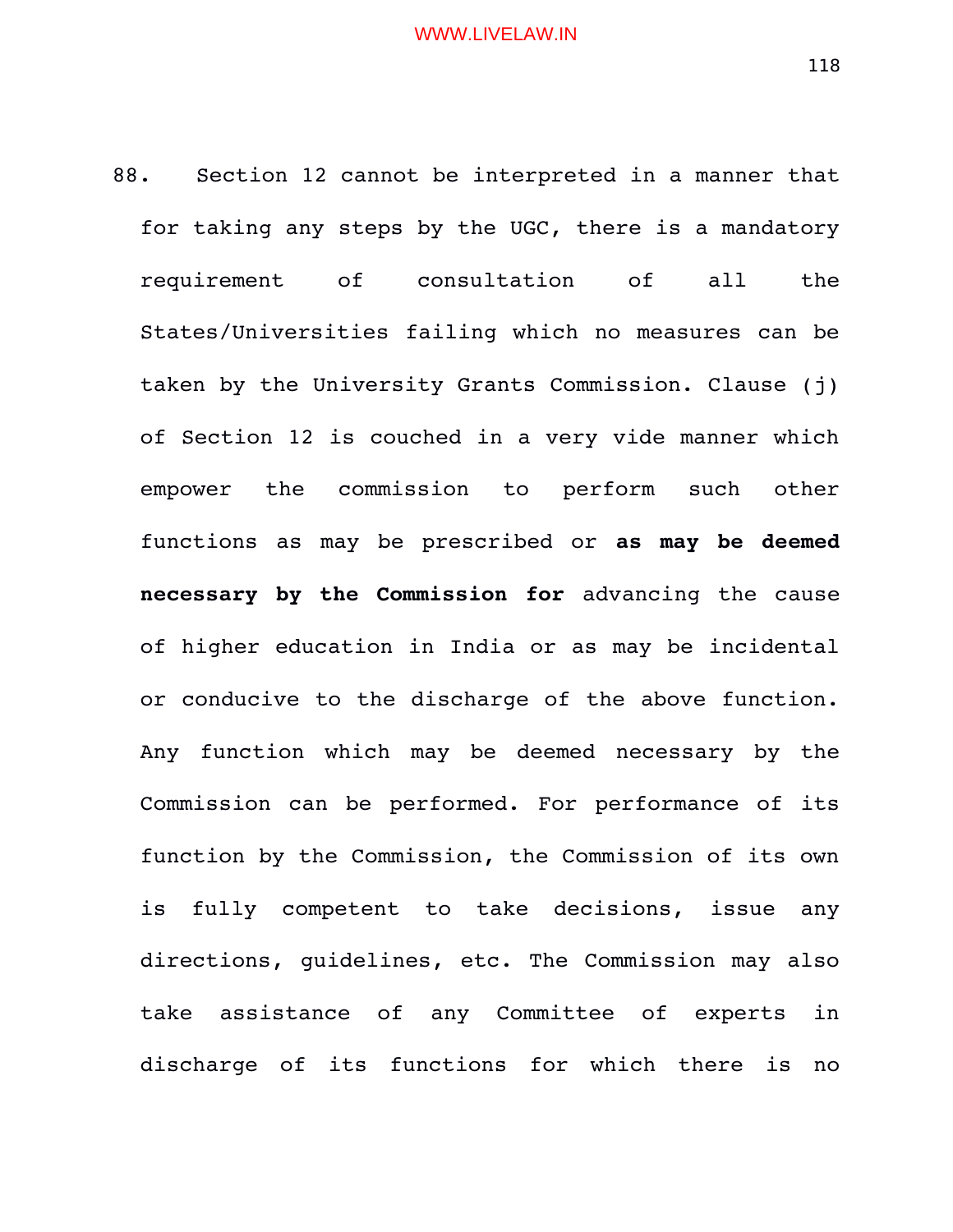88. Section 12 cannot be interpreted in a manner that for taking any steps by the UGC, there is a mandatory requirement of consultation of all the States/Universities failing which no measures can be taken by the University Grants Commission. Clause (j) of Section 12 is couched in a very vide manner which empower the commission to perform such other functions as may be prescribed or **as may be deemed necessary by the Commission for** advancing the cause of higher education in India or as may be incidental or conducive to the discharge of the above function. Any function which may be deemed necessary by the Commission can be performed. For performance of its function by the Commission, the Commission of its own is fully competent to take decisions, issue any directions, guidelines, etc. The Commission may also take assistance of any Committee of experts in discharge of its functions for which there is no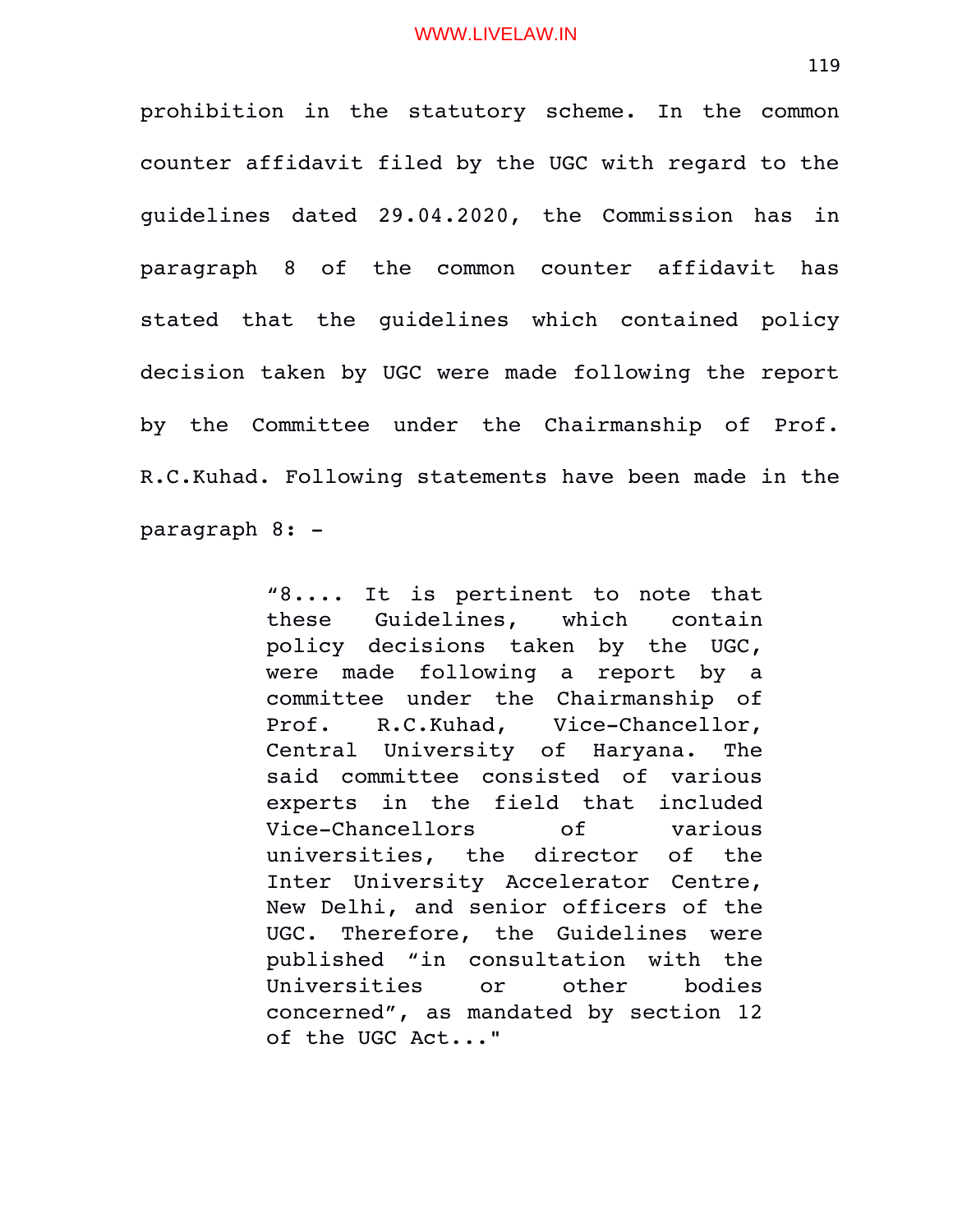prohibition in the statutory scheme. In the common counter affidavit filed by the UGC with regard to the guidelines dated 29.04.2020, the Commission has in paragraph 8 of the common counter affidavit has stated that the quidelines which contained policy decision taken by UGC were made following the report by the Committee under the Chairmanship of Prof. R.C.Kuhad. Following statements have been made in the paragraph 8:

> $"8...$  It is pertinent to note that these Guidelines, which contain policy decisions taken by the UGC, were made following a report by a committee under the Chairmanship of Prof. R.C.Kuhad, Vice-Chancellor, Central University of Haryana. The said committee consisted of various experts in the field that included Vice-Chancellors of various universities, the director of the Inter University Accelerator Centre, New Delhi, and senior officers of the UGC. Therefore, the Guidelines were published "in consultation with the Universities or other bodies concerned", as mandated by section 12 of the UGC Act..."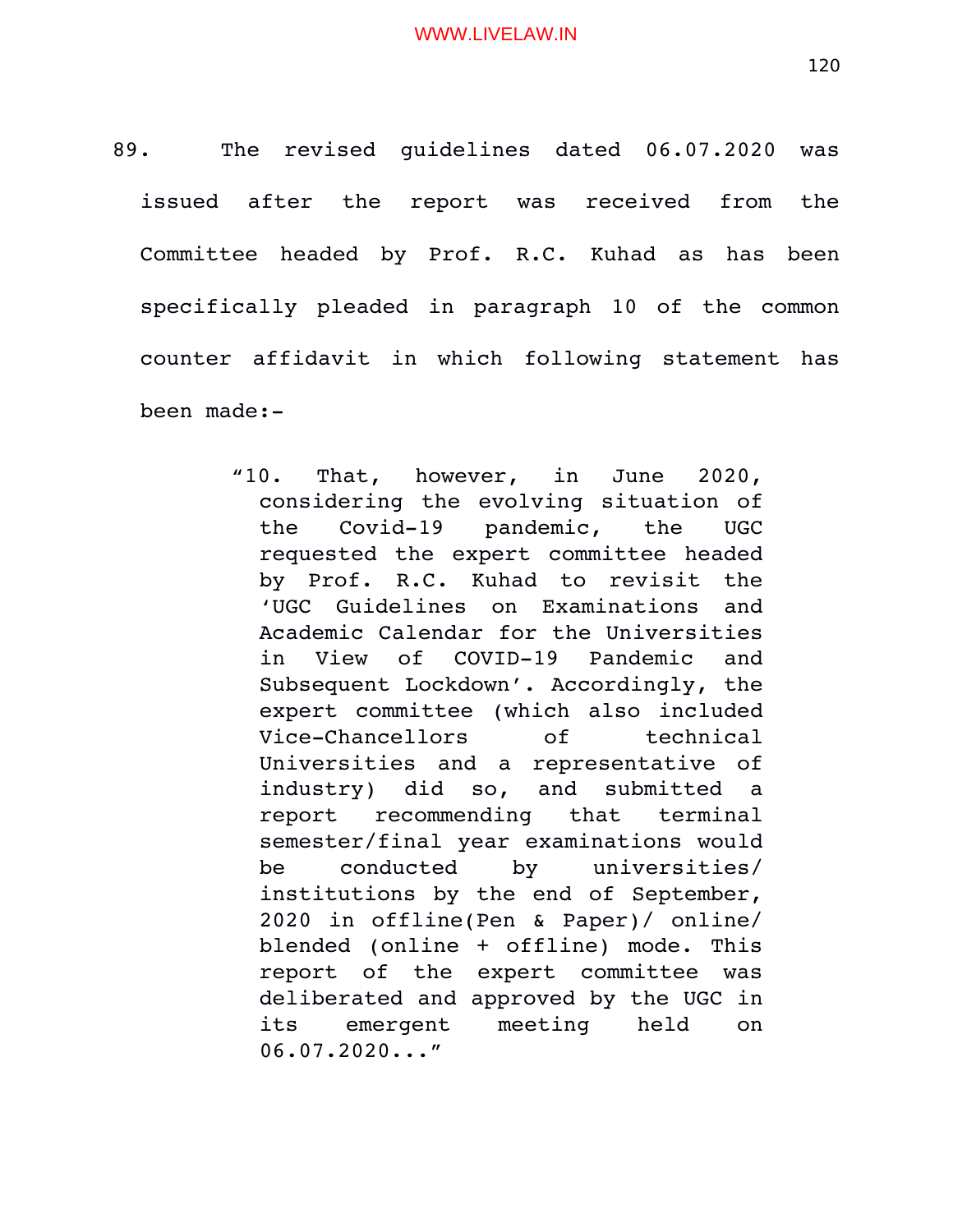89. The revised quidelines dated 06.07.2020 was issued after the report was received from the Committee headed by Prof. R.C. Kuhad as has been specifically pleaded in paragraph 10 of the common counter affidavit in which following statement has been made:

> "10. That, however, in June 2020, considering the evolving situation of the Covid-19 pandemic, the UGC requested the expert committee headed by Prof. R.C. Kuhad to revisit the 'UGC Guidelines on Examinations and Academic Calendar for the Universities in View of COVID-19 Pandemic and Subsequent Lockdown'. Accordingly, the expert committee (which also included Vice-Chancellors of technical Universities and a representative of industry) did so, and submitted a report recommending that terminal semester/final year examinations would be conducted by universities/ institutions by the end of September, 2020 in offline(Pen & Paper)/ online/ blended (online + offline) mode. This report of the expert committee was deliberated and approved by the UGC in its emergent meeting held on 06.07.2020..."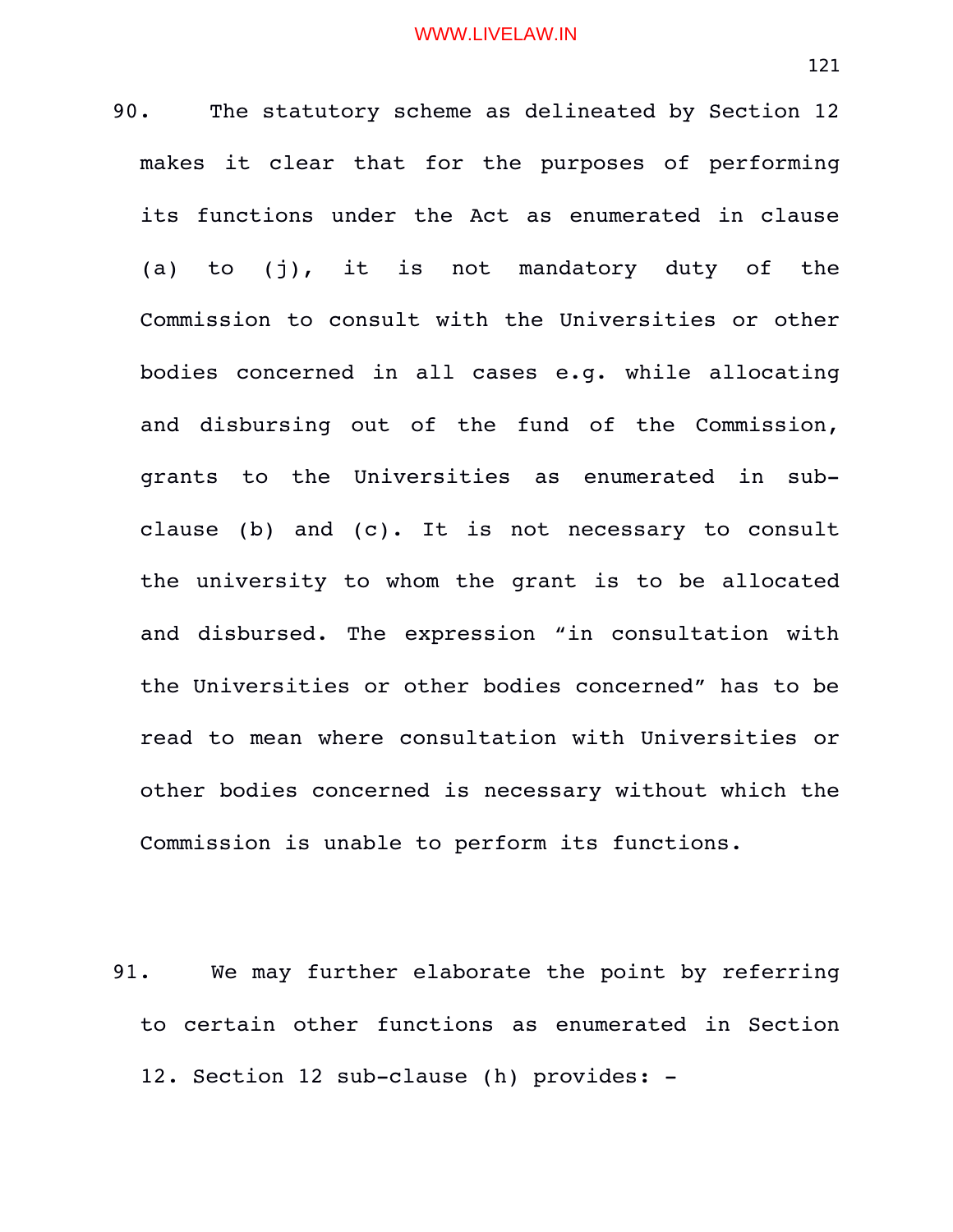90. The statutory scheme as delineated by Section 12 makes it clear that for the purposes of performing its functions under the Act as enumerated in clause (a) to (j), it is not mandatory duty of the Commission to consult with the Universities or other bodies concerned in all cases e.g. while allocating and disbursing out of the fund of the Commission, grants to the Universities as enumerated in subclause (b) and (c). It is not necessary to consult the university to whom the grant is to be allocated and disbursed. The expression "in consultation with the Universities or other bodies concerned" has to be read to mean where consultation with Universities or other bodies concerned is necessary without which the Commission is unable to perform its functions.

91. We may further elaborate the point by referring to certain other functions as enumerated in Section 12. Section 12 sub-clause (h) provides: -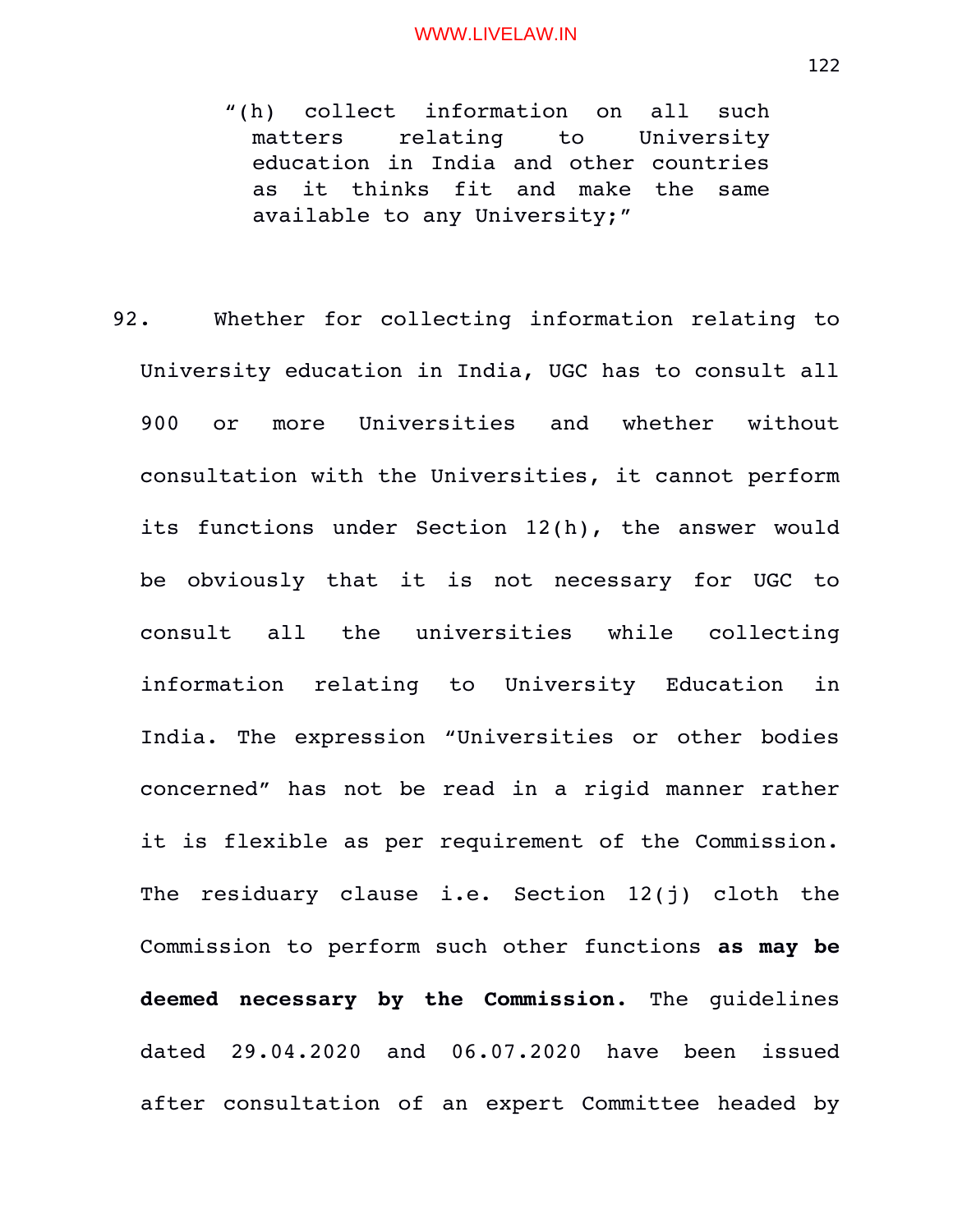- "(h) collect information on all such matters relating to University education in India and other countries as it thinks fit and make the same available to any University;"
- 92. Whether for collecting information relating to University education in India, UGC has to consult all 900 or more Universities and whether without consultation with the Universities, it cannot perform its functions under Section 12(h), the answer would be obviously that it is not necessary for UGC to consult all the universities while collecting information relating to University Education in India. The expression "Universities or other bodies concerned" has not be read in a rigid manner rather it is flexible as per requirement of the Commission. The residuary clause i.e. Section 12(j) cloth the Commission to perform such other functions **as may be deemed necessary by the Commission.** The guidelines dated 29.04.2020 and 06.07.2020 have been issued after consultation of an expert Committee headed by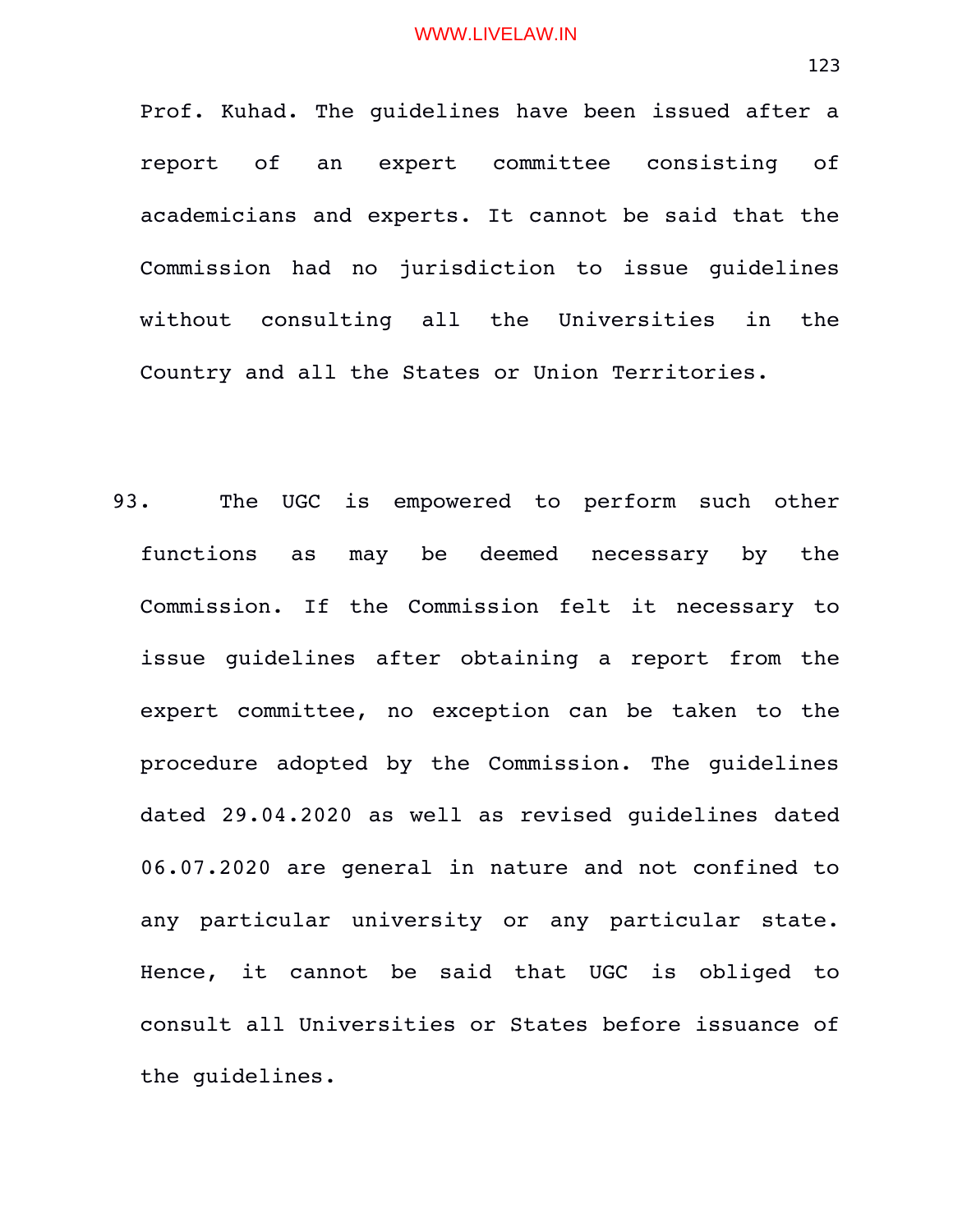Prof. Kuhad. The guidelines have been issued after a report of an expert committee consisting of academicians and experts. It cannot be said that the Commission had no jurisdiction to issue quidelines without consulting all the Universities in the Country and all the States or Union Territories.

93. The UGC is empowered to perform such other functions as may be deemed necessary by the Commission. If the Commission felt it necessary to issue quidelines after obtaining a report from the expert committee, no exception can be taken to the procedure adopted by the Commission. The guidelines dated 29.04.2020 as well as revised guidelines dated 06.07.2020 are general in nature and not confined to any particular university or any particular state. Hence, it cannot be said that UGC is obliged to consult all Universities or States before issuance of the guidelines.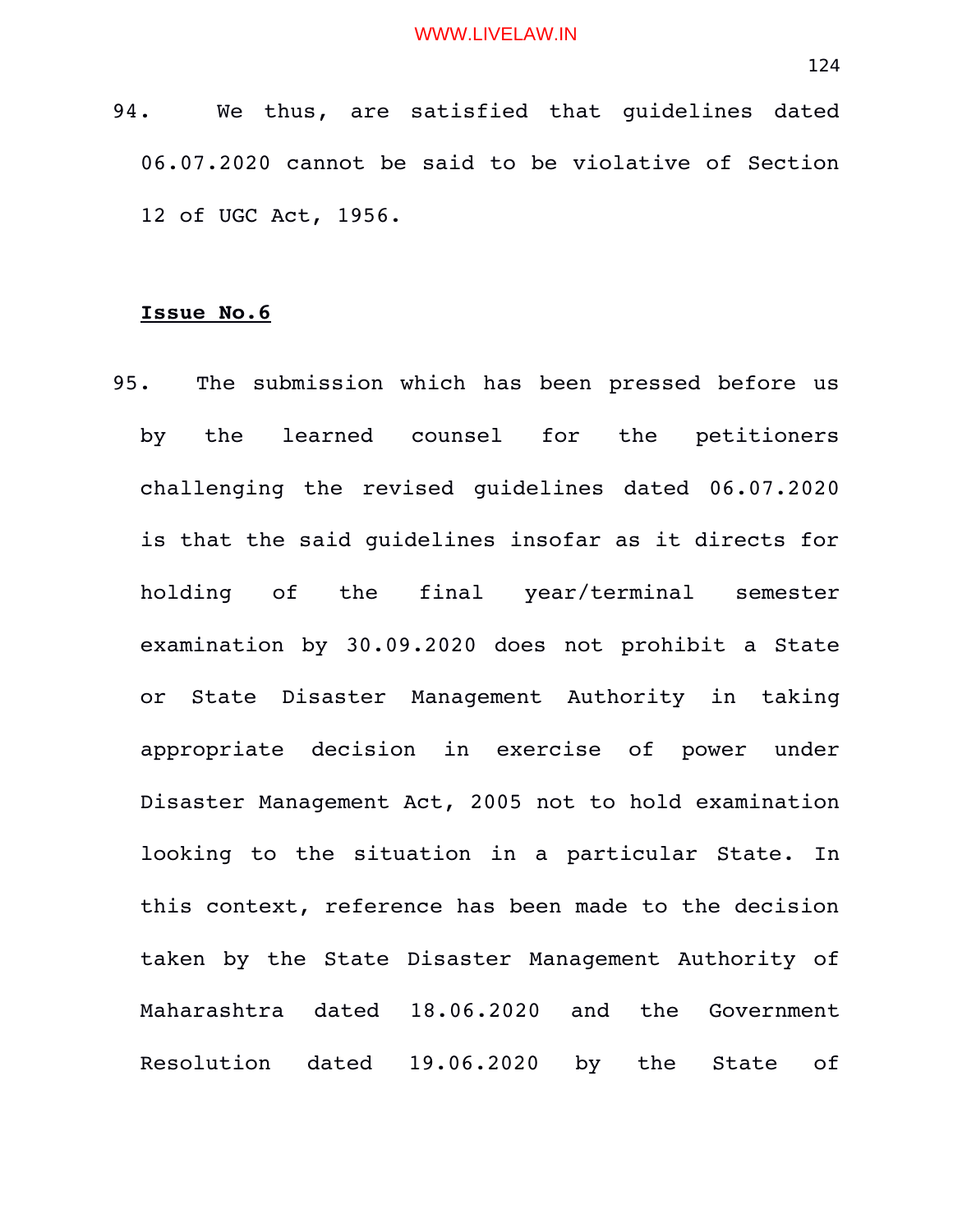94. We thus, are satisfied that quidelines dated 06.07.2020 cannot be said to be violative of Section 12 of UGC Act, 1956.

# **Issue No.6**

95. The submission which has been pressed before us by the learned counsel for the petitioners challenging the revised guidelines dated 06.07.2020 is that the said guidelines insofar as it directs for holding of the final year/terminal semester examination by 30.09.2020 does not prohibit a State or State Disaster Management Authority in taking appropriate decision in exercise of power under Disaster Management Act, 2005 not to hold examination looking to the situation in a particular State. In this context, reference has been made to the decision taken by the State Disaster Management Authority of Maharashtra dated 18.06.2020 and the Government Resolution dated 19.06.2020 by the State of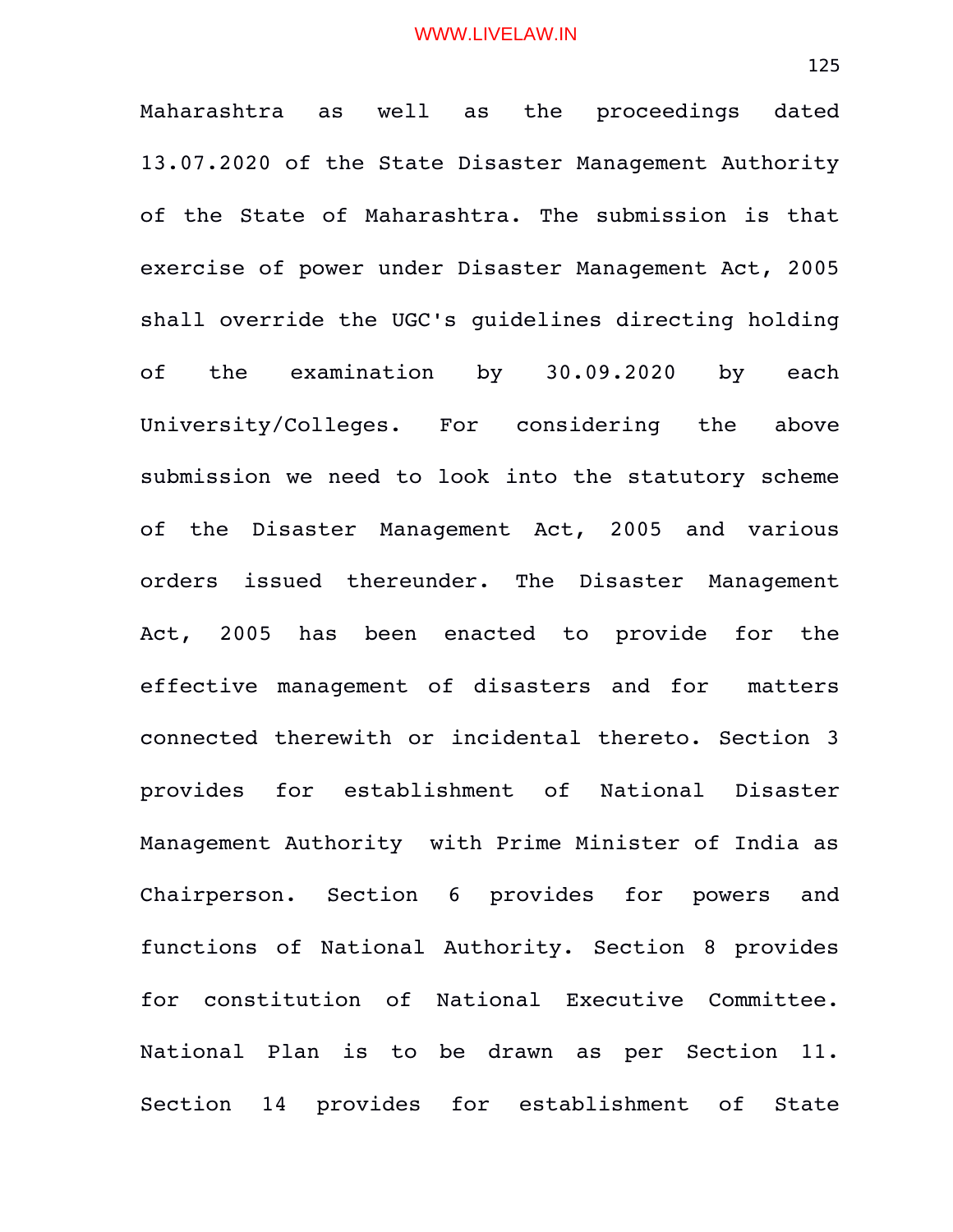Maharashtra as well as the proceedings dated 13.07.2020 of the State Disaster Management Authority of the State of Maharashtra. The submission is that exercise of power under Disaster Management Act, 2005 shall override the UGC's guidelines directing holding of the examination by 30.09.2020 by each University/Colleges. For considering the above submission we need to look into the statutory scheme of the Disaster Management Act, 2005 and various orders issued thereunder. The Disaster Management Act, 2005 has been enacted to provide for the effective management of disasters and for matters connected therewith or incidental thereto. Section 3 provides for establishment of National Disaster Management Authority with Prime Minister of India as Chairperson. Section 6 provides for powers and functions of National Authority. Section 8 provides for constitution of National Executive Committee. National Plan is to be drawn as per Section 11. Section 14 provides for establishment of State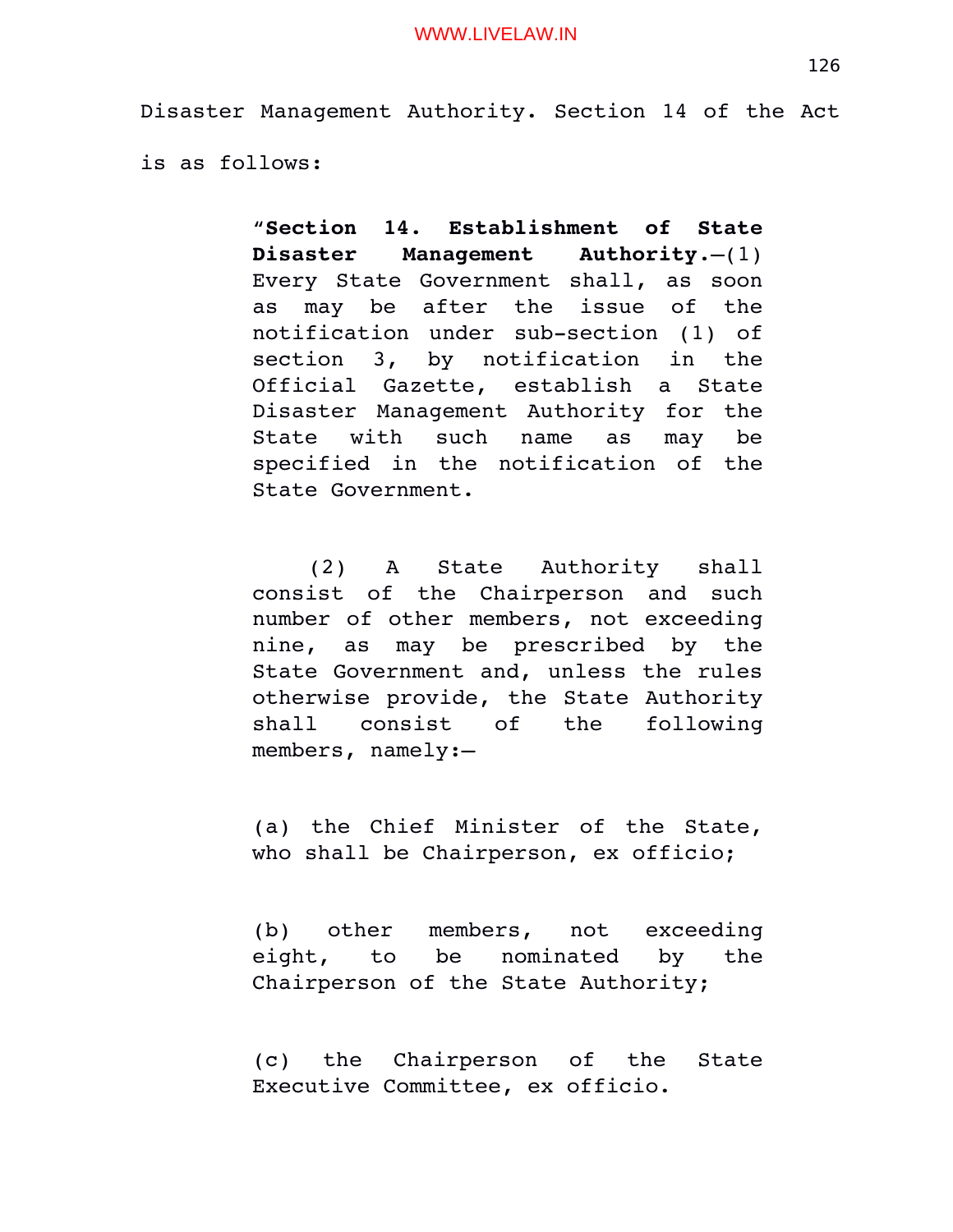Disaster Management Authority. Section 14 of the Act

is as follows:

"**Section 14. Establishment of State Disaster Management Authority**.—(1) Every State Government shall, as soon as may be after the issue of the notification under sub-section (1) of section 3, by notification in the Official Gazette, establish a State Disaster Management Authority for the State with such name as may be specified in the notification of the State Government.

(2) A State Authority shall consist of the Chairperson and such number of other members, not exceeding nine, as may be prescribed by the State Government and, unless the rules otherwise provide, the State Authority shall consist of the following members, namely:—

(a) the Chief Minister of the State, who shall be Chairperson, ex officio;

(b) other members, not exceeding eight, to be nominated by the Chairperson of the State Authority;

(c) the Chairperson of the State Executive Committee, ex officio.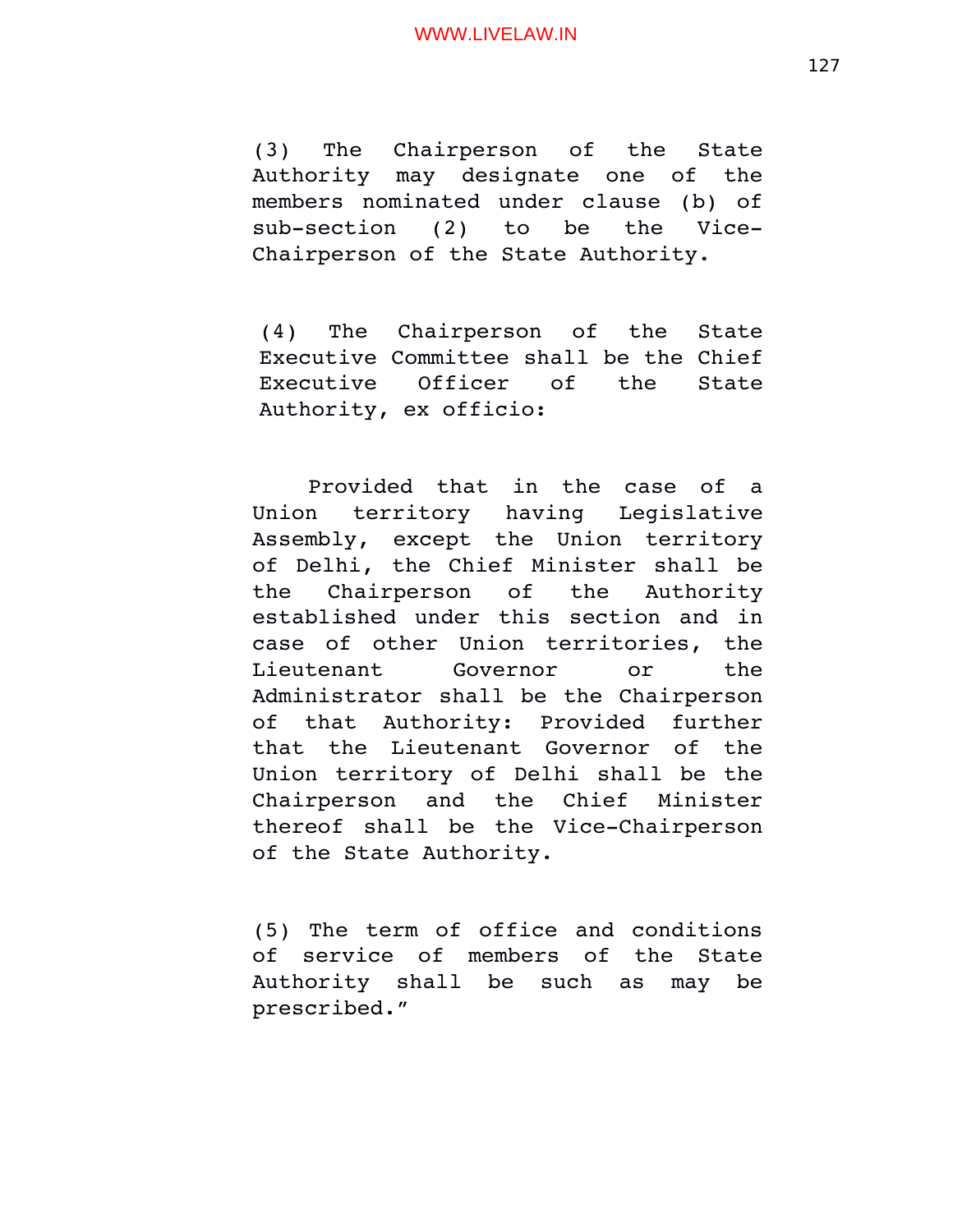(3) The Chairperson of the State Authority may designate one of the members nominated under clause (b) of  $sub-section (2) to be the Vice-$ Chairperson of the State Authority.

(4) The Chairperson of the State Executive Committee shall be the Chief Executive Officer of the State Authority, ex officio:

Provided that in the case of a Union territory having Legislative Assembly, except the Union territory of Delhi, the Chief Minister shall be the Chairperson of the Authority established under this section and in case of other Union territories, the Lieutenant Governor or the Administrator shall be the Chairperson of that Authority: Provided further that the Lieutenant Governor of the Union territory of Delhi shall be the Chairperson and the Chief Minister thereof shall be the Vice-Chairperson of the State Authority.

(5) The term of office and conditions of service of members of the State Authority shall be such as may be prescribed."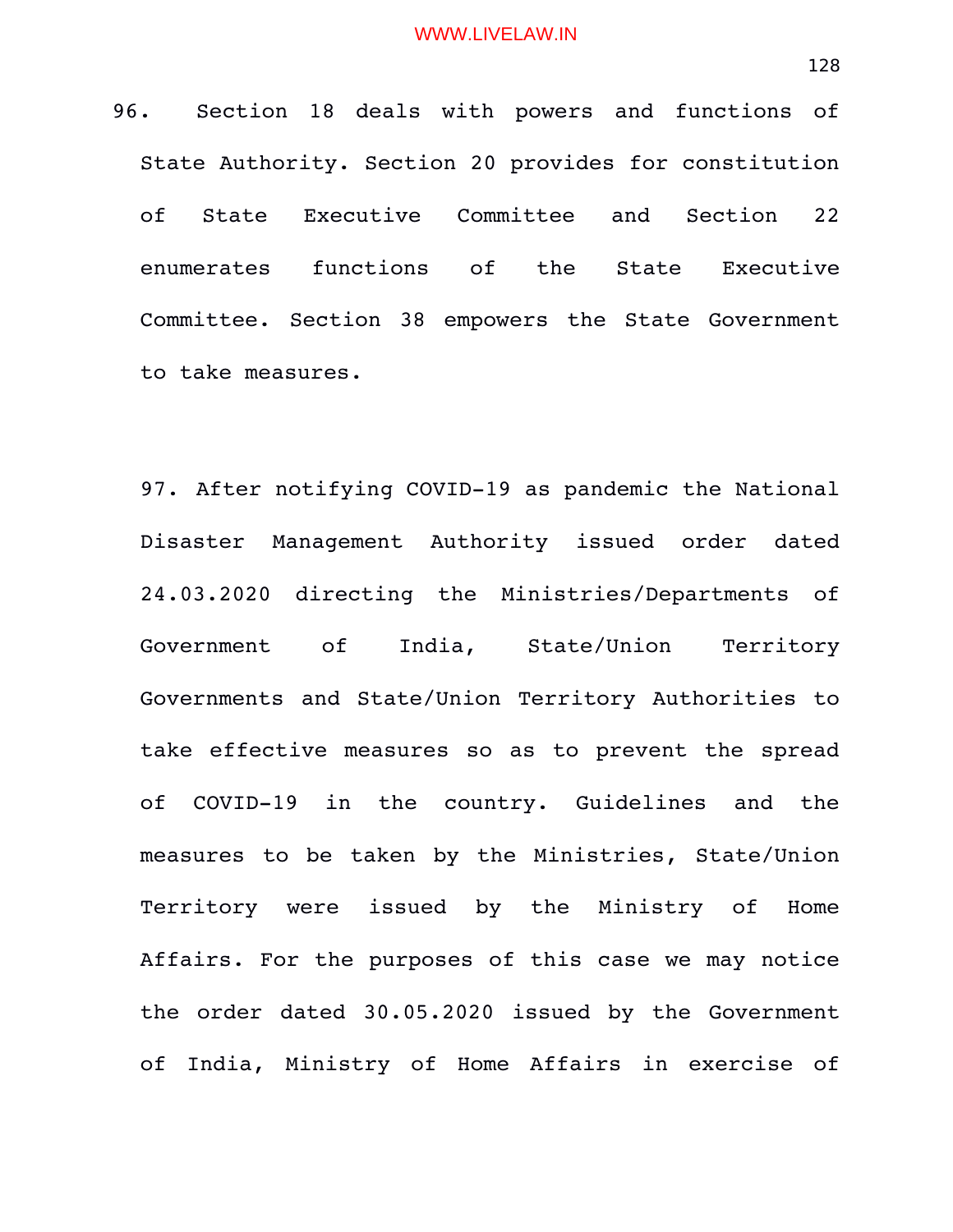96. Section 18 deals with powers and functions of State Authority. Section 20 provides for constitution of State Executive Committee and Section 22 enumerates functions of the State Executive Committee. Section 38 empowers the State Government

to take measures.

97. After notifying COVID-19 as pandemic the National Disaster Management Authority issued order dated 24.03.2020 directing the Ministries/Departments of Government of India, State/Union Territory Governments and State/Union Territory Authorities to take effective measures so as to prevent the spread of COVID-19 in the country. Guidelines and the measures to be taken by the Ministries, State/Union Territory were issued by the Ministry of Home Affairs. For the purposes of this case we may notice the order dated 30.05.2020 issued by the Government of India, Ministry of Home Affairs in exercise of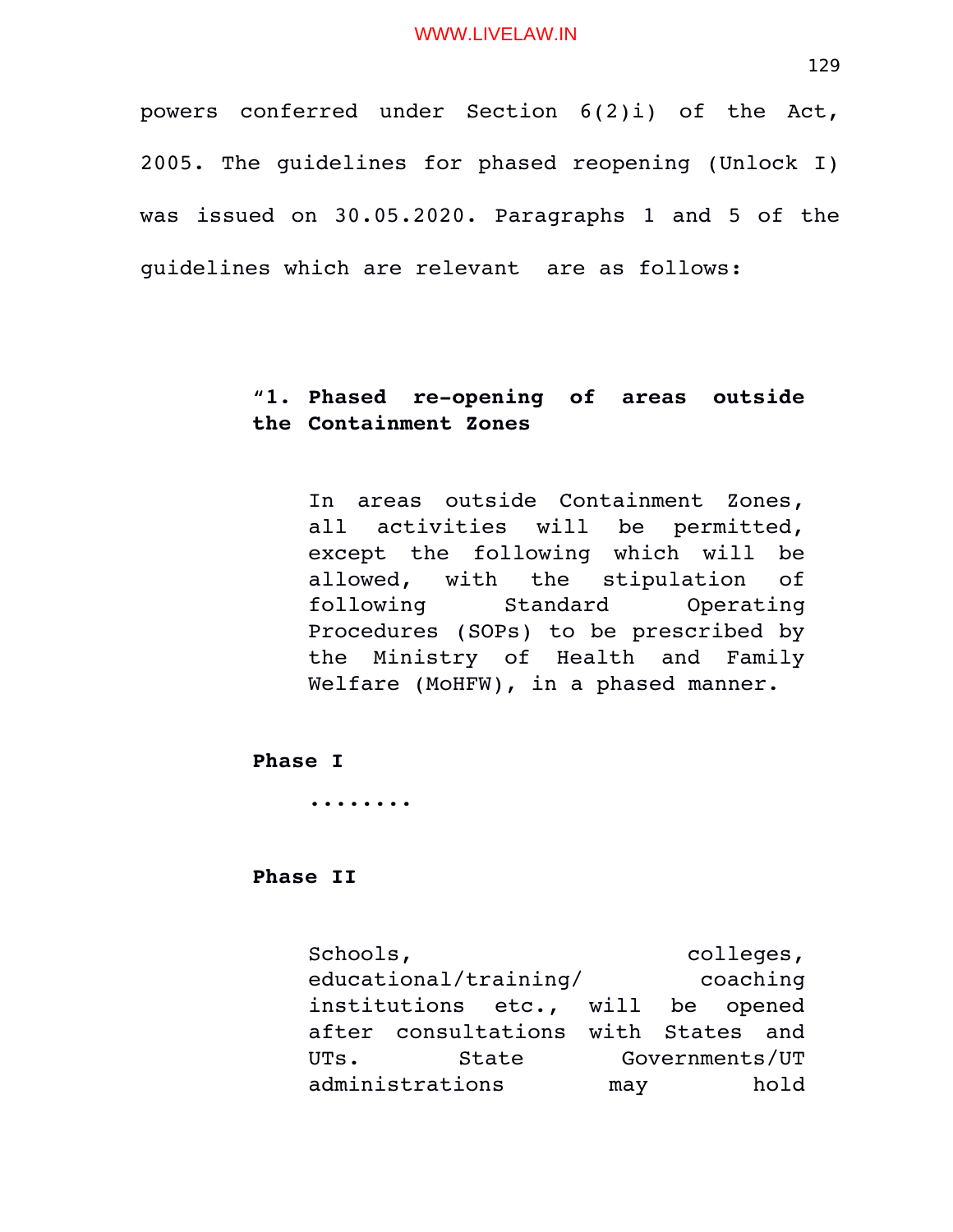powers conferred under Section  $6(2)$ i) of the Act, 2005. The guidelines for phased reopening (Unlock I) was issued on 30.05.2020. Paragraphs 1 and 5 of the guidelines which are relevant are as follows:

# "1. Phased re-opening of areas outside **the Containment Zones**

In areas outside Containment Zones, all activities will be permitted, except the following which will be allowed, with the stipulation of following Standard Operating Procedures (SOPs) to be prescribed by the Ministry of Health and Family Welfare (MoHFW), in a phased manner.

**Phase I**

**........**

**Phase II**

Schools,  $\qquad \qquad \text{colleges},$ educational/training/ coaching institutions etc., will be opened after consultations with States and UTs. State Governments/UT administrations may hold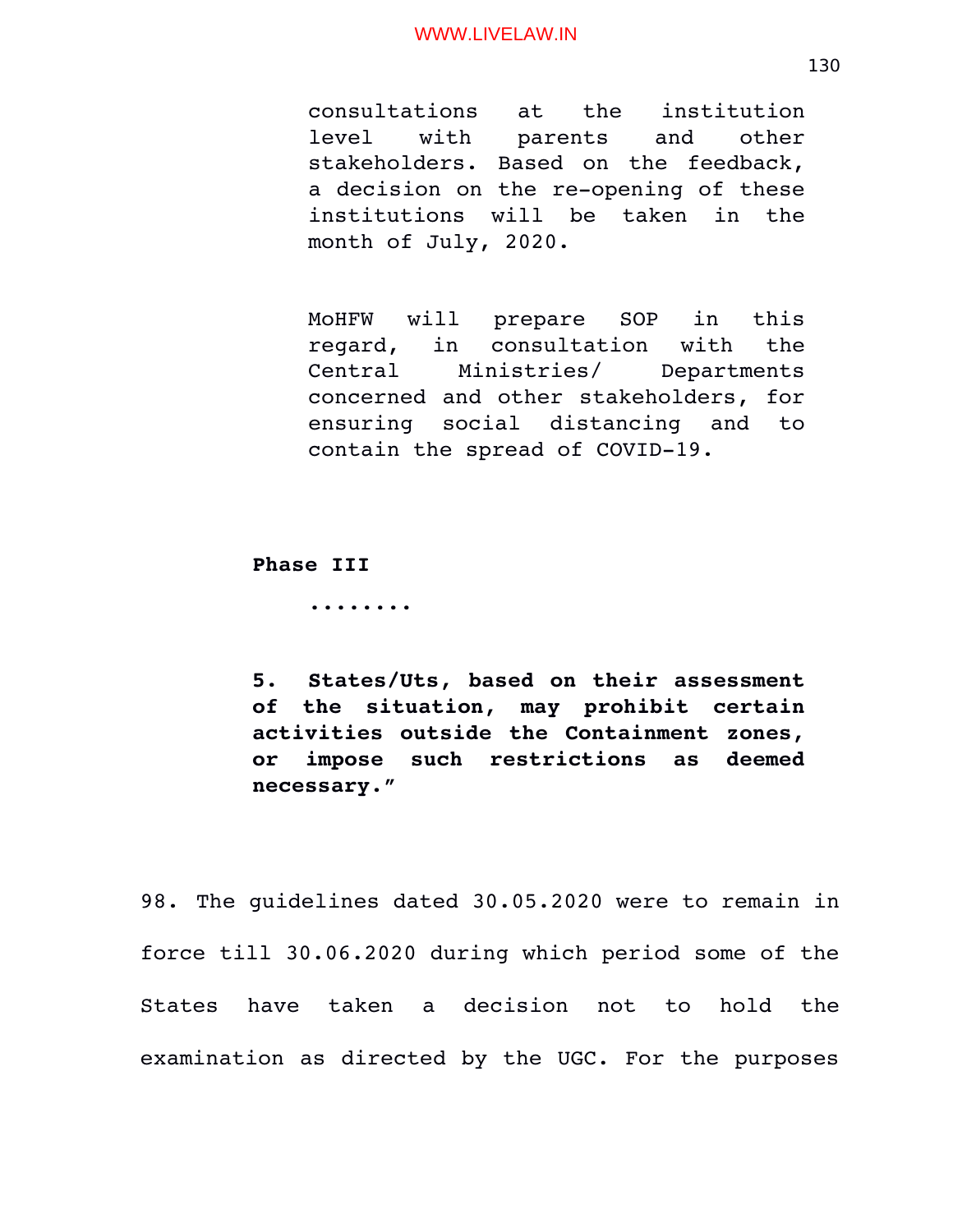consultations at the institution level with parents and other stakeholders. Based on the feedback, a decision on the re-opening of these institutions will be taken in the month of July, 2020.

MoHFW will prepare SOP in this regard, in consultation with the Central Ministries/ Departments concerned and other stakeholders, for ensuring social distancing and to contain the spread of COVID-19.

**Phase III**

**........**

**5. States/Uts, based on their assessment of the situation, may prohibit certain activities outside the Containment zones, or impose such restrictions as deemed necessary."**

98. The guidelines dated 30.05.2020 were to remain in force till 30.06.2020 during which period some of the States have taken a decision not to hold the examination as directed by the UGC. For the purposes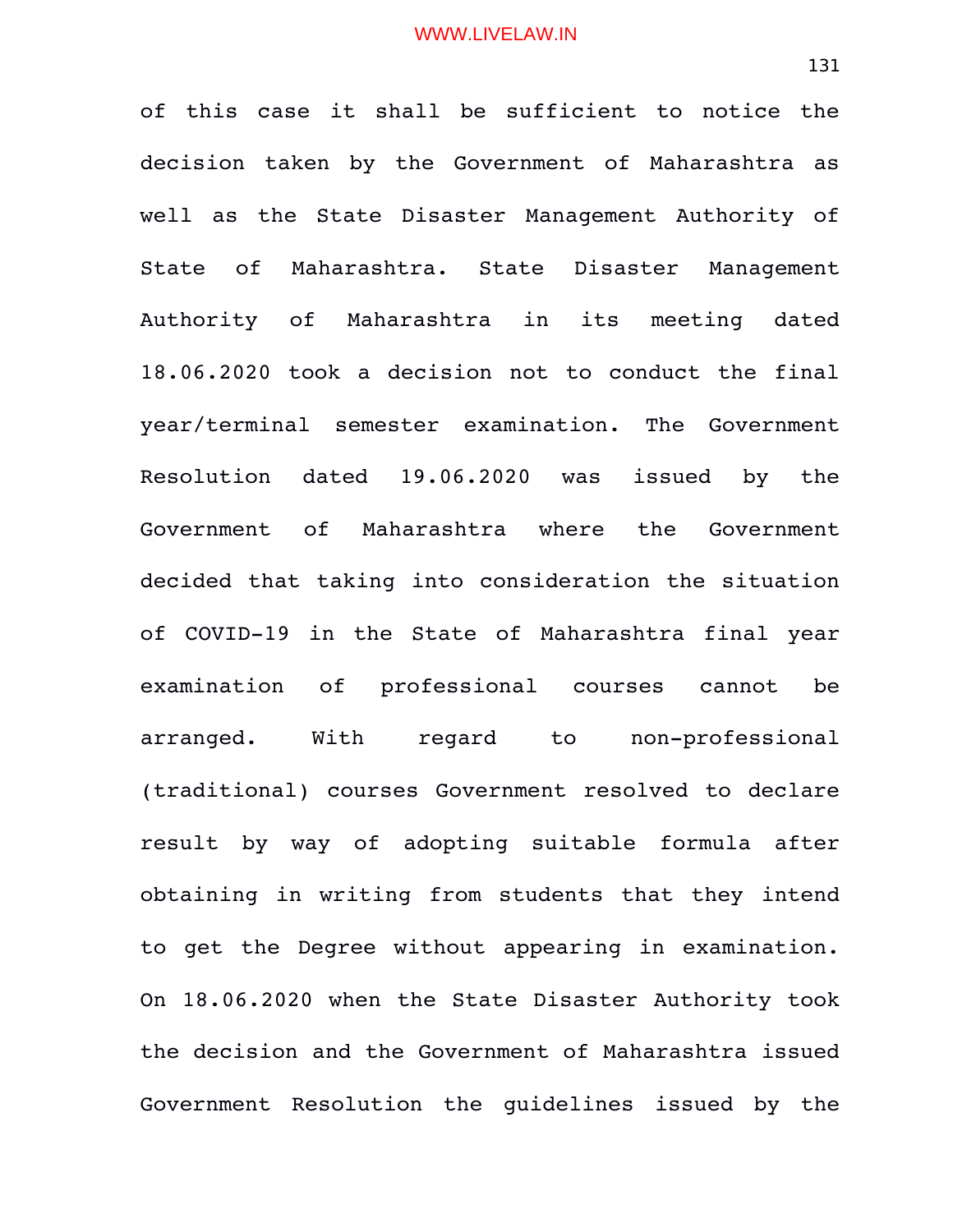of this case it shall be sufficient to notice the decision taken by the Government of Maharashtra as well as the State Disaster Management Authority of State of Maharashtra. State Disaster Management Authority of Maharashtra in its meeting dated 18.06.2020 took a decision not to conduct the final year/terminal semester examination. The Government Resolution dated 19.06.2020 was issued by the Government of Maharashtra where the Government decided that taking into consideration the situation of COVID-19 in the State of Maharashtra final year examination of professional courses cannot be arranged. With regard to non-professional (traditional) courses Government resolved to declare result by way of adopting suitable formula after obtaining in writing from students that they intend to get the Degree without appearing in examination. On 18.06.2020 when the State Disaster Authority took the decision and the Government of Maharashtra issued Government Resolution the quidelines issued by the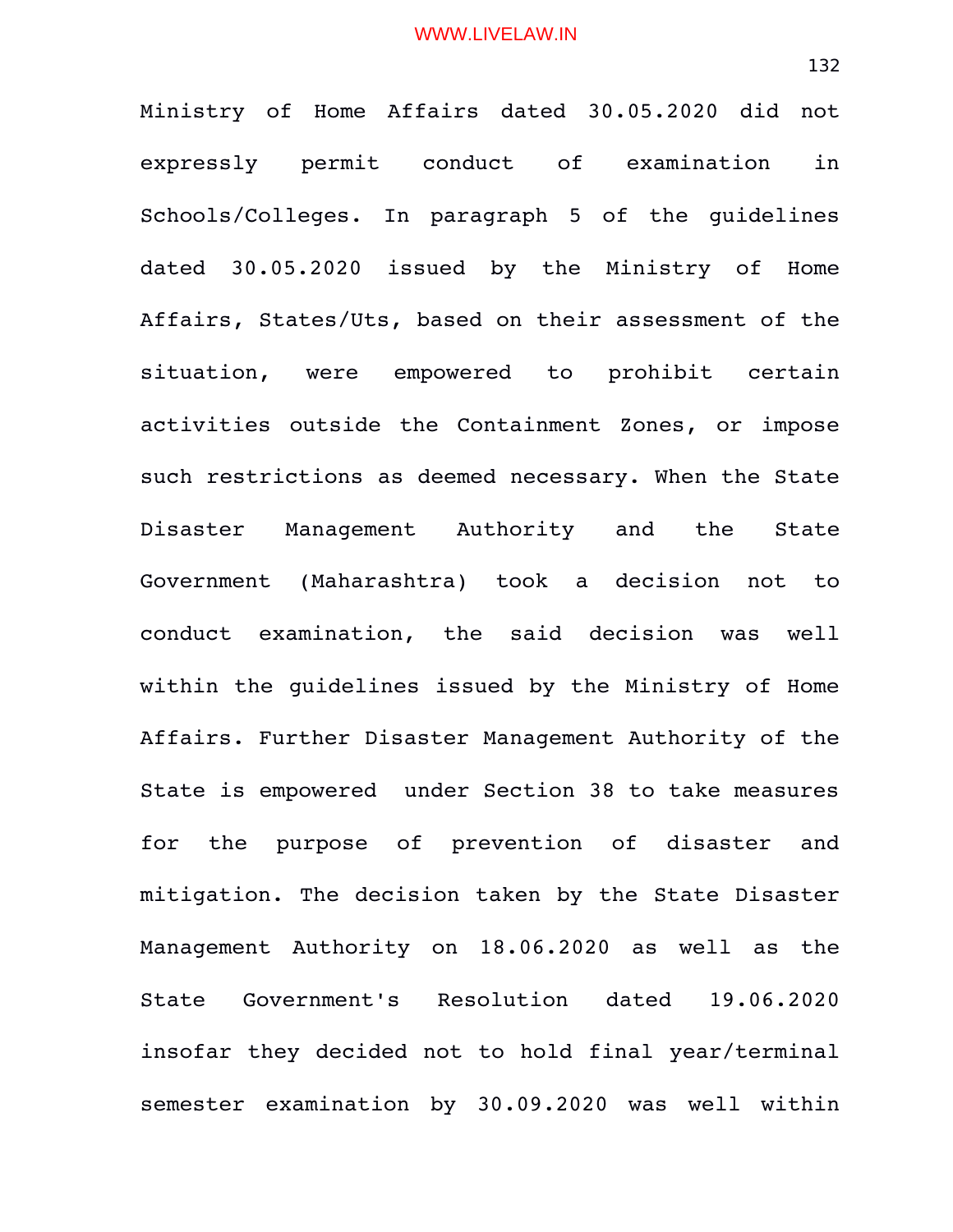Ministry of Home Affairs dated 30.05.2020 did not expressly permit conduct of examination in Schools/Colleges. In paragraph 5 of the quidelines dated 30.05.2020 issued by the Ministry of Home Affairs, States/Uts, based on their assessment of the situation, were empowered to prohibit certain activities outside the Containment Zones, or impose such restrictions as deemed necessary. When the State Disaster Management Authority and the State Government (Maharashtra) took a decision not to conduct examination, the said decision was well within the guidelines issued by the Ministry of Home Affairs. Further Disaster Management Authority of the State is empowered under Section 38 to take measures for the purpose of prevention of disaster and mitigation. The decision taken by the State Disaster Management Authority on 18.06.2020 as well as the State Government's Resolution dated 19.06.2020 insofar they decided not to hold final year/terminal semester examination by 30.09.2020 was well within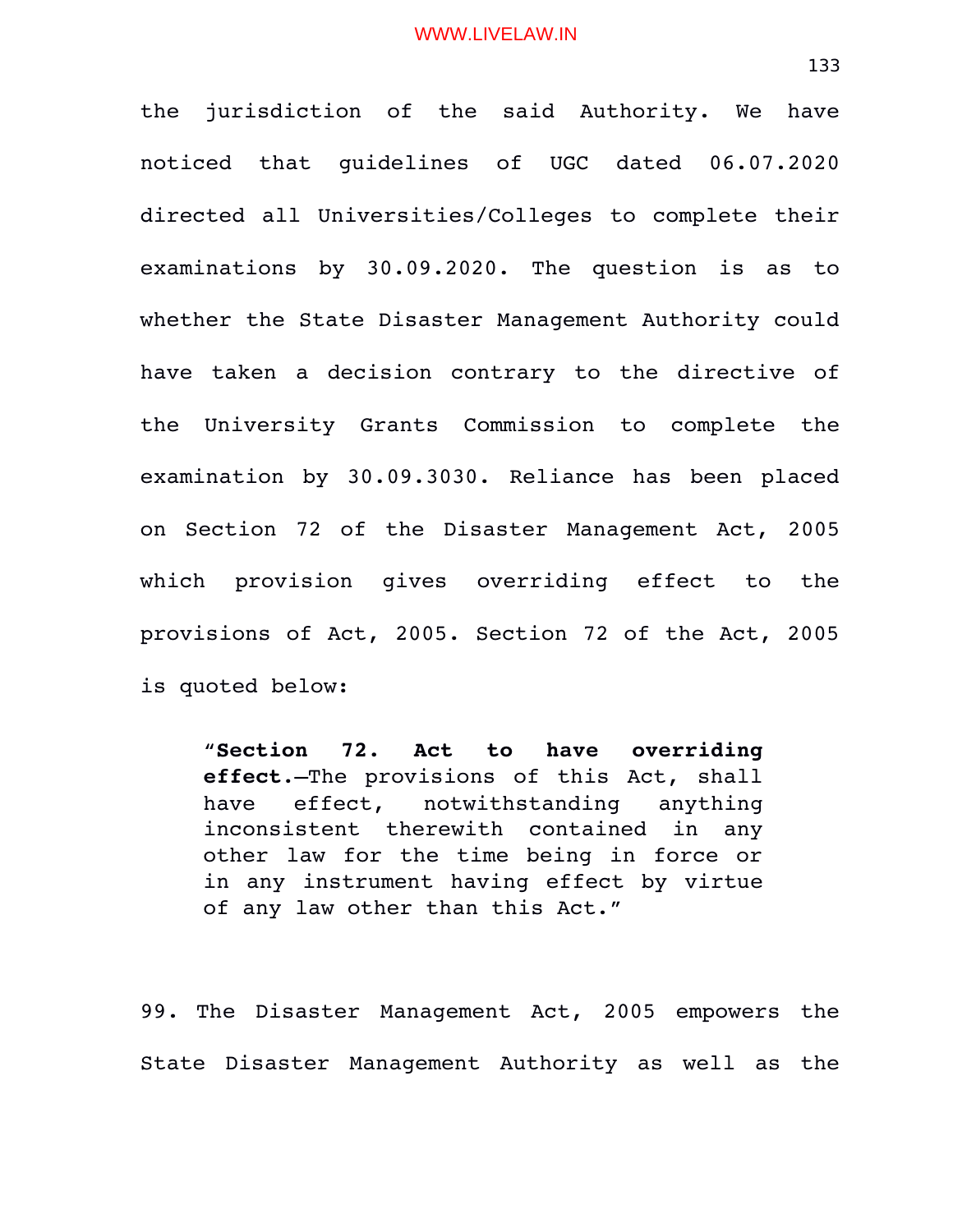the jurisdiction of the said Authority. We have noticed that guidelines of UGC dated 06.07.2020 directed all Universities/Colleges to complete their examinations by 30.09.2020. The question is as to whether the State Disaster Management Authority could have taken a decision contrary to the directive of the University Grants Commission to complete the examination by 30.09.3030. Reliance has been placed on Section 72 of the Disaster Management Act, 2005 which provision qives overriding effect to the provisions of Act, 2005. Section 72 of the Act, 2005 is quoted below:

"**Section 72. Act to have overriding effect**.—The provisions of this Act, shall have effect, notwithstanding anything inconsistent therewith contained in any other law for the time being in force or in any instrument having effect by virtue of any law other than this Act."

99. The Disaster Management Act, 2005 empowers the State Disaster Management Authority as well as the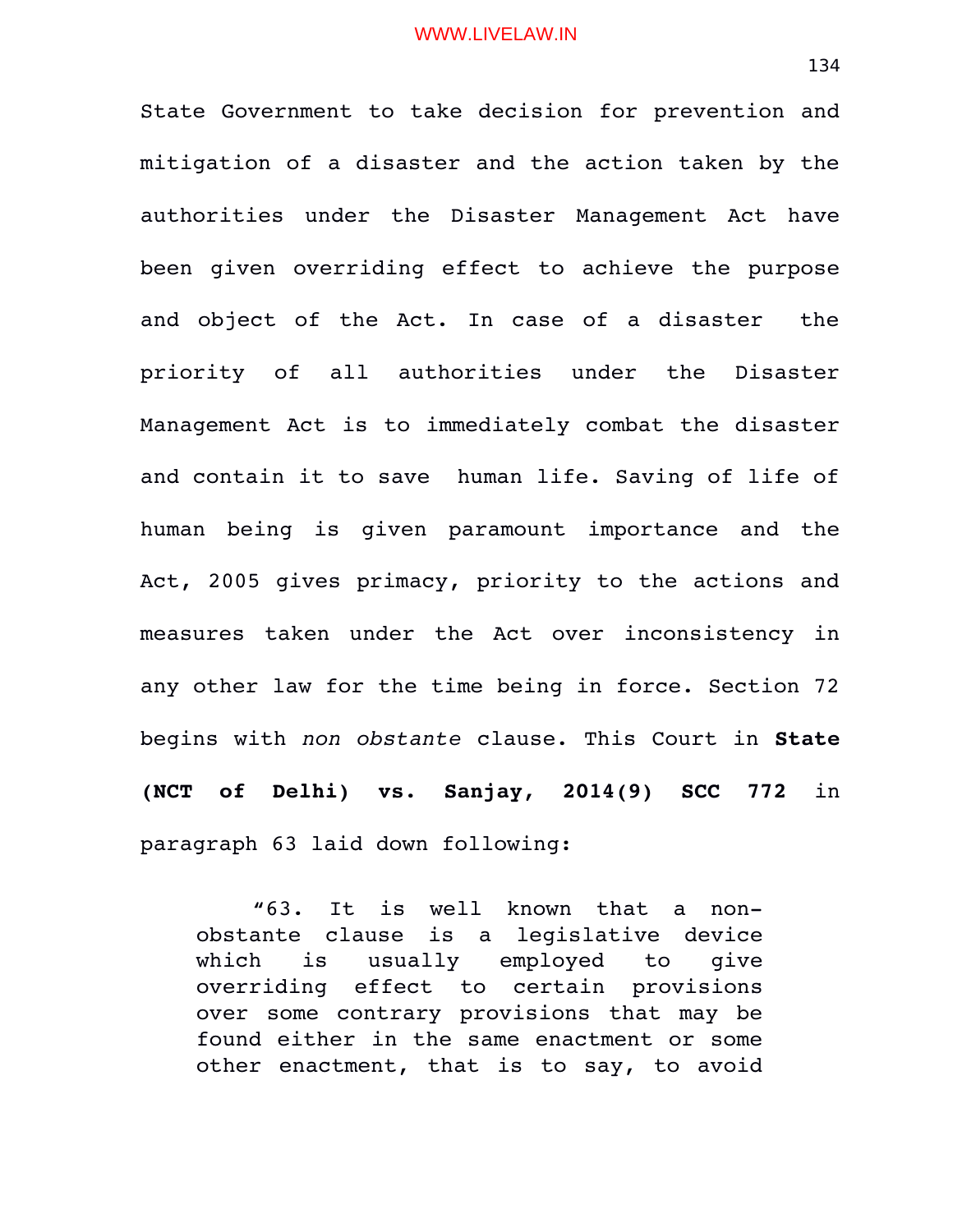State Government to take decision for prevention and mitigation of a disaster and the action taken by the authorities under the Disaster Management Act have been given overriding effect to achieve the purpose and object of the Act. In case of a disaster the priority of all authorities under the Disaster Management Act is to immediately combat the disaster and contain it to save human life. Saving of life of human being is given paramount importance and the Act, 2005 gives primacy, priority to the actions and measures taken under the Act over inconsistency in any other law for the time being in force. Section 72 begins with *non obstante* clause. This Court in **State (NCT of Delhi) vs. Sanjay, 2014(9) SCC 772** in paragraph 63 laid down following:

**"**63. It is well known that a nonobstante clause is a legislative device which is usually employed to give overriding effect to certain provisions over some contrary provisions that may be found either in the same enactment or some other enactment, that is to say, to avoid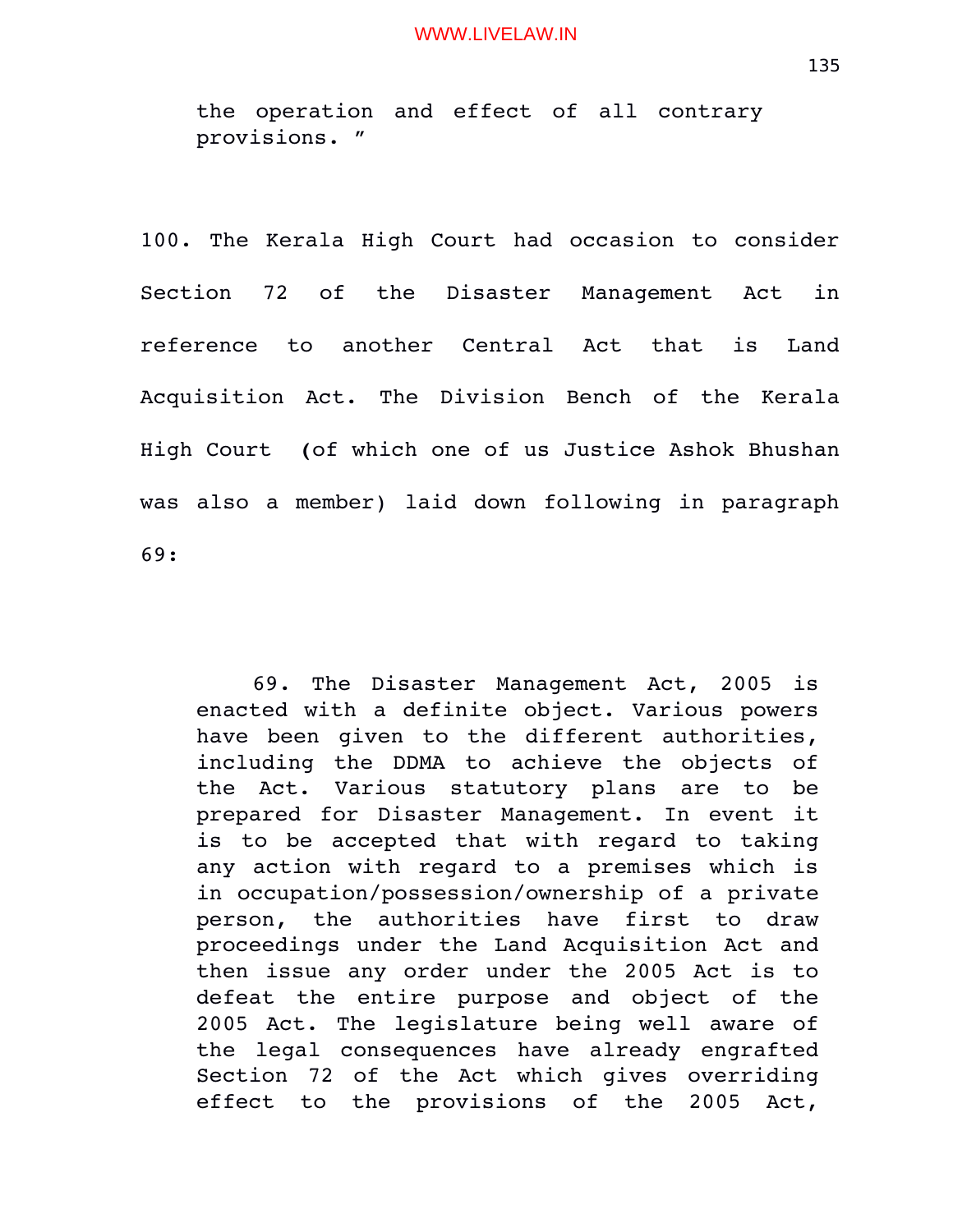the operation and effect of all contrary provisions. "

100. The Kerala High Court had occasion to consider Section 72 of the Disaster Management Act in reference to another Central Act that is Land Acquisition Act. The Division Bench of the Kerala High Court  **(**of which one of us Justice Ashok Bhushan was also a member) laid down following in paragraph 69:

69. The Disaster Management Act, 2005 is enacted with a definite object. Various powers have been qiven to the different authorities, including the DDMA to achieve the objects of the Act. Various statutory plans are to be prepared for Disaster Management. In event it is to be accepted that with regard to taking any action with regard to a premises which is in occupation/possession/ownership of a private person, the authorities have first to draw proceedings under the Land Acquisition Act and then issue any order under the 2005 Act is to defeat the entire purpose and object of the 2005 Act. The legislature being well aware of the legal consequences have already engrafted Section 72 of the Act which gives overriding effect to the provisions of the 2005 Act,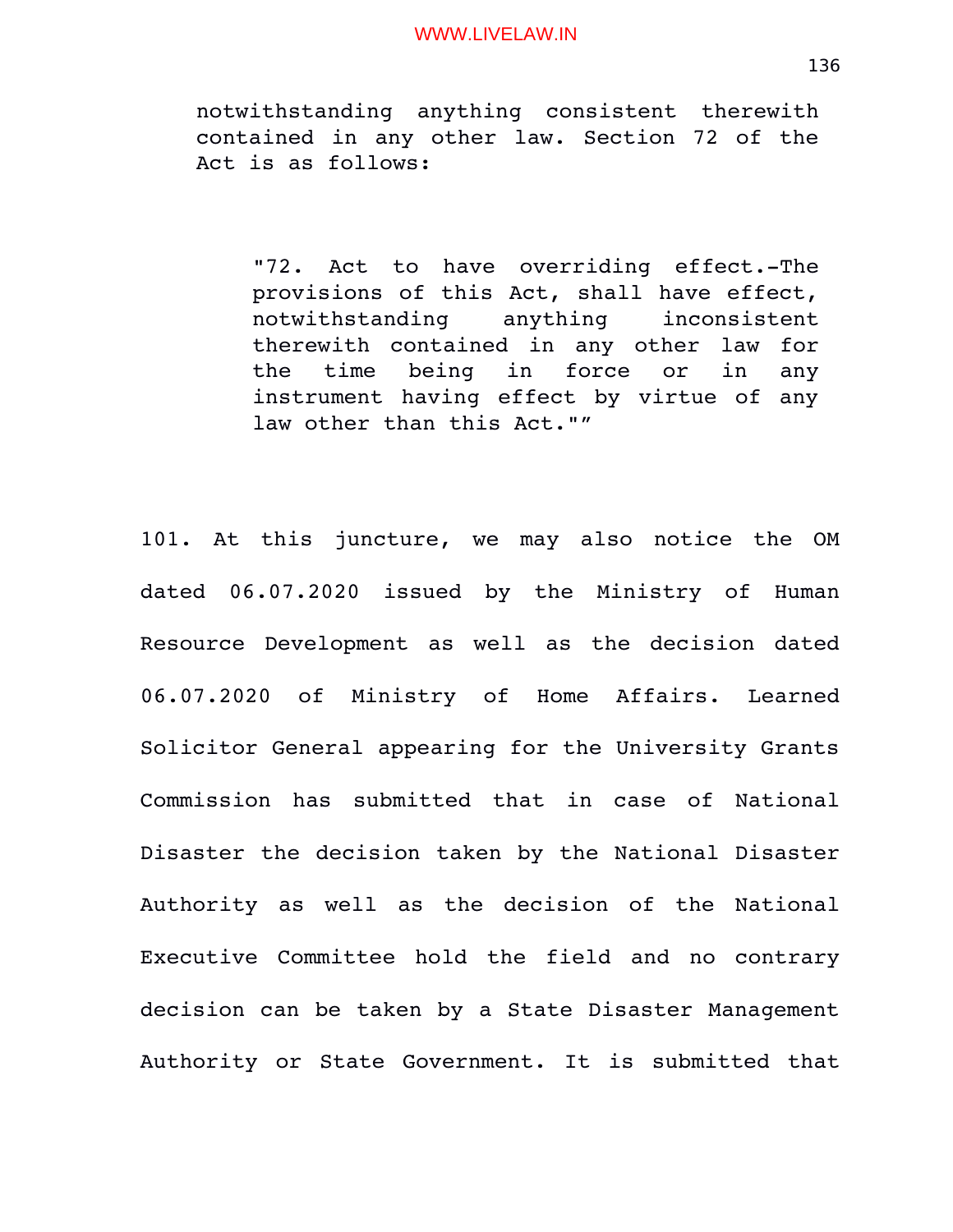notwithstanding anything consistent therewith contained in any other law. Section 72 of the Act is as follows:

"72. Act to have overriding effect.-The provisions of this Act, shall have effect, notwithstanding anything inconsistent therewith contained in any other law for the time being in force or in any instrument having effect by virtue of any law other than this Act.""

101. At this juncture, we may also notice the OM dated 06.07.2020 issued by the Ministry of Human Resource Development as well as the decision dated 06.07.2020 of Ministry of Home Affairs. Learned Solicitor General appearing for the University Grants Commission has submitted that in case of National Disaster the decision taken by the National Disaster Authority as well as the decision of the National Executive Committee hold the field and no contrary decision can be taken by a State Disaster Management Authority or State Government. It is submitted that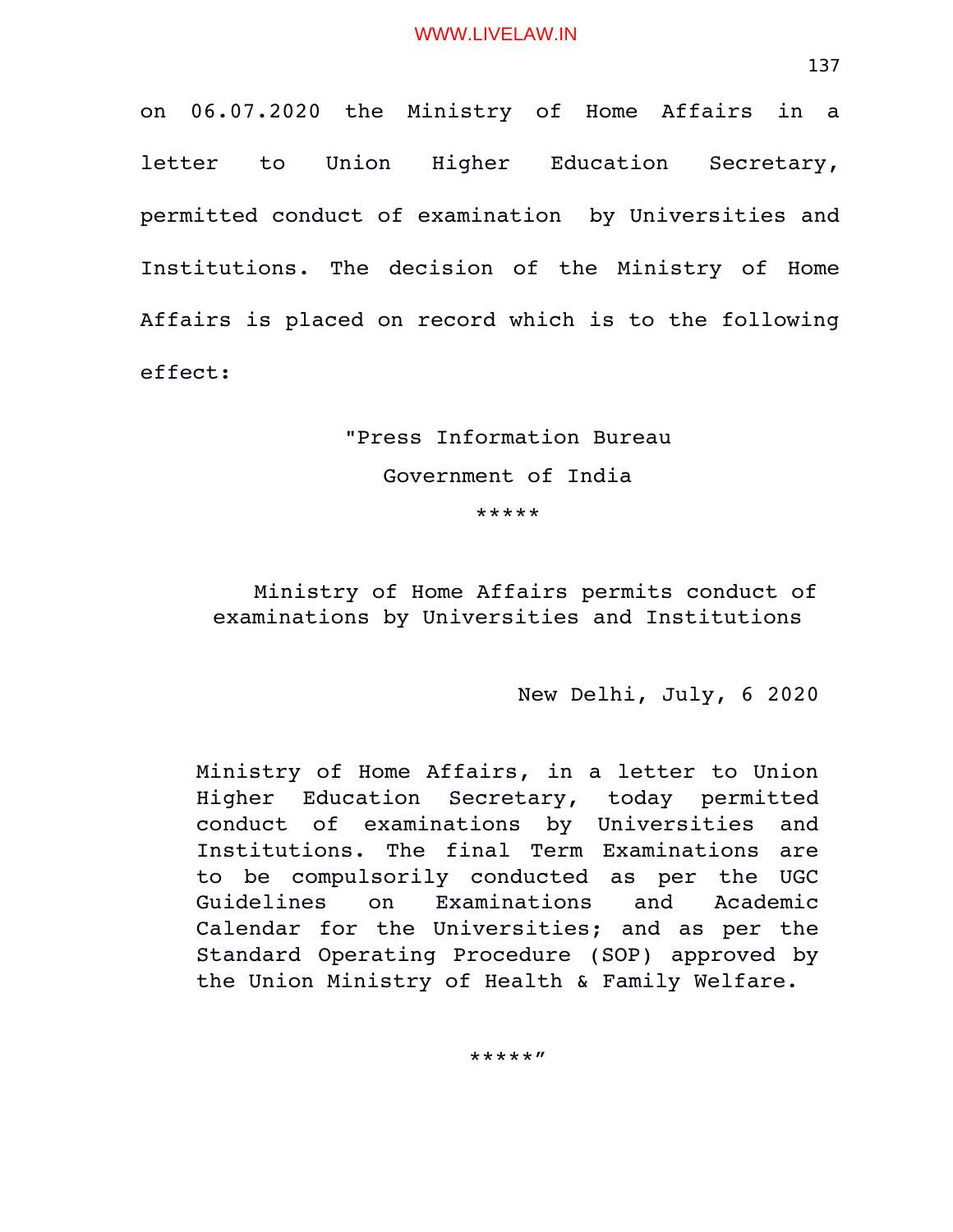on 06.07.2020 the Ministry of Home Affairs in a letter to Union Higher Education Secretary, permitted conduct of examination by Universities and Institutions. The decision of the Ministry of Home Affairs is placed on record which is to the following effect:

# "Press Information Bureau Government of India \*\*\*\*\*

Ministry of Home Affairs permits conduct of examinations by Universities and Institutions

New Delhi, July, 6 2020

Ministry of Home Affairs, in a letter to Union Higher Education Secretary, today permitted conduct of examinations by Universities and Institutions. The final Term Examinations are to be compulsorily conducted as per the UGC Guidelines on Examinations and Academic Calendar for the Universities; and as per the Standard Operating Procedure (SOP) approved by the Union Ministry of Health & Family Welfare.

\*\*\*\*\*"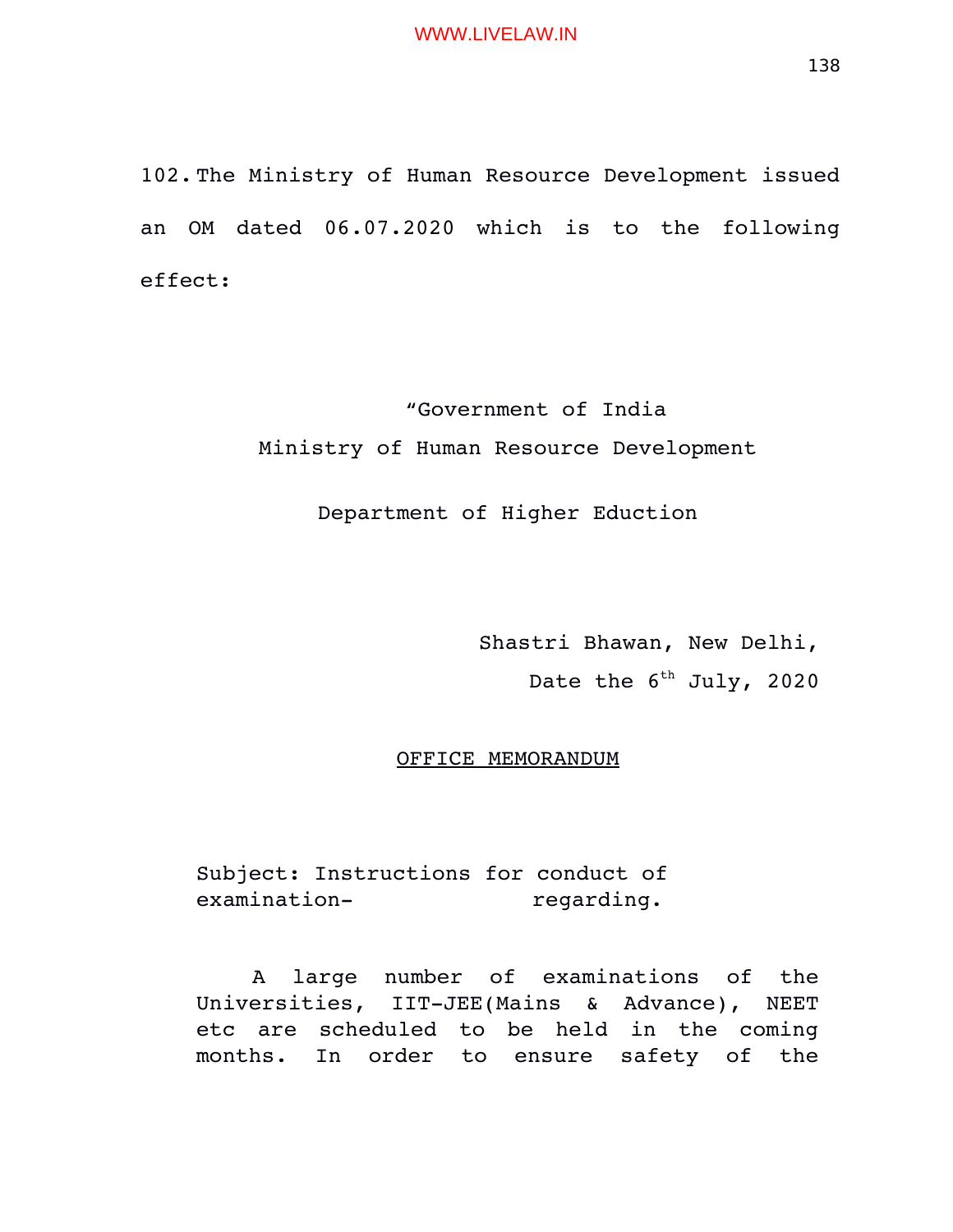102. The Ministry of Human Resource Development issued an OM dated 06.07.2020 which is to the following effect:

> "Government of India Ministry of Human Resource Development

> > Department of Higher Eduction

Shastri Bhawan, New Delhi,

Date the  $6^{th}$  July, 2020

OFFICE MEMORANDUM

Subject: Instructions for conduct of examination-<br>
regarding.

A large number of examinations of the Universities, IIT-JEE(Mains & Advance), NEET etc are scheduled to be held in the coming months. In order to ensure safety of the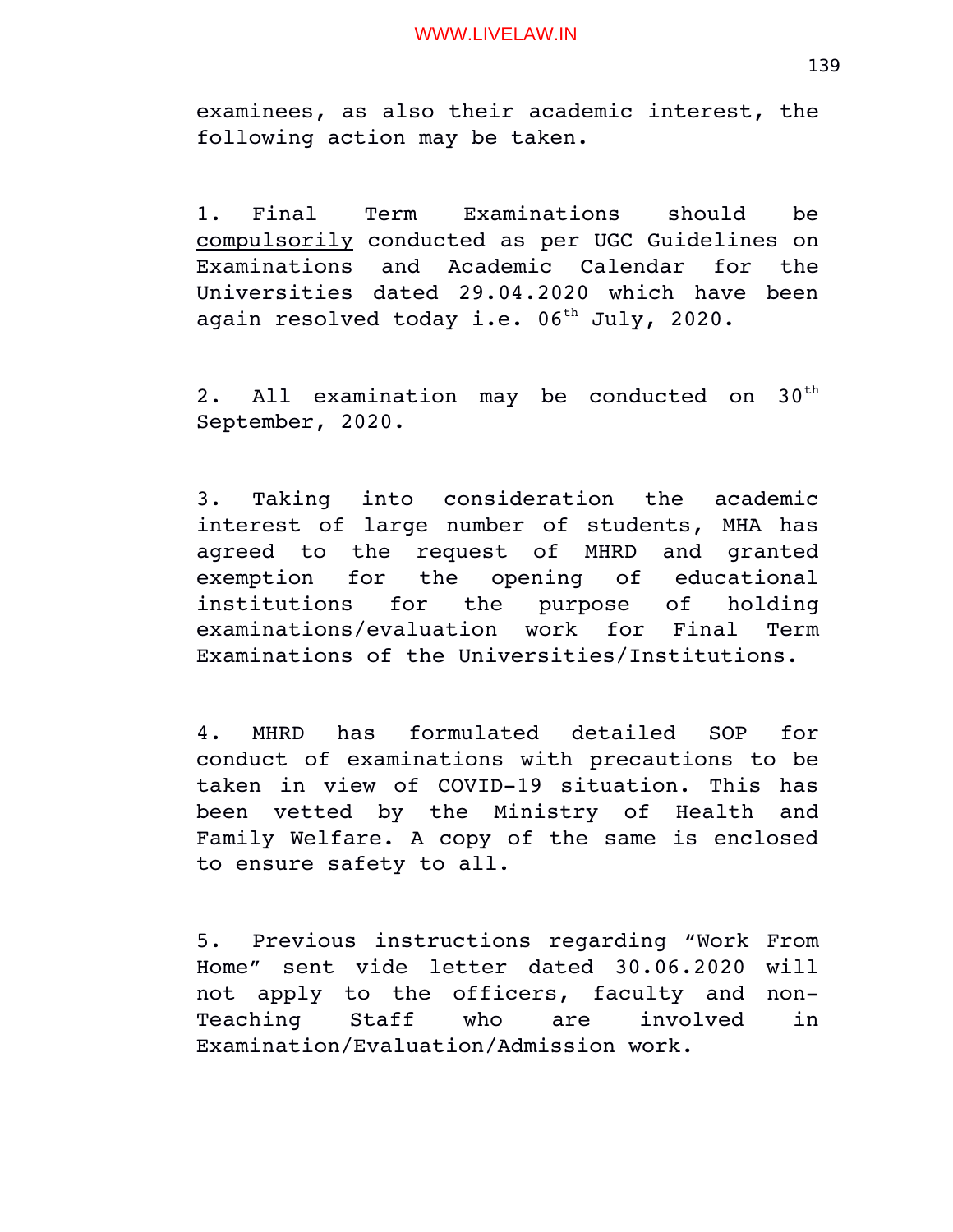examinees, as also their academic interest, the following action may be taken.

1. Final Term Examinations should be compulsorily conducted as per UGC Guidelines on Examinations and Academic Calendar for the Universities dated 29.04.2020 which have been again resolved today i.e.  $06^{th}$  July, 2020.

2. All examination may be conducted on  $30<sup>th</sup>$ September, 2020.

3. Taking into consideration the academic interest of large number of students, MHA has agreed to the request of MHRD and granted exemption for the opening of educational institutions for the purpose of holding examinations/evaluation work for Final Term Examinations of the Universities/Institutions.

4. MHRD has formulated detailed SOP for conduct of examinations with precautions to be taken in view of COVID-19 situation. This has been vetted by the Ministry of Health and Family Welfare. A copy of the same is enclosed to ensure safety to all.

5. Previous instructions regarding "Work From Home" sent vide letter dated 30.06.2020 will not apply to the officers, faculty and non-Teaching Staff who are involved in Examination/Evaluation/Admission work.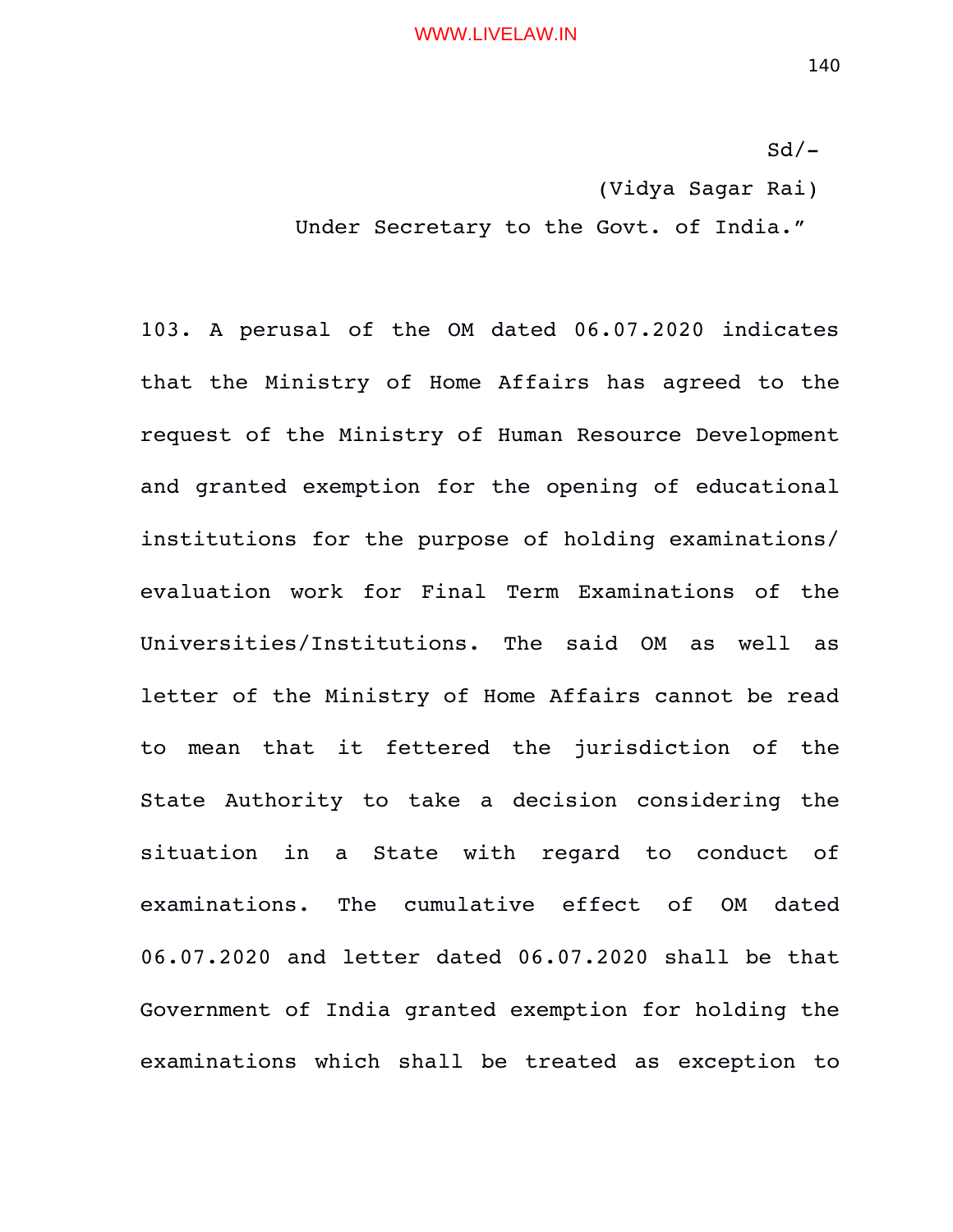$Sd/-$ (Vidya Sagar Rai)

Under Secretary to the Govt. of India."

103. A perusal of the OM dated 06.07.2020 indicates that the Ministry of Home Affairs has agreed to the request of the Ministry of Human Resource Development and granted exemption for the opening of educational institutions for the purpose of holding examinations/ evaluation work for Final Term Examinations of the Universities/Institutions. The said OM as well as letter of the Ministry of Home Affairs cannot be read to mean that it fettered the jurisdiction of the State Authority to take a decision considering the situation in a State with regard to conduct of examinations. The cumulative effect of OM dated 06.07.2020 and letter dated 06.07.2020 shall be that Government of India granted exemption for holding the examinations which shall be treated as exception to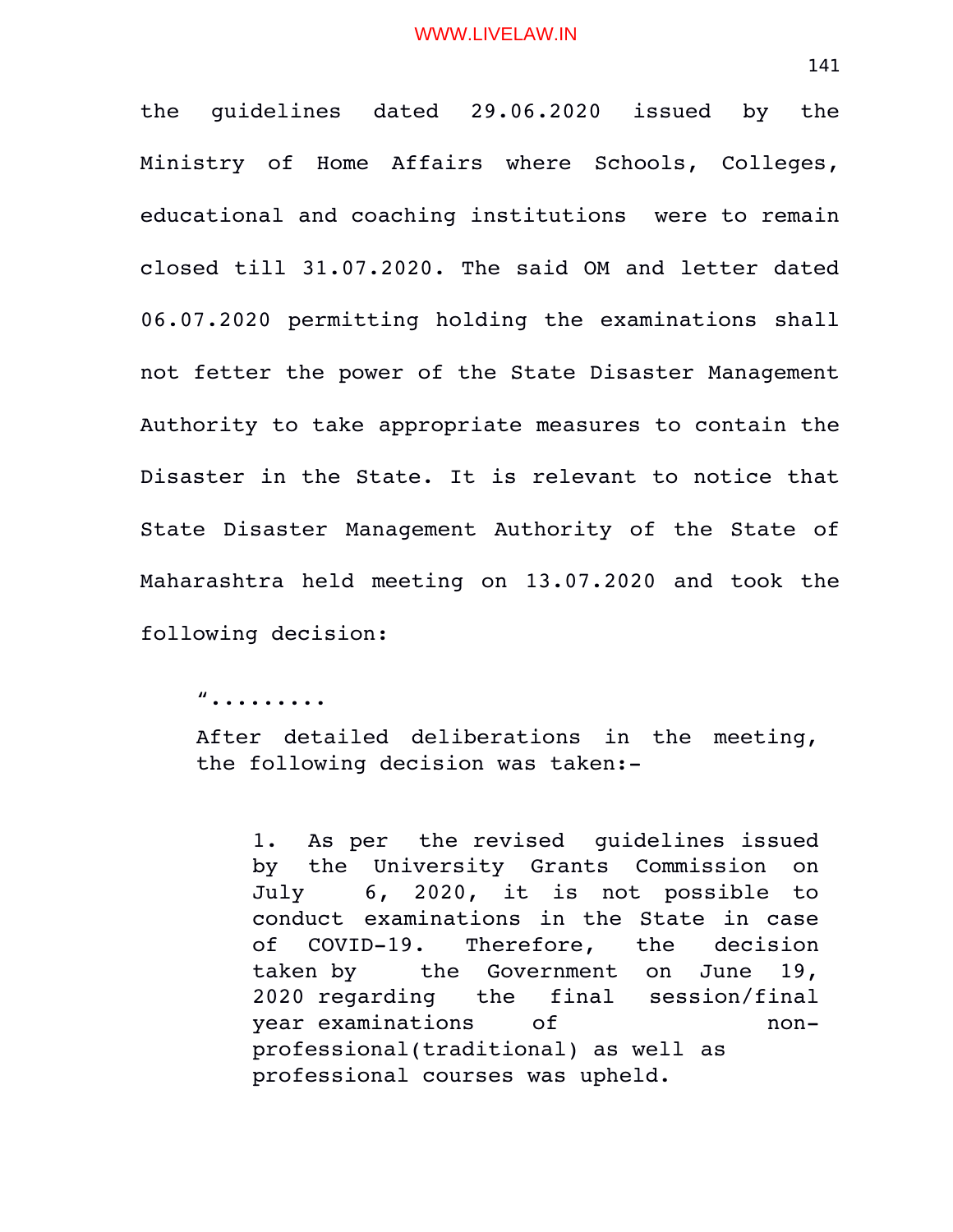the guidelines dated 29.06.2020 issued by the Ministry of Home Affairs where Schools, Colleges, educational and coaching institutions were to remain closed till 31.07.2020. The said OM and letter dated 06.07.2020 permitting holding the examinations shall not fetter the power of the State Disaster Management Authority to take appropriate measures to contain the Disaster in the State. It is relevant to notice that State Disaster Management Authority of the State of Maharashtra held meeting on 13.07.2020 and took the following decision:

".........

After detailed deliberations in the meeting, the following decision was taken:

1. As per the revised guidelines issued by the University Grants Commission on July 6, 2020, it is not possible to conduct examinations in the State in case of COVID-19. Therefore, the decision taken by the Government on June 19, 2020 regarding the final session/final year examinations of  $\qquad$  nonprofessional(traditional) as well as professional courses was upheld.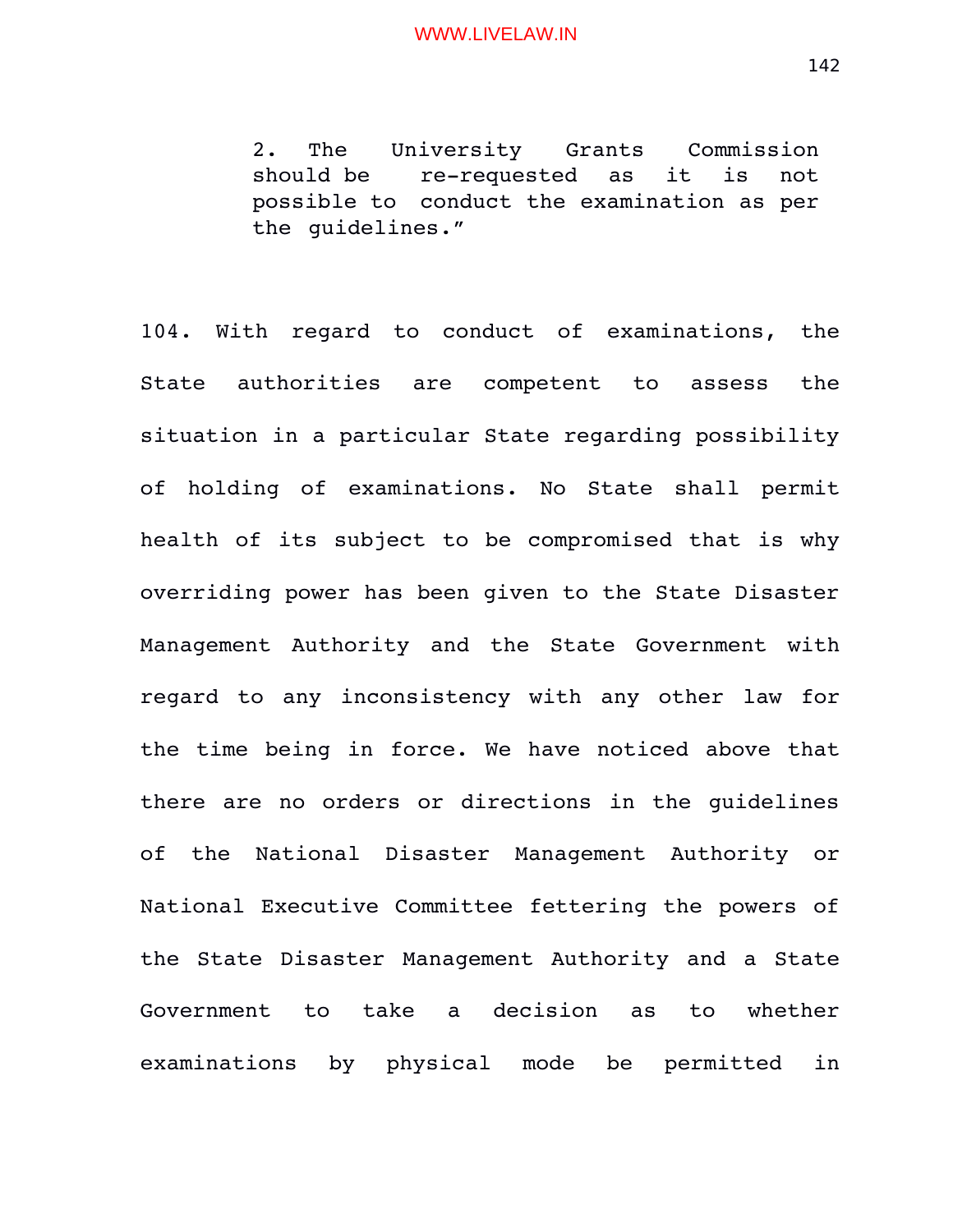2. The University Grants Commission should be re-requested as it is not possible to conduct the examination as per the guidelines."

104. With regard to conduct of examinations, the State authorities are competent to assess the situation in a particular State regarding possibility of holding of examinations. No State shall permit health of its subject to be compromised that is why overriding power has been given to the State Disaster Management Authority and the State Government with regard to any inconsistency with any other law for the time being in force. We have noticed above that there are no orders or directions in the guidelines of the National Disaster Management Authority or National Executive Committee fettering the powers of the State Disaster Management Authority and a State Government to take a decision as to whether examinations by physical mode be permitted in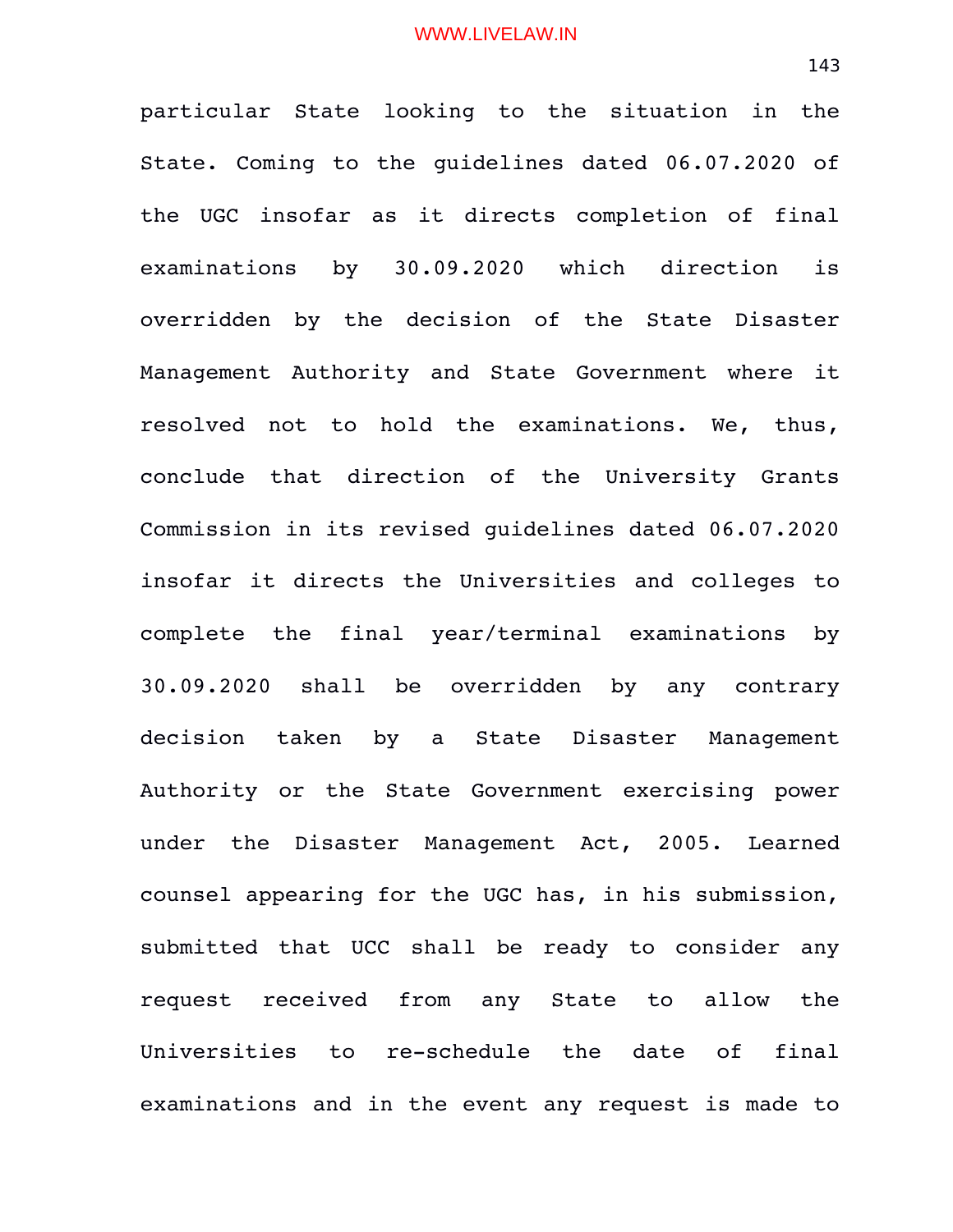particular State looking to the situation in the State. Coming to the guidelines dated 06.07.2020 of the UGC insofar as it directs completion of final examinations by 30.09.2020 which direction is overridden by the decision of the State Disaster Management Authority and State Government where it resolved not to hold the examinations. We, thus, conclude that direction of the University Grants Commission in its revised guidelines dated 06.07.2020 insofar it directs the Universities and colleges to complete the final year/terminal examinations by 30.09.2020 shall be overridden by any contrary decision taken by a State Disaster Management Authority or the State Government exercising power under the Disaster Management Act, 2005. Learned counsel appearing for the UGC has, in his submission, submitted that UCC shall be ready to consider any request received from any State to allow the Universities to re-schedule the date of final examinations and in the event any request is made to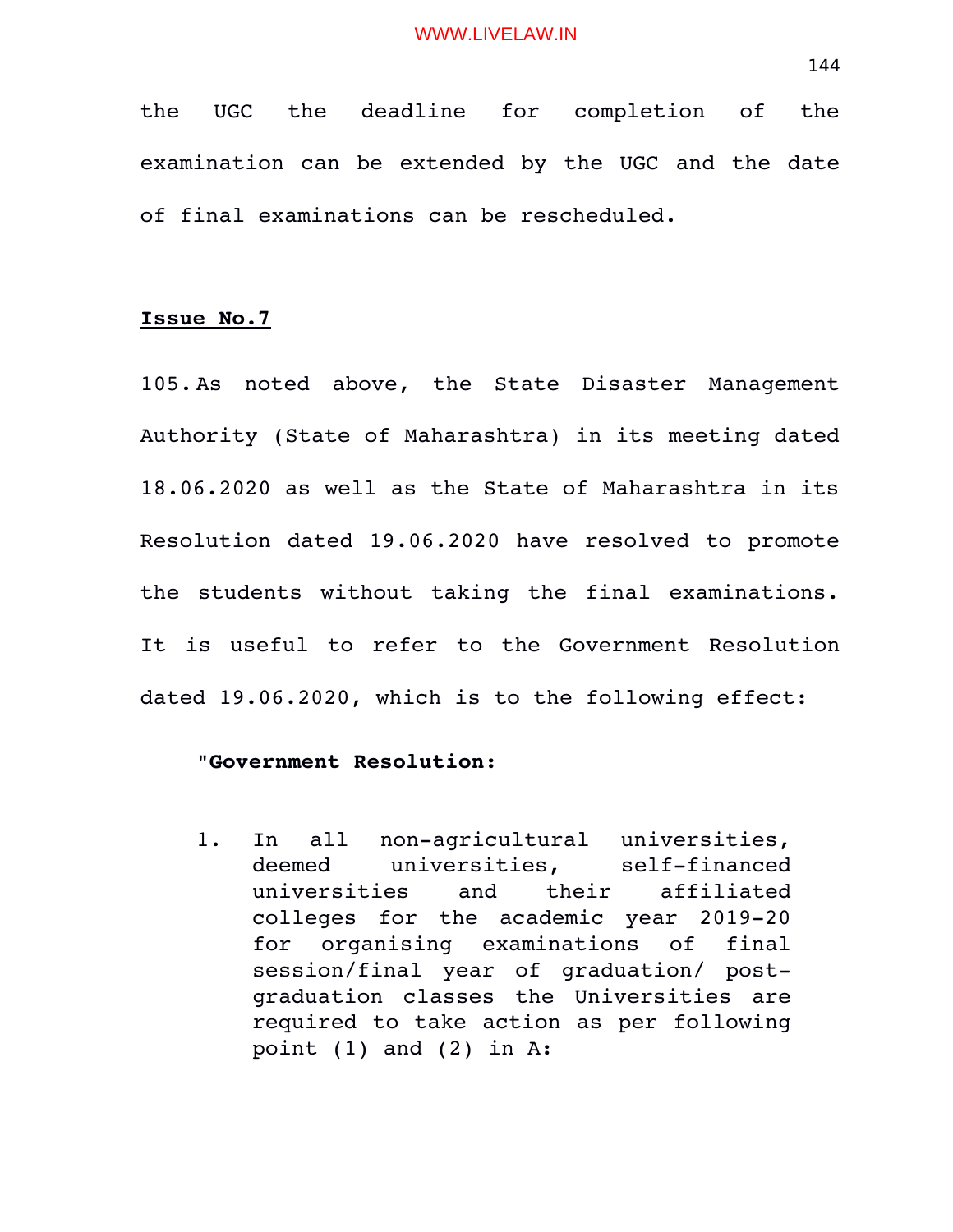the UGC the deadline for completion of the examination can be extended by the UGC and the date of final examinations can be rescheduled.

# **Issue No.7**

105. As noted above, the State Disaster Management Authority (State of Maharashtra) in its meeting dated 18.06.2020 as well as the State of Maharashtra in its Resolution dated 19.06.2020 have resolved to promote the students without taking the final examinations. It is useful to refer to the Government Resolution dated 19.06.2020, which is to the following effect:

# "**Government Resolution:**

1. In all non-agricultural universities, deemed universities, self-financed universities and their affiliated colleges for the academic year 2019-20 for organising examinations of final session/final year of qraduation/ postgraduation classes the Universities are required to take action as per following point  $(1)$  and  $(2)$  in A: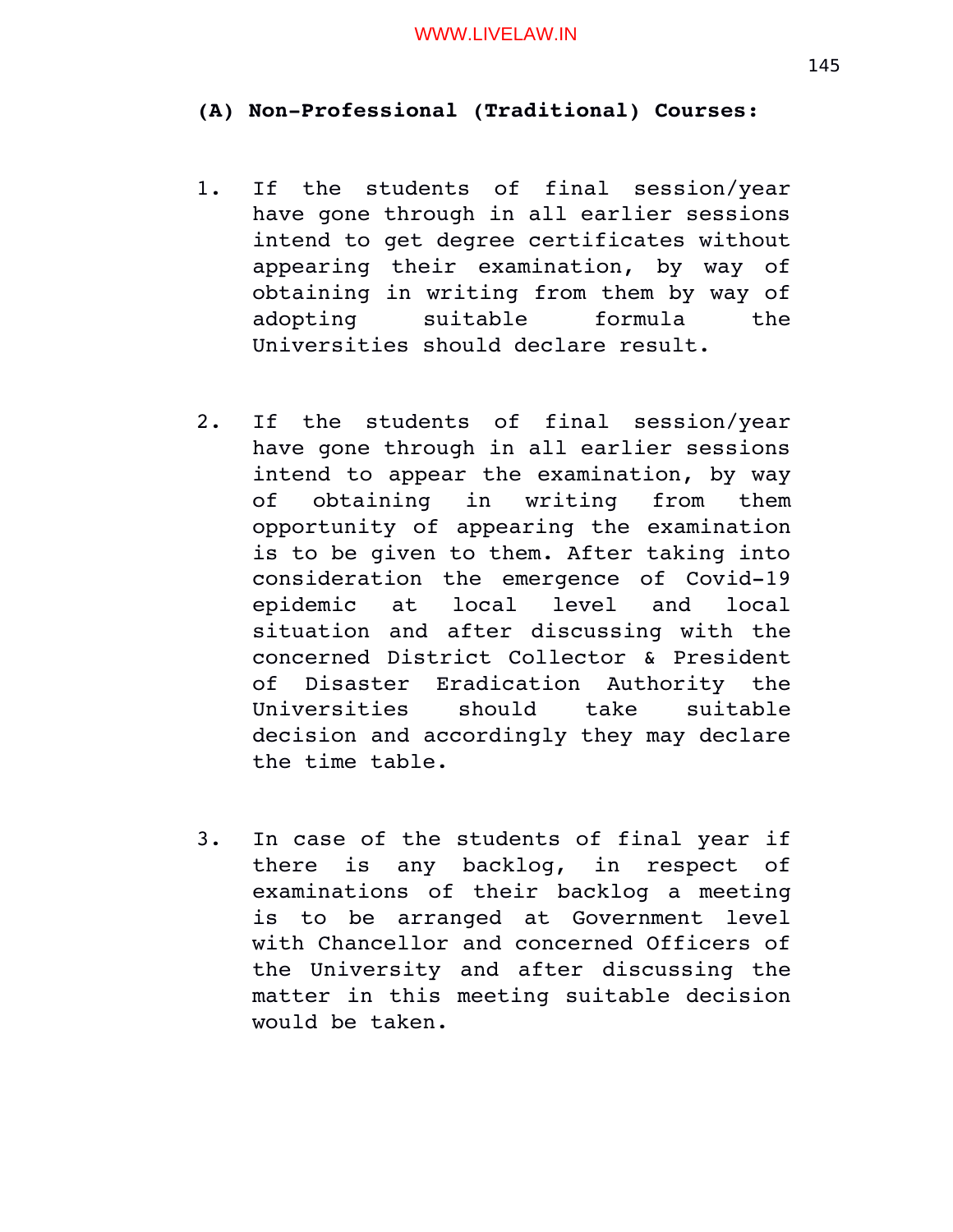# (A) Non-Professional (Traditional) Courses:

- 1. If the students of final session/year have gone through in all earlier sessions intend to get degree certificates without appearing their examination, by way of obtaining in writing from them by way of adopting suitable formula the Universities should declare result.
- 2. If the students of final session/year have gone through in all earlier sessions intend to appear the examination, by way of obtaining in writing from them opportunity of appearing the examination is to be given to them. After taking into consideration the emergence of Covid-19 epidemic at local level and local situation and after discussing with the concerned District Collector & President of Disaster Eradication Authority the Universities should take suitable decision and accordingly they may declare the time table.
- 3. In case of the students of final year if there is any backlog, in respect of examinations of their backlog a meeting is to be arranged at Government level with Chancellor and concerned Officers of the University and after discussing the matter in this meeting suitable decision would be taken.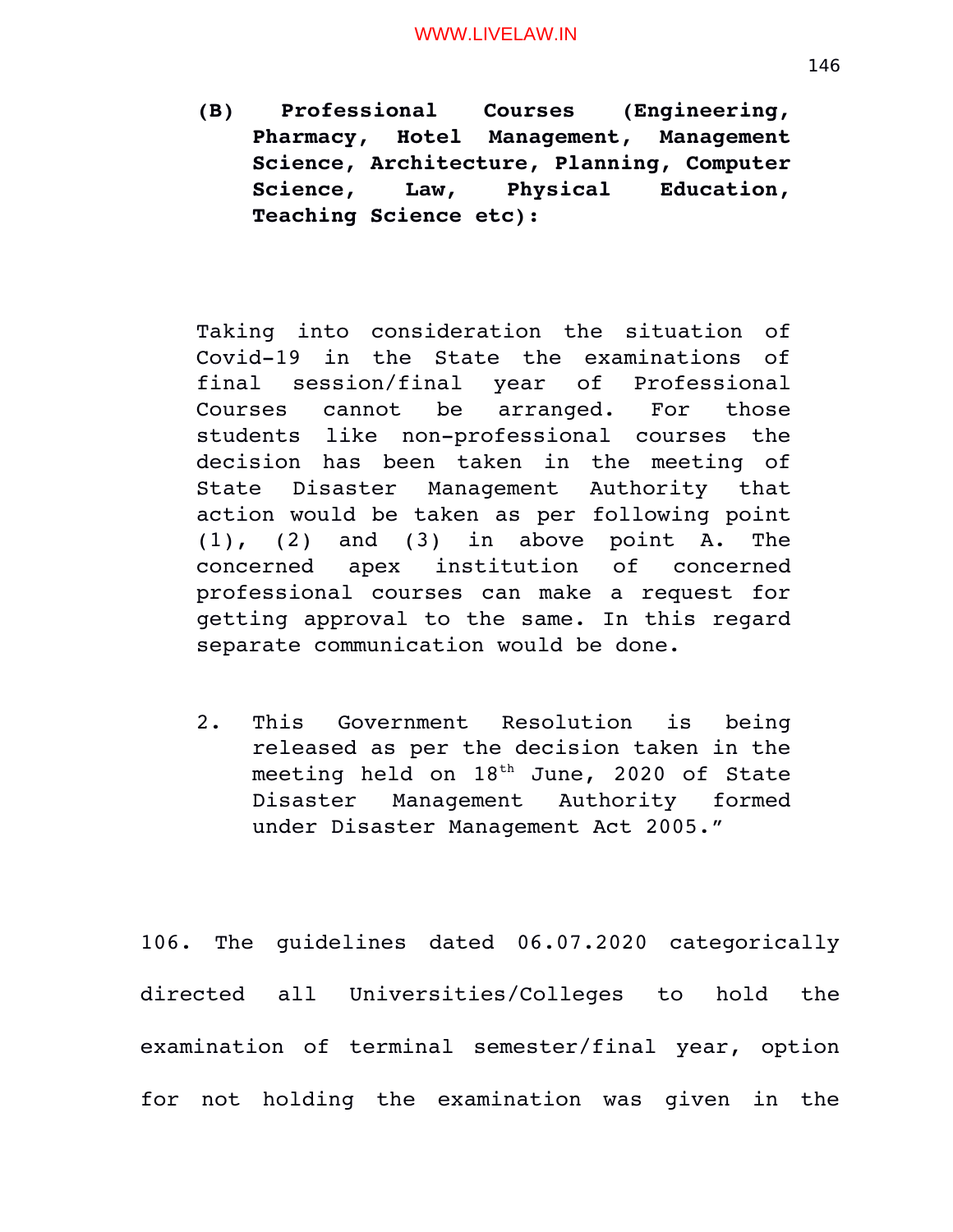**(B) Professional Courses (Engineering, Pharmacy, Hotel Management, Management Science, Architecture, Planning, Computer Science, Law, Physical Education, Teaching Science etc):**

Taking into consideration the situation of Covid-19 in the State the examinations of final session/final year of Professional Courses cannot be arranged. For those students like non-professional courses the decision has been taken in the meeting of State Disaster Management Authority that action would be taken as per following point  $(1)$ ,  $(2)$  and  $(3)$  in above point A. The concerned apex institution of concerned professional courses can make a request for getting approval to the same. In this regard separate communication would be done.

2. This Government Resolution is being released as per the decision taken in the meeting held on  $18<sup>th</sup>$  June, 2020 of State Disaster Management Authority formed under Disaster Management Act 2005."

106. The guidelines dated 06.07.2020 categorically directed all Universities/Colleges to hold the examination of terminal semester/final year, option for not holding the examination was given in the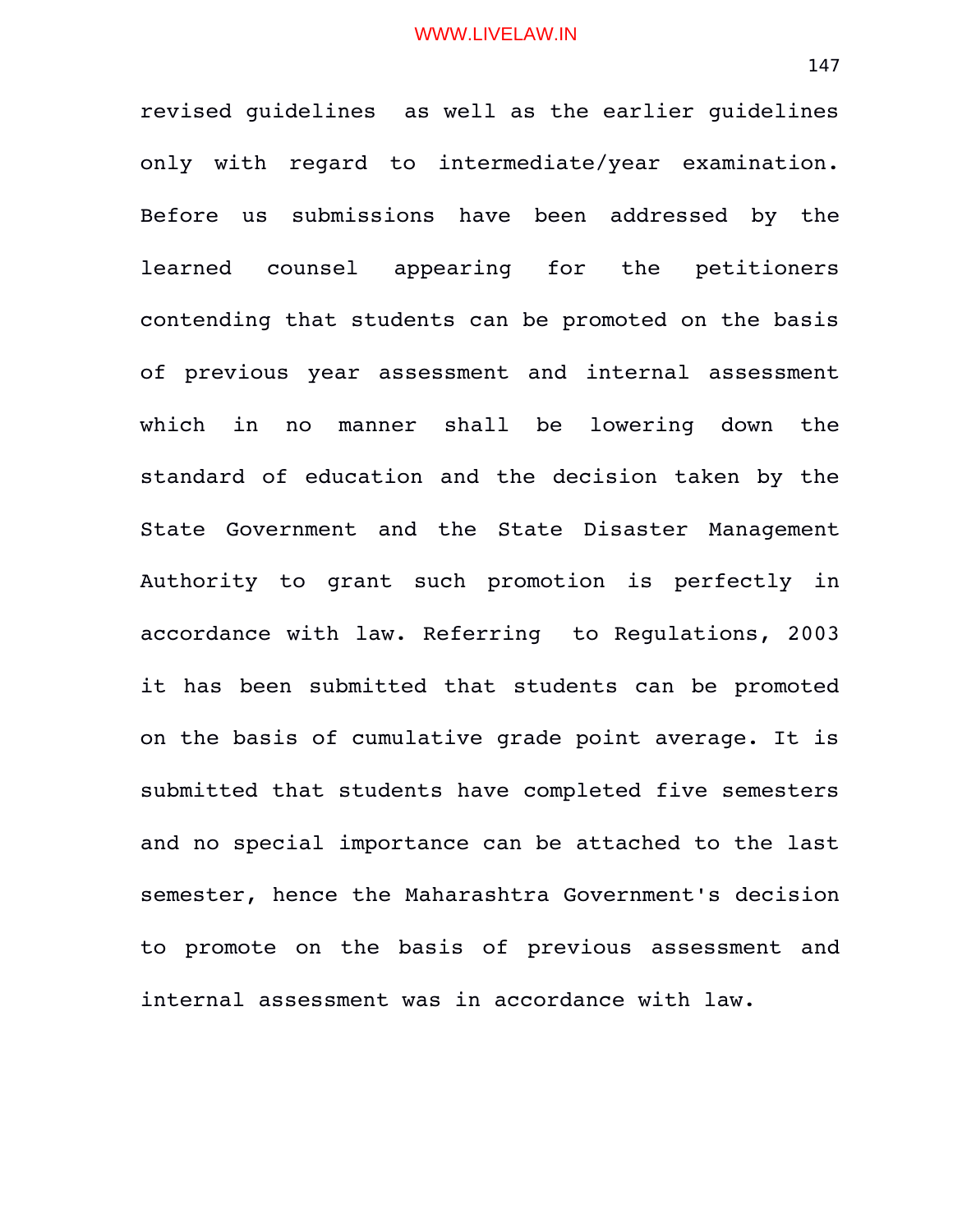revised guidelines as well as the earlier guidelines only with regard to intermediate/year examination. Before us submissions have been addressed by the learned counsel appearing for the petitioners contending that students can be promoted on the basis of previous year assessment and internal assessment which in no manner shall be lowering down the standard of education and the decision taken by the State Government and the State Disaster Management Authority to grant such promotion is perfectly in accordance with law. Referring to Regulations, 2003 it has been submitted that students can be promoted on the basis of cumulative grade point average. It is submitted that students have completed five semesters and no special importance can be attached to the last semester, hence the Maharashtra Government's decision to promote on the basis of previous assessment and internal assessment was in accordance with law.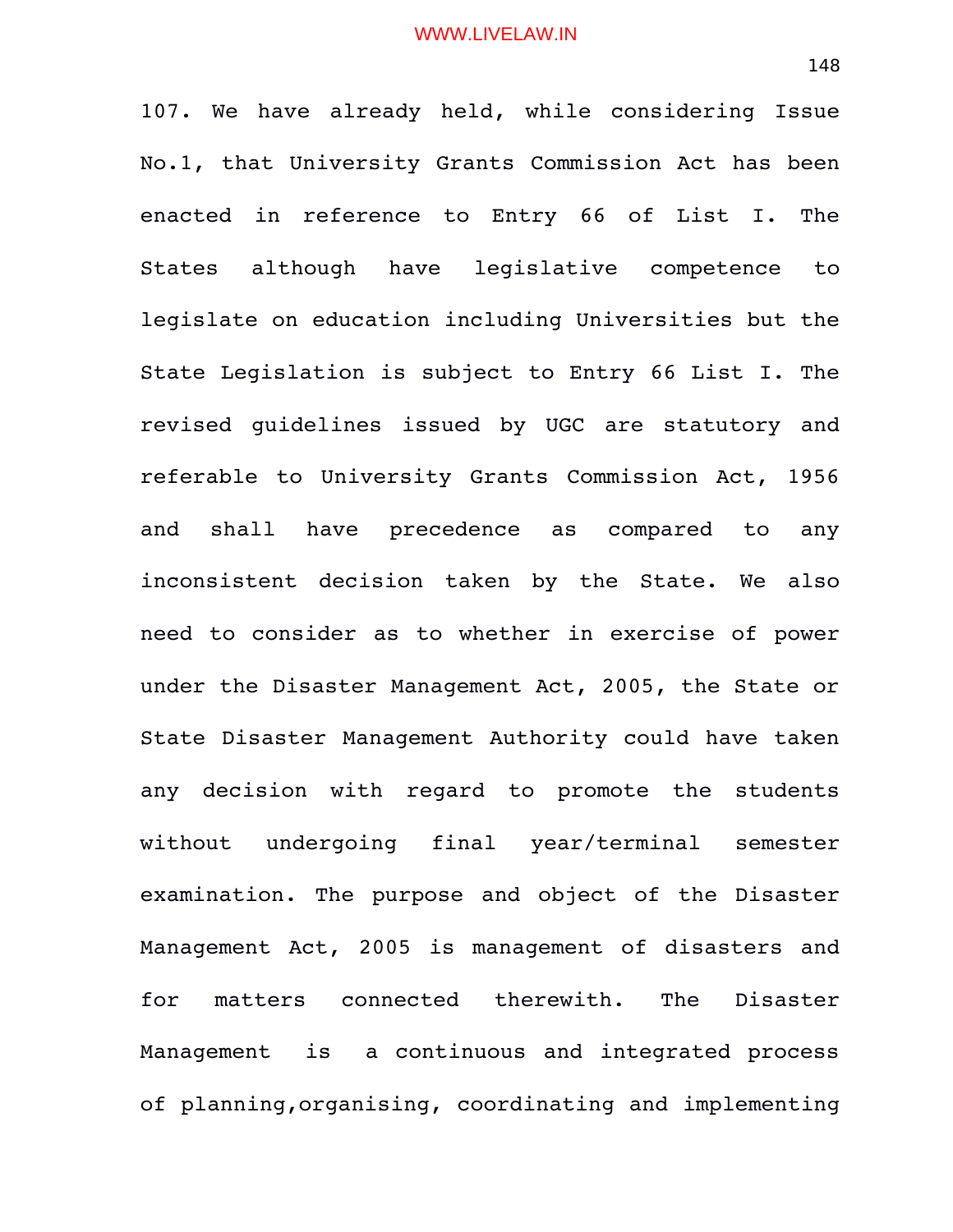107. We have already held, while considering Issue No.1, that University Grants Commission Act has been enacted in reference to Entry 66 of List I. The States although have legislative competence to legislate on education including Universities but the State Legislation is subject to Entry 66 List I. The revised guidelines issued by UGC are statutory and referable to University Grants Commission Act, 1956 and shall have precedence as compared to any inconsistent decision taken by the State. We also need to consider as to whether in exercise of power under the Disaster Management Act, 2005, the State or State Disaster Management Authority could have taken any decision with regard to promote the students without undergoing final year/terminal semester examination. The purpose and object of the Disaster Management Act, 2005 is management of disasters and for matters connected therewith. The Disaster Management is a continuous and integrated process of planning,organising, coordinating and implementing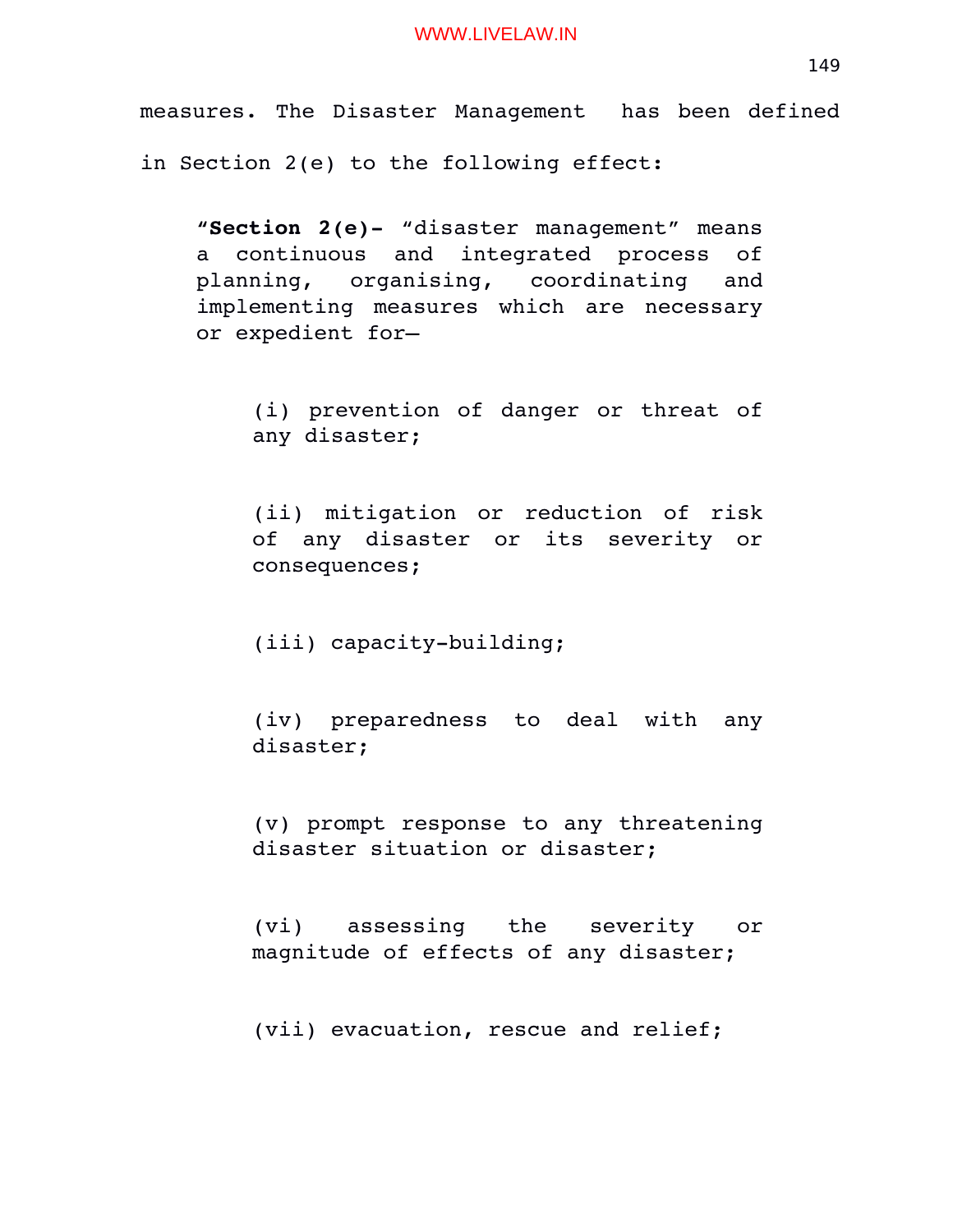measures. The Disaster Management has been defined in Section 2(e) to the following effect:

**"Section 2(e)** "disaster management" means a continuous and integrated process of planning, organising, coordinating and implementing measures which are necessary or expedient for—

(i) prevention of danger or threat of any disaster;

(ii) mitigation or reduction of risk of any disaster or its severity or consequences;

(iii) capacity-building;

(iv) preparedness to deal with any disaster;

(v) prompt response to any threatening disaster situation or disaster;

(vi) assessing the severity or magnitude of effects of any disaster;

(vii) evacuation, rescue and relief;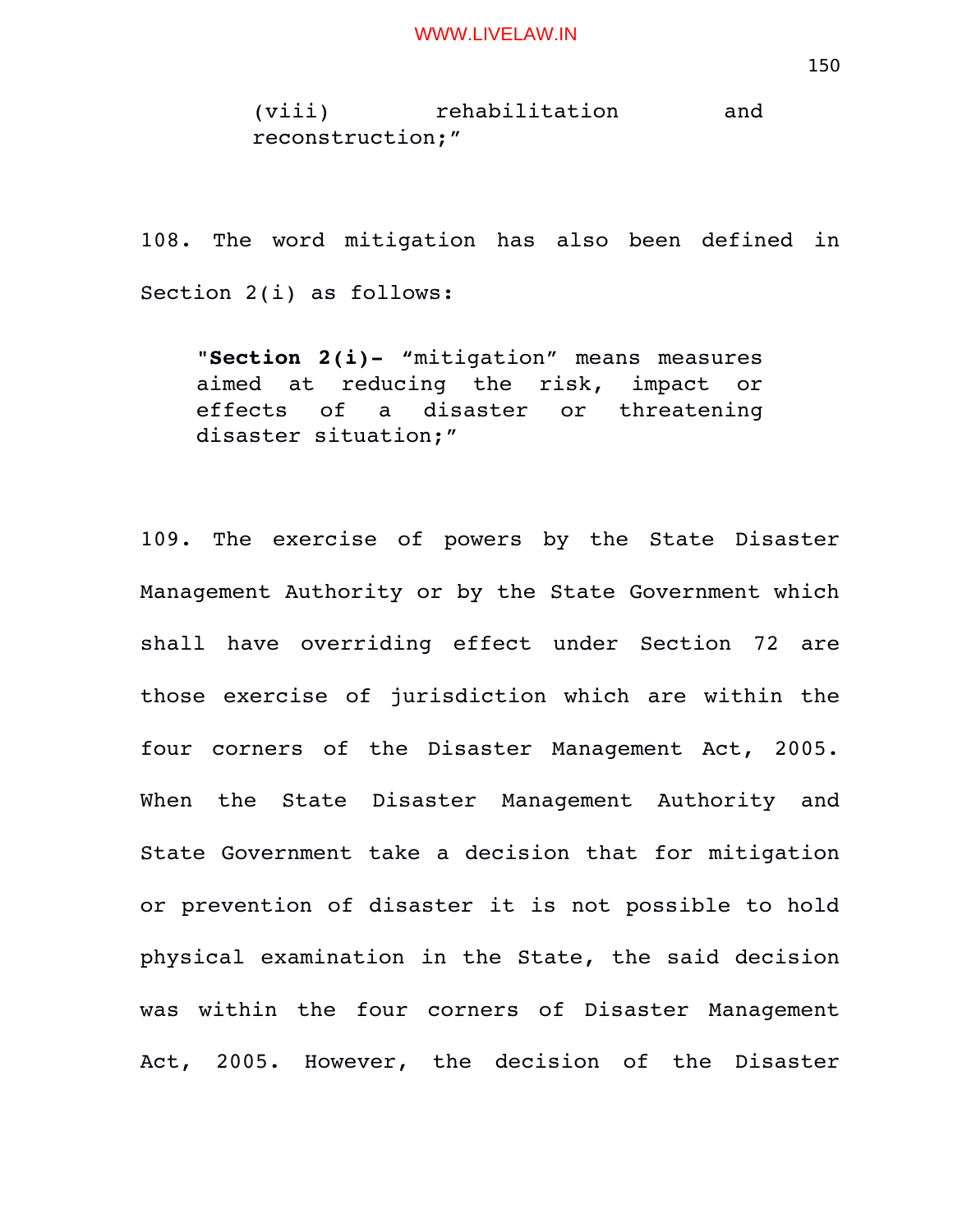(viii) rehabilitation and reconstruction;"

108. The word mitigation has also been defined in Section 2(i) as follows:

"**Section 2(i)-** "mitigation" means measures aimed at reducing the risk, impact or effects of a disaster or threatening disaster situation;"

109. The exercise of powers by the State Disaster Management Authority or by the State Government which shall have overriding effect under Section 72 are those exercise of jurisdiction which are within the four corners of the Disaster Management Act, 2005. When the State Disaster Management Authority and State Government take a decision that for mitigation or prevention of disaster it is not possible to hold physical examination in the State, the said decision was within the four corners of Disaster Management Act, 2005. However, the decision of the Disaster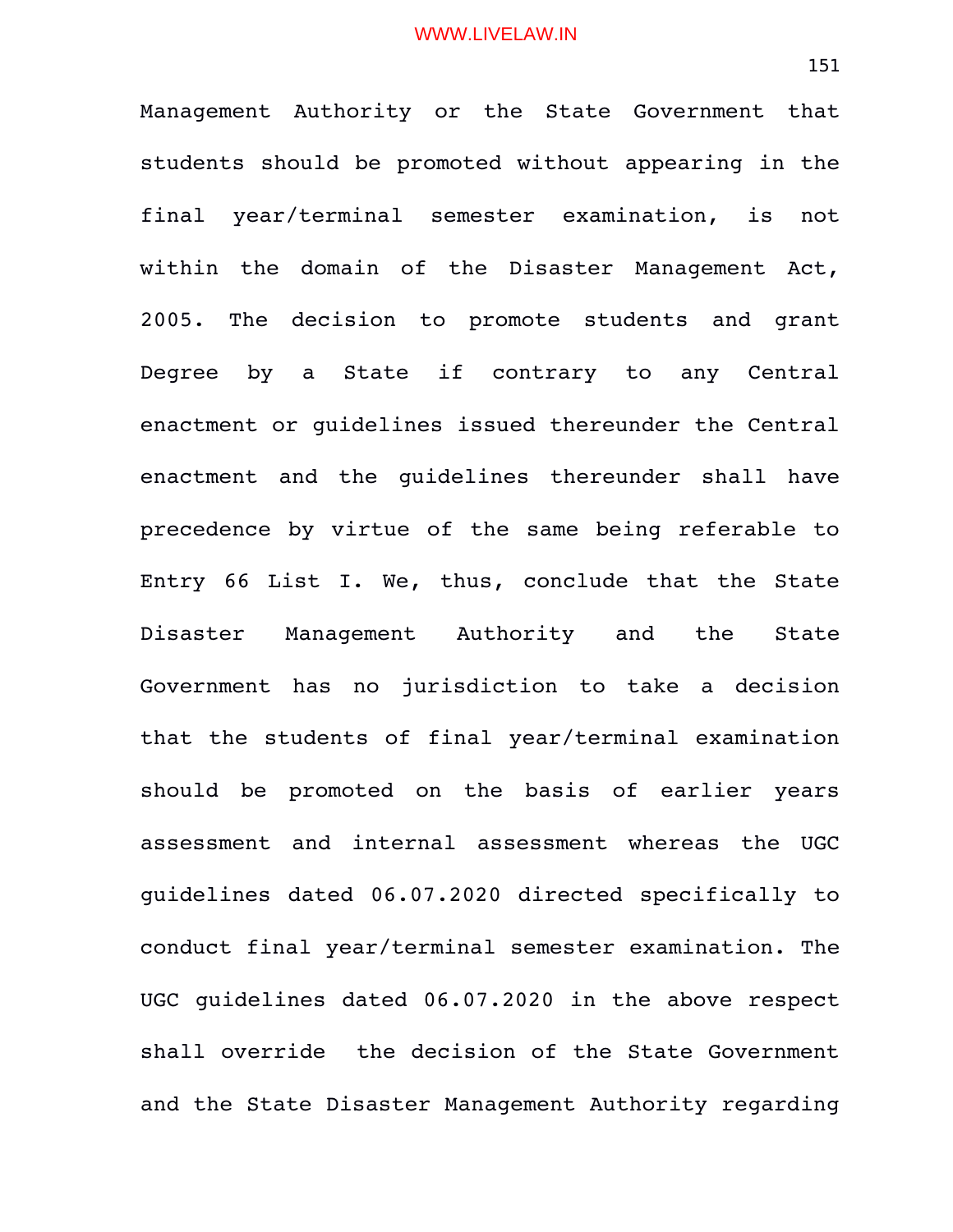Management Authority or the State Government that students should be promoted without appearing in the final year/terminal semester examination, is not within the domain of the Disaster Management Act, 2005. The decision to promote students and grant Degree by a State if contrary to any Central enactment or guidelines issued thereunder the Central enactment and the quidelines thereunder shall have precedence by virtue of the same being referable to Entry 66 List I. We, thus, conclude that the State Disaster Management Authority and the State Government has no jurisdiction to take a decision that the students of final year/terminal examination should be promoted on the basis of earlier years assessment and internal assessment whereas the UGC guidelines dated 06.07.2020 directed specifically to conduct final year/terminal semester examination. The UGC guidelines dated 06.07.2020 in the above respect shall override the decision of the State Government and the State Disaster Management Authority regarding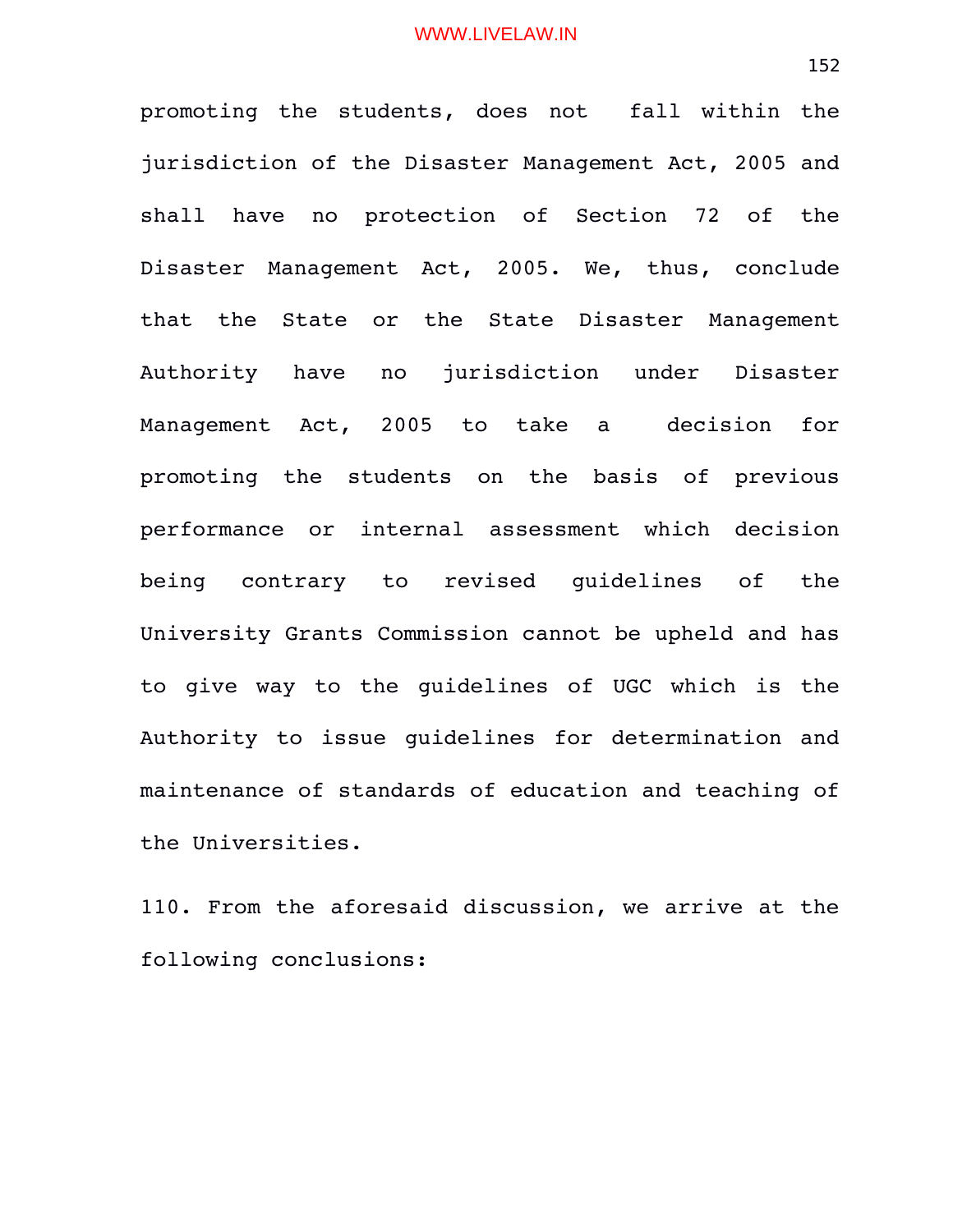promoting the students, does not fall within the jurisdiction of the Disaster Management Act, 2005 and shall have no protection of Section 72 of the Disaster Management Act, 2005. We, thus, conclude that the State or the State Disaster Management Authority have no jurisdiction under Disaster Management Act, 2005 to take a decision for promoting the students on the basis of previous performance or internal assessment which decision being contrary to revised quidelines of the University Grants Commission cannot be upheld and has to give way to the guidelines of UGC which is the Authority to issue guidelines for determination and maintenance of standards of education and teaching of the Universities.

110. From the aforesaid discussion, we arrive at the following conclusions: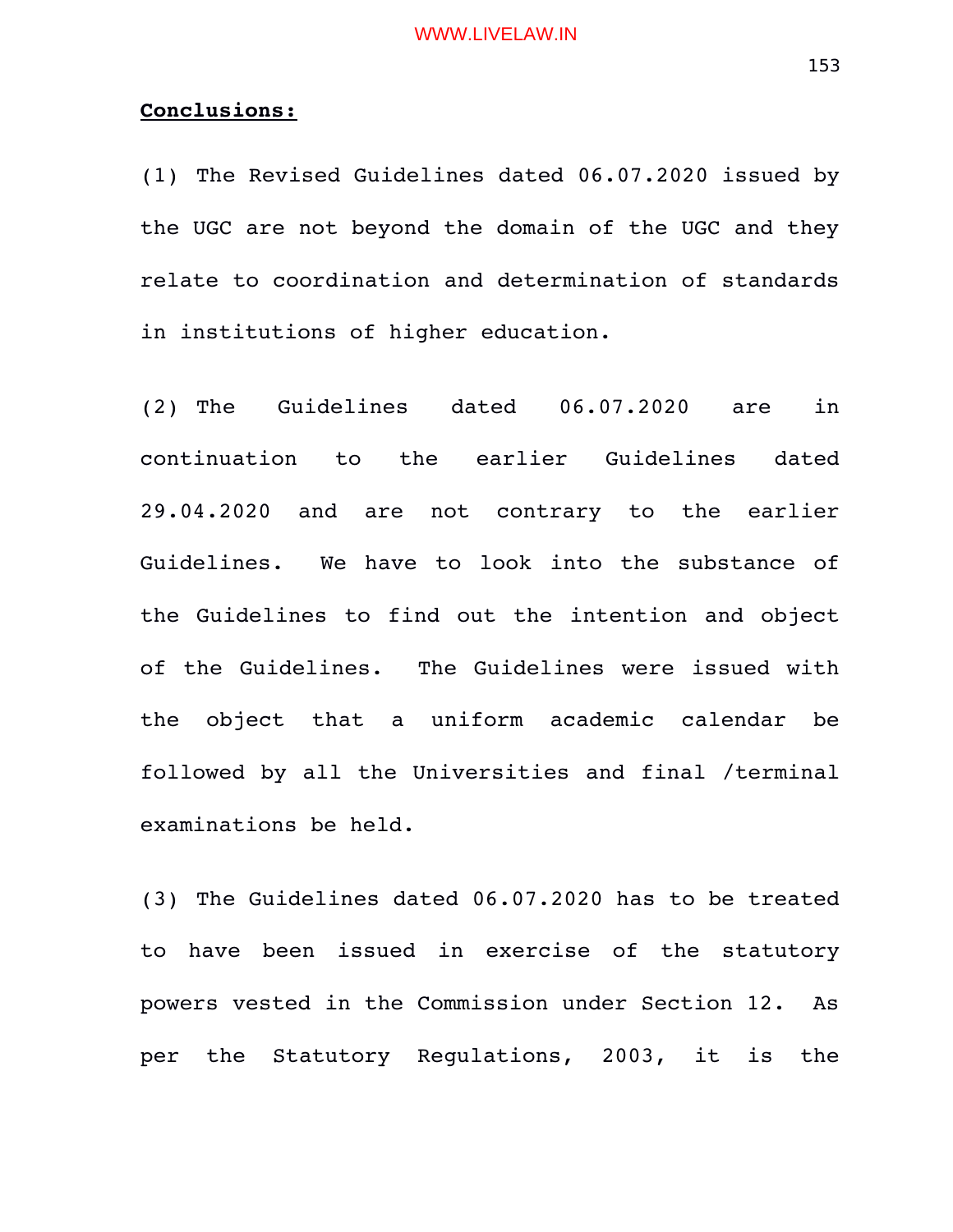# **Conclusions:**

(1) The Revised Guidelines dated 06.07.2020 issued by the UGC are not beyond the domain of the UGC and they relate to coordination and determination of standards in institutions of higher education.

(2) The Guidelines dated 06.07.2020 are in continuation to the earlier Guidelines dated 29.04.2020 and are not contrary to the earlier Guidelines. We have to look into the substance of the Guidelines to find out the intention and object of the Guidelines. The Guidelines were issued with the object that a uniform academic calendar be followed by all the Universities and final /terminal examinations be held.

(3) The Guidelines dated 06.07.2020 has to be treated to have been issued in exercise of the statutory powers vested in the Commission under Section 12. As per the Statutory Regulations, 2003, it is the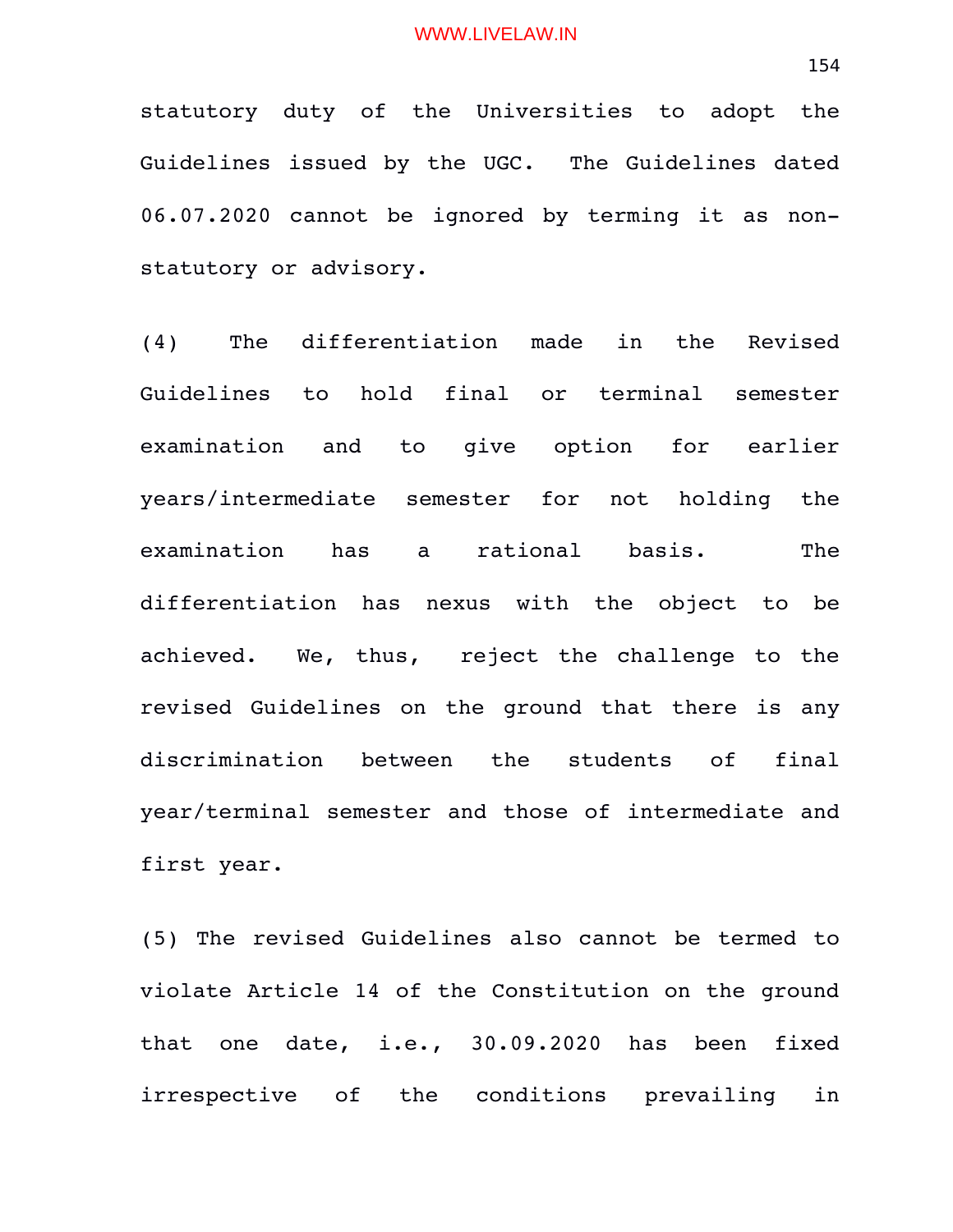statutory duty of the Universities to adopt the Guidelines issued by the UGC. The Guidelines dated 06.07.2020 cannot be ignored by terming it as nonstatutory or advisory.

(4) The differentiation made in the Revised Guidelines to hold final or terminal semester examination and to qive option for earlier years/intermediate semester for not holding the examination has a rational basis. The differentiation has nexus with the object to be achieved. We, thus, reject the challenge to the revised Guidelines on the ground that there is any discrimination between the students of final year/terminal semester and those of intermediate and first year.

(5) The revised Guidelines also cannot be termed to violate Article 14 of the Constitution on the ground that one date, i.e., 30.09.2020 has been fixed irrespective of the conditions prevailing in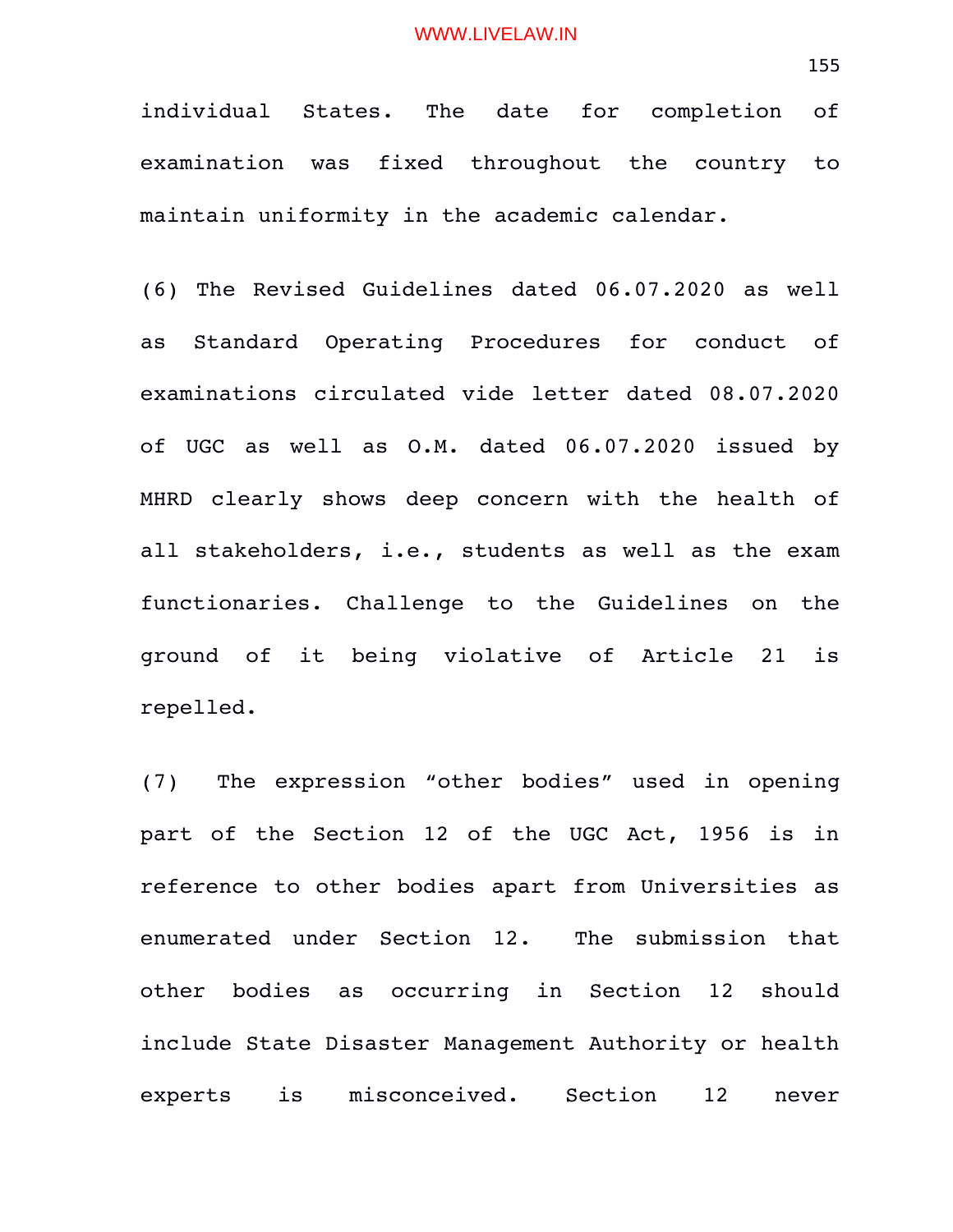individual States. The date for completion of examination was fixed throughout the country to maintain uniformity in the academic calendar.

(6) The Revised Guidelines dated 06.07.2020 as well as Standard Operating Procedures for conduct of examinations circulated vide letter dated 08.07.2020 of UGC as well as O.M. dated 06.07.2020 issued by MHRD clearly shows deep concern with the health of all stakeholders, i.e., students as well as the exam functionaries. Challenge to the Guidelines on the ground of it being violative of Article 21 is repelled.

(7) The expression "other bodies" used in opening part of the Section 12 of the UGC Act, 1956 is in reference to other bodies apart from Universities as enumerated under Section 12. The submission that other bodies as occurring in Section 12 should include State Disaster Management Authority or health experts is misconceived. Section 12 never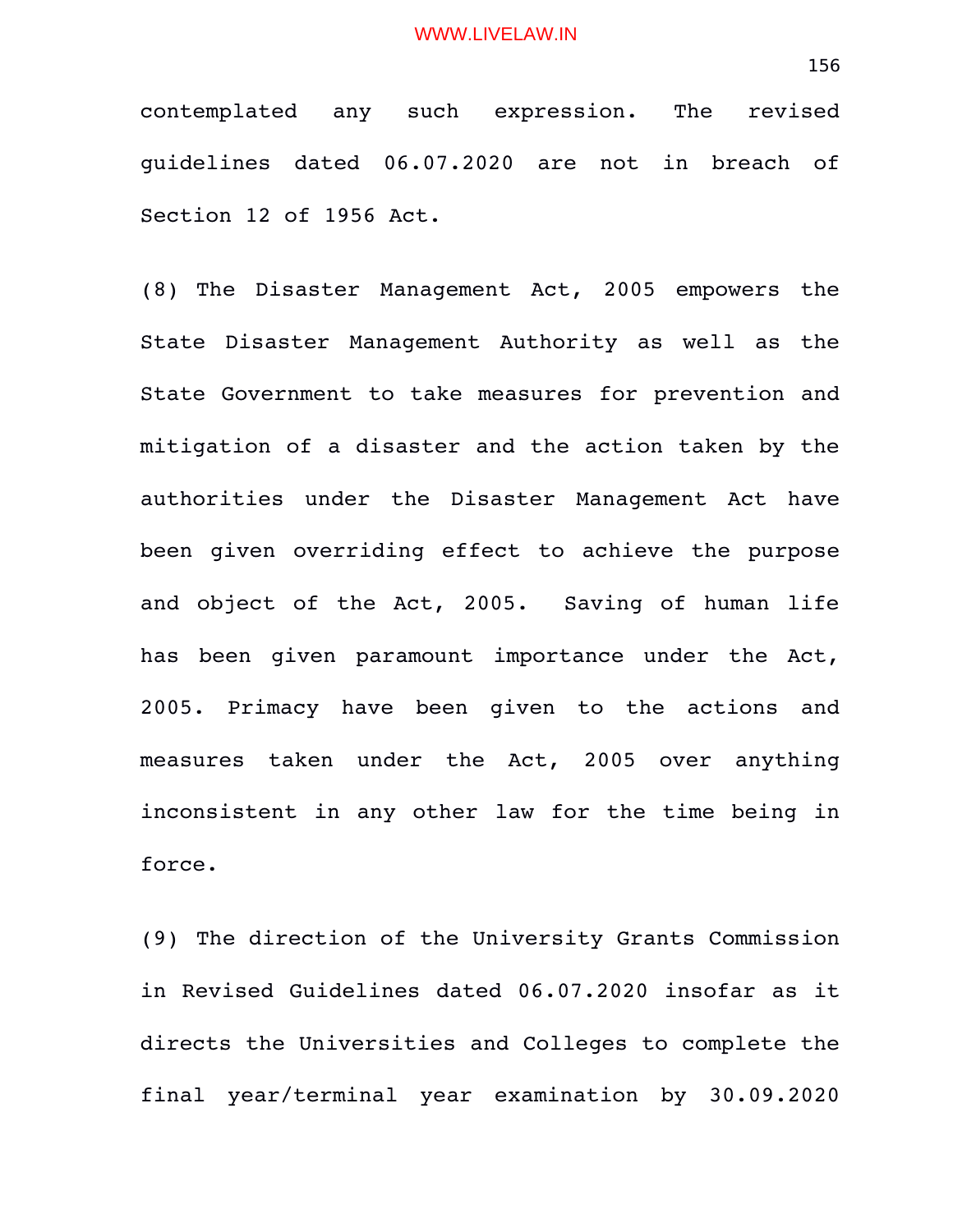contemplated any such expression. The revised guidelines dated 06.07.2020 are not in breach of Section 12 of 1956 Act.

(8) The Disaster Management Act, 2005 empowers the State Disaster Management Authority as well as the State Government to take measures for prevention and mitigation of a disaster and the action taken by the authorities under the Disaster Management Act have been given overriding effect to achieve the purpose and object of the Act, 2005. Saving of human life has been qiven paramount importance under the Act, 2005. Primacy have been given to the actions and measures taken under the Act, 2005 over anything inconsistent in any other law for the time being in force.

(9) The direction of the University Grants Commission in Revised Guidelines dated 06.07.2020 insofar as it directs the Universities and Colleges to complete the final year/terminal year examination by 30.09.2020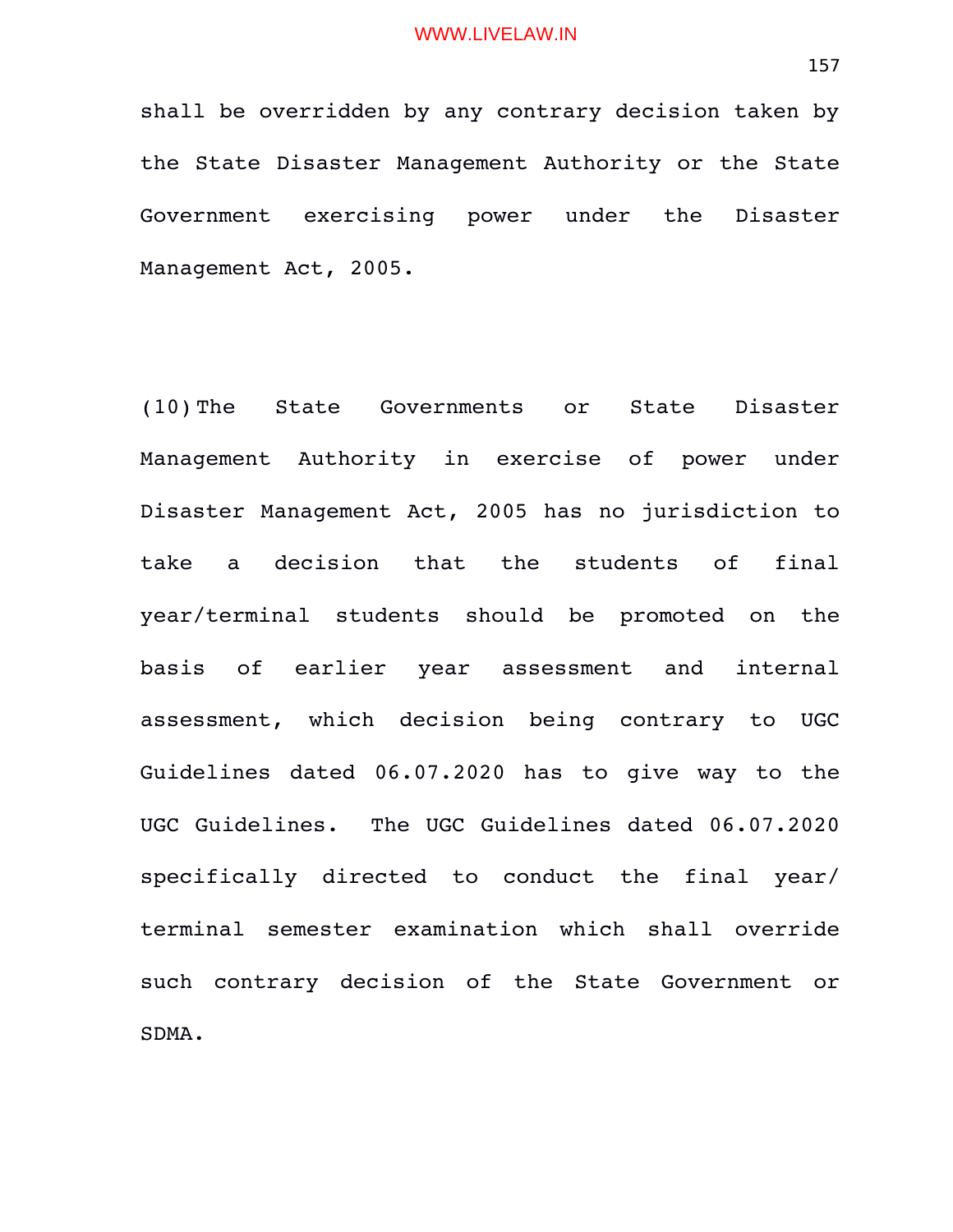shall be overridden by any contrary decision taken by the State Disaster Management Authority or the State Government exercising power under the Disaster Management Act, 2005.

(10) The State Governments or State Disaster Management Authority in exercise of power under Disaster Management Act, 2005 has no jurisdiction to take a decision that the students of final year/terminal students should be promoted on the basis of earlier year assessment and internal assessment, which decision being contrary to UGC Guidelines dated 06.07.2020 has to give way to the UGC Guidelines. The UGC Guidelines dated 06.07.2020 specifically directed to conduct the final year/ terminal semester examination which shall override such contrary decision of the State Government or SDMA.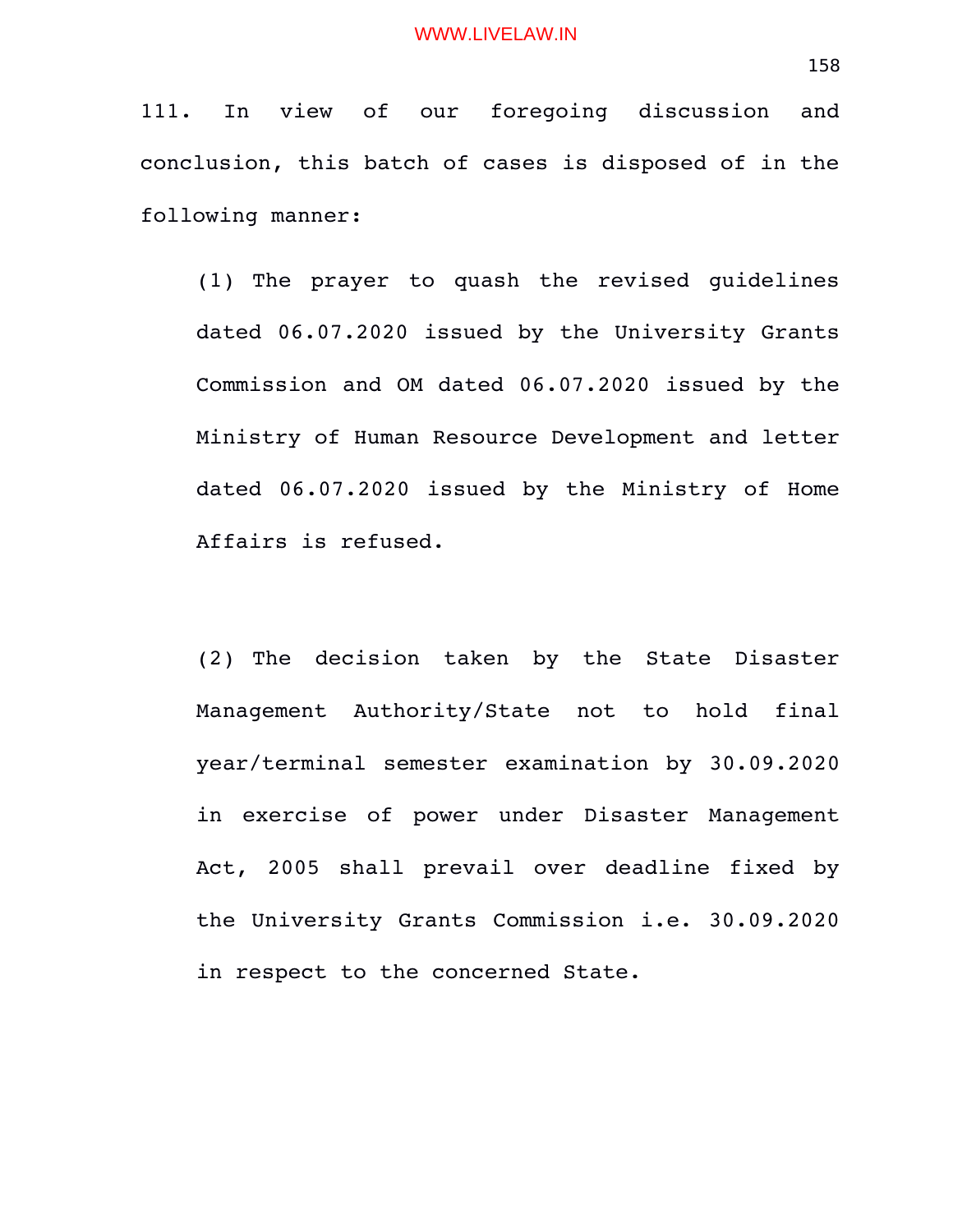111. In view of our foregoing discussion and conclusion, this batch of cases is disposed of in the following manner:

(1) The prayer to quash the revised guidelines dated 06.07.2020 issued by the University Grants Commission and OM dated 06.07.2020 issued by the Ministry of Human Resource Development and letter dated 06.07.2020 issued by the Ministry of Home Affairs is refused.

(2) The decision taken by the State Disaster Management Authority/State not to hold final year/terminal semester examination by 30.09.2020 in exercise of power under Disaster Management Act, 2005 shall prevail over deadline fixed by the University Grants Commission i.e. 30.09.2020 in respect to the concerned State.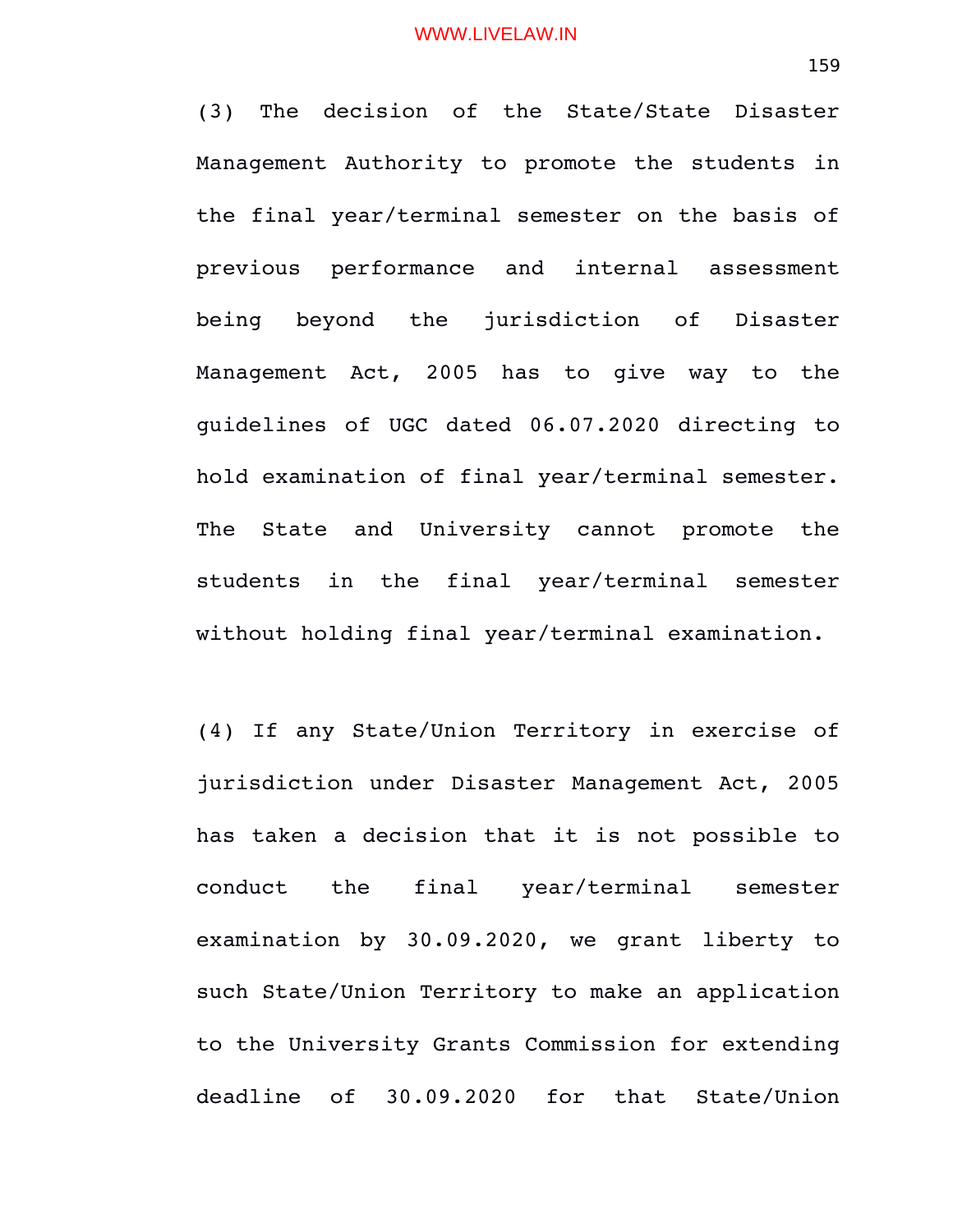(3) The decision of the State/State Disaster Management Authority to promote the students in the final year/terminal semester on the basis of previous performance and internal assessment being beyond the jurisdiction of Disaster Management Act, 2005 has to give way to the guidelines of UGC dated 06.07.2020 directing to hold examination of final year/terminal semester. The State and University cannot promote the students in the final year/terminal semester without holding final year/terminal examination.

(4) If any State/Union Territory in exercise of jurisdiction under Disaster Management Act, 2005 has taken a decision that it is not possible to conduct the final year/terminal semester examination by 30.09.2020, we grant liberty to such State/Union Territory to make an application to the University Grants Commission for extending deadline of 30.09.2020 for that State/Union